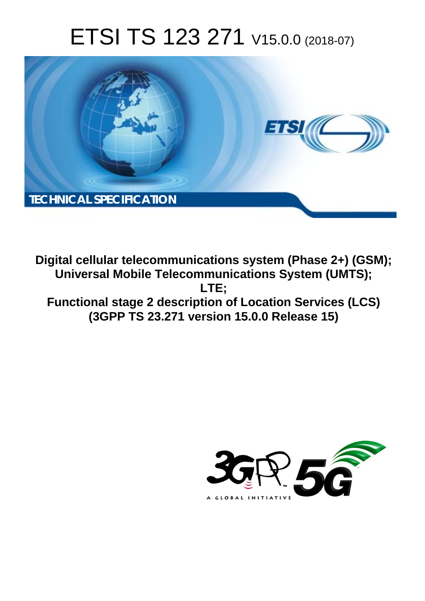# ETSI TS 123 271 V15.0.0 (2018-07)



**Digital cellular telecommunications system (Phase 2+) (GSM); Universal Mobile Telecommunications System (UMTS); LTE; Functional stage 2 description of Location Services (LCS) (3GPP TS 23.271 version 15.0.0 Release 15)** 

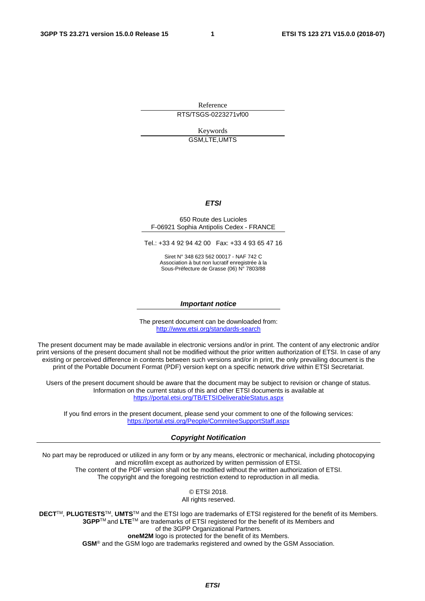Reference

RTS/TSGS-0223271vf00

Keywords GSM,LTE,UMTS

#### *ETSI*

#### 650 Route des Lucioles F-06921 Sophia Antipolis Cedex - FRANCE

Tel.: +33 4 92 94 42 00 Fax: +33 4 93 65 47 16

Siret N° 348 623 562 00017 - NAF 742 C Association à but non lucratif enregistrée à la Sous-Préfecture de Grasse (06) N° 7803/88

#### *Important notice*

The present document can be downloaded from: <http://www.etsi.org/standards-search>

The present document may be made available in electronic versions and/or in print. The content of any electronic and/or print versions of the present document shall not be modified without the prior written authorization of ETSI. In case of any existing or perceived difference in contents between such versions and/or in print, the only prevailing document is the print of the Portable Document Format (PDF) version kept on a specific network drive within ETSI Secretariat.

Users of the present document should be aware that the document may be subject to revision or change of status. Information on the current status of this and other ETSI documents is available at <https://portal.etsi.org/TB/ETSIDeliverableStatus.aspx>

If you find errors in the present document, please send your comment to one of the following services: <https://portal.etsi.org/People/CommiteeSupportStaff.aspx>

#### *Copyright Notification*

No part may be reproduced or utilized in any form or by any means, electronic or mechanical, including photocopying and microfilm except as authorized by written permission of ETSI. The content of the PDF version shall not be modified without the written authorization of ETSI. The copyright and the foregoing restriction extend to reproduction in all media.

> © ETSI 2018. All rights reserved.

**DECT**TM, **PLUGTESTS**TM, **UMTS**TM and the ETSI logo are trademarks of ETSI registered for the benefit of its Members. **3GPP**TM and **LTE**TM are trademarks of ETSI registered for the benefit of its Members and of the 3GPP Organizational Partners. **oneM2M** logo is protected for the benefit of its Members.

**GSM**® and the GSM logo are trademarks registered and owned by the GSM Association.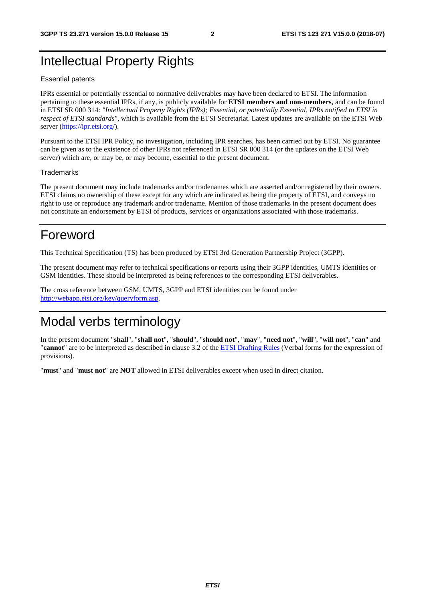# Intellectual Property Rights

#### Essential patents

IPRs essential or potentially essential to normative deliverables may have been declared to ETSI. The information pertaining to these essential IPRs, if any, is publicly available for **ETSI members and non-members**, and can be found in ETSI SR 000 314: *"Intellectual Property Rights (IPRs); Essential, or potentially Essential, IPRs notified to ETSI in respect of ETSI standards"*, which is available from the ETSI Secretariat. Latest updates are available on the ETSI Web server ([https://ipr.etsi.org/\)](https://ipr.etsi.org/).

Pursuant to the ETSI IPR Policy, no investigation, including IPR searches, has been carried out by ETSI. No guarantee can be given as to the existence of other IPRs not referenced in ETSI SR 000 314 (or the updates on the ETSI Web server) which are, or may be, or may become, essential to the present document.

#### **Trademarks**

The present document may include trademarks and/or tradenames which are asserted and/or registered by their owners. ETSI claims no ownership of these except for any which are indicated as being the property of ETSI, and conveys no right to use or reproduce any trademark and/or tradename. Mention of those trademarks in the present document does not constitute an endorsement by ETSI of products, services or organizations associated with those trademarks.

# Foreword

This Technical Specification (TS) has been produced by ETSI 3rd Generation Partnership Project (3GPP).

The present document may refer to technical specifications or reports using their 3GPP identities, UMTS identities or GSM identities. These should be interpreted as being references to the corresponding ETSI deliverables.

The cross reference between GSM, UMTS, 3GPP and ETSI identities can be found under [http://webapp.etsi.org/key/queryform.asp.](http://webapp.etsi.org/key/queryform.asp)

# Modal verbs terminology

In the present document "**shall**", "**shall not**", "**should**", "**should not**", "**may**", "**need not**", "**will**", "**will not**", "**can**" and "**cannot**" are to be interpreted as described in clause 3.2 of the [ETSI Drafting Rules](https://portal.etsi.org/Services/editHelp!/Howtostart/ETSIDraftingRules.aspx) (Verbal forms for the expression of provisions).

"**must**" and "**must not**" are **NOT** allowed in ETSI deliverables except when used in direct citation.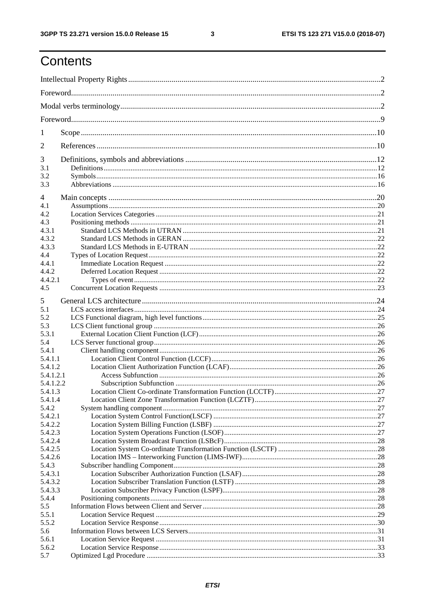$\mathbf{3}$ 

# Contents

| 1              |  |  |  |
|----------------|--|--|--|
| $\overline{2}$ |  |  |  |
| 3              |  |  |  |
| 3.1            |  |  |  |
| 3.2            |  |  |  |
| 3.3            |  |  |  |
| 4              |  |  |  |
| 4.1            |  |  |  |
| 4.2            |  |  |  |
| 4.3            |  |  |  |
| 4.3.1          |  |  |  |
| 4.3.2          |  |  |  |
| 4.3.3          |  |  |  |
| 4.4            |  |  |  |
| 4.4.1          |  |  |  |
| 4.4.2          |  |  |  |
| 4.4.2.1        |  |  |  |
| 4.5            |  |  |  |
| 5              |  |  |  |
| 5.1            |  |  |  |
| 5.2            |  |  |  |
| 5.3            |  |  |  |
| 5.3.1          |  |  |  |
| 5.4            |  |  |  |
| 5.4.1          |  |  |  |
| 5.4.1.1        |  |  |  |
| 5.4.1.2        |  |  |  |
| 5.4.1.2.1      |  |  |  |
| 5.4.1.2.2      |  |  |  |
| 5.4.1.3        |  |  |  |
| 5.4.1.4        |  |  |  |
| 5.4.2          |  |  |  |
| 5.4.2.1        |  |  |  |
| 5.4.2.2        |  |  |  |
| 5.4.2.3        |  |  |  |
| 5.4.2.4        |  |  |  |
| 5.4.2.5        |  |  |  |
| 5.4.2.6        |  |  |  |
| 5.4.3          |  |  |  |
| 5.4.3.1        |  |  |  |
| 5.4.3.2        |  |  |  |
| 5.4.3.3        |  |  |  |
| 5.4.4<br>5.5   |  |  |  |
| 5.5.1          |  |  |  |
| 5.5.2          |  |  |  |
| 5.6            |  |  |  |
| 5.6.1          |  |  |  |
| 5.6.2          |  |  |  |
| 5.7            |  |  |  |
|                |  |  |  |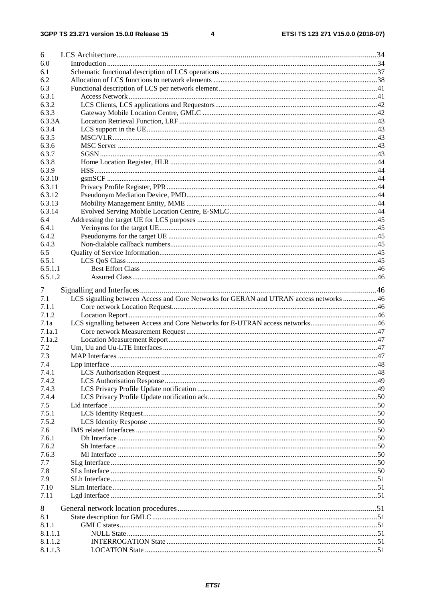#### $\overline{\mathbf{4}}$

| 6                  |                                                                                        |  |
|--------------------|----------------------------------------------------------------------------------------|--|
| 6.0                |                                                                                        |  |
| 6.1                |                                                                                        |  |
| 6.2                |                                                                                        |  |
| 6.3                |                                                                                        |  |
| 6.3.1              |                                                                                        |  |
| 6.3.2              |                                                                                        |  |
| 6.3.3              |                                                                                        |  |
| 6.3.3A             |                                                                                        |  |
| 6.3.4              |                                                                                        |  |
| 6.3.5              |                                                                                        |  |
| 6.3.6              |                                                                                        |  |
| 6.3.7              |                                                                                        |  |
| 6.3.8              |                                                                                        |  |
| 6.3.9              |                                                                                        |  |
| 6.3.10             |                                                                                        |  |
| 6.3.11<br>6.3.12   |                                                                                        |  |
| 6.3.13             |                                                                                        |  |
| 6.3.14             |                                                                                        |  |
| 6.4                |                                                                                        |  |
| 6.4.1              |                                                                                        |  |
| 6.4.2              |                                                                                        |  |
| 6.4.3              |                                                                                        |  |
| 6.5                |                                                                                        |  |
| 6.5.1              |                                                                                        |  |
| 6.5.1.1            |                                                                                        |  |
| 6.5.1.2            |                                                                                        |  |
|                    |                                                                                        |  |
|                    |                                                                                        |  |
| Τ                  |                                                                                        |  |
| 7.1                | LCS signalling between Access and Core Networks for GERAN and UTRAN access networks 46 |  |
| 7.1.1              |                                                                                        |  |
| 7.1.2              |                                                                                        |  |
| 7.1a               | LCS signalling between Access and Core Networks for E-UTRAN access networks46          |  |
| 7.1a.1             |                                                                                        |  |
| 7.1a.2             |                                                                                        |  |
| 7.2                |                                                                                        |  |
| 7.3                |                                                                                        |  |
| 7.4                |                                                                                        |  |
| 7.4.1              |                                                                                        |  |
| 7.4.2              |                                                                                        |  |
| 7.4.3              |                                                                                        |  |
| 7.4.4              |                                                                                        |  |
| 7.5                |                                                                                        |  |
| 7.5.1              |                                                                                        |  |
| 7.5.2              |                                                                                        |  |
| 7.6                |                                                                                        |  |
| 7.6.1<br>7.6.2     |                                                                                        |  |
| 7.6.3              |                                                                                        |  |
| 7.7                |                                                                                        |  |
| 7.8                |                                                                                        |  |
| 7.9                |                                                                                        |  |
| 7.10               |                                                                                        |  |
| 7.11               |                                                                                        |  |
|                    |                                                                                        |  |
| 8                  |                                                                                        |  |
| 8.1                |                                                                                        |  |
| 8.1.1              |                                                                                        |  |
| 8.1.1.1<br>8.1.1.2 |                                                                                        |  |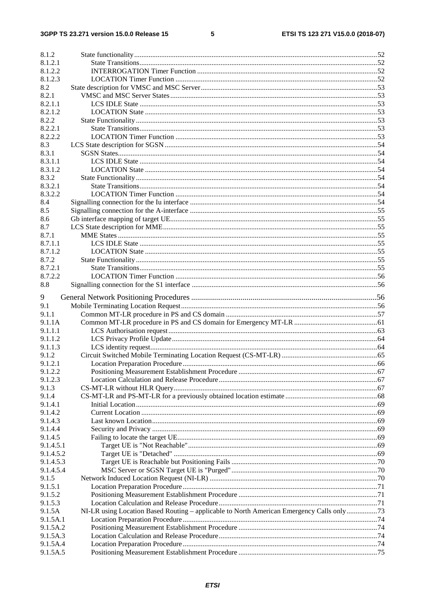#### $5\phantom{a}$

| 8.1.2     |                                                                                           |  |
|-----------|-------------------------------------------------------------------------------------------|--|
| 8.1.2.1   |                                                                                           |  |
| 8.1.2.2   |                                                                                           |  |
| 8.1.2.3   |                                                                                           |  |
| 8.2       |                                                                                           |  |
| 8.2.1     |                                                                                           |  |
| 8.2.1.1   |                                                                                           |  |
| 8.2.1.2   |                                                                                           |  |
| 8.2.2     |                                                                                           |  |
| 8.2.2.1   |                                                                                           |  |
| 8.2.2.2   |                                                                                           |  |
| 8.3       |                                                                                           |  |
| 8.3.1     |                                                                                           |  |
| 8.3.1.1   |                                                                                           |  |
| 8.3.1.2   |                                                                                           |  |
| 8.3.2     |                                                                                           |  |
| 8.3.2.1   |                                                                                           |  |
| 8.3.2.2   |                                                                                           |  |
| 8.4       |                                                                                           |  |
| 8.5       |                                                                                           |  |
| 8.6       |                                                                                           |  |
| 8.7       |                                                                                           |  |
| 8.7.1     |                                                                                           |  |
| 8.7.1.1   |                                                                                           |  |
|           |                                                                                           |  |
| 8.7.1.2   |                                                                                           |  |
| 8.7.2     |                                                                                           |  |
| 8.7.2.1   |                                                                                           |  |
| 8.7.2.2   |                                                                                           |  |
| 8.8       |                                                                                           |  |
| 9         |                                                                                           |  |
| 9.1       |                                                                                           |  |
| 9.1.1     |                                                                                           |  |
| 9.1.1A    |                                                                                           |  |
| 9.1.1.1   |                                                                                           |  |
| 9.1.1.2   |                                                                                           |  |
|           |                                                                                           |  |
| 9.1.1.3   |                                                                                           |  |
| 9.1.2     |                                                                                           |  |
| 9.1.2.1   |                                                                                           |  |
| 9.1.2.2   |                                                                                           |  |
| 9.1.2.3   |                                                                                           |  |
| 9.1.3     |                                                                                           |  |
| 9.1.4     |                                                                                           |  |
| 9.1.4.1   |                                                                                           |  |
| 9.1.4.2   |                                                                                           |  |
| 9.1.4.3   |                                                                                           |  |
| 9.1.4.4   |                                                                                           |  |
| 9.1.4.5   |                                                                                           |  |
| 9.1.4.5.1 |                                                                                           |  |
| 9.1.4.5.2 |                                                                                           |  |
| 9.1.4.5.3 |                                                                                           |  |
| 9.1.4.5.4 |                                                                                           |  |
| 9.1.5     |                                                                                           |  |
| 9.1.5.1   |                                                                                           |  |
| 9.1.5.2   |                                                                                           |  |
| 9.1.5.3   |                                                                                           |  |
| 9.1.5A    | NI-LR using Location Based Routing - applicable to North American Emergency Calls only 73 |  |
| 9.1.5A.1  |                                                                                           |  |
| 9.1.5A.2  |                                                                                           |  |
| 9.1.5A.3  |                                                                                           |  |
| 9.1.5A.4  |                                                                                           |  |
| 9.1.5A.5  |                                                                                           |  |
|           |                                                                                           |  |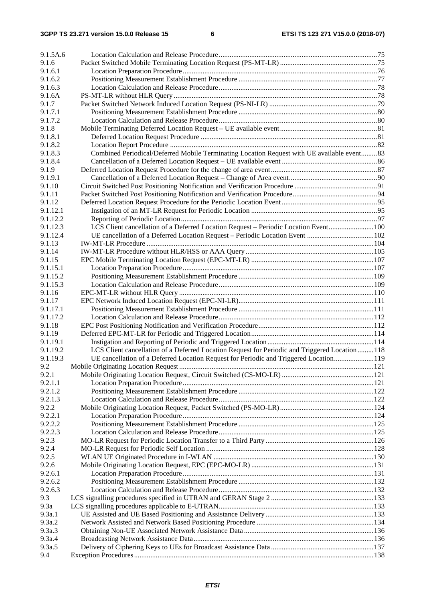| 9.1.5A.6      |                                                                                                |     |
|---------------|------------------------------------------------------------------------------------------------|-----|
| 9.1.6         |                                                                                                |     |
| 9.1.6.1       |                                                                                                |     |
| 9.1.6.2       |                                                                                                |     |
| 9.1.6.3       |                                                                                                |     |
| 9.1.6A        |                                                                                                |     |
| 9.1.7         |                                                                                                |     |
| 9.1.7.1       |                                                                                                |     |
| 9.1.7.2       |                                                                                                |     |
| 9.1.8         |                                                                                                |     |
| 9.1.8.1       |                                                                                                |     |
| 9.1.8.2       |                                                                                                |     |
| 9.1.8.3       | Combined Periodical/Deferred Mobile Terminating Location Request with UE available event83     |     |
| 9.1.8.4       |                                                                                                |     |
| 9.1.9         |                                                                                                |     |
| 9.1.9.1       |                                                                                                |     |
| 9.1.10        |                                                                                                |     |
| 9.1.11        |                                                                                                |     |
| 9.1.12        |                                                                                                |     |
|               |                                                                                                |     |
| 9.1.12.1      |                                                                                                |     |
| 9.1.12.2      |                                                                                                |     |
| 9.1.12.3      | LCS Client cancellation of a Deferred Location Request - Periodic Location Event100            |     |
| 9.1.12.4      | UE cancellation of a Deferred Location Request - Periodic Location Event 102                   |     |
| 9.1.13        |                                                                                                |     |
| 9.1.14        |                                                                                                |     |
| 9.1.15        |                                                                                                |     |
| 9.1.15.1      |                                                                                                |     |
| 9.1.15.2      |                                                                                                |     |
| 9.1.15.3      |                                                                                                |     |
| 9.1.16        |                                                                                                |     |
| 9.1.17        |                                                                                                |     |
| 9.1.17.1      |                                                                                                |     |
| 9.1.17.2      |                                                                                                |     |
| 9.1.18        |                                                                                                |     |
| 9.1.19        |                                                                                                |     |
| 9.1.19.1      |                                                                                                |     |
| 9.1.19.2      | LCS Client cancellation of a Deferred Location Request for Periodic and Triggered Location 118 |     |
| 9.1.19.3      | UE cancellation of a Deferred Location Request for Periodic and Triggered Location119          |     |
| 9.2           |                                                                                                | 121 |
| 9.2.1         |                                                                                                |     |
| 9.2.1.1       |                                                                                                |     |
|               |                                                                                                |     |
| 9.2.1.2       |                                                                                                |     |
| 9.2.1.3       |                                                                                                |     |
| 9.2.2         |                                                                                                |     |
| 9.2.2.1       |                                                                                                |     |
| 9.2.2.2       |                                                                                                |     |
| 9.2.2.3       |                                                                                                |     |
| 9.2.3         |                                                                                                |     |
| 9.2.4         |                                                                                                |     |
| 9.2.5         |                                                                                                |     |
| 9.2.6         |                                                                                                |     |
| 9.2.6.1       |                                                                                                |     |
| 9.2.6.2       |                                                                                                |     |
| 9.2.6.3       |                                                                                                |     |
| 9.3           |                                                                                                |     |
| 9.3a          |                                                                                                |     |
| 9.3a.1        |                                                                                                |     |
| 9.3a.2        |                                                                                                |     |
| 9.3a.3        |                                                                                                |     |
| 9.3a.4        |                                                                                                |     |
|               |                                                                                                |     |
| 9.3a.5<br>9.4 |                                                                                                |     |
|               |                                                                                                |     |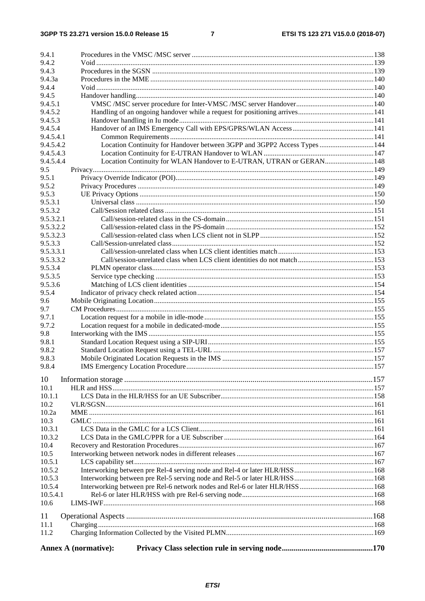$\overline{7}$ 

| 9.4.1            |                                                                           |  |
|------------------|---------------------------------------------------------------------------|--|
| 9.4.2<br>9.4.3   |                                                                           |  |
| 9.4.3a           |                                                                           |  |
| 9.4.4            |                                                                           |  |
| 9.4.5            |                                                                           |  |
| 9.4.5.1          |                                                                           |  |
| 9.4.5.2          |                                                                           |  |
| 9.4.5.3          |                                                                           |  |
| 9.4.5.4          |                                                                           |  |
| 9.4.5.4.1        |                                                                           |  |
| 9.4.5.4.2        | Location Continuity for Handover between 3GPP and 3GPP2 Access Types  144 |  |
| 9.4.5.4.3        |                                                                           |  |
| 9.4.5.4.4        | Location Continuity for WLAN Handover to E-UTRAN, UTRAN or GERAN 148      |  |
| 9.5              |                                                                           |  |
| 9.5.1            |                                                                           |  |
| 9.5.2            |                                                                           |  |
| 9.5.3            |                                                                           |  |
| 9.5.3.1          |                                                                           |  |
| 9.5.3.2          |                                                                           |  |
| 9.5.3.2.1        |                                                                           |  |
| 9.5.3.2.2        |                                                                           |  |
| 9.5.3.2.3        |                                                                           |  |
| 9.5.3.3          |                                                                           |  |
| 9.5.3.3.1        |                                                                           |  |
| 9.5.3.3.2        |                                                                           |  |
| 9.5.3.4          |                                                                           |  |
| 9.5.3.5          |                                                                           |  |
| 9.5.3.6          |                                                                           |  |
| 9.5.4            |                                                                           |  |
| 9.6<br>9.7       |                                                                           |  |
| 9.7.1            |                                                                           |  |
| 9.7.2            |                                                                           |  |
| 9.8              |                                                                           |  |
| 9.8.1            |                                                                           |  |
| 9.8.2            |                                                                           |  |
| 9.8.3            |                                                                           |  |
| 9.8.4            |                                                                           |  |
|                  |                                                                           |  |
| 10               |                                                                           |  |
| 10.1             |                                                                           |  |
| 10.1.1           |                                                                           |  |
| 10.2             |                                                                           |  |
| 10.2a            |                                                                           |  |
| 10.3             |                                                                           |  |
| 10.3.1           |                                                                           |  |
| 10.3.2           |                                                                           |  |
| 10.4             |                                                                           |  |
| 10.5             |                                                                           |  |
| 10.5.1           |                                                                           |  |
| 10.5.2           |                                                                           |  |
| 10.5.3<br>10.5.4 |                                                                           |  |
| 10.5.4.1         |                                                                           |  |
| 10.6             |                                                                           |  |
|                  |                                                                           |  |
| 11               |                                                                           |  |
| 11.1             |                                                                           |  |
| 11.2             |                                                                           |  |
|                  | <b>Annex A (normative):</b>                                               |  |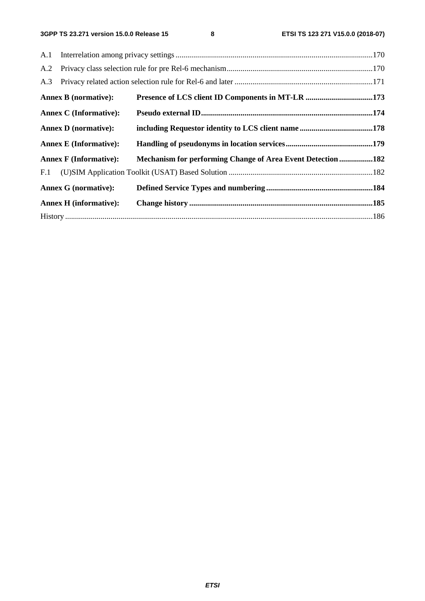| A.2 |                               |                                                             |  |
|-----|-------------------------------|-------------------------------------------------------------|--|
| A.3 |                               |                                                             |  |
|     | <b>Annex B</b> (normative):   | Presence of LCS client ID Components in MT-LR 173           |  |
|     | <b>Annex C</b> (Informative): |                                                             |  |
|     | <b>Annex D</b> (normative):   |                                                             |  |
|     | <b>Annex E</b> (Informative): |                                                             |  |
|     | <b>Annex F</b> (Informative): | Mechanism for performing Change of Area Event Detection 182 |  |
| F.1 |                               |                                                             |  |
|     | <b>Annex G</b> (normative):   |                                                             |  |
|     | <b>Annex H</b> (informative): |                                                             |  |
|     |                               |                                                             |  |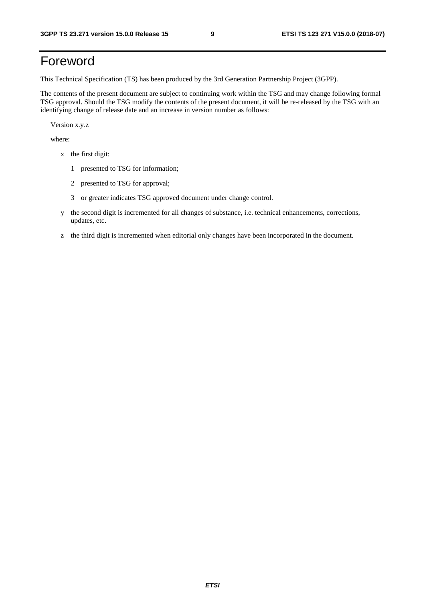# Foreword

This Technical Specification (TS) has been produced by the 3rd Generation Partnership Project (3GPP).

The contents of the present document are subject to continuing work within the TSG and may change following formal TSG approval. Should the TSG modify the contents of the present document, it will be re-released by the TSG with an identifying change of release date and an increase in version number as follows:

Version x.y.z

where:

- x the first digit:
	- 1 presented to TSG for information;
	- 2 presented to TSG for approval;
	- 3 or greater indicates TSG approved document under change control.
- y the second digit is incremented for all changes of substance, i.e. technical enhancements, corrections, updates, etc.
- z the third digit is incremented when editorial only changes have been incorporated in the document.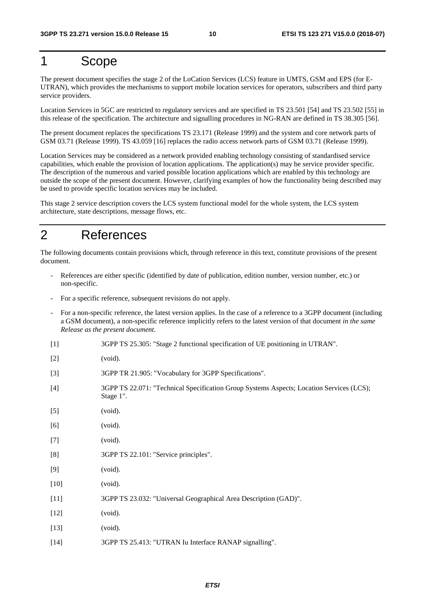# 1 Scope

The present document specifies the stage 2 of the LoCation Services (LCS) feature in UMTS, GSM and EPS (for E-UTRAN), which provides the mechanisms to support mobile location services for operators, subscribers and third party service providers.

Location Services in 5GC are restricted to regulatory services and are specified in TS 23.501 [54] and TS 23.502 [55] in this release of the specification. The architecture and signalling procedures in NG-RAN are defined in TS 38.305 [56].

The present document replaces the specifications TS 23.171 (Release 1999) and the system and core network parts of GSM 03.71 (Release 1999). TS 43.059 [16] replaces the radio access network parts of GSM 03.71 (Release 1999).

Location Services may be considered as a network provided enabling technology consisting of standardised service capabilities, which enable the provision of location applications. The application(s) may be service provider specific. The description of the numerous and varied possible location applications which are enabled by this technology are outside the scope of the present document. However, clarifying examples of how the functionality being described may be used to provide specific location services may be included.

This stage 2 service description covers the LCS system functional model for the whole system, the LCS system architecture, state descriptions, message flows, etc.

# 2 References

The following documents contain provisions which, through reference in this text, constitute provisions of the present document.

- References are either specific (identified by date of publication, edition number, version number, etc.) or non-specific.
- For a specific reference, subsequent revisions do not apply.
- For a non-specific reference, the latest version applies. In the case of a reference to a 3GPP document (including a GSM document), a non-specific reference implicitly refers to the latest version of that document *in the same Release as the present document*.
- [1] 3GPP TS 25.305: "Stage 2 functional specification of UE positioning in UTRAN".
- [2] (void).
- [3] 3GPP TR 21.905: "Vocabulary for 3GPP Specifications".
- [4] 3GPP TS 22.071: "Technical Specification Group Systems Aspects; Location Services (LCS); Stage 1".
- [5] (void).
- [6] (void).
- [7] (void).
- [8] 3GPP TS 22.101: "Service principles".
- [9] (void).
- [10] (void).
- [11] 3GPP TS 23.032: "Universal Geographical Area Description (GAD)".
- [12] (void).
- [13] (void).
- [14] 3GPP TS 25.413: "UTRAN Iu Interface RANAP signalling".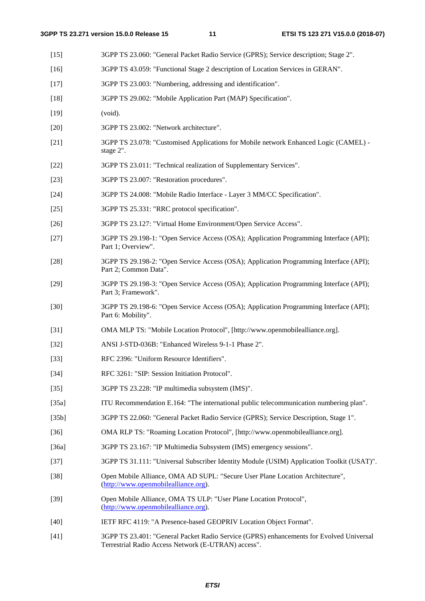- [15] 3GPP TS 23.060: "General Packet Radio Service (GPRS); Service description; Stage 2". [16] 3GPP TS 43.059: "Functional Stage 2 description of Location Services in GERAN". [17] 3GPP TS 23.003: "Numbering, addressing and identification". [18] 3GPP TS 29.002: "Mobile Application Part (MAP) Specification". [19] (void). [20] 3GPP TS 23.002: "Network architecture". [21] 3GPP TS 23.078: "Customised Applications for Mobile network Enhanced Logic (CAMEL) stage 2". [22] 3GPP TS 23.011: "Technical realization of Supplementary Services". [23] 3GPP TS 23.007: "Restoration procedures". [24] 3GPP TS 24.008: "Mobile Radio Interface - Layer 3 MM/CC Specification". [25] 3GPP TS 25.331: "RRC protocol specification". [26] 3GPP TS 23.127: "Virtual Home Environment/Open Service Access". [27] 3GPP TS 29.198-1: "Open Service Access (OSA); Application Programming Interface (API); Part 1; Overview". [28] 3GPP TS 29.198-2: "Open Service Access (OSA); Application Programming Interface (API); Part 2; Common Data". [29] 3GPP TS 29.198-3: "Open Service Access (OSA); Application Programming Interface (API); Part 3; Framework". [30] 3GPP TS 29.198-6: "Open Service Access (OSA); Application Programming Interface (API); Part 6: Mobility". [31] OMA MLP TS: "Mobile Location Protocol", [http://www.openmobilealliance.org]. [32] ANSI J-STD-036B: "Enhanced Wireless 9-1-1 Phase 2". [33] RFC 2396: "Uniform Resource Identifiers". [34] RFC 3261: "SIP: Session Initiation Protocol". [35] 3GPP TS 23.228: "IP multimedia subsystem (IMS)". [35a] ITU Recommendation E.164: "The international public telecommunication numbering plan". [35b] 3GPP TS 22.060: "General Packet Radio Service (GPRS); Service Description, Stage 1". [36] OMA RLP TS: "Roaming Location Protocol", [http://www.openmobilealliance.org]. [36a] 3GPP TS 23.167: "IP Multimedia Subsystem (IMS) emergency sessions". [37] 3GPP TS 31.111: "Universal Subscriber Identity Module (USIM) Application Toolkit (USAT)". [38] Open Mobile Alliance, OMA AD SUPL: "Secure User Plane Location Architecture", [\(http://www.openmobilealliance.org](http://www.openmobilealliance.org/)). [39] Open Mobile Alliance, OMA TS ULP: "User Plane Location Protocol", ([http://www.openmobilealliance.org](http://www.openmobilealliance.org/)). [40] IETF RFC 4119: "A Presence-based GEOPRIV Location Object Format".
- [41] 3GPP TS 23.401: "General Packet Radio Service (GPRS) enhancements for Evolved Universal Terrestrial Radio Access Network (E-UTRAN) access".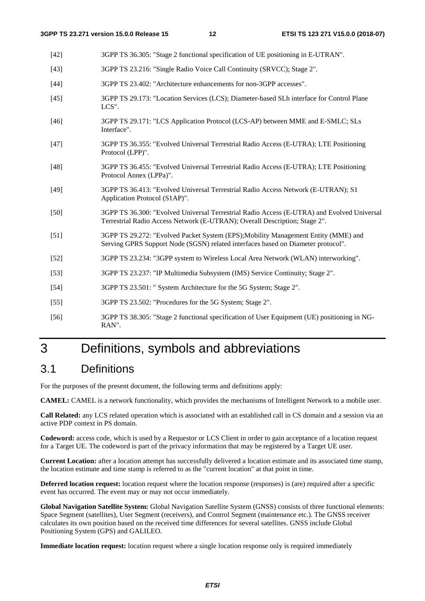| $[42]$ | 3GPP TS 36.305: "Stage 2 functional specification of UE positioning in E-UTRAN".                                                                                         |
|--------|--------------------------------------------------------------------------------------------------------------------------------------------------------------------------|
| $[43]$ | 3GPP TS 23.216: "Single Radio Voice Call Continuity (SRVCC); Stage 2".                                                                                                   |
| $[44]$ | 3GPP TS 23.402: "Architecture enhancements for non-3GPP accesses".                                                                                                       |
| $[45]$ | 3GPP TS 29.173: "Location Services (LCS); Diameter-based SLh interface for Control Plane<br>LCS".                                                                        |
| $[46]$ | 3GPP TS 29.171: "LCS Application Protocol (LCS-AP) between MME and E-SMLC; SLs<br>Interface".                                                                            |
| $[47]$ | 3GPP TS 36.355: "Evolved Universal Terrestrial Radio Access (E-UTRA); LTE Positioning<br>Protocol (LPP)".                                                                |
| $[48]$ | 3GPP TS 36.455: "Evolved Universal Terrestrial Radio Access (E-UTRA); LTE Positioning<br>Protocol Annex (LPPa)".                                                         |
| $[49]$ | 3GPP TS 36.413: "Evolved Universal Terrestrial Radio Access Network (E-UTRAN); S1<br>Application Protocol (S1AP)".                                                       |
| $[50]$ | 3GPP TS 36.300: "Evolved Universal Terrestrial Radio Access (E-UTRA) and Evolved Universal<br>Terrestrial Radio Access Network (E-UTRAN); Overall Description; Stage 2". |
| $[51]$ | 3GPP TS 29.272: "Evolved Packet System (EPS); Mobility Management Entity (MME) and<br>Serving GPRS Support Node (SGSN) related interfaces based on Diameter protocol".   |
| $[52]$ | 3GPP TS 23.234: "3GPP system to Wireless Local Area Network (WLAN) interworking".                                                                                        |
| $[53]$ | 3GPP TS 23.237: "IP Multimedia Subsystem (IMS) Service Continuity; Stage 2".                                                                                             |
| $[54]$ | 3GPP TS 23.501: " System Architecture for the 5G System; Stage 2".                                                                                                       |
| $[55]$ | 3GPP TS 23.502: "Procedures for the 5G System; Stage 2".                                                                                                                 |
| $[56]$ | 3GPP TS 38.305: "Stage 2 functional specification of User Equipment (UE) positioning in NG-<br>RAN".                                                                     |

# 3 Definitions, symbols and abbreviations

# 3.1 Definitions

For the purposes of the present document, the following terms and definitions apply:

**CAMEL:** CAMEL is a network functionality, which provides the mechanisms of Intelligent Network to a mobile user.

**Call Related:** any LCS related operation which is associated with an established call in CS domain and a session via an active PDP context in PS domain.

**Codeword:** access code, which is used by a Requestor or LCS Client in order to gain acceptance of a location request for a Target UE. The codeword is part of the privacy information that may be registered by a Target UE user.

**Current Location:** after a location attempt has successfully delivered a location estimate and its associated time stamp, the location estimate and time stamp is referred to as the "current location" at that point in time.

**Deferred location request:** location request where the location response (responses) is (are) required after a specific event has occurred. The event may or may not occur immediately.

**Global Navigation Satellite System:** Global Navigation Satellite System (GNSS) consists of three functional elements: Space Segment (satellites), User Segment (receivers), and Control Segment (maintenance etc.). The GNSS receiver calculates its own position based on the received time differences for several satellites. GNSS include Global Positioning System (GPS) and GALILEO.

**Immediate location request:** location request where a single location response only is required immediately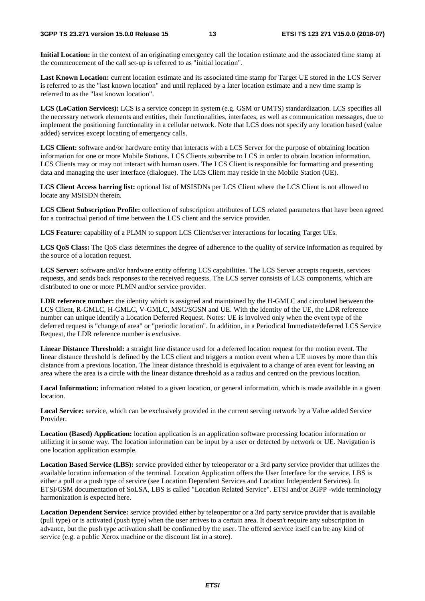**Initial Location:** in the context of an originating emergency call the location estimate and the associated time stamp at the commencement of the call set-up is referred to as "initial location".

**Last Known Location:** current location estimate and its associated time stamp for Target UE stored in the LCS Server is referred to as the "last known location" and until replaced by a later location estimate and a new time stamp is referred to as the "last known location".

**LCS (LoCation Services):** LCS is a service concept in system (e.g. GSM or UMTS) standardization. LCS specifies all the necessary network elements and entities, their functionalities, interfaces, as well as communication messages, due to implement the positioning functionality in a cellular network. Note that LCS does not specify any location based (value added) services except locating of emergency calls.

**LCS Client:** software and/or hardware entity that interacts with a LCS Server for the purpose of obtaining location information for one or more Mobile Stations. LCS Clients subscribe to LCS in order to obtain location information. LCS Clients may or may not interact with human users. The LCS Client is responsible for formatting and presenting data and managing the user interface (dialogue). The LCS Client may reside in the Mobile Station (UE).

**LCS Client Access barring list:** optional list of MSISDNs per LCS Client where the LCS Client is not allowed to locate any MSISDN therein.

**LCS Client Subscription Profile:** collection of subscription attributes of LCS related parameters that have been agreed for a contractual period of time between the LCS client and the service provider.

**LCS Feature:** capability of a PLMN to support LCS Client/server interactions for locating Target UEs.

**LCS QoS Class:** The QoS class determines the degree of adherence to the quality of service information as required by the source of a location request.

**LCS Server:** software and/or hardware entity offering LCS capabilities. The LCS Server accepts requests, services requests, and sends back responses to the received requests. The LCS server consists of LCS components, which are distributed to one or more PLMN and/or service provider.

**LDR reference number:** the identity which is assigned and maintained by the H-GMLC and circulated between the LCS Client, R-GMLC, H-GMLC, V-GMLC, MSC/SGSN and UE. With the identity of the UE, the LDR reference number can unique identify a Location Deferred Request. Notes: UE is involved only when the event type of the deferred request is "change of area" or "periodic location". In addition, in a Periodical Immediate/deferred LCS Service Request, the LDR reference number is exclusive.

**Linear Distance Threshold:** a straight line distance used for a deferred location request for the motion event. The linear distance threshold is defined by the LCS client and triggers a motion event when a UE moves by more than this distance from a previous location. The linear distance threshold is equivalent to a change of area event for leaving an area where the area is a circle with the linear distance threshold as a radius and centred on the previous location.

Local Information: information related to a given location, or general information, which is made available in a given location.

**Local Service:** service, which can be exclusively provided in the current serving network by a Value added Service Provider.

**Location (Based) Application:** location application is an application software processing location information or utilizing it in some way. The location information can be input by a user or detected by network or UE. Navigation is one location application example.

**Location Based Service (LBS):** service provided either by teleoperator or a 3rd party service provider that utilizes the available location information of the terminal. Location Application offers the User Interface for the service. LBS is either a pull or a push type of service (see Location Dependent Services and Location Independent Services). In ETSI/GSM documentation of SoLSA, LBS is called "Location Related Service". ETSI and/or 3GPP -wide terminology harmonization is expected here.

**Location Dependent Service:** service provided either by teleoperator or a 3rd party service provider that is available (pull type) or is activated (push type) when the user arrives to a certain area. It doesn't require any subscription in advance, but the push type activation shall be confirmed by the user. The offered service itself can be any kind of service (e.g. a public Xerox machine or the discount list in a store).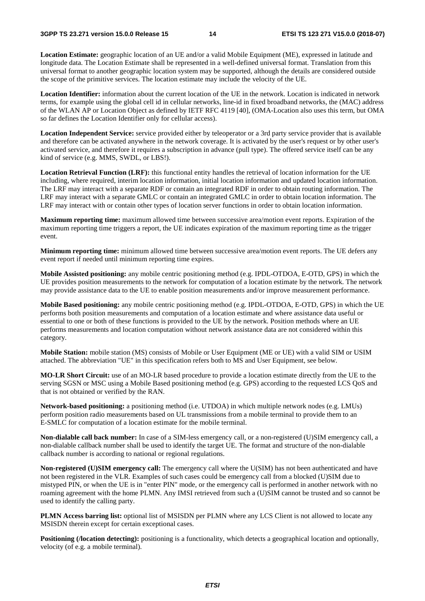**Location Estimate:** geographic location of an UE and/or a valid Mobile Equipment (ME), expressed in latitude and longitude data. The Location Estimate shall be represented in a well-defined universal format. Translation from this universal format to another geographic location system may be supported, although the details are considered outside the scope of the primitive services. The location estimate may include the velocity of the UE.

**Location Identifier:** information about the current location of the UE in the network. Location is indicated in network terms, for example using the global cell id in cellular networks, line-id in fixed broadband networks, the (MAC) address of the WLAN AP or Location Object as defined by IETF RFC 4119 [40], (OMA-Location also uses this term, but OMA so far defines the Location Identifier only for cellular access).

**Location Independent Service:** service provided either by teleoperator or a 3rd party service provider that is available and therefore can be activated anywhere in the network coverage. It is activated by the user's request or by other user's activated service, and therefore it requires a subscription in advance (pull type). The offered service itself can be any kind of service (e.g. MMS, SWDL, or LBS!).

**Location Retrieval Function (LRF):** this functional entity handles the retrieval of location information for the UE including, where required, interim location information, initial location information and updated location information. The LRF may interact with a separate RDF or contain an integrated RDF in order to obtain routing information. The LRF may interact with a separate GMLC or contain an integrated GMLC in order to obtain location information. The LRF may interact with or contain other types of location server functions in order to obtain location information.

**Maximum reporting time:** maximum allowed time between successive area/motion event reports. Expiration of the maximum reporting time triggers a report, the UE indicates expiration of the maximum reporting time as the trigger event.

**Minimum reporting time:** minimum allowed time between successive area/motion event reports. The UE defers any event report if needed until minimum reporting time expires.

**Mobile Assisted positioning:** any mobile centric positioning method (e.g. IPDL-OTDOA, E-OTD, GPS) in which the UE provides position measurements to the network for computation of a location estimate by the network. The network may provide assistance data to the UE to enable position measurements and/or improve measurement performance.

**Mobile Based positioning:** any mobile centric positioning method (e.g. IPDL-OTDOA, E-OTD, GPS) in which the UE performs both position measurements and computation of a location estimate and where assistance data useful or essential to one or both of these functions is provided to the UE by the network. Position methods where an UE performs measurements and location computation without network assistance data are not considered within this category.

**Mobile Station:** mobile station (MS) consists of Mobile or User Equipment (ME or UE) with a valid SIM or USIM attached. The abbreviation "UE" in this specification refers both to MS and User Equipment, see below.

**MO-LR Short Circuit:** use of an MO-LR based procedure to provide a location estimate directly from the UE to the serving SGSN or MSC using a Mobile Based positioning method (e.g. GPS) according to the requested LCS QoS and that is not obtained or verified by the RAN.

**Network-based positioning:** a positioning method (i.e. UTDOA) in which multiple network nodes (e.g. LMUs) perform position radio measurements based on UL transmissions from a mobile terminal to provide them to an E-SMLC for computation of a location estimate for the mobile terminal.

**Non-dialable call back number:** In case of a SIM-less emergency call, or a non-registered (U)SIM emergency call, a non-dialable callback number shall be used to identify the target UE. The format and structure of the non-dialable callback number is according to national or regional regulations.

**Non-registered (U)SIM emergency call:** The emergency call where the U(SIM) has not been authenticated and have not been registered in the VLR. Examples of such cases could be emergency call from a blocked (U)SIM due to mistyped PIN, or when the UE is in "enter PIN" mode, or the emergency call is performed in another network with no roaming agreement with the home PLMN. Any IMSI retrieved from such a (U)SIM cannot be trusted and so cannot be used to identify the calling party.

**PLMN Access barring list:** optional list of MSISDN per PLMN where any LCS Client is not allowed to locate any MSISDN therein except for certain exceptional cases.

**Positioning (***l***ocation detecting**): positioning is a functionality, which detects a geographical location and optionally, velocity (of e.g. a mobile terminal).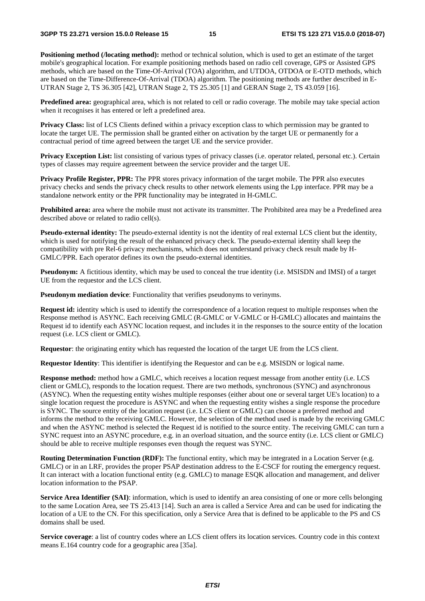**Positioning method (***locating method*): method or technical solution, which is used to get an estimate of the target mobile's geographical location. For example positioning methods based on radio cell coverage, GPS or Assisted GPS methods, which are based on the Time-Of-Arrival (TOA) algorithm, and UTDOA, OTDOA or E-OTD methods, which are based on the Time-Difference-Of-Arrival (TDOA) algorithm. The positioning methods are further described in E-UTRAN Stage 2, TS 36.305 [42], UTRAN Stage 2, TS 25.305 [1] and GERAN Stage 2, TS 43.059 [16].

**Predefined area:** geographical area, which is not related to cell or radio coverage. The mobile may take special action when it recognises it has entered or left a predefined area.

**Privacy Class:** list of LCS Clients defined within a privacy exception class to which permission may be granted to locate the target UE. The permission shall be granted either on activation by the target UE or permanently for a contractual period of time agreed between the target UE and the service provider.

**Privacy Exception List:** list consisting of various types of privacy classes (i.e. operator related, personal etc.). Certain types of classes may require agreement between the service provider and the target UE.

**Privacy Profile Register, PPR:** The PPR stores privacy information of the target mobile. The PPR also executes privacy checks and sends the privacy check results to other network elements using the Lpp interface. PPR may be a standalone network entity or the PPR functionality may be integrated in H-GMLC.

**Prohibited area:** area where the mobile must not activate its transmitter. The Prohibited area may be a Predefined area described above or related to radio cell(s).

**Pseudo-external identity:** The pseudo-external identity is not the identity of real external LCS client but the identity, which is used for notifying the result of the enhanced privacy check. The pseudo-external identity shall keep the compatibility with pre Rel-6 privacy mechanisms, which does not understand privacy check result made by H-GMLC/PPR. Each operator defines its own the pseudo-external identities.

**Pseudonym:** A fictitious identity, which may be used to conceal the true identity (i.e. MSISDN and IMSI) of a target UE from the requestor and the LCS client.

**Pseudonym mediation device**: Functionality that verifies pseudonyms to verinyms.

**Request id:** identity which is used to identify the correspondence of a location request to multiple responses when the Response method is ASYNC. Each receiving GMLC (R-GMLC or V-GMLC or H-GMLC) allocates and maintains the Request id to identify each ASYNC location request, and includes it in the responses to the source entity of the location request (i.e. LCS client or GMLC).

**Requestor**: the originating entity which has requested the location of the target UE from the LCS client.

**Requestor Identity**: This identifier is identifying the Requestor and can be e.g. MSISDN or logical name.

**Response method:** method how a GMLC, which receives a location request message from another entity (i.e. LCS client or GMLC), responds to the location request. There are two methods, synchronous (SYNC) and asynchronous (ASYNC). When the requesting entity wishes multiple responses (either about one or several target UE's location) to a single location request the procedure is ASYNC and when the requesting entity wishes a single response the procedure is SYNC. The source entity of the location request (i.e. LCS client or GMLC) can choose a preferred method and informs the method to the receiving GMLC. However, the selection of the method used is made by the receiving GMLC and when the ASYNC method is selected the Request id is notified to the source entity. The receiving GMLC can turn a SYNC request into an ASYNC procedure, e.g. in an overload situation, and the source entity (i.e. LCS client or GMLC) should be able to receive multiple responses even though the request was SYNC.

**Routing Determination Function (RDF):** The functional entity, which may be integrated in a Location Server (e.g. GMLC) or in an LRF, provides the proper PSAP destination address to the E-CSCF for routing the emergency request. It can interact with a location functional entity (e.g. GMLC) to manage ESQK allocation and management, and deliver location information to the PSAP.

**Service Area Identifier (SAI)**: information, which is used to identify an area consisting of one or more cells belonging to the same Location Area, see TS 25.413 [14]. Such an area is called a Service Area and can be used for indicating the location of a UE to the CN. For this specification, only a Service Area that is defined to be applicable to the PS and CS domains shall be used.

**Service coverage**: a list of country codes where an LCS client offers its location services. Country code in this context means E.164 country code for a geographic area [35a].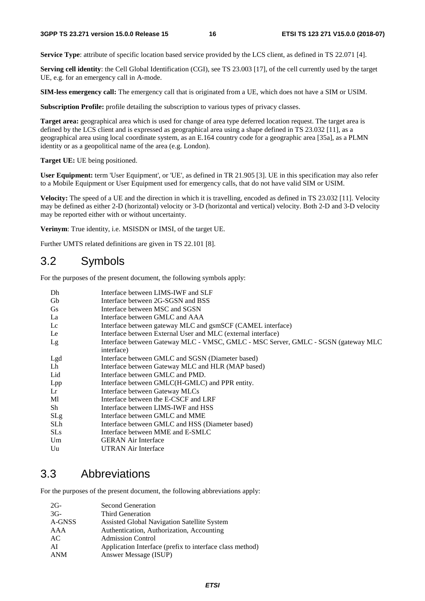**Service Type**: attribute of specific location based service provided by the LCS client, as defined in TS 22.071 [4].

**Serving cell identity**: the Cell Global Identification (CGI), see TS 23.003 [17], of the cell currently used by the target UE, e.g. for an emergency call in A-mode.

**SIM-less emergency call:** The emergency call that is originated from a UE, which does not have a SIM or USIM.

**Subscription Profile:** profile detailing the subscription to various types of privacy classes.

**Target area:** geographical area which is used for change of area type deferred location request. The target area is defined by the LCS client and is expressed as geographical area using a shape defined in TS 23.032 [11], as a geographical area using local coordinate system, as an E.164 country code for a geographic area [35a], as a PLMN identity or as a geopolitical name of the area (e.g. London).

**Target UE:** UE being positioned.

**User Equipment:** term 'User Equipment', or 'UE', as defined in TR 21.905 [3]. UE in this specification may also refer to a Mobile Equipment or User Equipment used for emergency calls, that do not have valid SIM or USIM.

**Velocity:** The speed of a UE and the direction in which it is travelling, encoded as defined in TS 23.032 [11]. Velocity may be defined as either 2-D (horizontal) velocity or 3-D (horizontal and vertical) velocity. Both 2-D and 3-D velocity may be reported either with or without uncertainty.

**Verinym**: True identity, i.e. MSISDN or IMSI, of the target UE.

Further UMTS related definitions are given in TS 22.101 [8].

# 3.2 Symbols

For the purposes of the present document, the following symbols apply:

| Dh         | Interface between LIMS-IWF and SLF                                                               |
|------------|--------------------------------------------------------------------------------------------------|
| Gb         | Interface between 2G-SGSN and BSS                                                                |
| <b>Gs</b>  | Interface between MSC and SGSN                                                                   |
| La         | Interface between GMLC and AAA                                                                   |
| Lc         | Interface between gateway MLC and gsmSCF (CAMEL interface)                                       |
| Le         | Interface between External User and MLC (external interface)                                     |
| Lg         | Interface between Gateway MLC - VMSC, GMLC - MSC Server, GMLC - SGSN (gateway MLC)<br>interface) |
| Lgd        | Interface between GMLC and SGSN (Diameter based)                                                 |
| Lh         | Interface between Gateway MLC and HLR (MAP based)                                                |
| Lid        | Interface between GMLC and PMD.                                                                  |
| Lpp        | Interface between GMLC(H-GMLC) and PPR entity.                                                   |
| Lr         | Interface between Gateway MLCs                                                                   |
| Ml         | Interface between the E-CSCF and LRF                                                             |
| Sh         | Interface between LIMS-IWF and HSS                                                               |
| <b>SLg</b> | Interface between GMLC and MME                                                                   |
| SLh        | Interface between GMLC and HSS (Diameter based)                                                  |
| <b>SLs</b> | Interface between MME and E-SMLC                                                                 |
| Um         | <b>GERAN</b> Air Interface                                                                       |
| Uu         | <b>UTRAN Air Interface</b>                                                                       |

# 3.3 Abbreviations

For the purposes of the present document, the following abbreviations apply:

| $2G-$      | <b>Second Generation</b>                                 |
|------------|----------------------------------------------------------|
| $3G-$      | <b>Third Generation</b>                                  |
| A-GNSS     | Assisted Global Navigation Satellite System              |
| AAA        | Authentication, Authorization, Accounting                |
| AC         | <b>Admission Control</b>                                 |
| AI         | Application Interface (prefix to interface class method) |
| <b>ANM</b> | Answer Message (ISUP)                                    |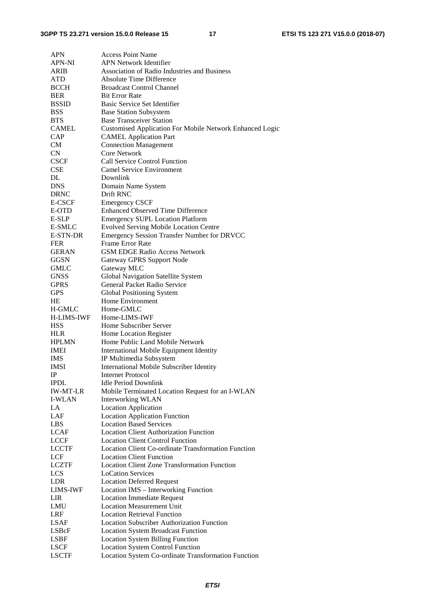| <b>APN</b>      | <b>Access Point Name</b>                                        |
|-----------------|-----------------------------------------------------------------|
| APN-NI          | <b>APN Network Identifier</b>                                   |
| ARIB            | <b>Association of Radio Industries and Business</b>             |
| <b>ATD</b>      | <b>Absolute Time Difference</b>                                 |
| <b>BCCH</b>     | <b>Broadcast Control Channel</b>                                |
| <b>BER</b>      | <b>Bit Error Rate</b>                                           |
| <b>BSSID</b>    | Basic Service Set Identifier                                    |
| <b>BSS</b>      | <b>Base Station Subsystem</b>                                   |
| <b>BTS</b>      | <b>Base Transceiver Station</b>                                 |
| <b>CAMEL</b>    | <b>Customised Application For Mobile Network Enhanced Logic</b> |
| CAP             | <b>CAMEL Application Part</b>                                   |
| <b>CM</b>       | <b>Connection Management</b>                                    |
| CN              | <b>Core Network</b>                                             |
| <b>CSCF</b>     | Call Service Control Function                                   |
| CSE             | <b>Camel Service Environment</b>                                |
| DL              | Downlink                                                        |
| <b>DNS</b>      | Domain Name System                                              |
| <b>DRNC</b>     | Drift RNC                                                       |
| E-CSCF          | <b>Emergency CSCF</b>                                           |
| E-OTD           | <b>Enhanced Observed Time Difference</b>                        |
| E-SLP           | <b>Emergency SUPL Location Platform</b>                         |
| E-SMLC          | <b>Evolved Serving Mobile Location Centre</b>                   |
| E-STN-DR        | <b>Emergency Session Transfer Number for DRVCC</b>              |
| <b>FER</b>      | <b>Frame Error Rate</b>                                         |
| <b>GERAN</b>    | <b>GSM EDGE Radio Access Network</b>                            |
| GGSN            | Gateway GPRS Support Node                                       |
| GMLC            | Gateway MLC                                                     |
| <b>GNSS</b>     | Global Navigation Satellite System                              |
| <b>GPRS</b>     | General Packet Radio Service                                    |
| <b>GPS</b>      | Global Positioning System                                       |
| <b>HE</b>       | Home Environment                                                |
| H-GMLC          | Home-GMLC                                                       |
| H-LIMS-IWF      | Home-LIMS-IWF                                                   |
| <b>HSS</b>      | Home Subscriber Server                                          |
| <b>HLR</b>      | Home Location Register                                          |
| <b>HPLMN</b>    | Home Public Land Mobile Network                                 |
| <b>IMEI</b>     | <b>International Mobile Equipment Identity</b>                  |
| <b>IMS</b>      | IP Multimedia Subsystem                                         |
| IMSI            | International Mobile Subscriber Identity                        |
| IP              | <b>Internet Protocol</b>                                        |
| <b>IPDL</b>     | Idle Period Downlink                                            |
| <b>IW-MT-LR</b> | Mobile Terminated Location Request for an I-WLAN                |
| <b>I-WLAN</b>   | <b>Interworking WLAN</b>                                        |
| LA              | <b>Location Application</b>                                     |
| LAF             | <b>Location Application Function</b>                            |
| <b>LBS</b>      | <b>Location Based Services</b>                                  |
| <b>LCAF</b>     | <b>Location Client Authorization Function</b>                   |
| <b>LCCF</b>     | <b>Location Client Control Function</b>                         |
| <b>LCCTF</b>    | <b>Location Client Co-ordinate Transformation Function</b>      |
| LCF             | <b>Location Client Function</b>                                 |
| <b>LCZTF</b>    | <b>Location Client Zone Transformation Function</b>             |
| LCS             | <b>LoCation Services</b>                                        |
| <b>LDR</b>      | <b>Location Deferred Request</b>                                |
| <b>LIMS-IWF</b> | Location IMS - Interworking Function                            |
| LIR             | <b>Location Immediate Request</b>                               |
| LMU             | <b>Location Measurement Unit</b>                                |
| <b>LRF</b>      | <b>Location Retrieval Function</b>                              |
| <b>LSAF</b>     | <b>Location Subscriber Authorization Function</b>               |
| LSBcF           | <b>Location System Broadcast Function</b>                       |
| LSBF            | <b>Location System Billing Function</b>                         |
| <b>LSCF</b>     | <b>Location System Control Function</b>                         |
| <b>LSCTF</b>    | Location System Co-ordinate Transformation Function             |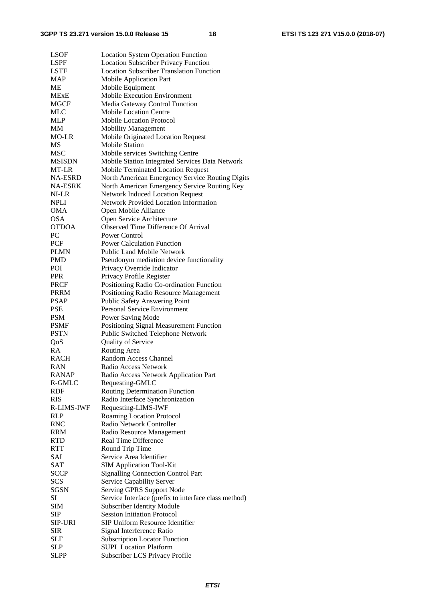| <b>LSOF</b>       | <b>Location System Operation Function</b>            |
|-------------------|------------------------------------------------------|
| <b>LSPF</b>       | <b>Location Subscriber Privacy Function</b>          |
| LSTF              | <b>Location Subscriber Translation Function</b>      |
| <b>MAP</b>        | Mobile Application Part                              |
| MЕ                | Mobile Equipment                                     |
| <b>MExE</b>       | <b>Mobile Execution Environment</b>                  |
| <b>MGCF</b>       | Media Gateway Control Function                       |
| MLC               | <b>Mobile Location Centre</b>                        |
| <b>MLP</b>        | Mobile Location Protocol                             |
| <b>MM</b>         | <b>Mobility Management</b>                           |
| MO-LR             | Mobile Originated Location Request                   |
| МS                | <b>Mobile Station</b>                                |
| <b>MSC</b>        | Mobile services Switching Centre                     |
| <b>MSISDN</b>     | Mobile Station Integrated Services Data Network      |
| MT-LR             | <b>Mobile Terminated Location Request</b>            |
| NA-ESRD           | North American Emergency Service Routing Digits      |
| <b>NA-ESRK</b>    | North American Emergency Service Routing Key         |
| NI-LR             | <b>Network Induced Location Request</b>              |
| <b>NPLI</b>       | <b>Network Provided Location Information</b>         |
| <b>OMA</b>        | Open Mobile Alliance                                 |
| <b>OSA</b>        | Open Service Architecture                            |
| <b>OTDOA</b>      | Observed Time Difference Of Arrival                  |
| PC                | Power Control                                        |
| <b>PCF</b>        | <b>Power Calculation Function</b>                    |
| <b>PLMN</b>       | <b>Public Land Mobile Network</b>                    |
| <b>PMD</b>        | Pseudonym mediation device functionality             |
| POI               | Privacy Override Indicator                           |
| <b>PPR</b>        | Privacy Profile Register                             |
| <b>PRCF</b>       | Positioning Radio Co-ordination Function             |
| <b>PRRM</b>       | Positioning Radio Resource Management                |
| <b>PSAP</b>       | <b>Public Safety Answering Point</b>                 |
| <b>PSE</b>        | Personal Service Environment                         |
| <b>PSM</b>        | Power Saving Mode                                    |
| <b>PSMF</b>       | Positioning Signal Measurement Function              |
| <b>PSTN</b>       | Public Switched Telephone Network                    |
| QoS               | Quality of Service                                   |
| RA                | Routing Area                                         |
| <b>RACH</b>       | Random Access Channel                                |
| RAN               | Radio Access Network                                 |
| <b>RANAP</b>      | Radio Access Network Application Part                |
| R-GMLC            | Requesting-GMLC                                      |
| RDF               | <b>Routing Determination Function</b>                |
| <b>RIS</b>        | Radio Interface Synchronization                      |
| <b>R-LIMS-IWF</b> | Requesting-LIMS-IWF                                  |
| <b>RLP</b>        | <b>Roaming Location Protocol</b>                     |
| <b>RNC</b>        | Radio Network Controller                             |
| <b>RRM</b>        | Radio Resource Management                            |
| <b>RTD</b>        | <b>Real Time Difference</b>                          |
| <b>RTT</b>        | Round Trip Time                                      |
| SAI               | Service Area Identifier                              |
| SAT               | <b>SIM Application Tool-Kit</b>                      |
| <b>SCCP</b>       | <b>Signalling Connection Control Part</b>            |
| <b>SCS</b>        | Service Capability Server                            |
| <b>SGSN</b>       | Serving GPRS Support Node                            |
| SI                | Service Interface (prefix to interface class method) |
| <b>SIM</b>        | <b>Subscriber Identity Module</b>                    |
| <b>SIP</b>        | <b>Session Initiation Protocol</b>                   |
| <b>SIP-URI</b>    | <b>SIP Uniform Resource Identifier</b>               |
| <b>SIR</b>        | Signal Interference Ratio                            |
| SLF               | <b>Subscription Locator Function</b>                 |
| SLP               | <b>SUPL Location Platform</b>                        |
| SLPP              | Subscriber LCS Privacy Profile                       |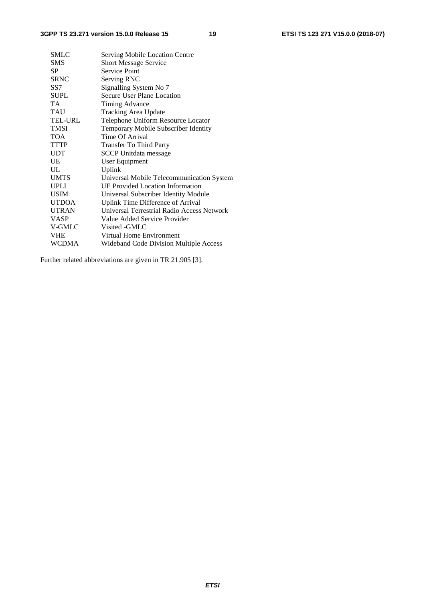| SMLC           | Serving Mobile Location Centre             |
|----------------|--------------------------------------------|
| <b>SMS</b>     | <b>Short Message Service</b>               |
| <b>SP</b>      | <b>Service Point</b>                       |
| <b>SRNC</b>    | Serving RNC                                |
| SS7            | Signalling System No 7                     |
| <b>SUPL</b>    | Secure User Plane Location                 |
| TA.            | Timing Advance                             |
| <b>TAU</b>     | <b>Tracking Area Update</b>                |
| <b>TEL-URL</b> | Telephone Uniform Resource Locator         |
| <b>TMSI</b>    | Temporary Mobile Subscriber Identity       |
| <b>TOA</b>     | Time Of Arrival                            |
| <b>TTTP</b>    | <b>Transfer To Third Party</b>             |
| <b>UDT</b>     | <b>SCCP</b> Unitdata message               |
| UE             | User Equipment                             |
| $\mathbf{H}$ . | Uplink                                     |
| <b>UMTS</b>    | Universal Mobile Telecommunication System  |
| <b>UPLI</b>    | <b>UE Provided Location Information</b>    |
| <b>USIM</b>    | Universal Subscriber Identity Module       |
| <b>UTDOA</b>   | Uplink Time Difference of Arrival          |
| <b>UTRAN</b>   | Universal Terrestrial Radio Access Network |
| <b>VASP</b>    | Value Added Service Provider               |
| V-GMLC         | Visited - GMLC                             |
| <b>VHE</b>     | Virtual Home Environment                   |
| <b>WCDMA</b>   | Wideband Code Division Multiple Access     |

Further related abbreviations are given in TR 21.905 [3].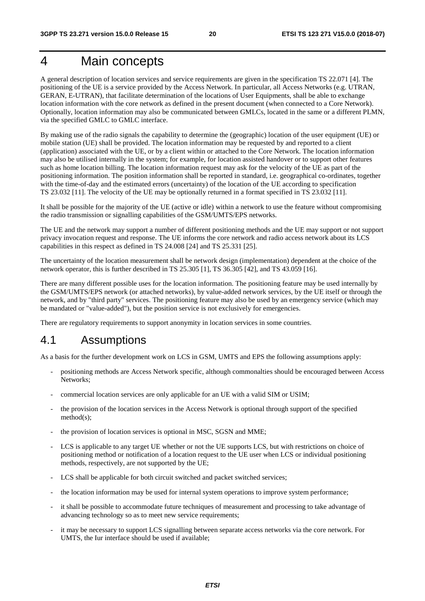# 4 Main concepts

A general description of location services and service requirements are given in the specification TS 22.071 [4]. The positioning of the UE is a service provided by the Access Network. In particular, all Access Networks (e.g. UTRAN, GERAN, E-UTRAN), that facilitate determination of the locations of User Equipments, shall be able to exchange location information with the core network as defined in the present document (when connected to a Core Network). Optionally, location information may also be communicated between GMLCs, located in the same or a different PLMN, via the specified GMLC to GMLC interface.

By making use of the radio signals the capability to determine the (geographic) location of the user equipment (UE) or mobile station (UE) shall be provided. The location information may be requested by and reported to a client (application) associated with the UE, or by a client within or attached to the Core Network. The location information may also be utilised internally in the system; for example, for location assisted handover or to support other features such as home location billing. The location information request may ask for the velocity of the UE as part of the positioning information. The position information shall be reported in standard, i.e. geographical co-ordinates, together with the time-of-day and the estimated errors (uncertainty) of the location of the UE according to specification TS 23.032 [11]. The velocity of the UE may be optionally returned in a format specified in TS 23.032 [11].

It shall be possible for the majority of the UE (active or idle) within a network to use the feature without compromising the radio transmission or signalling capabilities of the GSM/UMTS/EPS networks.

The UE and the network may support a number of different positioning methods and the UE may support or not support privacy invocation request and response. The UE informs the core network and radio access network about its LCS capabilities in this respect as defined in TS 24.008 [24] and TS 25.331 [25].

The uncertainty of the location measurement shall be network design (implementation) dependent at the choice of the network operator, this is further described in TS 25.305 [1], TS 36.305 [42], and TS 43.059 [16].

There are many different possible uses for the location information. The positioning feature may be used internally by the GSM/UMTS/EPS network (or attached networks), by value-added network services, by the UE itself or through the network, and by "third party" services. The positioning feature may also be used by an emergency service (which may be mandated or "value-added"), but the position service is not exclusively for emergencies.

There are regulatory requirements to support anonymity in location services in some countries.

# 4.1 Assumptions

As a basis for the further development work on LCS in GSM, UMTS and EPS the following assumptions apply:

- positioning methods are Access Network specific, although commonalties should be encouraged between Access Networks;
- commercial location services are only applicable for an UE with a valid SIM or USIM;
- the provision of the location services in the Access Network is optional through support of the specified method(s);
- the provision of location services is optional in MSC, SGSN and MME;
- LCS is applicable to any target UE whether or not the UE supports LCS, but with restrictions on choice of positioning method or notification of a location request to the UE user when LCS or individual positioning methods, respectively, are not supported by the UE;
- LCS shall be applicable for both circuit switched and packet switched services;
- the location information may be used for internal system operations to improve system performance;
- it shall be possible to accommodate future techniques of measurement and processing to take advantage of advancing technology so as to meet new service requirements;
- it may be necessary to support LCS signalling between separate access networks via the core network. For UMTS, the Iur interface should be used if available;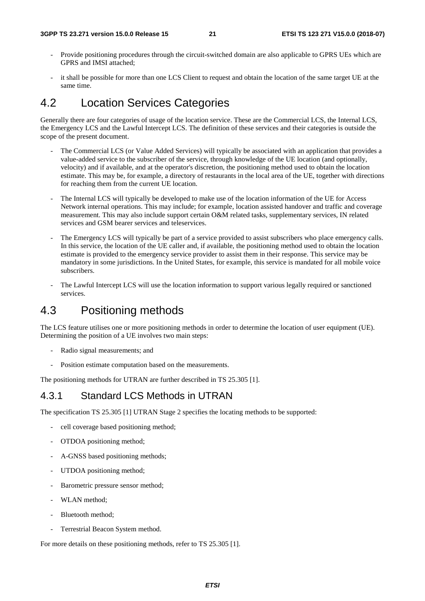- Provide positioning procedures through the circuit-switched domain are also applicable to GPRS UEs which are GPRS and IMSI attached;
- it shall be possible for more than one LCS Client to request and obtain the location of the same target UE at the same time.

# 4.2 Location Services Categories

Generally there are four categories of usage of the location service. These are the Commercial LCS, the Internal LCS, the Emergency LCS and the Lawful Intercept LCS. The definition of these services and their categories is outside the scope of the present document.

- The Commercial LCS (or Value Added Services) will typically be associated with an application that provides a value-added service to the subscriber of the service, through knowledge of the UE location (and optionally, velocity) and if available, and at the operator's discretion, the positioning method used to obtain the location estimate. This may be, for example, a directory of restaurants in the local area of the UE, together with directions for reaching them from the current UE location.
- The Internal LCS will typically be developed to make use of the location information of the UE for Access Network internal operations. This may include; for example, location assisted handover and traffic and coverage measurement. This may also include support certain O&M related tasks, supplementary services, IN related services and GSM bearer services and teleservices.
- The Emergency LCS will typically be part of a service provided to assist subscribers who place emergency calls. In this service, the location of the UE caller and, if available, the positioning method used to obtain the location estimate is provided to the emergency service provider to assist them in their response. This service may be mandatory in some jurisdictions. In the United States, for example, this service is mandated for all mobile voice subscribers.
- The Lawful Intercept LCS will use the location information to support various legally required or sanctioned services.

# 4.3 Positioning methods

The LCS feature utilises one or more positioning methods in order to determine the location of user equipment (UE). Determining the position of a UE involves two main steps:

- Radio signal measurements; and
- Position estimate computation based on the measurements.

The positioning methods for UTRAN are further described in TS 25.305 [1].

### 4.3.1 Standard LCS Methods in UTRAN

The specification TS 25.305 [1] UTRAN Stage 2 specifies the locating methods to be supported:

- cell coverage based positioning method;
- OTDOA positioning method;
- A-GNSS based positioning methods;
- UTDOA positioning method;
- Barometric pressure sensor method;
- WLAN method;
- Bluetooth method;
- Terrestrial Beacon System method.

For more details on these positioning methods, refer to TS 25.305 [1].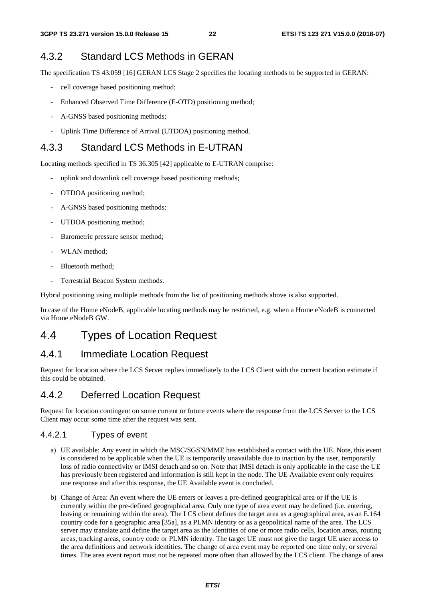## 4.3.2 Standard LCS Methods in GERAN

The specification TS 43.059 [16] GERAN LCS Stage 2 specifies the locating methods to be supported in GERAN:

- cell coverage based positioning method;
- Enhanced Observed Time Difference (E-OTD) positioning method;
- A-GNSS based positioning methods;
- Uplink Time Difference of Arrival (UTDOA) positioning method.

### 4.3.3 Standard LCS Methods in E-UTRAN

Locating methods specified in TS 36.305 [42] applicable to E-UTRAN comprise:

- uplink and downlink cell coverage based positioning methods;
- OTDOA positioning method;
- A-GNSS based positioning methods;
- UTDOA positioning method;
- Barometric pressure sensor method;
- WLAN method:
- Bluetooth method;
- Terrestrial Beacon System methods.

Hybrid positioning using multiple methods from the list of positioning methods above is also supported.

In case of the Home eNodeB, applicable locating methods may be restricted, e.g. when a Home eNodeB is connected via Home eNodeB GW.

# 4.4 Types of Location Request

# 4.4.1 Immediate Location Request

Request for location where the LCS Server replies immediately to the LCS Client with the current location estimate if this could be obtained.

### 4.4.2 Deferred Location Request

Request for location contingent on some current or future events where the response from the LCS Server to the LCS Client may occur some time after the request was sent.

#### 4.4.2.1 Types of event

- a) UE available: Any event in which the MSC/SGSN/MME has established a contact with the UE. Note, this event is considered to be applicable when the UE is temporarily unavailable due to inaction by the user, temporarily loss of radio connectivity or IMSI detach and so on. Note that IMSI detach is only applicable in the case the UE has previously been registered and information is still kept in the node. The UE Available event only requires one response and after this response, the UE Available event is concluded.
- b) Change of Area: An event where the UE enters or leaves a pre-defined geographical area or if the UE is currently within the pre-defined geographical area. Only one type of area event may be defined (i.e. entering, leaving or remaining within the area). The LCS client defines the target area as a geographical area, as an E.164 country code for a geographic area [35a], as a PLMN identity or as a geopolitical name of the area. The LCS server may translate and define the target area as the identities of one or more radio cells, location areas, routing areas, tracking areas, country code or PLMN identity. The target UE must not give the target UE user access to the area definitions and network identities. The change of area event may be reported one time only, or several times. The area event report must not be repeated more often than allowed by the LCS client. The change of area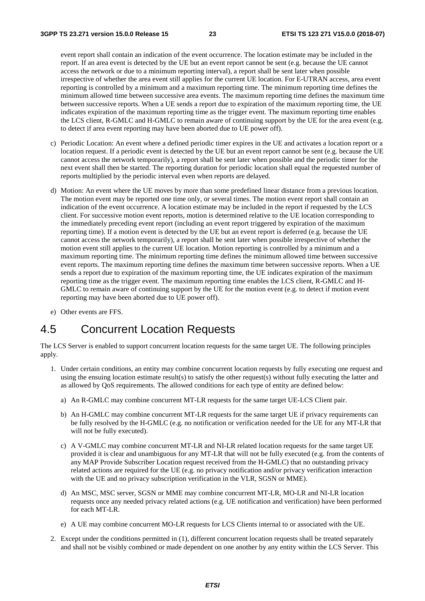event report shall contain an indication of the event occurrence. The location estimate may be included in the report. If an area event is detected by the UE but an event report cannot be sent (e.g. because the UE cannot access the network or due to a minimum reporting interval), a report shall be sent later when possible irrespective of whether the area event still applies for the current UE location. For E-UTRAN access, area event reporting is controlled by a minimum and a maximum reporting time. The minimum reporting time defines the minimum allowed time between successive area events. The maximum reporting time defines the maximum time between successive reports. When a UE sends a report due to expiration of the maximum reporting time, the UE indicates expiration of the maximum reporting time as the trigger event. The maximum reporting time enables the LCS client, R-GMLC and H-GMLC to remain aware of continuing support by the UE for the area event (e.g. to detect if area event reporting may have been aborted due to UE power off).

- c) Periodic Location: An event where a defined periodic timer expires in the UE and activates a location report or a location request. If a periodic event is detected by the UE but an event report cannot be sent (e.g. because the UE cannot access the network temporarily), a report shall be sent later when possible and the periodic timer for the next event shall then be started. The reporting duration for periodic location shall equal the requested number of reports multiplied by the periodic interval even when reports are delayed.
- d) Motion: An event where the UE moves by more than some predefined linear distance from a previous location. The motion event may be reported one time only, or several times. The motion event report shall contain an indication of the event occurrence. A location estimate may be included in the report if requested by the LCS client. For successive motion event reports, motion is determined relative to the UE location corresponding to the immediately preceding event report (including an event report triggered by expiration of the maximum reporting time). If a motion event is detected by the UE but an event report is deferred (e.g. because the UE cannot access the network temporarily), a report shall be sent later when possible irrespective of whether the motion event still applies to the current UE location. Motion reporting is controlled by a minimum and a maximum reporting time. The minimum reporting time defines the minimum allowed time between successive event reports. The maximum reporting time defines the maximum time between successive reports. When a UE sends a report due to expiration of the maximum reporting time, the UE indicates expiration of the maximum reporting time as the trigger event. The maximum reporting time enables the LCS client, R-GMLC and H-GMLC to remain aware of continuing support by the UE for the motion event (e.g. to detect if motion event reporting may have been aborted due to UE power off).
- e) Other events are FFS.

# 4.5 Concurrent Location Requests

The LCS Server is enabled to support concurrent location requests for the same target UE. The following principles apply.

- 1. Under certain conditions, an entity may combine concurrent location requests by fully executing one request and using the ensuing location estimate result(s) to satisfy the other request(s) without fully executing the latter and as allowed by QoS requirements. The allowed conditions for each type of entity are defined below:
	- a) An R-GMLC may combine concurrent MT-LR requests for the same target UE-LCS Client pair.
	- b) An H-GMLC may combine concurrent MT-LR requests for the same target UE if privacy requirements can be fully resolved by the H-GMLC (e.g. no notification or verification needed for the UE for any MT-LR that will not be fully executed).
	- c) A V-GMLC may combine concurrent MT-LR and NI-LR related location requests for the same target UE provided it is clear and unambiguous for any MT-LR that will not be fully executed (e.g. from the contents of any MAP Provide Subscriber Location request received from the H-GMLC) that no outstanding privacy related actions are required for the UE (e.g. no privacy notification and/or privacy verification interaction with the UE and no privacy subscription verification in the VLR, SGSN or MME).
	- d) An MSC, MSC server, SGSN or MME may combine concurrent MT-LR, MO-LR and NI-LR location requests once any needed privacy related actions (e.g. UE notification and verification) have been performed for each MT-LR.
	- e) A UE may combine concurrent MO-LR requests for LCS Clients internal to or associated with the UE.
- 2. Except under the conditions permitted in (1), different concurrent location requests shall be treated separately and shall not be visibly combined or made dependent on one another by any entity within the LCS Server. This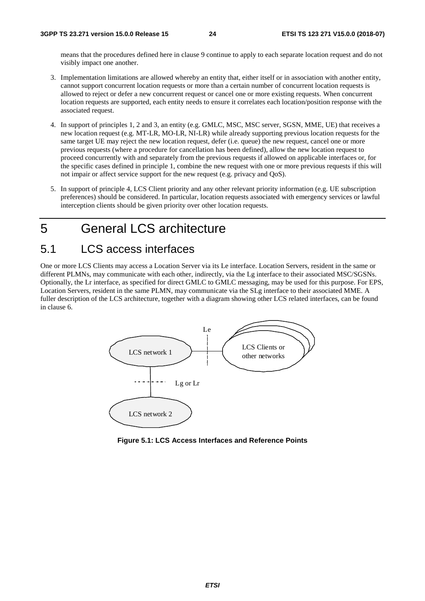means that the procedures defined here in clause 9 continue to apply to each separate location request and do not visibly impact one another.

- 3. Implementation limitations are allowed whereby an entity that, either itself or in association with another entity, cannot support concurrent location requests or more than a certain number of concurrent location requests is allowed to reject or defer a new concurrent request or cancel one or more existing requests. When concurrent location requests are supported, each entity needs to ensure it correlates each location/position response with the associated request.
- 4. In support of principles 1, 2 and 3, an entity (e.g. GMLC, MSC, MSC server, SGSN, MME, UE) that receives a new location request (e.g. MT-LR, MO-LR, NI-LR) while already supporting previous location requests for the same target UE may reject the new location request, defer (i.e. queue) the new request, cancel one or more previous requests (where a procedure for cancellation has been defined), allow the new location request to proceed concurrently with and separately from the previous requests if allowed on applicable interfaces or, for the specific cases defined in principle 1, combine the new request with one or more previous requests if this will not impair or affect service support for the new request (e.g. privacy and QoS).
- 5. In support of principle 4, LCS Client priority and any other relevant priority information (e.g. UE subscription preferences) should be considered. In particular, location requests associated with emergency services or lawful interception clients should be given priority over other location requests.

# 5 General LCS architecture

# 5.1 LCS access interfaces

One or more LCS Clients may access a Location Server via its Le interface. Location Servers, resident in the same or different PLMNs, may communicate with each other, indirectly, via the Lg interface to their associated MSC/SGSNs. Optionally, the Lr interface, as specified for direct GMLC to GMLC messaging, may be used for this purpose. For EPS, Location Servers, resident in the same PLMN, may communicate via the SLg interface to their associated MME. A fuller description of the LCS architecture, together with a diagram showing other LCS related interfaces, can be found in clause 6.



**Figure 5.1: LCS Access Interfaces and Reference Points**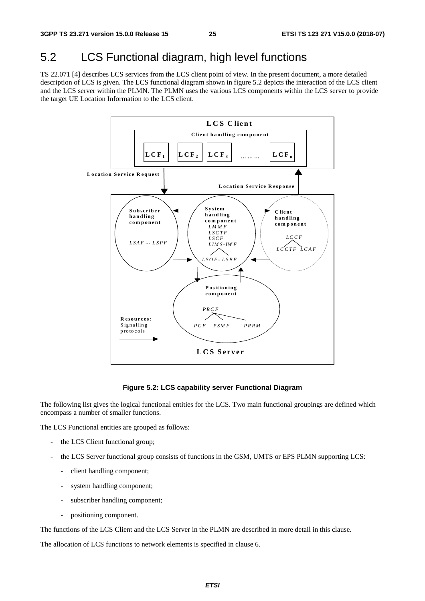# 5.2 LCS Functional diagram, high level functions

TS 22.071 [4] describes LCS services from the LCS client point of view. In the present document, a more detailed description of LCS is given. The LCS functional diagram shown in figure 5.2 depicts the interaction of the LCS client and the LCS server within the PLMN. The PLMN uses the various LCS components within the LCS server to provide the target UE Location Information to the LCS client.



#### **Figure 5.2: LCS capability server Functional Diagram**

The following list gives the logical functional entities for the LCS. Two main functional groupings are defined which encompass a number of smaller functions.

The LCS Functional entities are grouped as follows:

- the LCS Client functional group;
- the LCS Server functional group consists of functions in the GSM, UMTS or EPS PLMN supporting LCS:
	- client handling component;
	- system handling component;
	- subscriber handling component;
	- positioning component.

The functions of the LCS Client and the LCS Server in the PLMN are described in more detail in this clause.

The allocation of LCS functions to network elements is specified in clause 6.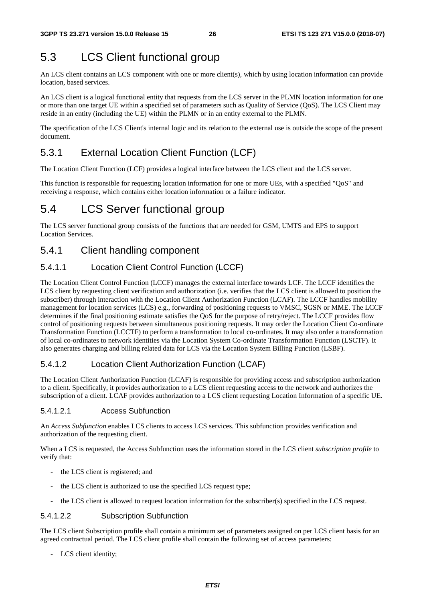# 5.3 LCS Client functional group

An LCS client contains an LCS component with one or more client(s), which by using location information can provide location, based services.

An LCS client is a logical functional entity that requests from the LCS server in the PLMN location information for one or more than one target UE within a specified set of parameters such as Quality of Service (QoS). The LCS Client may reside in an entity (including the UE) within the PLMN or in an entity external to the PLMN.

The specification of the LCS Client's internal logic and its relation to the external use is outside the scope of the present document.

# 5.3.1 External Location Client Function (LCF)

The Location Client Function (LCF) provides a logical interface between the LCS client and the LCS server.

This function is responsible for requesting location information for one or more UEs, with a specified "QoS" and receiving a response, which contains either location information or a failure indicator.

# 5.4 LCS Server functional group

The LCS server functional group consists of the functions that are needed for GSM, UMTS and EPS to support Location Services.

# 5.4.1 Client handling component

### 5.4.1.1 Location Client Control Function (LCCF)

The Location Client Control Function (LCCF) manages the external interface towards LCF. The LCCF identifies the LCS client by requesting client verification and authorization (i.e. verifies that the LCS client is allowed to position the subscriber) through interaction with the Location Client Authorization Function (LCAF). The LCCF handles mobility management for location services (LCS) e.g., forwarding of positioning requests to VMSC, SGSN or MME. The LCCF determines if the final positioning estimate satisfies the QoS for the purpose of retry/reject. The LCCF provides flow control of positioning requests between simultaneous positioning requests. It may order the Location Client Co-ordinate Transformation Function (LCCTF) to perform a transformation to local co-ordinates. It may also order a transformation of local co-ordinates to network identities via the Location System Co-ordinate Transformation Function (LSCTF). It also generates charging and billing related data for LCS via the Location System Billing Function (LSBF).

### 5.4.1.2 Location Client Authorization Function (LCAF)

The Location Client Authorization Function (LCAF) is responsible for providing access and subscription authorization to a client. Specifically, it provides authorization to a LCS client requesting access to the network and authorizes the subscription of a client. LCAF provides authorization to a LCS client requesting Location Information of a specific UE.

#### 5.4.1.2.1 Access Subfunction

An *Access Subfunction* enables LCS clients to access LCS services. This subfunction provides verification and authorization of the requesting client.

When a LCS is requested, the Access Subfunction uses the information stored in the LCS client *subscription profile* to verify that:

- the LCS client is registered; and
- the LCS client is authorized to use the specified LCS request type;
- the LCS client is allowed to request location information for the subscriber(s) specified in the LCS request.

#### 5.4.1.2.2 Subscription Subfunction

The LCS client Subscription profile shall contain a minimum set of parameters assigned on per LCS client basis for an agreed contractual period. The LCS client profile shall contain the following set of access parameters:

- LCS client identity;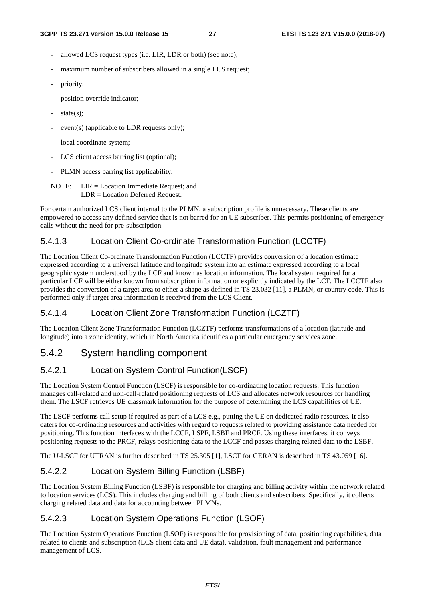- allowed LCS request types (i.e. LIR, LDR or both) (see note);
- maximum number of subscribers allowed in a single LCS request;
- priority;
- position override indicator;
- $state(s);$
- event(s) (applicable to LDR requests only);
- local coordinate system;
- LCS client access barring list (optional);
- PLMN access barring list applicability.
- NOTE: LIR = Location Immediate Request; and LDR = Location Deferred Request.

For certain authorized LCS client internal to the PLMN, a subscription profile is unnecessary. These clients are empowered to access any defined service that is not barred for an UE subscriber. This permits positioning of emergency calls without the need for pre-subscription.

#### 5.4.1.3 Location Client Co-ordinate Transformation Function (LCCTF)

The Location Client Co-ordinate Transformation Function (LCCTF) provides conversion of a location estimate expressed according to a universal latitude and longitude system into an estimate expressed according to a local geographic system understood by the LCF and known as location information. The local system required for a particular LCF will be either known from subscription information or explicitly indicated by the LCF. The LCCTF also provides the conversion of a target area to either a shape as defined in TS 23.032 [11], a PLMN, or country code. This is performed only if target area information is received from the LCS Client.

#### 5.4.1.4 Location Client Zone Transformation Function (LCZTF)

The Location Client Zone Transformation Function (LCZTF) performs transformations of a location (latitude and longitude) into a zone identity, which in North America identifies a particular emergency services zone.

### 5.4.2 System handling component

### 5.4.2.1 Location System Control Function(LSCF)

The Location System Control Function (LSCF) is responsible for co-ordinating location requests. This function manages call-related and non-call-related positioning requests of LCS and allocates network resources for handling them. The LSCF retrieves UE classmark information for the purpose of determining the LCS capabilities of UE.

The LSCF performs call setup if required as part of a LCS e.g., putting the UE on dedicated radio resources. It also caters for co-ordinating resources and activities with regard to requests related to providing assistance data needed for positioning. This function interfaces with the LCCF, LSPF, LSBF and PRCF. Using these interfaces, it conveys positioning requests to the PRCF, relays positioning data to the LCCF and passes charging related data to the LSBF.

The U-LSCF for UTRAN is further described in TS 25.305 [1], LSCF for GERAN is described in TS 43.059 [16].

### 5.4.2.2 Location System Billing Function (LSBF)

The Location System Billing Function (LSBF) is responsible for charging and billing activity within the network related to location services (LCS). This includes charging and billing of both clients and subscribers. Specifically, it collects charging related data and data for accounting between PLMNs.

### 5.4.2.3 Location System Operations Function (LSOF)

The Location System Operations Function (LSOF) is responsible for provisioning of data, positioning capabilities, data related to clients and subscription (LCS client data and UE data), validation, fault management and performance management of LCS.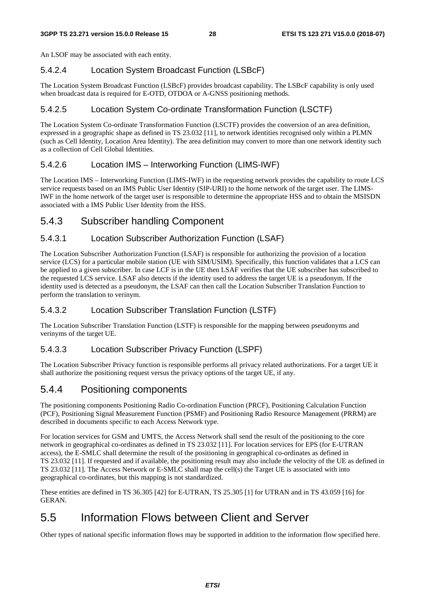An LSOF may be associated with each entity.

#### 5.4.2.4 Location System Broadcast Function (LSBcF)

The Location System Broadcast Function (LSBcF) provides broadcast capability. The LSBcF capability is only used when broadcast data is required for E-OTD, OTDOA or A-GNSS positioning methods.

#### 5.4.2.5 Location System Co-ordinate Transformation Function (LSCTF)

The Location System Co-ordinate Transformation Function (LSCTF) provides the conversion of an area definition, expressed in a geographic shape as defined in TS 23.032 [11], to network identities recognised only within a PLMN (such as Cell Identity, Location Area Identity). The area definition may convert to more than one network identity such as a collection of Cell Global Identities.

#### 5.4.2.6 Location IMS – Interworking Function (LIMS-IWF)

The Location IMS – Interworking Function (LIMS-IWF) in the requesting network provides the capability to route LCS service requests based on an IMS Public User Identity (SIP-URI) to the home network of the target user. The LIMS-IWF in the home network of the target user is responsible to determine the appropriate HSS and to obtain the MSISDN associated with a IMS Public User Identity from the HSS.

# 5.4.3 Subscriber handling Component

#### 5.4.3.1 Location Subscriber Authorization Function (LSAF)

The Location Subscriber Authorization Function (LSAF) is responsible for authorizing the provision of a location service (LCS) for a particular mobile station (UE with SIM/USIM). Specifically, this function validates that a LCS can be applied to a given subscriber. In case LCF is in the UE then LSAF verifies that the UE subscriber has subscribed to the requested LCS service. LSAF also detects if the identity used to address the target UE is a pseudonym. If the identity used is detected as a pseudonym, the LSAF can then call the Location Subscriber Translation Function to perform the translation to verinym.

### 5.4.3.2 Location Subscriber Translation Function (LSTF)

The Location Subscriber Translation Function (LSTF) is responsible for the mapping between pseudonyms and verinyms of the target UE.

#### 5.4.3.3 Location Subscriber Privacy Function (LSPF)

The Location Subscriber Privacy function is responsible performs all privacy related authorizations. For a target UE it shall authorize the positioning request versus the privacy options of the target UE, if any.

### 5.4.4 Positioning components

The positioning components Positioning Radio Co-ordination Function (PRCF), Positioning Calculation Function (PCF), Positioning Signal Measurement Function (PSMF) and Positioning Radio Resource Management (PRRM) are described in documents specific to each Access Network type.

For location services for GSM and UMTS, the Access Network shall send the result of the positioning to the core network in geographical co-ordinates as defined in TS 23.032 [11]. For location services for EPS (for E-UTRAN access), the E-SMLC shall determine the result of the positioning in geographical co-ordinates as defined in TS 23.032 [11]. If requested and if available, the positioning result may also include the velocity of the UE as defined in TS 23.032 [11]. The Access Network or E-SMLC shall map the cell(s) the Target UE is associated with into geographical co-ordinates, but this mapping is not standardized.

These entities are defined in TS 36.305 [42] for E-UTRAN, TS 25.305 [1] for UTRAN and in TS 43.059 [16] for GERAN.

# 5.5 Information Flows between Client and Server

Other types of national specific information flows may be supported in addition to the information flow specified here.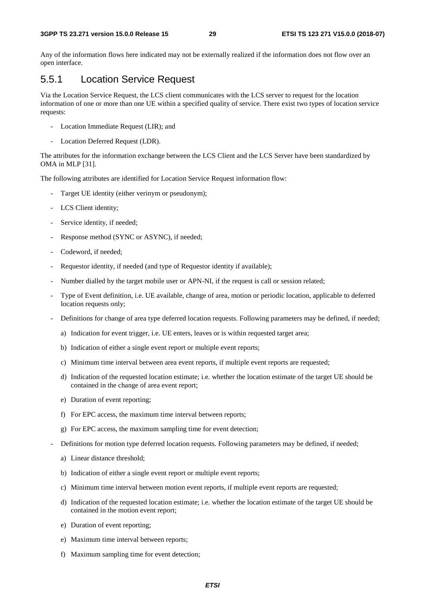Any of the information flows here indicated may not be externally realized if the information does not flow over an open interface.

## 5.5.1 Location Service Request

Via the Location Service Request, the LCS client communicates with the LCS server to request for the location information of one or more than one UE within a specified quality of service. There exist two types of location service requests:

- Location Immediate Request (LIR); and
- Location Deferred Request (LDR).

The attributes for the information exchange between the LCS Client and the LCS Server have been standardized by OMA in MLP [31].

The following attributes are identified for Location Service Request information flow:

- Target UE identity (either verinym or pseudonym);
- LCS Client identity;
- Service identity, if needed;
- Response method (SYNC or ASYNC), if needed;
- Codeword, if needed;
- Requestor identity, if needed (and type of Requestor identity if available);
- Number dialled by the target mobile user or APN-NI, if the request is call or session related;
- Type of Event definition, i.e. UE available, change of area, motion or periodic location, applicable to deferred location requests only;
- Definitions for change of area type deferred location requests. Following parameters may be defined, if needed;
	- a) Indication for event trigger, i.e. UE enters, leaves or is within requested target area;
	- b) Indication of either a single event report or multiple event reports;
	- c) Minimum time interval between area event reports, if multiple event reports are requested;
	- d) Indication of the requested location estimate; i.e. whether the location estimate of the target UE should be contained in the change of area event report;
	- e) Duration of event reporting;
	- f) For EPC access, the maximum time interval between reports;
	- g) For EPC access, the maximum sampling time for event detection;
- Definitions for motion type deferred location requests. Following parameters may be defined, if needed;
	- a) Linear distance threshold;
	- b) Indication of either a single event report or multiple event reports;
	- c) Minimum time interval between motion event reports, if multiple event reports are requested;
	- d) Indication of the requested location estimate; i.e. whether the location estimate of the target UE should be contained in the motion event report;
	- e) Duration of event reporting;
	- e) Maximum time interval between reports;
	- f) Maximum sampling time for event detection;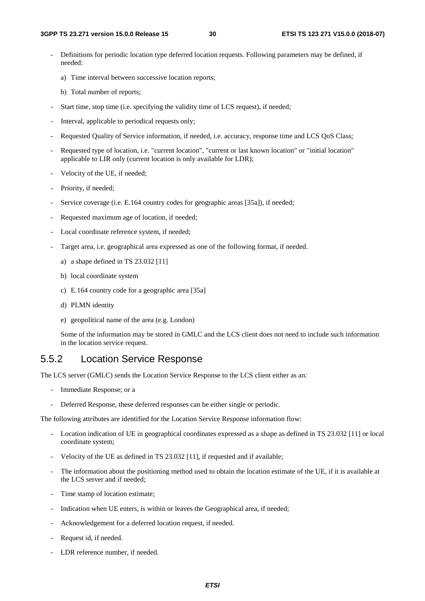- Definitions for periodic location type deferred location requests. Following parameters may be defined, if needed:
	- a) Time interval between successive location reports;
	- b) Total number of reports;
- Start time, stop time (i.e. specifying the validity time of LCS request), if needed;
- Interval, applicable to periodical requests only;
- Requested Quality of Service information, if needed, i.e. accuracy, response time and LCS QoS Class;
- Requested type of location, i.e. "current location", "current or last known location" or "initial location" applicable to LIR only (current location is only available for LDR);
- Velocity of the UE, if needed;
- Priority, if needed;
- Service coverage (i.e. E.164 country codes for geographic areas [35a]), if needed;
- Requested maximum age of location, if needed;
- Local coordinate reference system, if needed;
- Target area, i.e. geographical area expressed as one of the following format, if needed.
	- a) a shape defined in TS 23.032 [11]
	- b) local coordinate system
	- c) E.164 country code for a geographic area [35a]
	- d) PLMN identity
	- e) geopolitical name of the area (e.g. London)

 Some of the information may be stored in GMLC and the LCS client does not need to include such information in the location service request.

### 5.5.2 Location Service Response

The LCS server (GMLC) sends the Location Service Response to the LCS client either as an:

- Immediate Response; or a
- Deferred Response, these deferred responses can be either single or periodic.

The following attributes are identified for the Location Service Response information flow:

- Location indication of UE in geographical coordinates expressed as a shape as defined in TS 23.032 [11] or local coordinate system;
- Velocity of the UE as defined in TS 23.032 [11], if requested and if available;
- The information about the positioning method used to obtain the location estimate of the UE, if it is available at the LCS server and if needed;
- Time stamp of location estimate;
- Indication when UE enters, is within or leaves the Geographical area, if needed;
- Acknowledgement for a deferred location request, if needed.
- Request id, if needed.
- LDR reference number, if needed.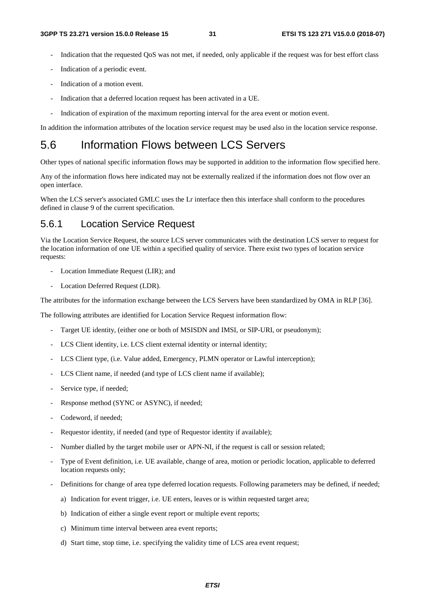- Indication that the requested QoS was not met, if needed, only applicable if the request was for best effort class
- Indication of a periodic event.
- Indication of a motion event.
- Indication that a deferred location request has been activated in a UE.
- Indication of expiration of the maximum reporting interval for the area event or motion event.

In addition the information attributes of the location service request may be used also in the location service response.

# 5.6 Information Flows between LCS Servers

Other types of national specific information flows may be supported in addition to the information flow specified here.

Any of the information flows here indicated may not be externally realized if the information does not flow over an open interface.

When the LCS server's associated GMLC uses the Lr interface then this interface shall conform to the procedures defined in clause 9 of the current specification.

### 5.6.1 Location Service Request

Via the Location Service Request, the source LCS server communicates with the destination LCS server to request for the location information of one UE within a specified quality of service. There exist two types of location service requests:

- Location Immediate Request (LIR); and
- Location Deferred Request (LDR).

The attributes for the information exchange between the LCS Servers have been standardized by OMA in RLP [36].

The following attributes are identified for Location Service Request information flow:

- Target UE identity, (either one or both of MSISDN and IMSI, or SIP-URI, or pseudonym);
- LCS Client identity, i.e. LCS client external identity or internal identity;
- LCS Client type, (i.e. Value added, Emergency, PLMN operator or Lawful interception);
- LCS Client name, if needed (and type of LCS client name if available);
- Service type, if needed;
- Response method (SYNC or ASYNC), if needed:
- Codeword, if needed;
- Requestor identity, if needed (and type of Requestor identity if available);
- Number dialled by the target mobile user or APN-NI, if the request is call or session related;
- Type of Event definition, i.e. UE available, change of area, motion or periodic location, applicable to deferred location requests only;
- Definitions for change of area type deferred location requests. Following parameters may be defined, if needed;
	- a) Indication for event trigger, i.e. UE enters, leaves or is within requested target area;
	- b) Indication of either a single event report or multiple event reports;
	- c) Minimum time interval between area event reports;
	- d) Start time, stop time, i.e. specifying the validity time of LCS area event request;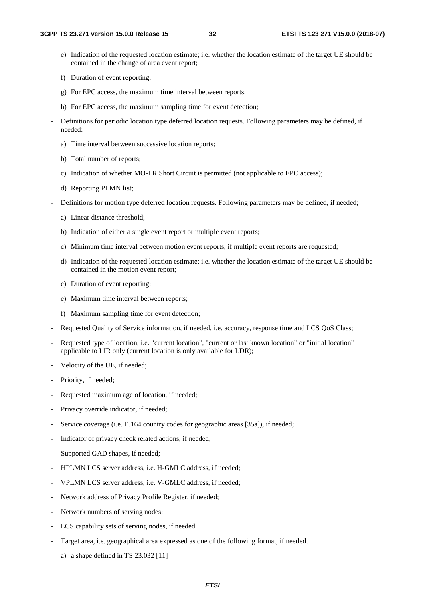- e) Indication of the requested location estimate; i.e. whether the location estimate of the target UE should be contained in the change of area event report;
- f) Duration of event reporting;
- g) For EPC access, the maximum time interval between reports;
- h) For EPC access, the maximum sampling time for event detection;
- Definitions for periodic location type deferred location requests. Following parameters may be defined, if needed:
	- a) Time interval between successive location reports;
	- b) Total number of reports;
	- c) Indication of whether MO-LR Short Circuit is permitted (not applicable to EPC access);
	- d) Reporting PLMN list;
- Definitions for motion type deferred location requests. Following parameters may be defined, if needed;
	- a) Linear distance threshold;
	- b) Indication of either a single event report or multiple event reports;
	- c) Minimum time interval between motion event reports, if multiple event reports are requested;
	- d) Indication of the requested location estimate; i.e. whether the location estimate of the target UE should be contained in the motion event report;
	- e) Duration of event reporting;
	- e) Maximum time interval between reports;
	- f) Maximum sampling time for event detection;
- Requested Quality of Service information, if needed, i.e. accuracy, response time and LCS QoS Class;
- Requested type of location, i.e. "current location", "current or last known location" or "initial location" applicable to LIR only (current location is only available for LDR);
- Velocity of the UE, if needed;
- Priority, if needed;
- Requested maximum age of location, if needed;
- Privacy override indicator, if needed;
- Service coverage (i.e. E.164 country codes for geographic areas [35a]), if needed;
- Indicator of privacy check related actions, if needed;
- Supported GAD shapes, if needed;
- HPLMN LCS server address, i.e. H-GMLC address, if needed;
- VPLMN LCS server address, i.e. V-GMLC address, if needed;
- Network address of Privacy Profile Register, if needed:
- Network numbers of serving nodes;
- LCS capability sets of serving nodes, if needed.
- Target area, i.e. geographical area expressed as one of the following format, if needed.
	- a) a shape defined in TS 23.032 [11]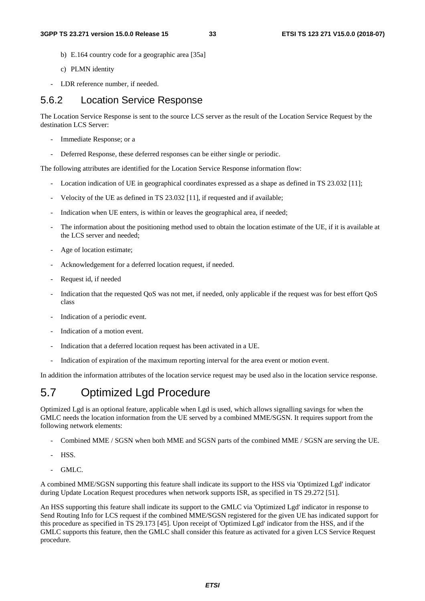- b) E.164 country code for a geographic area [35a]
- c) PLMN identity
- LDR reference number, if needed.

### 5.6.2 Location Service Response

The Location Service Response is sent to the source LCS server as the result of the Location Service Request by the destination LCS Server:

- Immediate Response; or a
- Deferred Response, these deferred responses can be either single or periodic.

The following attributes are identified for the Location Service Response information flow:

- Location indication of UE in geographical coordinates expressed as a shape as defined in TS 23.032 [11];
- Velocity of the UE as defined in TS 23.032 [11], if requested and if available;
- Indication when UE enters, is within or leaves the geographical area, if needed;
- The information about the positioning method used to obtain the location estimate of the UE, if it is available at the LCS server and needed;
- Age of location estimate:
- Acknowledgement for a deferred location request, if needed.
- Request id, if needed
- Indication that the requested QoS was not met, if needed, only applicable if the request was for best effort QoS class
- Indication of a periodic event.
- Indication of a motion event.
- Indication that a deferred location request has been activated in a UE.
- Indication of expiration of the maximum reporting interval for the area event or motion event.

In addition the information attributes of the location service request may be used also in the location service response.

# 5.7 Optimized Lgd Procedure

Optimized Lgd is an optional feature, applicable when Lgd is used, which allows signalling savings for when the GMLC needs the location information from the UE served by a combined MME/SGSN. It requires support from the following network elements:

- Combined MME / SGSN when both MME and SGSN parts of the combined MME / SGSN are serving the UE.
- HSS.
- GMLC.

A combined MME/SGSN supporting this feature shall indicate its support to the HSS via 'Optimized Lgd' indicator during Update Location Request procedures when network supports ISR, as specified in TS 29.272 [51].

An HSS supporting this feature shall indicate its support to the GMLC via 'Optimized Lgd' indicator in response to Send Routing Info for LCS request if the combined MME/SGSN registered for the given UE has indicated support for this procedure as specified in TS 29.173 [45]. Upon receipt of 'Optimized Lgd' indicator from the HSS, and if the GMLC supports this feature, then the GMLC shall consider this feature as activated for a given LCS Service Request procedure.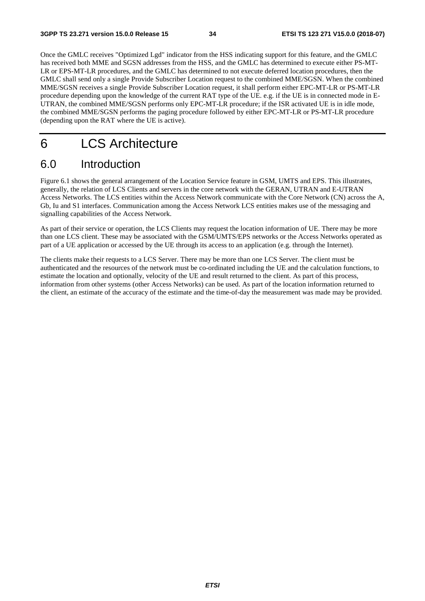Once the GMLC receives "Optimized Lgd" indicator from the HSS indicating support for this feature, and the GMLC has received both MME and SGSN addresses from the HSS, and the GMLC has determined to execute either PS-MT-LR or EPS-MT-LR procedures, and the GMLC has determined to not execute deferred location procedures, then the GMLC shall send only a single Provide Subscriber Location request to the combined MME/SGSN. When the combined MME/SGSN receives a single Provide Subscriber Location request, it shall perform either EPC-MT-LR or PS-MT-LR procedure depending upon the knowledge of the current RAT type of the UE. e.g. if the UE is in connected mode in E-UTRAN, the combined MME/SGSN performs only EPC-MT-LR procedure; if the ISR activated UE is in idle mode, the combined MME/SGSN performs the paging procedure followed by either EPC-MT-LR or PS-MT-LR procedure (depending upon the RAT where the UE is active).

# 6 LCS Architecture

# 6.0 Introduction

Figure 6.1 shows the general arrangement of the Location Service feature in GSM, UMTS and EPS. This illustrates, generally, the relation of LCS Clients and servers in the core network with the GERAN, UTRAN and E-UTRAN Access Networks. The LCS entities within the Access Network communicate with the Core Network (CN) across the A, Gb, Iu and S1 interfaces. Communication among the Access Network LCS entities makes use of the messaging and signalling capabilities of the Access Network.

As part of their service or operation, the LCS Clients may request the location information of UE. There may be more than one LCS client. These may be associated with the GSM/UMTS/EPS networks or the Access Networks operated as part of a UE application or accessed by the UE through its access to an application (e.g. through the Internet).

The clients make their requests to a LCS Server. There may be more than one LCS Server. The client must be authenticated and the resources of the network must be co-ordinated including the UE and the calculation functions, to estimate the location and optionally, velocity of the UE and result returned to the client. As part of this process, information from other systems (other Access Networks) can be used. As part of the location information returned to the client, an estimate of the accuracy of the estimate and the time-of-day the measurement was made may be provided.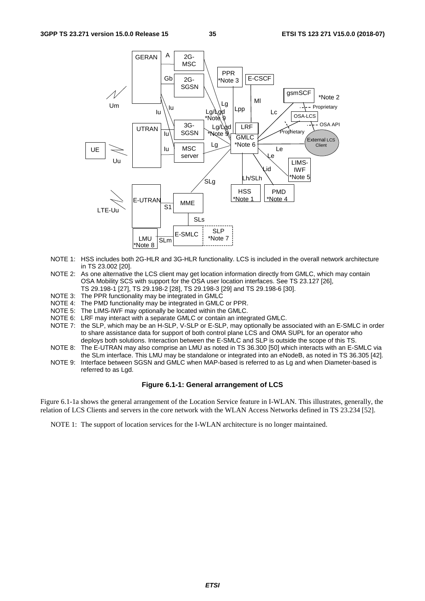

- NOTE 1: HSS includes both 2G-HLR and 3G-HLR functionality. LCS is included in the overall network architecture in TS 23.002 [20].
- NOTE 2: As one alternative the LCS client may get location information directly from GMLC, which may contain OSA Mobility SCS with support for the OSA user location interfaces. See TS 23.127 [26], TS 29.198-1 [27], TS 29.198-2 [28], TS 29.198-3 [29] and TS 29.198-6 [30].
- NOTE 3: The PPR functionality may be integrated in GMLC
- NOTE 4: The PMD functionality may be integrated in GMLC or PPR.
- NOTE 5: The LIMS-IWF may optionally be located within the GMLC.
- NOTE 6: LRF may interact with a separate GMLC or contain an integrated GMLC.
- NOTE 7: the SLP, which may be an H-SLP, V-SLP or E-SLP, may optionally be associated with an E-SMLC in order to share assistance data for support of both control plane LCS and OMA SUPL for an operator who deploys both solutions. Interaction between the E-SMLC and SLP is outside the scope of this TS.
- NOTE 8: The E-UTRAN may also comprise an LMU as noted in TS 36.300 [50] which interacts with an E-SMLC via the SLm interface. This LMU may be standalone or integrated into an eNodeB, as noted in TS 36.305 [42].
- NOTE 9: Interface between SGSN and GMLC when MAP-based is referred to as Lg and when Diameter-based is referred to as Lgd.

#### **Figure 6.1-1: General arrangement of LCS**

Figure 6.1-1a shows the general arrangement of the Location Service feature in I-WLAN. This illustrates, generally, the relation of LCS Clients and servers in the core network with the WLAN Access Networks defined in TS 23.234 [52].

NOTE 1: The support of location services for the I-WLAN architecture is no longer maintained.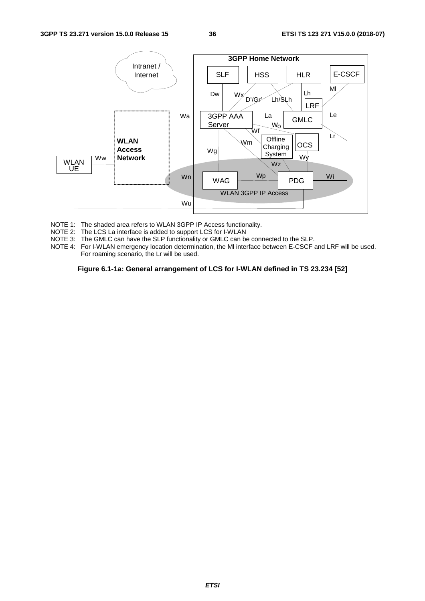#### **3GPP TS 23.271 version 15.0.0 Release 15 36 ETSI TS 123 271 V15.0.0 (2018-07)**



- NOTE 1: The shaded area refers to WLAN 3GPP IP Access functionality.
- NOTE 2: The LCS La interface is added to support LCS for I-WLAN
- NOTE 3: The GMLC can have the SLP functionality or GMLC can be connected to the SLP.
- NOTE 4: For I-WLAN emergency location determination, the Ml interface between E-CSCF and LRF will be used. For roaming scenario, the Lr will be used.

**Figure 6.1-1a: General arrangement of LCS for I-WLAN defined in TS 23.234 [52]**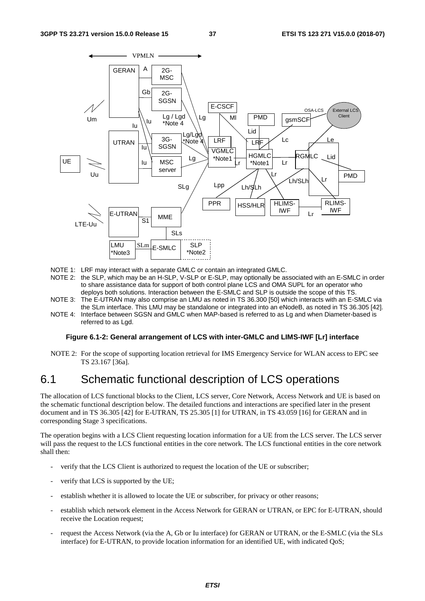

- NOTE 1: LRF may interact with a separate GMLC or contain an integrated GMLC.
- NOTE 2: the SLP, which may be an H-SLP, V-SLP or E-SLP, may optionally be associated with an E-SMLC in order to share assistance data for support of both control plane LCS and OMA SUPL for an operator who deploys both solutions. Interaction between the E-SMLC and SLP is outside the scope of this TS.
- NOTE 3: The E-UTRAN may also comprise an LMU as noted in TS 36.300 [50] which interacts with an E-SMLC via the SLm interface. This LMU may be standalone or integrated into an eNodeB, as noted in TS 36.305 [42].
- NOTE 4: Interface between SGSN and GMLC when MAP-based is referred to as Lg and when Diameter-based is referred to as Lgd.

#### **Figure 6.1-2: General arrangement of LCS with inter-GMLC and LIMS-IWF [Lr] interface**

NOTE 2: For the scope of supporting location retrieval for IMS Emergency Service for WLAN access to EPC see TS 23.167 [36a].

## 6.1 Schematic functional description of LCS operations

The allocation of LCS functional blocks to the Client, LCS server, Core Network, Access Network and UE is based on the schematic functional description below. The detailed functions and interactions are specified later in the present document and in TS 36.305 [42] for E-UTRAN, TS 25.305 [1] for UTRAN, in TS 43.059 [16] for GERAN and in corresponding Stage 3 specifications.

The operation begins with a LCS Client requesting location information for a UE from the LCS server. The LCS server will pass the request to the LCS functional entities in the core network. The LCS functional entities in the core network shall then:

- verify that the LCS Client is authorized to request the location of the UE or subscriber;
- verify that LCS is supported by the UE:
- establish whether it is allowed to locate the UE or subscriber, for privacy or other reasons;
- establish which network element in the Access Network for GERAN or UTRAN, or EPC for E-UTRAN, should receive the Location request;
- request the Access Network (via the A, Gb or Iu interface) for GERAN or UTRAN, or the E-SMLC (via the SLs interface) for E-UTRAN, to provide location information for an identified UE, with indicated QoS;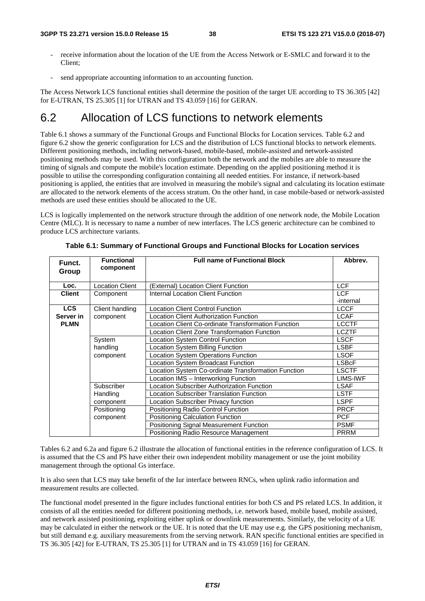- receive information about the location of the UE from the Access Network or E-SMLC and forward it to the Client;
- send appropriate accounting information to an accounting function.

The Access Network LCS functional entities shall determine the position of the target UE according to TS 36.305 [42] for E-UTRAN, TS 25.305 [1] for UTRAN and TS 43.059 [16] for GERAN.

## 6.2 Allocation of LCS functions to network elements

Table 6.1 shows a summary of the Functional Groups and Functional Blocks for Location services. Table 6.2 and figure 6.2 show the generic configuration for LCS and the distribution of LCS functional blocks to network elements. Different positioning methods, including network-based, mobile-based, mobile-assisted and network-assisted positioning methods may be used. With this configuration both the network and the mobiles are able to measure the timing of signals and compute the mobile's location estimate. Depending on the applied positioning method it is possible to utilise the corresponding configuration containing all needed entities. For instance, if network-based positioning is applied, the entities that are involved in measuring the mobile's signal and calculating its location estimate are allocated to the network elements of the access stratum. On the other hand, in case mobile-based or network-assisted methods are used these entities should be allocated to the UE.

LCS is logically implemented on the network structure through the addition of one network node, the Mobile Location Centre (MLC). It is necessary to name a number of new interfaces. The LCS generic architecture can be combined to produce LCS architecture variants.

| Funct.<br>Group | <b>Functional</b><br>component | <b>Full name of Functional Block</b>                | Abbrev.                 |
|-----------------|--------------------------------|-----------------------------------------------------|-------------------------|
| Loc.            | ocation Client                 | (External) Location Client Function                 | <b>LCF</b>              |
| <b>Client</b>   | Component                      | <b>Internal Location Client Function</b>            | <b>LCF</b><br>-internal |
| <b>LCS</b>      | Client handling                | <b>Location Client Control Function</b>             | <b>LCCF</b>             |
| Server in       | component                      | Location Client Authorization Function              | <b>LCAF</b>             |
| <b>PLMN</b>     |                                | Location Client Co-ordinate Transformation Function | <b>LCCTF</b>            |
|                 |                                | Location Client Zone Transformation Function        | <b>LCZTF</b>            |
|                 | System                         | Location System Control Function                    | <b>LSCF</b>             |
|                 | handling                       | Location System Billing Function                    | <b>LSBF</b>             |
|                 | component                      | <b>Location System Operations Function</b>          | <b>LSOF</b>             |
|                 |                                | ocation System Broadcast Function                   | <b>LSBcF</b>            |
|                 |                                | Location System Co-ordinate Transformation Function | <b>LSCTF</b>            |
|                 |                                | Location IMS - Interworking Function                | LIMS-IWF                |
|                 | Subscriber                     | ocation Subscriber Authorization Function           | <b>LSAF</b>             |
|                 | Handling                       | ocation Subscriber Translation Function             | <b>LSTF</b>             |
|                 | component                      | Location Subscriber Privacy function                | <b>LSPF</b>             |
|                 | Positioning                    | Positioning Radio Control Function                  | <b>PRCF</b>             |
|                 | component                      | Positioning Calculation Function                    | <b>PCF</b>              |
|                 |                                | Positioning Signal Measurement Function             | <b>PSMF</b>             |
|                 |                                | Positioning Radio Resource Management               | <b>PRRM</b>             |

**Table 6.1: Summary of Functional Groups and Functional Blocks for Location services** 

Tables 6.2 and 6.2a and figure 6.2 illustrate the allocation of functional entities in the reference configuration of LCS. It is assumed that the CS and PS have either their own independent mobility management or use the joint mobility management through the optional Gs interface.

It is also seen that LCS may take benefit of the Iur interface between RNCs, when uplink radio information and measurement results are collected.

The functional model presented in the figure includes functional entities for both CS and PS related LCS. In addition, it consists of all the entities needed for different positioning methods, i.e. network based, mobile based, mobile assisted, and network assisted positioning, exploiting either uplink or downlink measurements. Similarly, the velocity of a UE may be calculated in either the network or the UE. It is noted that the UE may use e.g. the GPS positioning mechanism, but still demand e.g. auxiliary measurements from the serving network. RAN specific functional entities are specified in TS 36.305 [42] for E-UTRAN, TS 25.305 [1] for UTRAN and in TS 43.059 [16] for GERAN.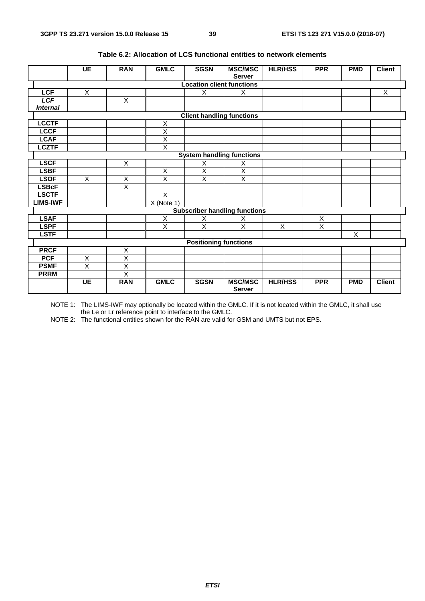|                                  | <b>UE</b>               | <b>RAN</b>              | <b>GMLC</b>             | <b>SGSN</b>                  | <b>MSC/MSC</b><br><b>Server</b>      | <b>HLR/HSS</b> | <b>PPR</b>     | <b>PMD</b>     | <b>Client</b> |
|----------------------------------|-------------------------|-------------------------|-------------------------|------------------------------|--------------------------------------|----------------|----------------|----------------|---------------|
| <b>Location client functions</b> |                         |                         |                         |                              |                                      |                |                |                |               |
| <b>LCF</b>                       | $\overline{\mathsf{x}}$ |                         |                         | X                            | X                                    |                |                |                | X             |
| <b>LCF</b>                       |                         | $\overline{X}$          |                         |                              |                                      |                |                |                |               |
| <b>Internal</b>                  |                         |                         |                         |                              |                                      |                |                |                |               |
| <b>Client handling functions</b> |                         |                         |                         |                              |                                      |                |                |                |               |
| <b>LCCTF</b>                     |                         |                         | X                       |                              |                                      |                |                |                |               |
| <b>LCCF</b>                      |                         |                         | $\overline{\mathsf{x}}$ |                              |                                      |                |                |                |               |
| <b>LCAF</b>                      |                         |                         | $\overline{\mathsf{x}}$ |                              |                                      |                |                |                |               |
| <b>LCZTF</b>                     |                         |                         | X                       |                              |                                      |                |                |                |               |
|                                  |                         |                         |                         |                              | <b>System handling functions</b>     |                |                |                |               |
| <b>LSCF</b>                      |                         | X                       |                         | X                            | X                                    |                |                |                |               |
| <b>LSBF</b>                      |                         |                         | $\overline{X}$          | $\overline{\mathsf{X}}$      | $\overline{\mathsf{X}}$              |                |                |                |               |
| <b>LSOF</b>                      | X                       | X                       | $\overline{\mathsf{x}}$ | X                            | X                                    |                |                |                |               |
| <b>LSBcF</b>                     |                         | X                       |                         |                              |                                      |                |                |                |               |
| <b>LSCTF</b>                     |                         |                         | $\overline{X}$          |                              |                                      |                |                |                |               |
| <b>LIMS-IWF</b>                  |                         |                         | $X$ (Note 1)            |                              |                                      |                |                |                |               |
|                                  |                         |                         |                         |                              | <b>Subscriber handling functions</b> |                |                |                |               |
| <b>LSAF</b>                      |                         |                         | Χ                       | X                            | X                                    |                | X              |                |               |
| <b>LSPF</b>                      |                         |                         | $\overline{X}$          | $\overline{X}$               | $\overline{X}$                       | $\pmb{\times}$ | $\overline{X}$ |                |               |
| <b>LSTF</b>                      |                         |                         |                         |                              |                                      |                |                | $\overline{X}$ |               |
|                                  |                         |                         |                         | <b>Positioning functions</b> |                                      |                |                |                |               |
| <b>PRCF</b>                      |                         | Χ                       |                         |                              |                                      |                |                |                |               |
| <b>PCF</b>                       | X                       | $\overline{\mathsf{x}}$ |                         |                              |                                      |                |                |                |               |
| <b>PSMF</b>                      | X                       | X                       |                         |                              |                                      |                |                |                |               |
| <b>PRRM</b>                      |                         | $\overline{\mathsf{x}}$ |                         |                              |                                      |                |                |                |               |
|                                  | <b>UE</b>               | <b>RAN</b>              | <b>GMLC</b>             | <b>SGSN</b>                  | <b>MSC/MSC</b><br><b>Server</b>      | <b>HLR/HSS</b> | <b>PPR</b>     | <b>PMD</b>     | <b>Client</b> |

#### **Table 6.2: Allocation of LCS functional entities to network elements**

NOTE 1: The LIMS-IWF may optionally be located within the GMLC. If it is not located within the GMLC, it shall use the Le or Lr reference point to interface to the GMLC.

NOTE 2: The functional entities shown for the RAN are valid for GSM and UMTS but not EPS.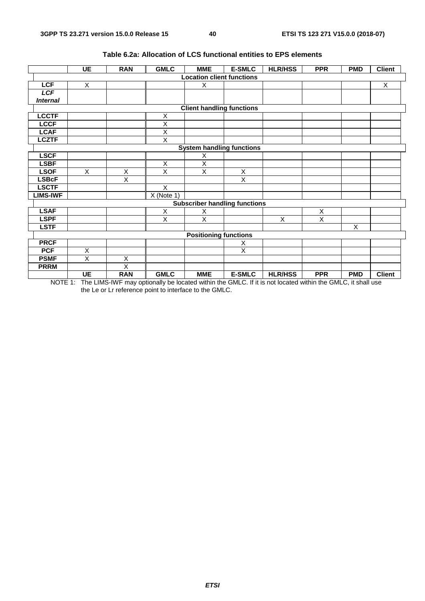|                                  | <b>UE</b>      | <b>RAN</b>              | <b>GMLC</b>             | <b>MME</b>                   | <b>E-SMLC</b>                        | <b>HLR/HSS</b> | <b>PPR</b>              | <b>PMD</b> | <b>Client</b> |
|----------------------------------|----------------|-------------------------|-------------------------|------------------------------|--------------------------------------|----------------|-------------------------|------------|---------------|
| <b>Location client functions</b> |                |                         |                         |                              |                                      |                |                         |            |               |
| <b>LCF</b>                       | X              |                         |                         | X                            |                                      |                |                         |            | $\mathsf{X}$  |
| <b>LCF</b>                       |                |                         |                         |                              |                                      |                |                         |            |               |
| <b>Internal</b>                  |                |                         |                         |                              |                                      |                |                         |            |               |
| <b>Client handling functions</b> |                |                         |                         |                              |                                      |                |                         |            |               |
| <b>LCCTF</b>                     |                |                         | X                       |                              |                                      |                |                         |            |               |
| <b>LCCF</b>                      |                |                         | X                       |                              |                                      |                |                         |            |               |
| <b>LCAF</b>                      |                |                         | $\overline{\mathsf{x}}$ |                              |                                      |                |                         |            |               |
| <b>LCZTF</b>                     |                |                         | $\overline{X}$          |                              |                                      |                |                         |            |               |
|                                  |                |                         |                         |                              | <b>System handling functions</b>     |                |                         |            |               |
| <b>LSCF</b>                      |                |                         |                         | Χ                            |                                      |                |                         |            |               |
| <b>LSBF</b>                      |                |                         | X                       | X                            |                                      |                |                         |            |               |
| <b>LSOF</b>                      | $\pmb{\times}$ | X                       | $\overline{X}$          | X                            | $\mathsf X$                          |                |                         |            |               |
| <b>LSBcF</b>                     |                | X                       |                         |                              | X                                    |                |                         |            |               |
| <b>LSCTF</b>                     |                |                         | X                       |                              |                                      |                |                         |            |               |
| <b>LIMS-IWF</b>                  |                |                         | $X$ (Note 1)            |                              |                                      |                |                         |            |               |
|                                  |                |                         |                         |                              | <b>Subscriber handling functions</b> |                |                         |            |               |
| <b>LSAF</b>                      |                |                         | X                       | X                            |                                      |                | X                       |            |               |
| <b>LSPF</b>                      |                |                         | $\overline{\mathsf{x}}$ | $\overline{X}$               |                                      | X              | $\overline{\mathsf{x}}$ |            |               |
| <b>LSTF</b>                      |                |                         |                         |                              |                                      |                |                         | X          |               |
|                                  |                |                         |                         | <b>Positioning functions</b> |                                      |                |                         |            |               |
| <b>PRCF</b>                      |                |                         |                         |                              | X                                    |                |                         |            |               |
| <b>PCF</b>                       | X              |                         |                         |                              | $\overline{\mathsf{x}}$              |                |                         |            |               |
| <b>PSMF</b>                      | X              | Χ                       |                         |                              |                                      |                |                         |            |               |
| <b>PRRM</b>                      |                | $\overline{\mathsf{x}}$ |                         |                              |                                      |                |                         |            |               |
|                                  | <b>UE</b>      | <b>RAN</b>              | <b>GMLC</b>             | <b>MME</b>                   | <b>E-SMLC</b>                        | <b>HLR/HSS</b> | <b>PPR</b>              | <b>PMD</b> | <b>Client</b> |

#### **Table 6.2a: Allocation of LCS functional entities to EPS elements**

NOTE 1: The LIMS-IWF may optionally be located within the GMLC. If it is not located within the GMLC, it shall use the Le or Lr reference point to interface to the GMLC.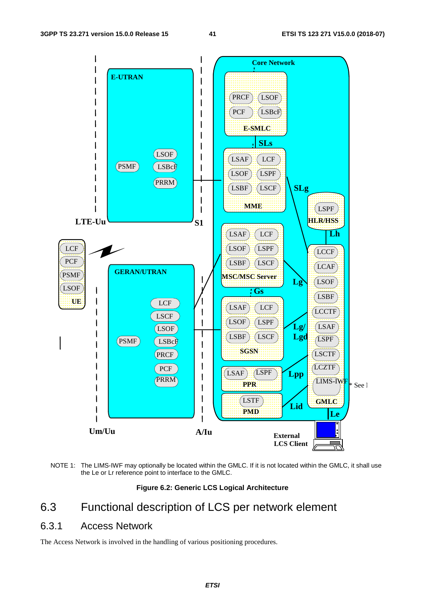

NOTE 1: The LIMS-IWF may optionally be located within the GMLC. If it is not located within the GMLC, it shall use the Le or Lr reference point to interface to the GMLC.

**Figure 6.2: Generic LCS Logical Architecture** 

## 6.3 Functional description of LCS per network element

### 6.3.1 Access Network

The Access Network is involved in the handling of various positioning procedures.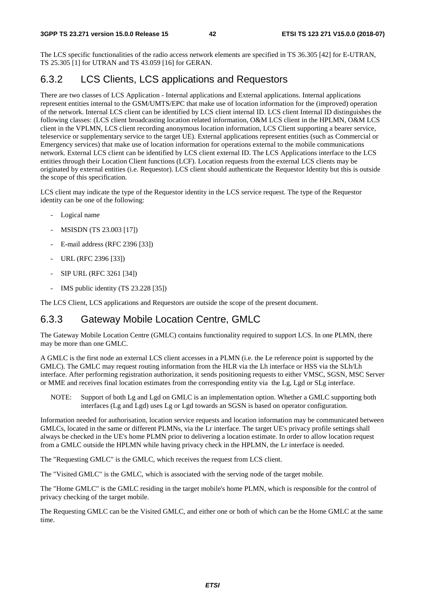The LCS specific functionalities of the radio access network elements are specified in TS 36.305 [42] for E-UTRAN, TS 25.305 [1] for UTRAN and TS 43.059 [16] for GERAN.

## 6.3.2 LCS Clients, LCS applications and Requestors

There are two classes of LCS Application - Internal applications and External applications. Internal applications represent entities internal to the GSM/UMTS/EPC that make use of location information for the (improved) operation of the network. Internal LCS client can be identified by LCS client internal ID. LCS client Internal ID distinguishes the following classes: (LCS client broadcasting location related information, O&M LCS client in the HPLMN, O&M LCS client in the VPLMN, LCS client recording anonymous location information, LCS Client supporting a bearer service, teleservice or supplementary service to the target UE). External applications represent entities (such as Commercial or Emergency services) that make use of location information for operations external to the mobile communications network. External LCS client can be identified by LCS client external ID. The LCS Applications interface to the LCS entities through their Location Client functions (LCF). Location requests from the external LCS clients may be originated by external entities (i.e. Requestor). LCS client should authenticate the Requestor Identity but this is outside the scope of this specification.

LCS client may indicate the type of the Requestor identity in the LCS service request. The type of the Requestor identity can be one of the following:

- Logical name
- MSISDN (TS 23.003 [17])
- E-mail address (RFC 2396 [33])
- URL (RFC 2396 [33])
- SIP URL (RFC 3261 [34])
- IMS public identity (TS 23.228 [35])

The LCS Client, LCS applications and Requestors are outside the scope of the present document.

### 6.3.3 Gateway Mobile Location Centre, GMLC

The Gateway Mobile Location Centre (GMLC) contains functionality required to support LCS. In one PLMN, there may be more than one GMLC.

A GMLC is the first node an external LCS client accesses in a PLMN (i.e. the Le reference point is supported by the GMLC). The GMLC may request routing information from the HLR via the Lh interface or HSS via the SLh/Lh interface. After performing registration authorization, it sends positioning requests to either VMSC, SGSN, MSC Server or MME and receives final location estimates from the corresponding entity via the Lg, Lgd or SLg interface.

NOTE: Support of both Lg and Lgd on GMLC is an implementation option. Whether a GMLC supporting both interfaces (Lg and Lgd) uses Lg or Lgd towards an SGSN is based on operator configuration.

Information needed for authorisation, location service requests and location information may be communicated between GMLCs, located in the same or different PLMNs, via the Lr interface. The target UE's privacy profile settings shall always be checked in the UE's home PLMN prior to delivering a location estimate. In order to allow location request from a GMLC outside the HPLMN while having privacy check in the HPLMN, the Lr interface is needed.

The "Requesting GMLC" is the GMLC, which receives the request from LCS client.

The "Visited GMLC" is the GMLC, which is associated with the serving node of the target mobile.

The "Home GMLC" is the GMLC residing in the target mobile's home PLMN, which is responsible for the control of privacy checking of the target mobile.

The Requesting GMLC can be the Visited GMLC, and either one or both of which can be the Home GMLC at the same time.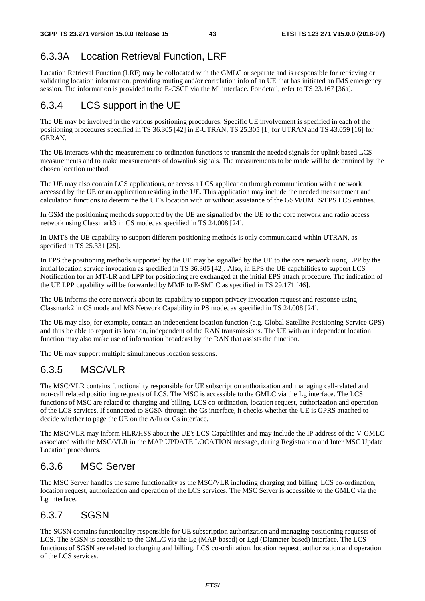## 6.3.3A Location Retrieval Function, LRF

Location Retrieval Function (LRF) may be collocated with the GMLC or separate and is responsible for retrieving or validating location information, providing routing and/or correlation info of an UE that has initiated an IMS emergency session. The information is provided to the E-CSCF via the Ml interface. For detail, refer to TS 23.167 [36a].

## 6.3.4 LCS support in the UE

The UE may be involved in the various positioning procedures. Specific UE involvement is specified in each of the positioning procedures specified in TS 36.305 [42] in E-UTRAN, TS 25.305 [1] for UTRAN and TS 43.059 [16] for GERAN.

The UE interacts with the measurement co-ordination functions to transmit the needed signals for uplink based LCS measurements and to make measurements of downlink signals. The measurements to be made will be determined by the chosen location method.

The UE may also contain LCS applications, or access a LCS application through communication with a network accessed by the UE or an application residing in the UE. This application may include the needed measurement and calculation functions to determine the UE's location with or without assistance of the GSM/UMTS/EPS LCS entities.

In GSM the positioning methods supported by the UE are signalled by the UE to the core network and radio access network using Classmark3 in CS mode, as specified in TS 24.008 [24].

In UMTS the UE capability to support different positioning methods is only communicated within UTRAN, as specified in TS 25.331 [25].

In EPS the positioning methods supported by the UE may be signalled by the UE to the core network using LPP by the initial location service invocation as specified in TS 36.305 [42]. Also, in EPS the UE capabilities to support LCS Notification for an MT-LR and LPP for positioning are exchanged at the initial EPS attach procedure. The indication of the UE LPP capability will be forwarded by MME to E-SMLC as specified in TS 29.171 [46].

The UE informs the core network about its capability to support privacy invocation request and response using Classmark2 in CS mode and MS Network Capability in PS mode, as specified in TS 24.008 [24].

The UE may also, for example, contain an independent location function (e.g. Global Satellite Positioning Service GPS) and thus be able to report its location, independent of the RAN transmissions. The UE with an independent location function may also make use of information broadcast by the RAN that assists the function.

The UE may support multiple simultaneous location sessions.

## 6.3.5 MSC/VLR

The MSC/VLR contains functionality responsible for UE subscription authorization and managing call-related and non-call related positioning requests of LCS. The MSC is accessible to the GMLC via the Lg interface. The LCS functions of MSC are related to charging and billing, LCS co-ordination, location request, authorization and operation of the LCS services. If connected to SGSN through the Gs interface, it checks whether the UE is GPRS attached to decide whether to page the UE on the A/Iu or Gs interface.

The MSC/VLR may inform HLR/HSS about the UE's LCS Capabilities and may include the IP address of the V-GMLC associated with the MSC/VLR in the MAP UPDATE LOCATION message, during Registration and Inter MSC Update Location procedures.

## 6.3.6 MSC Server

The MSC Server handles the same functionality as the MSC/VLR including charging and billing, LCS co-ordination, location request, authorization and operation of the LCS services. The MSC Server is accessible to the GMLC via the Lg interface.

## 6.3.7 SGSN

The SGSN contains functionality responsible for UE subscription authorization and managing positioning requests of LCS. The SGSN is accessible to the GMLC via the Lg (MAP-based) or Lgd (Diameter-based) interface. The LCS functions of SGSN are related to charging and billing, LCS co-ordination, location request, authorization and operation of the LCS services.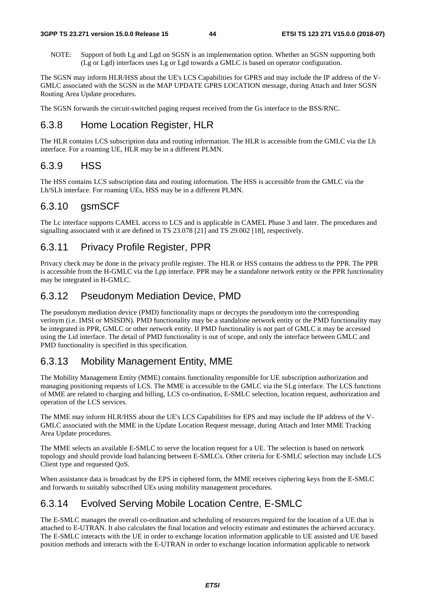NOTE: Support of both Lg and Lgd on SGSN is an implementation option. Whether an SGSN supporting both (Lg or Lgd) interfaces uses Lg or Lgd towards a GMLC is based on operator configuration.

The SGSN may inform HLR/HSS about the UE's LCS Capabilities for GPRS and may include the IP address of the V-GMLC associated with the SGSN in the MAP UPDATE GPRS LOCATION message, during Attach and Inter SGSN Routing Area Update procedures.

The SGSN forwards the circuit-switched paging request received from the Gs interface to the BSS/RNC.

## 6.3.8 Home Location Register, HLR

The HLR contains LCS subscription data and routing information. The HLR is accessible from the GMLC via the Lh interface. For a roaming UE, HLR may be in a different PLMN.

## 6.3.9 HSS

The HSS contains LCS subscription data and routing information. The HSS is accessible from the GMLC via the Lh/SLh interface. For roaming UEs, HSS may be in a different PLMN.

## 6.3.10 gsmSCF

The Lc interface supports CAMEL access to LCS and is applicable in CAMEL Phase 3 and later. The procedures and signalling associated with it are defined in TS 23.078 [21] and TS 29.002 [18], respectively.

## 6.3.11 Privacy Profile Register, PPR

Privacy check may be done in the privacy profile register. The HLR or HSS contains the address to the PPR. The PPR is accessible from the H-GMLC via the Lpp interface. PPR may be a standalone network entity or the PPR functionality may be integrated in H-GMLC.

## 6.3.12 Pseudonym Mediation Device, PMD

The pseudonym mediation device (PMD) functionality maps or decrypts the pseudonym into the corresponding verinym (i.e. IMSI or MSISDN). PMD functionality may be a standalone network entity or the PMD functionality may be integrated in PPR, GMLC or other network entity. If PMD functionality is not part of GMLC it may be accessed using the Lid interface. The detail of PMD functionality is out of scope, and only the interface between GMLC and PMD functionality is specified in this specification.

## 6.3.13 Mobility Management Entity, MME

The Mobility Management Entity (MME) contains functionality responsible for UE subscription authorization and managing positioning requests of LCS. The MME is accessible to the GMLC via the SLg interface. The LCS functions of MME are related to charging and billing, LCS co-ordination, E-SMLC selection, location request, authorization and operation of the LCS services.

The MME may inform HLR/HSS about the UE's LCS Capabilities for EPS and may include the IP address of the V-GMLC associated with the MME in the Update Location Request message, during Attach and Inter MME Tracking Area Update procedures.

The MME selects an available E-SMLC to serve the location request for a UE. The selection is based on network topology and should provide load balancing between E-SMLCs. Other criteria for E-SMLC selection may include LCS Client type and requested QoS.

When assistance data is broadcast by the EPS in ciphered form, the MME receives ciphering keys from the E-SMLC and forwards to suitably subscribed UEs using mobility management procedures.

## 6.3.14 Evolved Serving Mobile Location Centre, E-SMLC

The E-SMLC manages the overall co-ordination and scheduling of resources required for the location of a UE that is attached to E-UTRAN. It also calculates the final location and velocity estimate and estimates the achieved accuracy. The E-SMLC interacts with the UE in order to exchange location information applicable to UE assisted and UE based position methods and interacts with the E-UTRAN in order to exchange location information applicable to network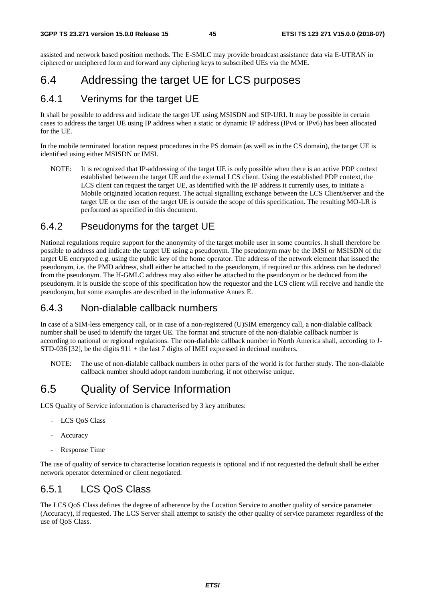assisted and network based position methods. The E-SMLC may provide broadcast assistance data via E-UTRAN in ciphered or unciphered form and forward any ciphering keys to subscribed UEs via the MME.

## 6.4 Addressing the target UE for LCS purposes

### 6.4.1 Verinyms for the target UE

It shall be possible to address and indicate the target UE using MSISDN and SIP-URI. It may be possible in certain cases to address the target UE using IP address when a static or dynamic IP address (IPv4 or IPv6) has been allocated for the UE.

In the mobile terminated location request procedures in the PS domain (as well as in the CS domain), the target UE is identified using either MSISDN or IMSI.

NOTE: It is recognized that IP-addressing of the target UE is only possible when there is an active PDP context established between the target UE and the external LCS client. Using the established PDP context, the LCS client can request the target UE, as identified with the IP address it currently uses, to initiate a Mobile originated location request. The actual signalling exchange between the LCS Client/server and the target UE or the user of the target UE is outside the scope of this specification. The resulting MO-LR is performed as specified in this document.

### 6.4.2 Pseudonyms for the target UE

National regulations require support for the anonymity of the target mobile user in some countries. It shall therefore be possible to address and indicate the target UE using a pseudonym. The pseudonym may be the IMSI or MSISDN of the target UE encrypted e.g. using the public key of the home operator. The address of the network element that issued the pseudonym, i.e. the PMD address, shall either be attached to the pseudonym, if required or this address can be deduced from the pseudonym. The H-GMLC address may also either be attached to the pseudonym or be deduced from the pseudonym. It is outside the scope of this specification how the requestor and the LCS client will receive and handle the pseudonym, but some examples are described in the informative Annex E.

### 6.4.3 Non-dialable callback numbers

In case of a SIM-less emergency call, or in case of a non-registered (U)SIM emergency call, a non-dialable callback number shall be used to identify the target UE. The format and structure of the non-dialable callback number is according to national or regional regulations. The non-dialable callback number in North America shall, according to J-STD-036 [32], be the digits 911 + the last 7 digits of IMEI expressed in decimal numbers.

NOTE: The use of non-dialable callback numbers in other parts of the world is for further study. The non-dialable callback number should adopt random numbering, if not otherwise unique.

## 6.5 Quality of Service Information

LCS Quality of Service information is characterised by 3 key attributes:

- LCS OoS Class
- **Accuracy**
- Response Time

The use of quality of service to characterise location requests is optional and if not requested the default shall be either network operator determined or client negotiated.

### 6.5.1 LCS QoS Class

The LCS QoS Class defines the degree of adherence by the Location Service to another quality of service parameter (Accuracy), if requested. The LCS Server shall attempt to satisfy the other quality of service parameter regardless of the use of QoS Class.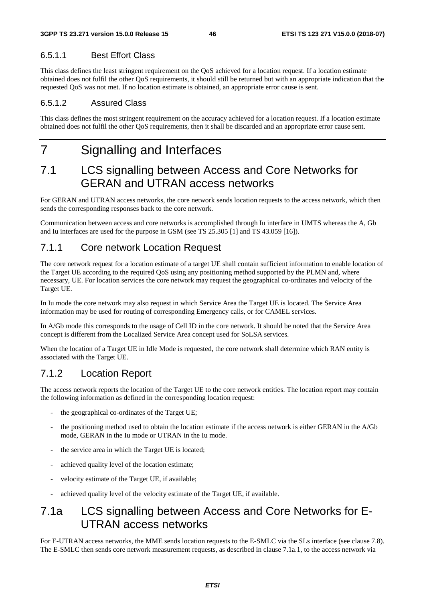#### 6.5.1.1 Best Effort Class

This class defines the least stringent requirement on the QoS achieved for a location request. If a location estimate obtained does not fulfil the other QoS requirements, it should still be returned but with an appropriate indication that the requested QoS was not met. If no location estimate is obtained, an appropriate error cause is sent.

#### 6.5.1.2 Assured Class

This class defines the most stringent requirement on the accuracy achieved for a location request. If a location estimate obtained does not fulfil the other QoS requirements, then it shall be discarded and an appropriate error cause sent.

# 7 Signalling and Interfaces

## 7.1 LCS signalling between Access and Core Networks for GERAN and UTRAN access networks

For GERAN and UTRAN access networks, the core network sends location requests to the access network, which then sends the corresponding responses back to the core network.

Communication between access and core networks is accomplished through Iu interface in UMTS whereas the A, Gb and Iu interfaces are used for the purpose in GSM (see TS 25.305 [1] and TS 43.059 [16]).

## 7.1.1 Core network Location Request

The core network request for a location estimate of a target UE shall contain sufficient information to enable location of the Target UE according to the required QoS using any positioning method supported by the PLMN and, where necessary, UE. For location services the core network may request the geographical co-ordinates and velocity of the Target UE.

In Iu mode the core network may also request in which Service Area the Target UE is located. The Service Area information may be used for routing of corresponding Emergency calls, or for CAMEL services.

In A/Gb mode this corresponds to the usage of Cell ID in the core network. It should be noted that the Service Area concept is different from the Localized Service Area concept used for SoLSA services.

When the location of a Target UE in Idle Mode is requested, the core network shall determine which RAN entity is associated with the Target UE.

### 7.1.2 Location Report

The access network reports the location of the Target UE to the core network entities. The location report may contain the following information as defined in the corresponding location request:

- the geographical co-ordinates of the Target UE;
- the positioning method used to obtain the location estimate if the access network is either GERAN in the A/Gb mode, GERAN in the Iu mode or UTRAN in the Iu mode.
- the service area in which the Target UE is located;
- achieved quality level of the location estimate;
- velocity estimate of the Target UE, if available;
- achieved quality level of the velocity estimate of the Target UE, if available.

## 7.1a LCS signalling between Access and Core Networks for E-UTRAN access networks

For E-UTRAN access networks, the MME sends location requests to the E-SMLC via the SLs interface (see clause 7.8). The E-SMLC then sends core network measurement requests, as described in clause 7.1a.1, to the access network via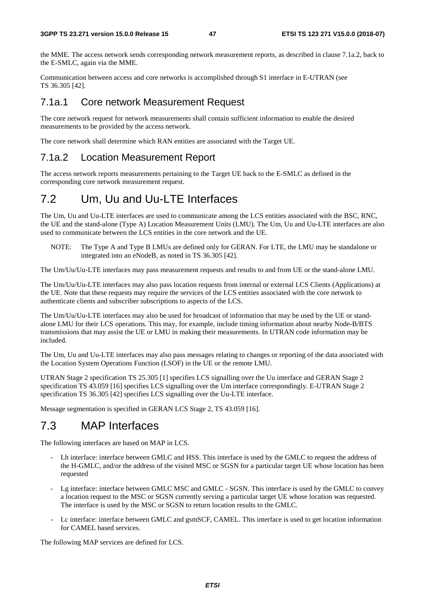the MME. The access network sends corresponding network measurement reports, as described in clause 7.1a.2, back to the E-SMLC, again via the MME.

Communication between access and core networks is accomplished through S1 interface in E-UTRAN (see TS 36.305 [42].

### 7.1a.1 Core network Measurement Request

The core network request for network measurements shall contain sufficient information to enable the desired measurements to be provided by the access network.

The core network shall determine which RAN entities are associated with the Target UE.

### 7.1a.2 Location Measurement Report

The access network reports measurements pertaining to the Target UE back to the E-SMLC as defined in the corresponding core network measurement request.

## 7.2 Um, Uu and Uu-LTE Interfaces

The Um, Uu and Uu-LTE interfaces are used to communicate among the LCS entities associated with the BSC, RNC, the UE and the stand-alone (Type A) Location Measurement Units (LMU). The Um, Uu and Uu-LTE interfaces are also used to communicate between the LCS entities in the core network and the UE.

NOTE: The Type A and Type B LMUs are defined only for GERAN. For LTE, the LMU may be standalone or integrated into an eNodeB, as noted in TS 36.305 [42].

The Um/Uu/Uu-LTE interfaces may pass measurement requests and results to and from UE or the stand-alone LMU.

The Um/Uu/Uu-LTE interfaces may also pass location requests from internal or external LCS Clients (Applications) at the UE. Note that these requests may require the services of the LCS entities associated with the core network to authenticate clients and subscriber subscriptions to aspects of the LCS.

The Um/Uu/Uu-LTE interfaces may also be used for broadcast of information that may be used by the UE or standalone LMU for their LCS operations. This may, for example, include timing information about nearby Node-B/BTS transmissions that may assist the UE or LMU in making their measurements. In UTRAN code information may be included.

The Um, Uu and Uu-LTE interfaces may also pass messages relating to changes or reporting of the data associated with the Location System Operations Function (LSOF) in the UE or the remote LMU.

UTRAN Stage 2 specification TS 25.305 [1] specifies LCS signalling over the Uu interface and GERAN Stage 2 specification TS 43.059 [16] specifies LCS signalling over the Um interface correspondingly. E-UTRAN Stage 2 specification TS 36.305 [42] specifies LCS signalling over the Uu-LTE interface.

Message segmentation is specified in GERAN LCS Stage 2, TS 43.059 [16].

## 7.3 MAP Interfaces

The following interfaces are based on MAP in LCS.

- Lh interface: interface between GMLC and HSS. This interface is used by the GMLC to request the address of the H-GMLC, and/or the address of the visited MSC or SGSN for a particular target UE whose location has been requested
- Lg interface: interface between GMLC MSC and GMLC SGSN. This interface is used by the GMLC to convey a location request to the MSC or SGSN currently serving a particular target UE whose location was requested. The interface is used by the MSC or SGSN to return location results to the GMLC.
- Lc interface: interface between GMLC and gsmSCF, CAMEL. This interface is used to get location information for CAMEL based services.

The following MAP services are defined for LCS.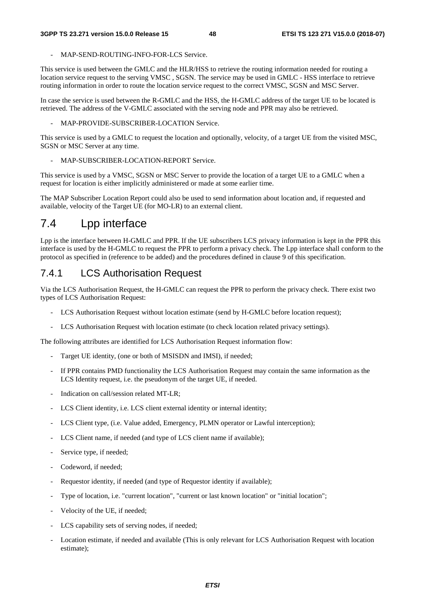- MAP-SEND-ROUTING-INFO-FOR-LCS Service.

This service is used between the GMLC and the HLR/HSS to retrieve the routing information needed for routing a location service request to the serving VMSC , SGSN. The service may be used in GMLC - HSS interface to retrieve routing information in order to route the location service request to the correct VMSC, SGSN and MSC Server.

In case the service is used between the R-GMLC and the HSS, the H-GMLC address of the target UE to be located is retrieved. The address of the V-GMLC associated with the serving node and PPR may also be retrieved.

MAP-PROVIDE-SUBSCRIBER-LOCATION Service.

This service is used by a GMLC to request the location and optionally, velocity, of a target UE from the visited MSC, SGSN or MSC Server at any time.

MAP-SUBSCRIBER-LOCATION-REPORT Service.

This service is used by a VMSC, SGSN or MSC Server to provide the location of a target UE to a GMLC when a request for location is either implicitly administered or made at some earlier time.

The MAP Subscriber Location Report could also be used to send information about location and, if requested and available, velocity of the Target UE (for MO-LR) to an external client.

## 7.4 Lpp interface

Lpp is the interface between H-GMLC and PPR. If the UE subscribers LCS privacy information is kept in the PPR this interface is used by the H-GMLC to request the PPR to perform a privacy check. The Lpp interface shall conform to the protocol as specified in (reference to be added) and the procedures defined in clause 9 of this specification.

### 7.4.1 LCS Authorisation Request

Via the LCS Authorisation Request, the H-GMLC can request the PPR to perform the privacy check. There exist two types of LCS Authorisation Request:

- LCS Authorisation Request without location estimate (send by H-GMLC before location request);
- LCS Authorisation Request with location estimate (to check location related privacy settings).

The following attributes are identified for LCS Authorisation Request information flow:

- Target UE identity, (one or both of MSISDN and IMSI), if needed;
- If PPR contains PMD functionality the LCS Authorisation Request may contain the same information as the LCS Identity request, i.e. the pseudonym of the target UE, if needed.
- Indication on call/session related MT-LR;
- LCS Client identity, i.e. LCS client external identity or internal identity;
- LCS Client type, (i.e. Value added, Emergency, PLMN operator or Lawful interception);
- LCS Client name, if needed (and type of LCS client name if available);
- Service type, if needed;
- Codeword, if needed:
- Requestor identity, if needed (and type of Requestor identity if available);
- Type of location, i.e. "current location", "current or last known location" or "initial location";
- Velocity of the UE, if needed;
- LCS capability sets of serving nodes, if needed;
- Location estimate, if needed and available (This is only relevant for LCS Authorisation Request with location estimate);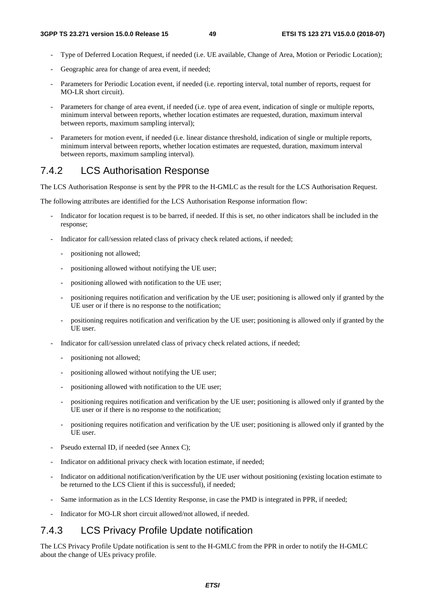- Type of Deferred Location Request, if needed (i.e. UE available, Change of Area, Motion or Periodic Location);
- Geographic area for change of area event, if needed;
- Parameters for Periodic Location event, if needed (i.e. reporting interval, total number of reports, request for MO-LR short circuit).
- Parameters for change of area event, if needed (i.e. type of area event, indication of single or multiple reports, minimum interval between reports, whether location estimates are requested, duration, maximum interval between reports, maximum sampling interval);
- Parameters for motion event, if needed (i.e. linear distance threshold, indication of single or multiple reports, minimum interval between reports, whether location estimates are requested, duration, maximum interval between reports, maximum sampling interval).

## 7.4.2 LCS Authorisation Response

The LCS Authorisation Response is sent by the PPR to the H-GMLC as the result for the LCS Authorisation Request.

The following attributes are identified for the LCS Authorisation Response information flow:

- Indicator for location request is to be barred, if needed. If this is set, no other indicators shall be included in the response;
- Indicator for call/session related class of privacy check related actions, if needed;
	- positioning not allowed;
	- positioning allowed without notifying the UE user;
	- positioning allowed with notification to the UE user;
	- positioning requires notification and verification by the UE user; positioning is allowed only if granted by the UE user or if there is no response to the notification;
	- positioning requires notification and verification by the UE user; positioning is allowed only if granted by the UE user.
- Indicator for call/session unrelated class of privacy check related actions, if needed;
	- positioning not allowed;
	- positioning allowed without notifying the UE user;
	- positioning allowed with notification to the UE user;
	- positioning requires notification and verification by the UE user; positioning is allowed only if granted by the UE user or if there is no response to the notification;
	- positioning requires notification and verification by the UE user; positioning is allowed only if granted by the UE user.
- Pseudo external ID, if needed (see Annex C);
- Indicator on additional privacy check with location estimate, if needed;
- Indicator on additional notification/verification by the UE user without positioning (existing location estimate to be returned to the LCS Client if this is successful), if needed;
- Same information as in the LCS Identity Response, in case the PMD is integrated in PPR, if needed;
- Indicator for MO-LR short circuit allowed/not allowed, if needed.

## 7.4.3 LCS Privacy Profile Update notification

The LCS Privacy Profile Update notification is sent to the H-GMLC from the PPR in order to notify the H-GMLC about the change of UEs privacy profile.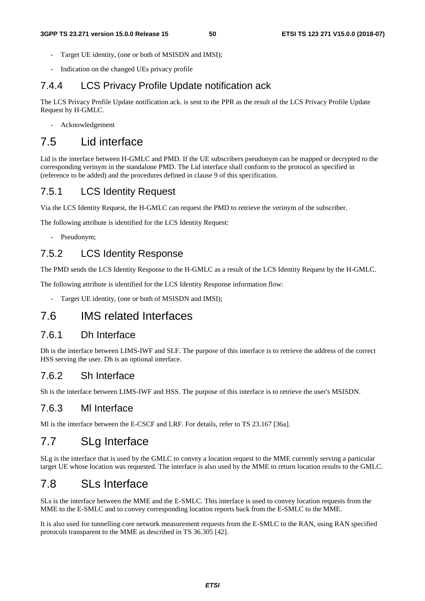- Target UE identity, (one or both of MSISDN and IMSI);
- Indication on the changed UEs privacy profile

## 7.4.4 LCS Privacy Profile Update notification ack

The LCS Privacy Profile Update notification ack. is sent to the PPR as the result of the LCS Privacy Profile Update Request by H-GMLC.

- Acknowledgement

## 7.5 Lid interface

Lid is the interface between H-GMLC and PMD. If the UE subscribers pseudonym can be mapped or decrypted to the corresponding verinym in the standalone PMD. The Lid interface shall conform to the protocol as specified in (reference to be added) and the procedures defined in clause 9 of this specification.

## 7.5.1 LCS Identity Request

Via the LCS Identity Request, the H-GMLC can request the PMD to retrieve the verinym of the subscriber.

The following attribute is identified for the LCS Identity Request:

- Pseudonym;

## 7.5.2 LCS Identity Response

The PMD sends the LCS Identity Response to the H-GMLC as a result of the LCS Identity Request by the H-GMLC.

The following attribute is identified for the LCS Identity Response information flow:

Target UE identity, (one or both of MSISDN and IMSI);

## 7.6 IMS related Interfaces

### 7.6.1 Dh Interface

Dh is the interface between LIMS-IWF and SLF. The purpose of this interface is to retrieve the address of the correct HSS serving the user. Dh is an optional interface.

### 7.6.2 Sh Interface

Sh is the interface between LIMS-IWF and HSS. The purpose of this interface is to retrieve the user's MSISDN.

### 7.6.3 Ml Interface

Ml is the interface between the E-CSCF and LRF. For details, refer to TS 23.167 [36a].

## 7.7 SLg Interface

SLg is the interface that is used by the GMLC to convey a location request to the MME currently serving a particular target UE whose location was requested. The interface is also used by the MME to return location results to the GMLC.

## 7.8 SLs Interface

SLs is the interface between the MME and the E-SMLC. This interface is used to convey location requests from the MME to the E-SMLC and to convey corresponding location reports back from the E-SMLC to the MME.

It is also used for tunnelling core network measurement requests from the E-SMLC to the RAN, using RAN specified protocols transparent to the MME as described in TS 36.305 [42].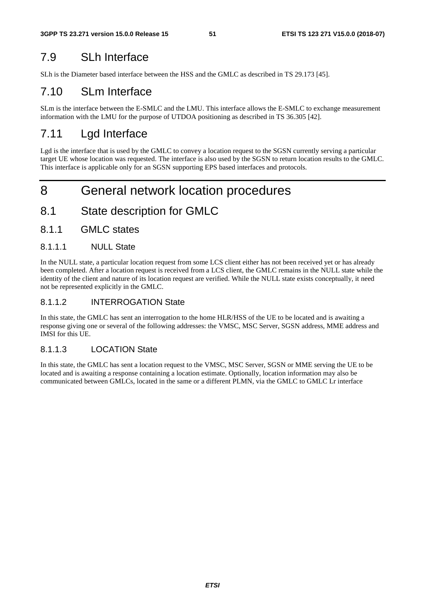## 7.9 SLh Interface

SLh is the Diameter based interface between the HSS and the GMLC as described in TS 29.173 [45].

## 7.10 SLm Interface

SLm is the interface between the E-SMLC and the LMU. This interface allows the E-SMLC to exchange measurement information with the LMU for the purpose of UTDOA positioning as described in TS 36.305 [42].

## 7.11 Lgd Interface

Lgd is the interface that is used by the GMLC to convey a location request to the SGSN currently serving a particular target UE whose location was requested. The interface is also used by the SGSN to return location results to the GMLC. This interface is applicable only for an SGSN supporting EPS based interfaces and protocols.

## 8 General network location procedures

## 8.1 State description for GMLC

8.1.1 GMLC states

#### 8.1.1.1 NULL State

In the NULL state, a particular location request from some LCS client either has not been received yet or has already been completed. After a location request is received from a LCS client, the GMLC remains in the NULL state while the identity of the client and nature of its location request are verified. While the NULL state exists conceptually, it need not be represented explicitly in the GMLC.

### 8.1.1.2 INTERROGATION State

In this state, the GMLC has sent an interrogation to the home HLR/HSS of the UE to be located and is awaiting a response giving one or several of the following addresses: the VMSC, MSC Server, SGSN address, MME address and IMSI for this UE.

### 8.1.1.3 LOCATION State

In this state, the GMLC has sent a location request to the VMSC, MSC Server, SGSN or MME serving the UE to be located and is awaiting a response containing a location estimate. Optionally, location information may also be communicated between GMLCs, located in the same or a different PLMN, via the GMLC to GMLC Lr interface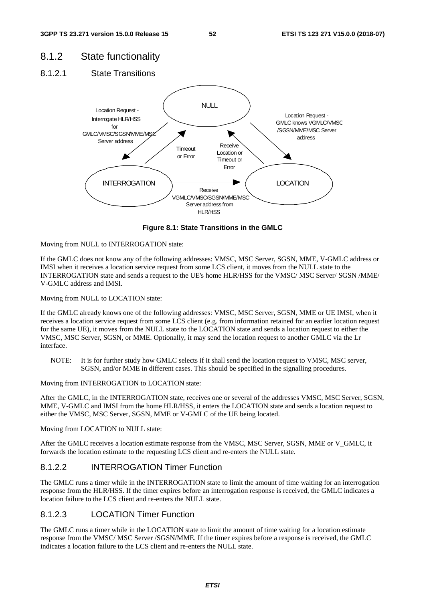## 8.1.2 State functionality

8.1.2.1 State Transitions



**Figure 8.1: State Transitions in the GMLC** 

Moving from NULL to INTERROGATION state:

If the GMLC does not know any of the following addresses: VMSC, MSC Server, SGSN, MME, V-GMLC address or IMSI when it receives a location service request from some LCS client, it moves from the NULL state to the INTERROGATION state and sends a request to the UE's home HLR/HSS for the VMSC/ MSC Server/ SGSN /MME/ V-GMLC address and IMSI.

Moving from NULL to LOCATION state:

If the GMLC already knows one of the following addresses: VMSC, MSC Server, SGSN, MME or UE IMSI, when it receives a location service request from some LCS client (e.g. from information retained for an earlier location request for the same UE), it moves from the NULL state to the LOCATION state and sends a location request to either the VMSC, MSC Server, SGSN, or MME. Optionally, it may send the location request to another GMLC via the Lr interface.

NOTE: It is for further study how GMLC selects if it shall send the location request to VMSC, MSC server, SGSN, and/or MME in different cases. This should be specified in the signalling procedures.

Moving from INTERROGATION to LOCATION state:

After the GMLC, in the INTERROGATION state, receives one or several of the addresses VMSC, MSC Server, SGSN, MME, V-GMLC and IMSI from the home HLR/HSS, it enters the LOCATION state and sends a location request to either the VMSC, MSC Server, SGSN, MME or V-GMLC of the UE being located.

Moving from LOCATION to NULL state:

After the GMLC receives a location estimate response from the VMSC, MSC Server, SGSN, MME or V\_GMLC, it forwards the location estimate to the requesting LCS client and re-enters the NULL state.

### 8.1.2.2 INTERROGATION Timer Function

The GMLC runs a timer while in the INTERROGATION state to limit the amount of time waiting for an interrogation response from the HLR/HSS. If the timer expires before an interrogation response is received, the GMLC indicates a location failure to the LCS client and re-enters the NULL state.

#### 8.1.2.3 LOCATION Timer Function

The GMLC runs a timer while in the LOCATION state to limit the amount of time waiting for a location estimate response from the VMSC/ MSC Server /SGSN/MME. If the timer expires before a response is received, the GMLC indicates a location failure to the LCS client and re-enters the NULL state.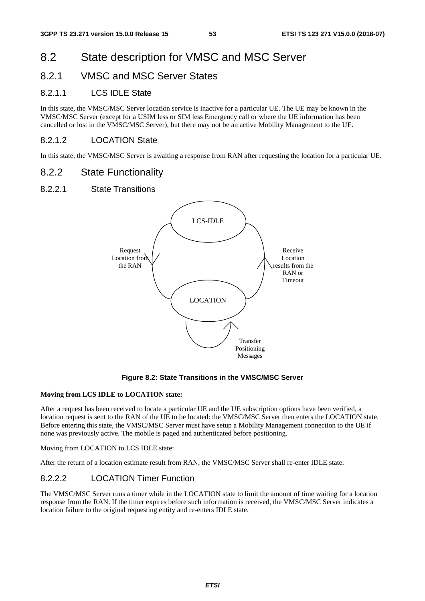## 8.2 State description for VMSC and MSC Server

## 8.2.1 VMSC and MSC Server States

#### 8.2.1.1 LCS IDLE State

In this state, the VMSC/MSC Server location service is inactive for a particular UE. The UE may be known in the VMSC/MSC Server (except for a USIM less or SIM less Emergency call or where the UE information has been cancelled or lost in the VMSC/MSC Server), but there may not be an active Mobility Management to the UE.

#### 8.2.1.2 LOCATION State

In this state, the VMSC/MSC Server is awaiting a response from RAN after requesting the location for a particular UE.

#### 8.2.2 State Functionality

#### 8.2.2.1 State Transitions



#### **Figure 8.2: State Transitions in the VMSC/MSC Server**

#### **Moving from LCS IDLE to LOCATION state:**

After a request has been received to locate a particular UE and the UE subscription options have been verified, a location request is sent to the RAN of the UE to be located: the VMSC/MSC Server then enters the LOCATION state. Before entering this state, the VMSC/MSC Server must have setup a Mobility Management connection to the UE if none was previously active. The mobile is paged and authenticated before positioning.

Moving from LOCATION to LCS IDLE state:

After the return of a location estimate result from RAN, the VMSC/MSC Server shall re-enter IDLE state.

#### 8.2.2.2 LOCATION Timer Function

The VMSC/MSC Server runs a timer while in the LOCATION state to limit the amount of time waiting for a location response from the RAN. If the timer expires before such information is received, the VMSC/MSC Server indicates a location failure to the original requesting entity and re-enters IDLE state.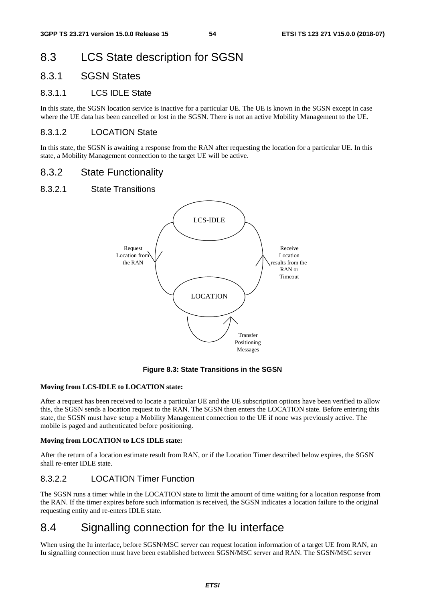## 8.3 LCS State description for SGSN

### 8.3.1 SGSN States

#### 8.3.1.1 LCS IDLE State

In this state, the SGSN location service is inactive for a particular UE. The UE is known in the SGSN except in case where the UE data has been cancelled or lost in the SGSN. There is not an active Mobility Management to the UE.

#### 8.3.1.2 LOCATION State

In this state, the SGSN is awaiting a response from the RAN after requesting the location for a particular UE. In this state, a Mobility Management connection to the target UE will be active.

#### 8.3.2 State Functionality

#### 8.3.2.1 State Transitions



#### **Figure 8.3: State Transitions in the SGSN**

#### **Moving from LCS-IDLE to LOCATION state:**

After a request has been received to locate a particular UE and the UE subscription options have been verified to allow this, the SGSN sends a location request to the RAN. The SGSN then enters the LOCATION state. Before entering this state, the SGSN must have setup a Mobility Management connection to the UE if none was previously active. The mobile is paged and authenticated before positioning.

#### **Moving from LOCATION to LCS IDLE state:**

After the return of a location estimate result from RAN, or if the Location Timer described below expires, the SGSN shall re-enter IDLE state.

#### 8.3.2.2 LOCATION Timer Function

The SGSN runs a timer while in the LOCATION state to limit the amount of time waiting for a location response from the RAN. If the timer expires before such information is received, the SGSN indicates a location failure to the original requesting entity and re-enters IDLE state.

## 8.4 Signalling connection for the Iu interface

When using the Iu interface, before SGSN/MSC server can request location information of a target UE from RAN, an Iu signalling connection must have been established between SGSN/MSC server and RAN. The SGSN/MSC server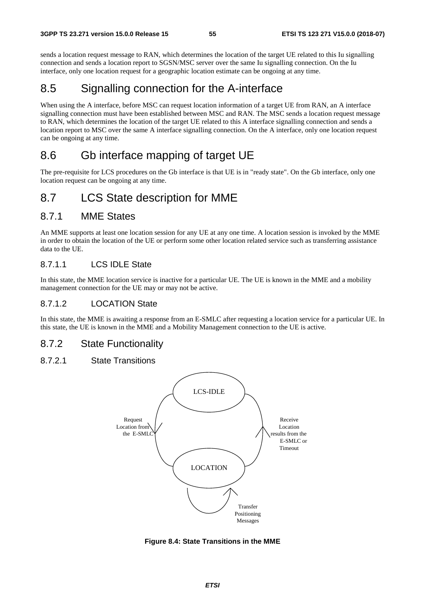sends a location request message to RAN, which determines the location of the target UE related to this Iu signalling connection and sends a location report to SGSN/MSC server over the same Iu signalling connection. On the Iu interface, only one location request for a geographic location estimate can be ongoing at any time.

## 8.5 Signalling connection for the A-interface

When using the A interface, before MSC can request location information of a target UE from RAN, an A interface signalling connection must have been established between MSC and RAN. The MSC sends a location request message to RAN, which determines the location of the target UE related to this A interface signalling connection and sends a location report to MSC over the same A interface signalling connection. On the A interface, only one location request can be ongoing at any time.

## 8.6 Gb interface mapping of target UE

The pre-requisite for LCS procedures on the Gb interface is that UE is in "ready state". On the Gb interface, only one location request can be ongoing at any time.

## 8.7 LCS State description for MME

### 8.7.1 MME States

An MME supports at least one location session for any UE at any one time. A location session is invoked by the MME in order to obtain the location of the UE or perform some other location related service such as transferring assistance data to the UE.

#### 8.7.1.1 LCS IDLE State

In this state, the MME location service is inactive for a particular UE. The UE is known in the MME and a mobility management connection for the UE may or may not be active.

#### 8.7.1.2 LOCATION State

In this state, the MME is awaiting a response from an E-SMLC after requesting a location service for a particular UE. In this state, the UE is known in the MME and a Mobility Management connection to the UE is active.

### 8.7.2 State Functionality

#### 8.7.2.1 State Transitions



**Figure 8.4: State Transitions in the MME**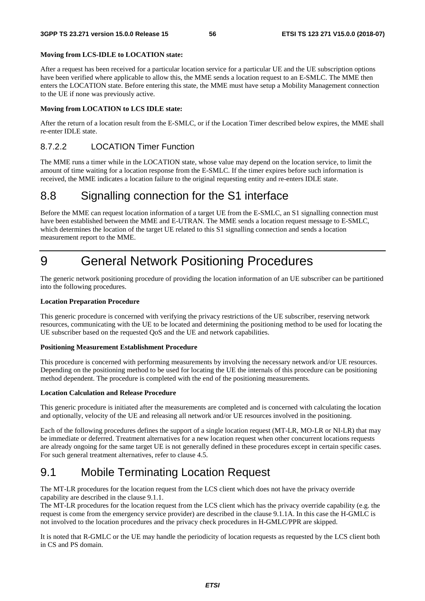#### **Moving from LCS-IDLE to LOCATION state:**

After a request has been received for a particular location service for a particular UE and the UE subscription options have been verified where applicable to allow this, the MME sends a location request to an E-SMLC. The MME then enters the LOCATION state. Before entering this state, the MME must have setup a Mobility Management connection to the UE if none was previously active.

#### **Moving from LOCATION to LCS IDLE state:**

After the return of a location result from the E-SMLC, or if the Location Timer described below expires, the MME shall re-enter IDLE state.

#### 8.7.2.2 LOCATION Timer Function

The MME runs a timer while in the LOCATION state, whose value may depend on the location service, to limit the amount of time waiting for a location response from the E-SMLC. If the timer expires before such information is received, the MME indicates a location failure to the original requesting entity and re-enters IDLE state.

## 8.8 Signalling connection for the S1 interface

Before the MME can request location information of a target UE from the E-SMLC, an S1 signalling connection must have been established between the MME and E-UTRAN. The MME sends a location request message to E-SMLC, which determines the location of the target UE related to this S1 signalling connection and sends a location measurement report to the MME.

## 9 General Network Positioning Procedures

The generic network positioning procedure of providing the location information of an UE subscriber can be partitioned into the following procedures.

#### **Location Preparation Procedure**

This generic procedure is concerned with verifying the privacy restrictions of the UE subscriber, reserving network resources, communicating with the UE to be located and determining the positioning method to be used for locating the UE subscriber based on the requested QoS and the UE and network capabilities.

#### **Positioning Measurement Establishment Procedure**

This procedure is concerned with performing measurements by involving the necessary network and/or UE resources. Depending on the positioning method to be used for locating the UE the internals of this procedure can be positioning method dependent. The procedure is completed with the end of the positioning measurements.

#### **Location Calculation and Release Procedure**

This generic procedure is initiated after the measurements are completed and is concerned with calculating the location and optionally, velocity of the UE and releasing all network and/or UE resources involved in the positioning.

Each of the following procedures defines the support of a single location request (MT-LR, MO-LR or NI-LR) that may be immediate or deferred. Treatment alternatives for a new location request when other concurrent locations requests are already ongoing for the same target UE is not generally defined in these procedures except in certain specific cases. For such general treatment alternatives, refer to clause 4.5.

## 9.1 Mobile Terminating Location Request

The MT-LR procedures for the location request from the LCS client which does not have the privacy override capability are described in the clause 9.1.1.

The MT-LR procedures for the location request from the LCS client which has the privacy override capability (e.g. the request is come from the emergency service provider) are described in the clause 9.1.1A. In this case the H-GMLC is not involved to the location procedures and the privacy check procedures in H-GMLC/PPR are skipped.

It is noted that R-GMLC or the UE may handle the periodicity of location requests as requested by the LCS client both in CS and PS domain.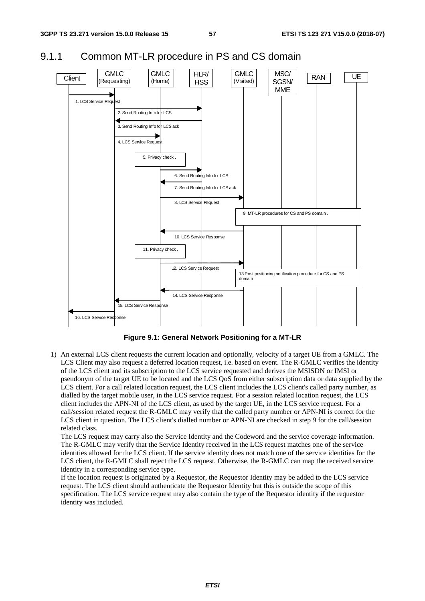



**Figure 9.1: General Network Positioning for a MT-LR** 

1) An external LCS client requests the current location and optionally, velocity of a target UE from a GMLC. The LCS Client may also request a deferred location request, i.e. based on event. The R-GMLC verifies the identity of the LCS client and its subscription to the LCS service requested and derives the MSISDN or IMSI or pseudonym of the target UE to be located and the LCS QoS from either subscription data or data supplied by the LCS client. For a call related location request, the LCS client includes the LCS client's called party number, as dialled by the target mobile user, in the LCS service request. For a session related location request, the LCS client includes the APN-NI of the LCS client, as used by the target UE, in the LCS service request. For a call/session related request the R-GMLC may verify that the called party number or APN-NI is correct for the LCS client in question. The LCS client's dialled number or APN-NI are checked in step 9 for the call/session related class.

The LCS request may carry also the Service Identity and the Codeword and the service coverage information. The R-GMLC may verify that the Service Identity received in the LCS request matches one of the service identities allowed for the LCS client. If the service identity does not match one of the service identities for the LCS client, the R-GMLC shall reject the LCS request. Otherwise, the R-GMLC can map the received service identity in a corresponding service type.

If the location request is originated by a Requestor, the Requestor Identity may be added to the LCS service request. The LCS client should authenticate the Requestor Identity but this is outside the scope of this specification. The LCS service request may also contain the type of the Requestor identity if the requestor identity was included.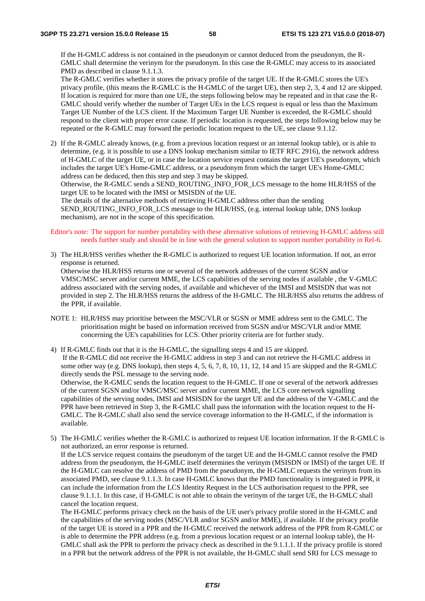If the H-GMLC address is not contained in the pseudonym or cannot deduced from the pseudonym, the R-GMLC shall determine the verinym for the pseudonym. In this case the R-GMLC may access to its associated PMD as described in clause 9.1.1.3.

The R-GMLC verifies whether it stores the privacy profile of the target UE. If the R-GMLC stores the UE's privacy profile, (this means the R-GMLC is the H-GMLC of the target UE), then step 2, 3, 4 and 12 are skipped. If location is required for more than one UE, the steps following below may be repeated and in that case the R-GMLC should verify whether the number of Target UEs in the LCS request is equal or less than the Maximum Target UE Number of the LCS client. If the Maximum Target UE Number is exceeded, the R-GMLC should respond to the client with proper error cause. If periodic location is requested, the steps following below may be repeated or the R-GMLC may forward the periodic location request to the UE, see clause 9.1.12.

2) If the R-GMLC already knows, (e.g. from a previous location request or an internal lookup table), or is able to determine, (e.g. it is possible to use a DNS lookup mechanism similar to IETF RFC 2916), the network address of H-GMLC of the target UE, or in case the location service request contains the target UE's pseudonym, which includes the target UE's Home-GMLC address, or a pseudonym from which the target UE's Home-GMLC address can be deduced, then this step and step 3 may be skipped.

Otherwise, the R-GMLC sends a SEND\_ROUTING\_INFO\_FOR\_LCS message to the home HLR/HSS of the target UE to be located with the IMSI or MSISDN of the UE.

The details of the alternative methods of retrieving H-GMLC address other than the sending SEND\_ROUTING\_INFO\_FOR\_LCS message to the HLR/HSS, (e.g. internal lookup table, DNS lookup mechanism), are not in the scope of this specification.

#### Editor's note: The support for number portability with these alternative solutions of retrieving H-GMLC address still needs further study and should be in line with the general solution to support number portability in Rel-6.

3) The HLR/HSS verifies whether the R-GMLC is authorized to request UE location information. If not, an error response is returned.

Otherwise the HLR/HSS returns one or several of the network addresses of the current SGSN and/or VMSC/MSC server and/or current MME, the LCS capabilities of the serving nodes if available , the V-GMLC address associated with the serving nodes, if available and whichever of the IMSI and MSISDN that was not provided in step 2. The HLR/HSS returns the address of the H-GMLC. The HLR/HSS also returns the address of the PPR, if available.

NOTE 1: HLR/HSS may prioritise between the MSC/VLR or SGSN or MME address sent to the GMLC. The prioritisation might be based on information received from SGSN and/or MSC/VLR and/or MME concerning the UE's capabilities for LCS. Other priority criteria are for further study.

4) If R-GMLC finds out that it is the H-GMLC, the signalling steps 4 and 15 are skipped. If the R-GMLC did not receive the H-GMLC address in step 3 and can not retrieve the H-GMLC address in some other way (e.g. DNS lookup), then steps 4, 5, 6, 7, 8, 10, 11, 12, 14 and 15 are skipped and the R-GMLC directly sends the PSL message to the serving node. Otherwise, the R-GMLC sends the location request to the H-GMLC. If one or several of the network addresses of the current SGSN and/or VMSC/MSC server and/or current MME, the LCS core network signalling capabilities of the serving nodes, IMSI and MSISDN for the target UE and the address of the V-GMLC and the PPR have been retrieved in Step 3, the R-GMLC shall pass the information with the location request to the H-GMLC. The R-GMLC shall also send the service coverage information to the H-GMLC, if the information is available.

5) The H-GMLC verifies whether the R-GMLC is authorized to request UE location information. If the R-GMLC is not authorized, an error response is returned. If the LCS service request contains the pseudonym of the target UE and the H-GMLC cannot resolve the PMD address from the pseudonym, the H-GMLC itself determines the verinym (MSISDN or IMSI) of the target UE. If the H-GMLC can resolve the address of PMD from the pseudonym, the H-GMLC requests the verinym from its associated PMD, see clause 9.1.1.3. In case H-GMLC knows that the PMD functionality is integrated in PPR, it

can include the information from the LCS Identity Request in the LCS authorisation request to the PPR, see clause 9.1.1.1. In this case, if H-GMLC is not able to obtain the verinym of the target UE, the H-GMLC shall cancel the location request.

The H-GMLC performs privacy check on the basis of the UE user's privacy profile stored in the H-GMLC and the capabilities of the serving nodes (MSC/VLR and/or SGSN and/or MME), if available. If the privacy profile of the target UE is stored in a PPR and the H-GMLC received the network address of the PPR from R-GMLC or is able to determine the PPR address (e.g. from a previous location request or an internal lookup table), the H-GMLC shall ask the PPR to perform the privacy check as described in the 9.1.1.1. If the privacy profile is stored in a PPR but the network address of the PPR is not available, the H-GMLC shall send SRI for LCS message to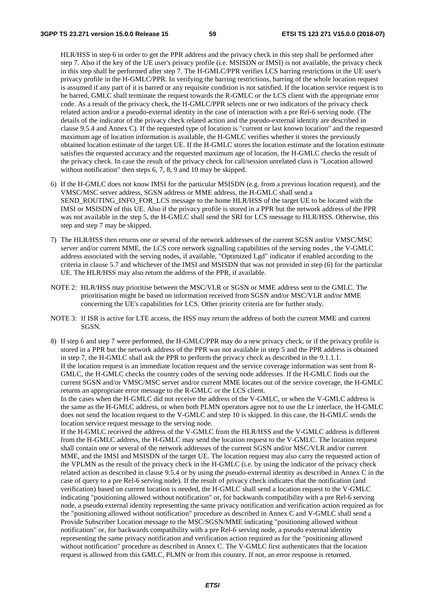HLR/HSS in step 6 in order to get the PPR address and the privacy check in this step shall be performed after step 7. Also if the key of the UE user's privacy profile (i.e. MSISDN or IMSI) is not available, the privacy check in this step shall be performed after step 7. The H-GMLC/PPR verifies LCS barring restrictions in the UE user's privacy profile in the H-GMLC/PPR. In verifying the barring restrictions, barring of the whole location request is assumed if any part of it is barred or any requisite condition is not satisfied. If the location service request is to be barred, GMLC shall terminate the request towards the R-GMLC or the LCS client with the appropriate error code. As a result of the privacy check, the H-GMLC/PPR selects one or two indicators of the privacy check related action and/or a pseudo-external identity in the case of interaction with a pre Rel-6 serving node. (The details of the indicator of the privacy check related action and the pseudo-external identity are described in clause 9.5.4 and Annex C). If the requested type of location is "current or last known location" and the requested maximum age of location information is available, the H-GMLC verifies whether it stores the previously obtained location estimate of the target UE. If the H-GMLC stores the location estimate and the location estimate satisfies the requested accuracy and the requested maximum age of location, the H-GMLC checks the result of the privacy check. In case the result of the privacy check for call/session unrelated class is "Location allowed without notification" then steps 6, 7, 8, 9 and 10 may be skipped.

- 6) If the H-GMLC does not know IMSI for the particular MSISDN (e.g. from a previous location request), and the VMSC/MSC server address, SGSN address or MME address, the H-GMLC shall send a SEND\_ROUTING\_INFO\_FOR\_LCS\_message to the home HLR/HSS of the target UE to be located with the IMSI or MSISDN of this UE. Also if the privacy profile is stored in a PPR but the network address of the PPR was not available in the step 5, the H-GMLC shall send the SRI for LCS message to HLR/HSS. Otherwise, this step and step 7 may be skipped.
- 7) The HLR/HSS then returns one or several of the network addresses of the current SGSN and/or VMSC/MSC server and/or current MME, the LCS core network signalling capabilities of the serving nodes , the V-GMLC address associated with the serving nodes, if available, "Optimized Lgd" indicator if enabled according to the criteria in clause 5.7 and whichever of the IMSI and MSISDN that was not provided in step (6) for the particular UE. The HLR/HSS may also return the address of the PPR, if available.
- NOTE 2: HLR/HSS may prioritise between the MSC/VLR or SGSN or MME address sent to the GMLC. The prioritisation might be based on information received from SGSN and/or MSC/VLR and/or MME concerning the UE's capabilities for LCS. Other priority criteria are for further study.
- NOTE 3: If ISR is active for LTE access, the HSS may return the address of both the current MME and current SGSN.
- 8) If step 6 and step 7 were performed, the H-GMLC/PPR may do a new privacy check, or if the privacy profile is stored in a PPR but the network address of the PPR was not available in step 5 and the PPR address is obtained in step 7, the H-GMLC shall ask the PPR to perform the privacy check as described in the 9.1.1.1. If the location request is an immediate location request and the service coverage information was sent from R-GMLC, the H-GMLC checks the country codes of the serving node addresses. If the H-GMLC finds out the current SGSN and/or VMSC/MSC server and/or current MME locates out of the service coverage, the H-GMLC returns an appropriate error message to the R-GMLC or the LCS client.

In the cases when the H-GMLC did not receive the address of the V-GMLC, or when the V-GMLC address is the same as the H-GMLC address, or when both PLMN operators agree not to use the Lr interface, the H-GMLC does not send the location request to the V-GMLC and step 10 is skipped. In this case, the H-GMLC sends the location service request message to the serving node.

If the H-GMLC received the address of the V-GMLC from the HLR/HSS and the V-GMLC address is different from the H-GMLC address, the H-GMLC may send the location request to the V-GMLC. The location request shall contain one or several of the network addresses of the current SGSN and/or MSC/VLR and/or current MME, and the IMSI and MSISDN of the target UE. The location request may also carry the requested action of the VPLMN as the result of the privacy check in the H-GMLC (i.e. by using the indicator of the privacy check related action as described in clause 9.5.4 or by using the pseudo-external identity as described in Annex C in the case of query to a pre Rel-6 serving node). If the result of privacy check indicates that the notification (and verification) based on current location is needed, the H-GMLC shall send a location request to the V-GMLC indicating "positioning allowed without notification" or, for backwards compatibility with a pre Rel-6 serving node, a pseudo external identity representing the same privacy notification and verification action required as for the "positioning allowed without notification" procedure as described in Annex C and V-GMLC shall send a Provide Subscriber Location message to the MSC/SGSN/MME indicating "positioning allowed without notification" or, for backwards compatibility with a pre Rel-6 serving node, a pseudo external identity representing the same privacy notification and verification action required as for the "positioning allowed without notification" procedure as described in Annex C. The V-GMLC first authenticates that the location request is allowed from this GMLC, PLMN or from this country. If not, an error response is returned.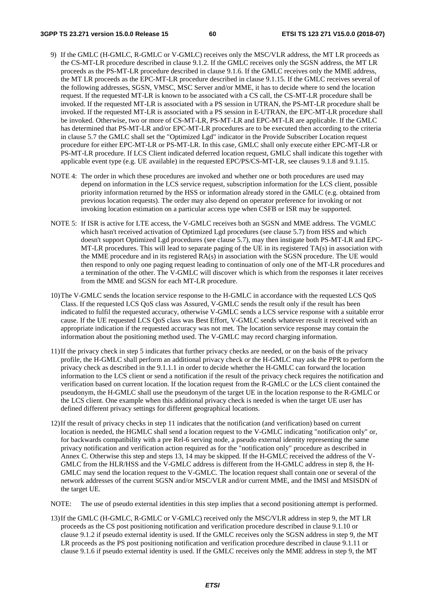- 9) If the GMLC (H-GMLC, R-GMLC or V-GMLC) receives only the MSC/VLR address, the MT LR proceeds as the CS-MT-LR procedure described in clause 9.1.2. If the GMLC receives only the SGSN address, the MT LR proceeds as the PS-MT-LR procedure described in clause 9.1.6. If the GMLC receives only the MME address, the MT LR proceeds as the EPC-MT-LR procedure described in clause 9.1.15. If the GMLC receives several of the following addresses, SGSN, VMSC, MSC Server and/or MME, it has to decide where to send the location request. If the requested MT-LR is known to be associated with a CS call, the CS-MT-LR procedure shall be invoked. If the requested MT-LR is associated with a PS session in UTRAN, the PS-MT-LR procedure shall be invoked. If the requested MT-LR is associated with a PS session in E-UTRAN, the EPC-MT-LR procedure shall be invoked. Otherwise, two or more of CS-MT-LR, PS-MT-LR and EPC-MT-LR are applicable. If the GMLC has determined that PS-MT-LR and/or EPC-MT-LR procedures are to be executed then according to the criteria in clause 5.7 the GMLC shall set the "Optimized Lgd" indicator in the Provide Subscriber Location request procedure for either EPC-MT-LR or PS-MT-LR. In this case, GMLC shall only execute either EPC-MT-LR or PS-MT-LR procedure. If LCS Client indicated deferred location request, GMLC shall indicate this together with applicable event type (e.g. UE available) in the requested EPC/PS/CS-MT-LR, see clauses 9.1.8 and 9.1.15.
- NOTE 4: The order in which these procedures are invoked and whether one or both procedures are used may depend on information in the LCS service request, subscription information for the LCS client, possible priority information returned by the HSS or information already stored in the GMLC (e.g. obtained from previous location requests). The order may also depend on operator preference for invoking or not invoking location estimation on a particular access type when CSFB or ISR may be supported.
- NOTE 5: If ISR is active for LTE access, the V-GMLC receives both an SGSN and MME address. The VGMLC which hasn't received activation of Optimized Lgd procedures (see clause 5.7) from HSS and which doesn't support Optimized Lgd procedures (see clause 5.7), may then instigate both PS-MT-LR and EPC-MT-LR procedures. This will lead to separate paging of the UE in its registered TA(s) in association with the MME procedure and in its registered RA(s) in association with the SGSN procedure. The UE would then respond to only one paging request leading to continuation of only one of the MT-LR procedures and a termination of the other. The V-GMLC will discover which is which from the responses it later receives from the MME and SGSN for each MT-LR procedure.
- 10) The V-GMLC sends the location service response to the H-GMLC in accordance with the requested LCS QoS Class. If the requested LCS QoS class was Assured, V-GMLC sends the result only if the result has been indicated to fulfil the requested accuracy, otherwise V-GMLC sends a LCS service response with a suitable error cause. If the UE requested LCS QoS class was Best Effort, V-GMLC sends whatever result it received with an appropriate indication if the requested accuracy was not met. The location service response may contain the information about the positioning method used. The V-GMLC may record charging information.
- 11) If the privacy check in step 5 indicates that further privacy checks are needed, or on the basis of the privacy profile, the H-GMLC shall perform an additional privacy check or the H-GMLC may ask the PPR to perform the privacy check as described in the 9.1.1.1 in order to decide whether the H-GMLC can forward the location information to the LCS client or send a notification if the result of the privacy check requires the notification and verification based on current location. If the location request from the R-GMLC or the LCS client contained the pseudonym, the H-GMLC shall use the pseudonym of the target UE in the location response to the R-GMLC or the LCS client. One example when this additional privacy check is needed is when the target UE user has defined different privacy settings for different geographical locations.
- 12) If the result of privacy checks in step 11 indicates that the notification (and verification) based on current location is needed, the HGMLC shall send a location request to the V-GMLC indicating "notification only" or, for backwards compatibility with a pre Rel-6 serving node, a pseudo external identity representing the same privacy notification and verification action required as for the "notification only" procedure as described in Annex C. Otherwise this step and steps 13, 14 may be skipped. If the H-GMLC received the address of the V-GMLC from the HLR/HSS and the V-GMLC address is different from the H-GMLC address in step 8, the H-GMLC may send the location request to the V-GMLC. The location request shall contain one or several of the network addresses of the current SGSN and/or MSC/VLR and/or current MME, and the IMSI and MSISDN of the target UE.
- NOTE: The use of pseudo external identities in this step implies that a second positioning attempt is performed.
- 13) If the GMLC (H-GMLC, R-GMLC or V-GMLC) received only the MSC/VLR address in step 9, the MT LR proceeds as the CS post positioning notification and verification procedure described in clause 9.1.10 or clause 9.1.2 if pseudo external identity is used. If the GMLC receives only the SGSN address in step 9, the MT LR proceeds as the PS post positioning notification and verification procedure described in clause 9.1.11 or clause 9.1.6 if pseudo external identity is used. If the GMLC receives only the MME address in step 9, the MT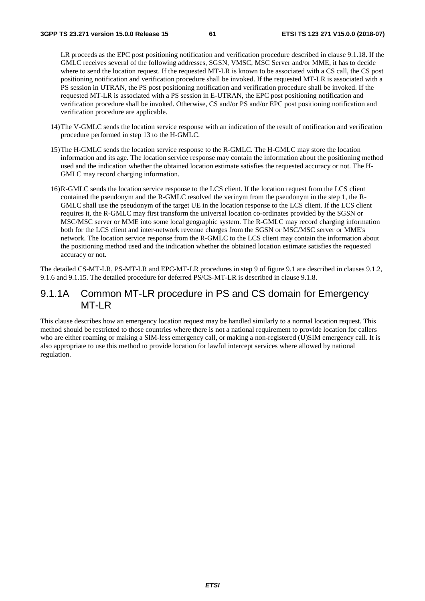LR proceeds as the EPC post positioning notification and verification procedure described in clause 9.1.18. If the GMLC receives several of the following addresses, SGSN, VMSC, MSC Server and/or MME, it has to decide where to send the location request. If the requested MT-LR is known to be associated with a CS call, the CS post positioning notification and verification procedure shall be invoked. If the requested MT-LR is associated with a PS session in UTRAN, the PS post positioning notification and verification procedure shall be invoked. If the requested MT-LR is associated with a PS session in E-UTRAN, the EPC post positioning notification and verification procedure shall be invoked. Otherwise, CS and/or PS and/or EPC post positioning notification and verification procedure are applicable.

- 14) The V-GMLC sends the location service response with an indication of the result of notification and verification procedure performed in step 13 to the H-GMLC.
- 15) The H-GMLC sends the location service response to the R-GMLC. The H-GMLC may store the location information and its age. The location service response may contain the information about the positioning method used and the indication whether the obtained location estimate satisfies the requested accuracy or not. The H-GMLC may record charging information.
- 16) R-GMLC sends the location service response to the LCS client. If the location request from the LCS client contained the pseudonym and the R-GMLC resolved the verinym from the pseudonym in the step 1, the R-GMLC shall use the pseudonym of the target UE in the location response to the LCS client. If the LCS client requires it, the R-GMLC may first transform the universal location co-ordinates provided by the SGSN or MSC/MSC server or MME into some local geographic system. The R-GMLC may record charging information both for the LCS client and inter-network revenue charges from the SGSN or MSC/MSC server or MME's network. The location service response from the R-GMLC to the LCS client may contain the information about the positioning method used and the indication whether the obtained location estimate satisfies the requested accuracy or not.

The detailed CS-MT-LR, PS-MT-LR and EPC-MT-LR procedures in step 9 of figure 9.1 are described in clauses 9.1.2, 9.1.6 and 9.1.15. The detailed procedure for deferred PS/CS-MT-LR is described in clause 9.1.8.

### 9.1.1A Common MT-LR procedure in PS and CS domain for Emergency MT-LR

This clause describes how an emergency location request may be handled similarly to a normal location request. This method should be restricted to those countries where there is not a national requirement to provide location for callers who are either roaming or making a SIM-less emergency call, or making a non-registered (U)SIM emergency call. It is also appropriate to use this method to provide location for lawful intercept services where allowed by national regulation.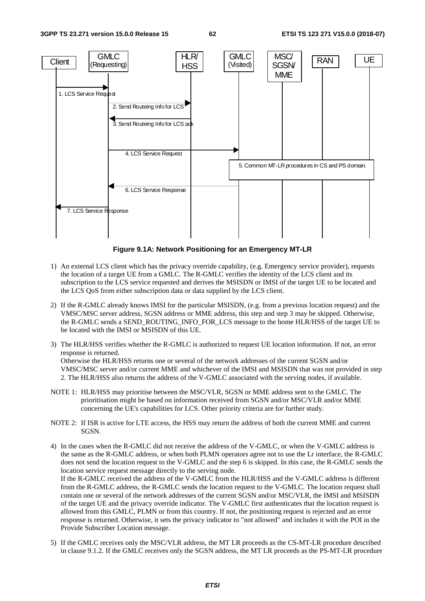

**Figure 9.1A: Network Positioning for an Emergency MT-LR** 

- 1) An external LCS client which has the privacy override capability, (e.g. Emergency service provider), requests the location of a target UE from a GMLC. The R-GMLC verifies the identity of the LCS client and its subscription to the LCS service requested and derives the MSISDN or IMSI of the target UE to be located and the LCS QoS from either subscription data or data supplied by the LCS client.
- 2) If the R-GMLC already knows IMSI for the particular MSISDN, (e.g. from a previous location request) and the VMSC/MSC server address, SGSN address or MME address, this step and step 3 may be skipped. Otherwise, the R-GMLC sends a SEND\_ROUTING\_INFO\_FOR\_LCS message to the home HLR/HSS of the target UE to be located with the IMSI or MSISDN of this UE.
- 3) The HLR/HSS verifies whether the R-GMLC is authorized to request UE location information. If not, an error response is returned. Otherwise the HLR/HSS returns one or several of the network addresses of the current SGSN and/or VMSC/MSC server and/or current MME and whichever of the IMSI and MSISDN that was not provided in step 2. The HLR/HSS also returns the address of the V-GMLC associated with the serving nodes, if available.
- NOTE 1: HLR/HSS may prioritise between the MSC/VLR, SGSN or MME address sent to the GMLC. The prioritisation might be based on information received from SGSN and/or MSC/VLR and/or MME concerning the UE's capabilities for LCS. Other priority criteria are for further study.
- NOTE 2: If ISR is active for LTE access, the HSS may return the address of both the current MME and current SGSN.
- 4) In the cases when the R-GMLC did not receive the address of the V-GMLC, or when the V-GMLC address is the same as the R-GMLC address, or when both PLMN operators agree not to use the Lr interface, the R-GMLC does not send the location request to the V-GMLC and the step 6 is skipped. In this case, the R-GMLC sends the location service request message directly to the serving node. If the R-GMLC received the address of the V-GMLC from the HLR/HSS and the V-GMLC address is different from the R-GMLC address, the R-GMLC sends the location request to the V-GMLC. The location request shall contain one or several of the network addresses of the current SGSN and/or MSC/VLR, the IMSI and MSISDN of the target UE and the privacy override indicator. The V-GMLC first authenticates that the location request is allowed from this GMLC, PLMN or from this country. If not, the positioning request is rejected and an error response is returned. Otherwise, it sets the privacy indicator to "not allowed" and includes it with the POI in the Provide Subscriber Location message.
- 5) If the GMLC receives only the MSC/VLR address, the MT LR proceeds as the CS-MT-LR procedure described in clause 9.1.2. If the GMLC receives only the SGSN address, the MT LR proceeds as the PS-MT-LR procedure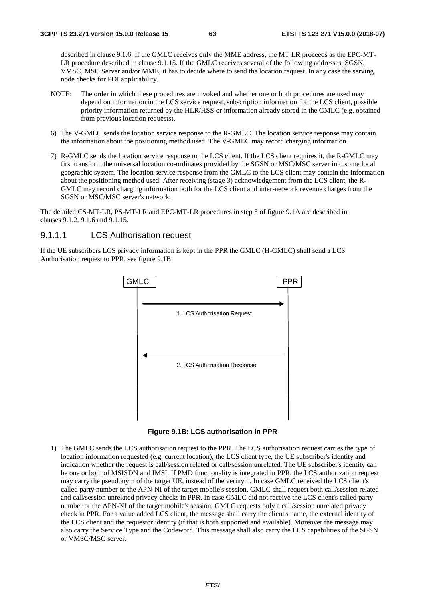described in clause 9.1.6. If the GMLC receives only the MME address, the MT LR proceeds as the EPC-MT-LR procedure described in clause 9.1.15. If the GMLC receives several of the following addresses, SGSN, VMSC, MSC Server and/or MME, it has to decide where to send the location request. In any case the serving node checks for POI applicability.

- NOTE: The order in which these procedures are invoked and whether one or both procedures are used may depend on information in the LCS service request, subscription information for the LCS client, possible priority information returned by the HLR/HSS or information already stored in the GMLC (e.g. obtained from previous location requests).
- 6) The V-GMLC sends the location service response to the R-GMLC. The location service response may contain the information about the positioning method used. The V-GMLC may record charging information.
- 7) R-GMLC sends the location service response to the LCS client. If the LCS client requires it, the R-GMLC may first transform the universal location co-ordinates provided by the SGSN or MSC/MSC server into some local geographic system. The location service response from the GMLC to the LCS client may contain the information about the positioning method used. After receiving (stage 3) acknowledgement from the LCS client, the R-GMLC may record charging information both for the LCS client and inter-network revenue charges from the SGSN or MSC/MSC server's network.

The detailed CS-MT-LR, PS-MT-LR and EPC-MT-LR procedures in step 5 of figure 9.1A are described in clauses 9.1.2, 9.1.6 and 9.1.15.

#### 9.1.1.1 LCS Authorisation request

If the UE subscribers LCS privacy information is kept in the PPR the GMLC (H-GMLC) shall send a LCS Authorisation request to PPR, see figure 9.1B.





1) The GMLC sends the LCS authorisation request to the PPR. The LCS authorisation request carries the type of location information requested (e.g. current location), the LCS client type, the UE subscriber's identity and indication whether the request is call/session related or call/session unrelated. The UE subscriber's identity can be one or both of MSISDN and IMSI. If PMD functionality is integrated in PPR, the LCS authorization request may carry the pseudonym of the target UE, instead of the verinym. In case GMLC received the LCS client's called party number or the APN-NI of the target mobile's session, GMLC shall request both call/session related and call/session unrelated privacy checks in PPR. In case GMLC did not receive the LCS client's called party number or the APN-NI of the target mobile's session, GMLC requests only a call/session unrelated privacy check in PPR. For a value added LCS client, the message shall carry the client's name, the external identity of the LCS client and the requestor identity (if that is both supported and available). Moreover the message may also carry the Service Type and the Codeword. This message shall also carry the LCS capabilities of the SGSN or VMSC/MSC server.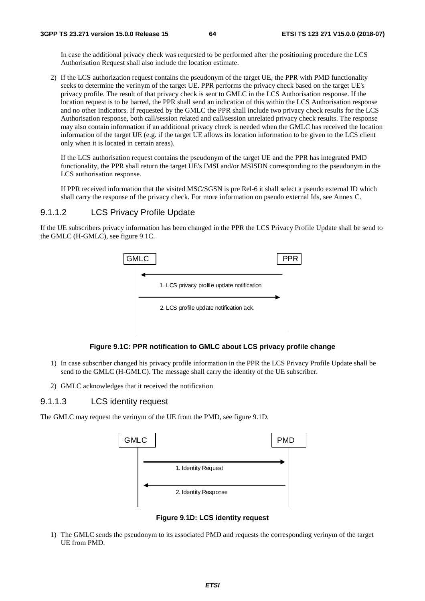In case the additional privacy check was requested to be performed after the positioning procedure the LCS Authorisation Request shall also include the location estimate.

2) If the LCS authorization request contains the pseudonym of the target UE, the PPR with PMD functionality seeks to determine the verinym of the target UE. PPR performs the privacy check based on the target UE's privacy profile. The result of that privacy check is sent to GMLC in the LCS Authorisation response. If the location request is to be barred, the PPR shall send an indication of this within the LCS Authorisation response and no other indicators. If requested by the GMLC the PPR shall include two privacy check results for the LCS Authorisation response, both call/session related and call/session unrelated privacy check results. The response may also contain information if an additional privacy check is needed when the GMLC has received the location information of the target UE (e.g. if the target UE allows its location information to be given to the LCS client only when it is located in certain areas).

 If the LCS authorisation request contains the pseudonym of the target UE and the PPR has integrated PMD functionality, the PPR shall return the target UE's IMSI and/or MSISDN corresponding to the pseudonym in the LCS authorisation response.

 If PPR received information that the visited MSC/SGSN is pre Rel-6 it shall select a pseudo external ID which shall carry the response of the privacy check. For more information on pseudo external Ids, see Annex C.

#### 9.1.1.2 LCS Privacy Profile Update

If the UE subscribers privacy information has been changed in the PPR the LCS Privacy Profile Update shall be send to the GMLC (H-GMLC), see figure 9.1C.





- 1) In case subscriber changed his privacy profile information in the PPR the LCS Privacy Profile Update shall be send to the GMLC (H-GMLC). The message shall carry the identity of the UE subscriber.
- 2) GMLC acknowledges that it received the notification

#### 9.1.1.3 LCS identity request

The GMLC may request the verinym of the UE from the PMD, see figure 9.1D.



**Figure 9.1D: LCS identity request** 

1) The GMLC sends the pseudonym to its associated PMD and requests the corresponding verinym of the target UE from PMD.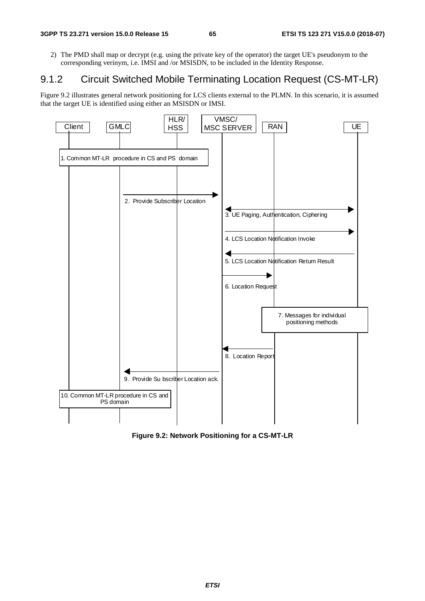2) The PMD shall map or decrypt (e.g. using the private key of the operator) the target UE's pseudonym to the corresponding verinym, i.e. IMSI and /or MSISDN, to be included in the Identity Response.

## 9.1.2 Circuit Switched Mobile Terminating Location Request (CS-MT-LR)

Figure 9.2 illustrates general network positioning for LCS clients external to the PLMN. In this scenario, it is assumed that the target UE is identified using either an MSISDN or IMSI.



**Figure 9.2: Network Positioning for a CS-MT-LR**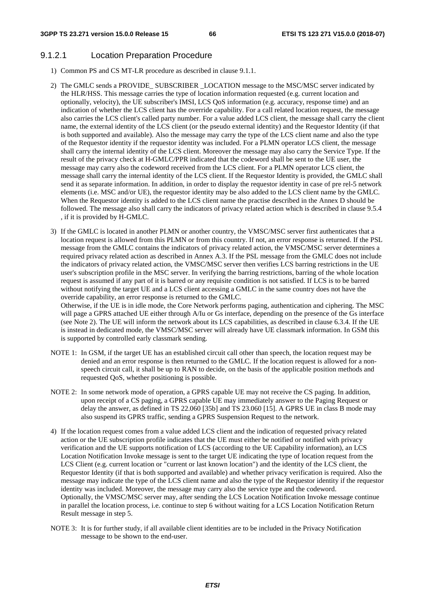#### 9.1.2.1 Location Preparation Procedure

- 1) Common PS and CS MT-LR procedure as described in clause 9.1.1.
- 2) The GMLC sends a PROVIDE SUBSCRIBER LOCATION message to the MSC/MSC server indicated by the HLR/HSS. This message carries the type of location information requested (e.g. current location and optionally, velocity), the UE subscriber's IMSI, LCS QoS information (e.g. accuracy, response time) and an indication of whether the LCS client has the override capability. For a call related location request, the message also carries the LCS client's called party number. For a value added LCS client, the message shall carry the client name, the external identity of the LCS client (or the pseudo external identity) and the Requestor Identity (if that is both supported and available). Also the message may carry the type of the LCS client name and also the type of the Requestor identity if the requestor identity was included. For a PLMN operator LCS client, the message shall carry the internal identity of the LCS client. Moreover the message may also carry the Service Type. If the result of the privacy check at H-GMLC/PPR indicated that the codeword shall be sent to the UE user, the message may carry also the codeword received from the LCS client. For a PLMN operator LCS client, the message shall carry the internal identity of the LCS client. If the Requestor Identity is provided, the GMLC shall send it as separate information. In addition, in order to display the requestor identity in case of pre rel-5 network elements (i.e. MSC and/or UE), the requestor identity may be also added to the LCS client name by the GMLC. When the Requestor identity is added to the LCS client name the practise described in the Annex D should be followed. The message also shall carry the indicators of privacy related action which is described in clause 9.5.4 , if it is provided by H-GMLC.
- 3) If the GMLC is located in another PLMN or another country, the VMSC/MSC server first authenticates that a location request is allowed from this PLMN or from this country. If not, an error response is returned. If the PSL message from the GMLC contains the indicators of privacy related action, the VMSC/MSC server determines a required privacy related action as described in Annex A.3. If the PSL message from the GMLC does not include the indicators of privacy related action, the VMSC/MSC server then verifies LCS barring restrictions in the UE user's subscription profile in the MSC server. In verifying the barring restrictions, barring of the whole location request is assumed if any part of it is barred or any requisite condition is not satisfied. If LCS is to be barred without notifying the target UE and a LCS client accessing a GMLC in the same country does not have the override capability, an error response is returned to the GMLC.

Otherwise, if the UE is in idle mode, the Core Network performs paging, authentication and ciphering. The MSC will page a GPRS attached UE either through A/Iu or Gs interface, depending on the presence of the Gs interface (see Note 2). The UE will inform the network about its LCS capabilities, as described in clause 6.3.4. If the UE is instead in dedicated mode, the VMSC/MSC server will already have UE classmark information. In GSM this is supported by controlled early classmark sending.

- NOTE 1: In GSM, if the target UE has an established circuit call other than speech, the location request may be denied and an error response is then returned to the GMLC. If the location request is allowed for a nonspeech circuit call, it shall be up to RAN to decide, on the basis of the applicable position methods and requested QoS, whether positioning is possible.
- NOTE 2: In some network mode of operation, a GPRS capable UE may not receive the CS paging. In addition, upon receipt of a CS paging, a GPRS capable UE may immediately answer to the Paging Request or delay the answer, as defined in TS 22.060 [35b] and TS 23.060 [15]. A GPRS UE in class B mode may also suspend its GPRS traffic, sending a GPRS Suspension Request to the network.
- 4) If the location request comes from a value added LCS client and the indication of requested privacy related action or the UE subscription profile indicates that the UE must either be notified or notified with privacy verification and the UE supports notification of LCS (according to the UE Capability information), an LCS Location Notification Invoke message is sent to the target UE indicating the type of location request from the LCS Client (e.g. current location or "current or last known location") and the identity of the LCS client, the Requestor Identity (if that is both supported and available) and whether privacy verification is required. Also the message may indicate the type of the LCS client name and also the type of the Requestor identity if the requestor identity was included. Moreover, the message may carry also the service type and the codeword. Optionally, the VMSC/MSC server may, after sending the LCS Location Notification Invoke message continue in parallel the location process, i.e. continue to step 6 without waiting for a LCS Location Notification Return Result message in step 5.
- NOTE 3: It is for further study, if all available client identities are to be included in the Privacy Notification message to be shown to the end-user.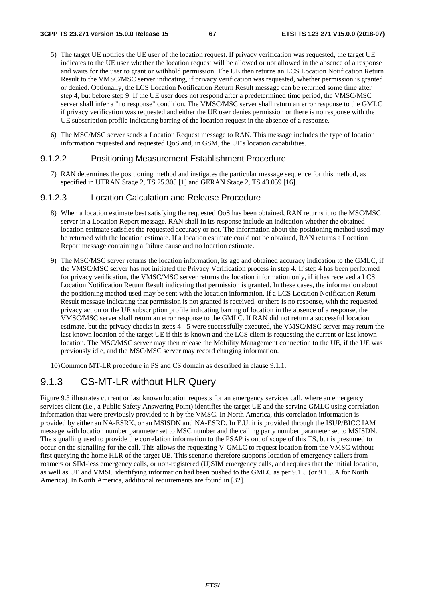- 5) The target UE notifies the UE user of the location request. If privacy verification was requested, the target UE indicates to the UE user whether the location request will be allowed or not allowed in the absence of a response and waits for the user to grant or withhold permission. The UE then returns an LCS Location Notification Return Result to the VMSC/MSC server indicating, if privacy verification was requested, whether permission is granted or denied. Optionally, the LCS Location Notification Return Result message can be returned some time after step 4, but before step 9. If the UE user does not respond after a predetermined time period, the VMSC/MSC server shall infer a "no response" condition. The VMSC/MSC server shall return an error response to the GMLC if privacy verification was requested and either the UE user denies permission or there is no response with the UE subscription profile indicating barring of the location request in the absence of a response.
- 6) The MSC/MSC server sends a Location Request message to RAN. This message includes the type of location information requested and requested QoS and, in GSM, the UE's location capabilities.

#### 9.1.2.2 Positioning Measurement Establishment Procedure

7) RAN determines the positioning method and instigates the particular message sequence for this method, as specified in UTRAN Stage 2, TS 25.305 [1] and GERAN Stage 2, TS 43.059 [16].

#### 9.1.2.3 Location Calculation and Release Procedure

- 8) When a location estimate best satisfying the requested QoS has been obtained, RAN returns it to the MSC/MSC server in a Location Report message. RAN shall in its response include an indication whether the obtained location estimate satisfies the requested accuracy or not. The information about the positioning method used may be returned with the location estimate. If a location estimate could not be obtained, RAN returns a Location Report message containing a failure cause and no location estimate.
- 9) The MSC/MSC server returns the location information, its age and obtained accuracy indication to the GMLC, if the VMSC/MSC server has not initiated the Privacy Verification process in step 4. If step 4 has been performed for privacy verification, the VMSC/MSC server returns the location information only, if it has received a LCS Location Notification Return Result indicating that permission is granted. In these cases, the information about the positioning method used may be sent with the location information. If a LCS Location Notification Return Result message indicating that permission is not granted is received, or there is no response, with the requested privacy action or the UE subscription profile indicating barring of location in the absence of a response, the VMSC/MSC server shall return an error response to the GMLC. If RAN did not return a successful location estimate, but the privacy checks in steps 4 - 5 were successfully executed, the VMSC/MSC server may return the last known location of the target UE if this is known and the LCS client is requesting the current or last known location. The MSC/MSC server may then release the Mobility Management connection to the UE, if the UE was previously idle, and the MSC/MSC server may record charging information.

10) Common MT-LR procedure in PS and CS domain as described in clause 9.1.1.

### 9.1.3 CS-MT-LR without HLR Query

Figure 9.3 illustrates current or last known location requests for an emergency services call, where an emergency services client (i.e., a Public Safety Answering Point) identifies the target UE and the serving GMLC using correlation information that were previously provided to it by the VMSC. In North America, this correlation information is provided by either an NA-ESRK, or an MSISDN and NA-ESRD. In E.U. it is provided through the ISUP/BICC IAM message with location number parameter set to MSC number and the calling party number parameter set to MSISDN. The signalling used to provide the correlation information to the PSAP is out of scope of this TS, but is presumed to occur on the signalling for the call. This allows the requesting V-GMLC to request location from the VMSC without first querying the home HLR of the target UE. This scenario therefore supports location of emergency callers from roamers or SIM-less emergency calls, or non-registered (U)SIM emergency calls, and requires that the initial location, as well as UE and VMSC identifying information had been pushed to the GMLC as per 9.1.5 (or 9.1.5.A for North America). In North America, additional requirements are found in [32].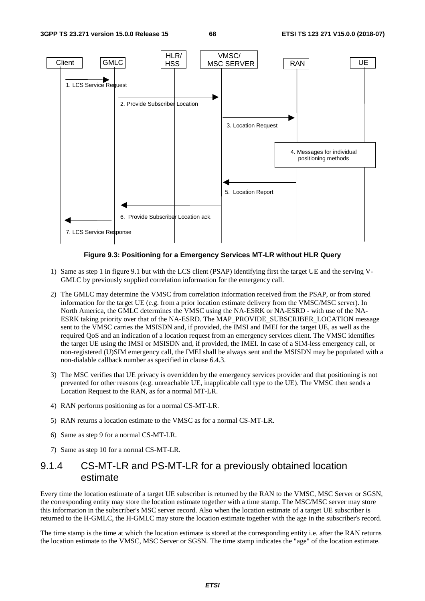

#### **Figure 9.3: Positioning for a Emergency Services MT-LR without HLR Query**

- 1) Same as step 1 in figure 9.1 but with the LCS client (PSAP) identifying first the target UE and the serving V-GMLC by previously supplied correlation information for the emergency call.
- 2) The GMLC may determine the VMSC from correlation information received from the PSAP, or from stored information for the target UE (e.g. from a prior location estimate delivery from the VMSC/MSC server). In North America, the GMLC determines the VMSC using the NA-ESRK or NA-ESRD - with use of the NA-ESRK taking priority over that of the NA-ESRD. The MAP\_PROVIDE\_SUBSCRIBER\_LOCATION message sent to the VMSC carries the MSISDN and, if provided, the IMSI and IMEI for the target UE, as well as the required QoS and an indication of a location request from an emergency services client. The VMSC identifies the target UE using the IMSI or MSISDN and, if provided, the IMEI. In case of a SIM-less emergency call, or non-registered (U)SIM emergency call, the IMEI shall be always sent and the MSISDN may be populated with a non-dialable callback number as specified in clause 6.4.3.
- 3) The MSC verifies that UE privacy is overridden by the emergency services provider and that positioning is not prevented for other reasons (e.g. unreachable UE, inapplicable call type to the UE). The VMSC then sends a Location Request to the RAN, as for a normal MT-LR.
- 4) RAN performs positioning as for a normal CS-MT-LR.
- 5) RAN returns a location estimate to the VMSC as for a normal CS-MT-LR.
- 6) Same as step 9 for a normal CS-MT-LR.
- 7) Same as step 10 for a normal CS-MT-LR.

## 9.1.4 CS-MT-LR and PS-MT-LR for a previously obtained location estimate

Every time the location estimate of a target UE subscriber is returned by the RAN to the VMSC, MSC Server or SGSN, the corresponding entity may store the location estimate together with a time stamp. The MSC/MSC server may store this information in the subscriber's MSC server record. Also when the location estimate of a target UE subscriber is returned to the H-GMLC, the H-GMLC may store the location estimate together with the age in the subscriber's record.

The time stamp is the time at which the location estimate is stored at the corresponding entity i.e. after the RAN returns the location estimate to the VMSC, MSC Server or SGSN. The time stamp indicates the "age" of the location estimate.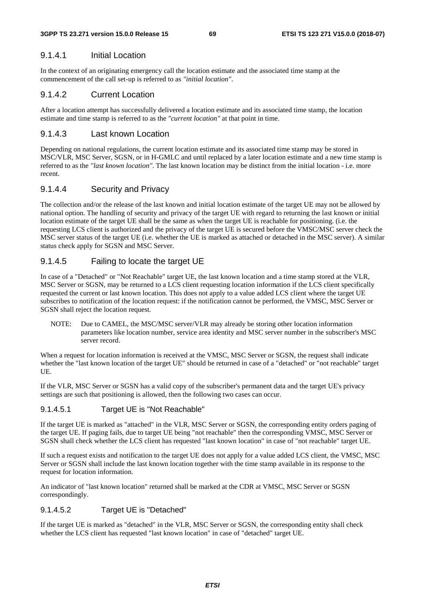#### 9.1.4.1 Initial Location

In the context of an originating emergency call the location estimate and the associated time stamp at the commencement of the call set-up is referred to as *"initial location"*.

#### 9.1.4.2 Current Location

After a location attempt has successfully delivered a location estimate and its associated time stamp, the location estimate and time stamp is referred to as the *"current location"* at that point in time.

#### 9.1.4.3 Last known Location

Depending on national regulations, the current location estimate and its associated time stamp may be stored in MSC/VLR, MSC Server, SGSN, or in H-GMLC and until replaced by a later location estimate and a new time stamp is referred to as the *"last known location"*. The last known location may be distinct from the initial location - i.e. more recent.

#### 9.1.4.4 Security and Privacy

The collection and/or the release of the last known and initial location estimate of the target UE may not be allowed by national option. The handling of security and privacy of the target UE with regard to returning the last known or initial location estimate of the target UE shall be the same as when the target UE is reachable for positioning. (i.e. the requesting LCS client is authorized and the privacy of the target UE is secured before the VMSC/MSC server check the MSC server status of the target UE (i.e. whether the UE is marked as attached or detached in the MSC server). A similar status check apply for SGSN and MSC Server.

### 9.1.4.5 Failing to locate the target UE

In case of a "Detached" or "Not Reachable" target UE, the last known location and a time stamp stored at the VLR, MSC Server or SGSN, may be returned to a LCS client requesting location information if the LCS client specifically requested the current or last known location. This does not apply to a value added LCS client where the target UE subscribes to notification of the location request: if the notification cannot be performed, the VMSC, MSC Server or SGSN shall reject the location request.

NOTE: Due to CAMEL, the MSC/MSC server/VLR may already be storing other location information parameters like location number, service area identity and MSC server number in the subscriber's MSC server record.

When a request for location information is received at the VMSC, MSC Server or SGSN, the request shall indicate whether the "last known location of the target UE" should be returned in case of a "detached" or "not reachable" target UE.

If the VLR, MSC Server or SGSN has a valid copy of the subscriber's permanent data and the target UE's privacy settings are such that positioning is allowed, then the following two cases can occur.

#### 9.1.4.5.1 Target UE is "Not Reachable"

If the target UE is marked as "attached" in the VLR, MSC Server or SGSN, the corresponding entity orders paging of the target UE. If paging fails, due to target UE being "not reachable" then the corresponding VMSC, MSC Server or SGSN shall check whether the LCS client has requested "last known location" in case of "not reachable" target UE.

If such a request exists and notification to the target UE does not apply for a value added LCS client, the VMSC, MSC Server or SGSN shall include the last known location together with the time stamp available in its response to the request for location information.

An indicator of "last known location" returned shall be marked at the CDR at VMSC, MSC Server or SGSN correspondingly.

#### 9.1.4.5.2 Target UE is "Detached"

If the target UE is marked as "detached" in the VLR, MSC Server or SGSN, the corresponding entity shall check whether the LCS client has requested "last known location" in case of "detached" target UE.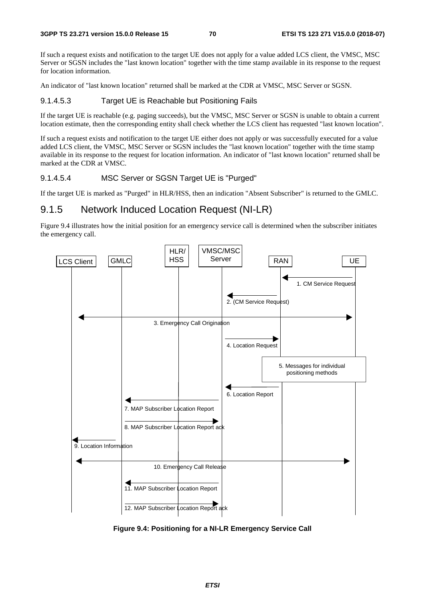If such a request exists and notification to the target UE does not apply for a value added LCS client, the VMSC, MSC Server or SGSN includes the "last known location" together with the time stamp available in its response to the request for location information.

An indicator of "last known location" returned shall be marked at the CDR at VMSC, MSC Server or SGSN.

#### 9.1.4.5.3 Target UE is Reachable but Positioning Fails

If the target UE is reachable (e.g. paging succeeds), but the VMSC, MSC Server or SGSN is unable to obtain a current location estimate, then the corresponding entity shall check whether the LCS client has requested "last known location".

If such a request exists and notification to the target UE either does not apply or was successfully executed for a value added LCS client, the VMSC, MSC Server or SGSN includes the "last known location" together with the time stamp available in its response to the request for location information. An indicator of "last known location" returned shall be marked at the CDR at VMSC.

#### 9.1.4.5.4 MSC Server or SGSN Target UE is "Purged"

If the target UE is marked as "Purged" in HLR/HSS, then an indication "Absent Subscriber" is returned to the GMLC.

### 9.1.5 Network Induced Location Request (NI-LR)

Figure 9.4 illustrates how the initial position for an emergency service call is determined when the subscriber initiates the emergency call.



**Figure 9.4: Positioning for a NI-LR Emergency Service Call**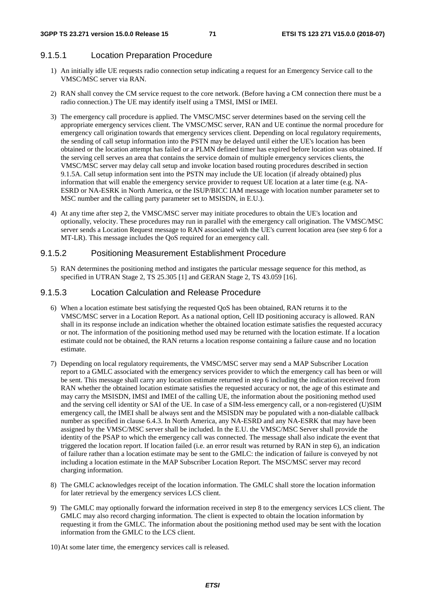#### 9.1.5.1 Location Preparation Procedure

- 1) An initially idle UE requests radio connection setup indicating a request for an Emergency Service call to the VMSC/MSC server via RAN.
- 2) RAN shall convey the CM service request to the core network. (Before having a CM connection there must be a radio connection.) The UE may identify itself using a TMSI, IMSI or IMEI.
- 3) The emergency call procedure is applied. The VMSC/MSC server determines based on the serving cell the appropriate emergency services client. The VMSC/MSC server, RAN and UE continue the normal procedure for emergency call origination towards that emergency services client. Depending on local regulatory requirements, the sending of call setup information into the PSTN may be delayed until either the UE's location has been obtained or the location attempt has failed or a PLMN defined timer has expired before location was obtained. If the serving cell serves an area that contains the service domain of multiple emergency services clients, the VMSC/MSC server may delay call setup and invoke location based routing procedures described in section 9.1.5A. Call setup information sent into the PSTN may include the UE location (if already obtained) plus information that will enable the emergency service provider to request UE location at a later time (e.g. NA-ESRD or NA-ESRK in North America, or the ISUP/BICC IAM message with location number parameter set to MSC number and the calling party parameter set to MSISDN, in E.U.).
- 4) At any time after step 2, the VMSC/MSC server may initiate procedures to obtain the UE's location and optionally, velocity. These procedures may run in parallel with the emergency call origination. The VMSC/MSC server sends a Location Request message to RAN associated with the UE's current location area (see step 6 for a MT-LR). This message includes the QoS required for an emergency call.

#### 9.1.5.2 Positioning Measurement Establishment Procedure

5) RAN determines the positioning method and instigates the particular message sequence for this method, as specified in UTRAN Stage 2, TS 25.305 [1] and GERAN Stage 2, TS 43.059 [16].

#### 9.1.5.3 Location Calculation and Release Procedure

- 6) When a location estimate best satisfying the requested QoS has been obtained, RAN returns it to the VMSC/MSC server in a Location Report. As a national option, Cell ID positioning accuracy is allowed. RAN shall in its response include an indication whether the obtained location estimate satisfies the requested accuracy or not. The information of the positioning method used may be returned with the location estimate. If a location estimate could not be obtained, the RAN returns a location response containing a failure cause and no location estimate.
- 7) Depending on local regulatory requirements, the VMSC/MSC server may send a MAP Subscriber Location report to a GMLC associated with the emergency services provider to which the emergency call has been or will be sent. This message shall carry any location estimate returned in step 6 including the indication received from RAN whether the obtained location estimate satisfies the requested accuracy or not, the age of this estimate and may carry the MSISDN, IMSI and IMEI of the calling UE, the information about the positioning method used and the serving cell identity or SAI of the UE. In case of a SIM-less emergency call, or a non-registered (U)SIM emergency call, the IMEI shall be always sent and the MSISDN may be populated with a non-dialable callback number as specified in clause 6.4.3. In North America, any NA-ESRD and any NA-ESRK that may have been assigned by the VMSC/MSC server shall be included. In the E.U. the VMSC/MSC Server shall provide the identity of the PSAP to which the emergency call was connected. The message shall also indicate the event that triggered the location report. If location failed (i.e. an error result was returned by RAN in step 6), an indication of failure rather than a location estimate may be sent to the GMLC: the indication of failure is conveyed by not including a location estimate in the MAP Subscriber Location Report. The MSC/MSC server may record charging information.
- 8) The GMLC acknowledges receipt of the location information. The GMLC shall store the location information for later retrieval by the emergency services LCS client.
- 9) The GMLC may optionally forward the information received in step 8 to the emergency services LCS client. The GMLC may also record charging information. The client is expected to obtain the location information by requesting it from the GMLC. The information about the positioning method used may be sent with the location information from the GMLC to the LCS client.
- 10) At some later time, the emergency services call is released.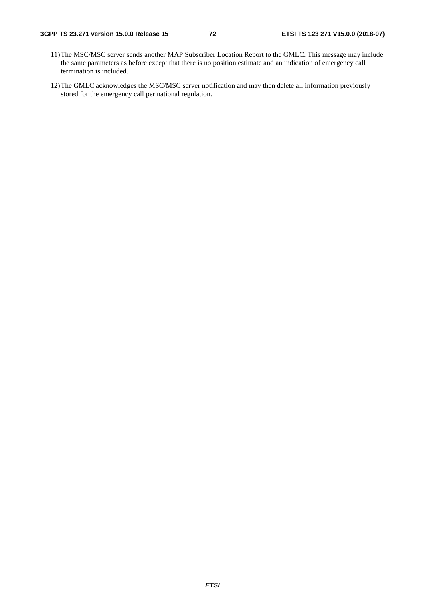- 11) The MSC/MSC server sends another MAP Subscriber Location Report to the GMLC. This message may include the same parameters as before except that there is no position estimate and an indication of emergency call termination is included.
- 12) The GMLC acknowledges the MSC/MSC server notification and may then delete all information previously stored for the emergency call per national regulation.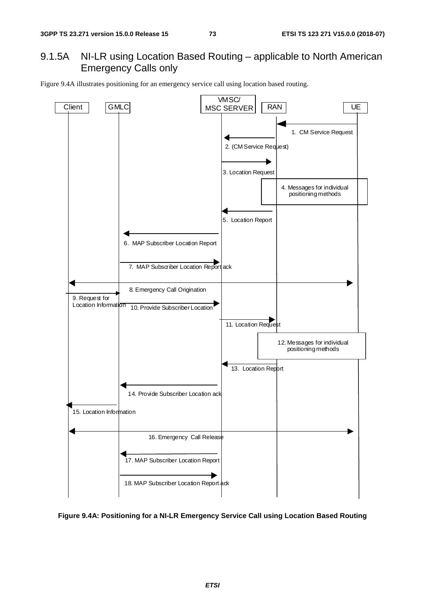# 9.1.5A NI-LR using Location Based Routing – applicable to North American Emergency Calls only

Figure 9.4A illustrates positioning for an emergency service call using location based routing.



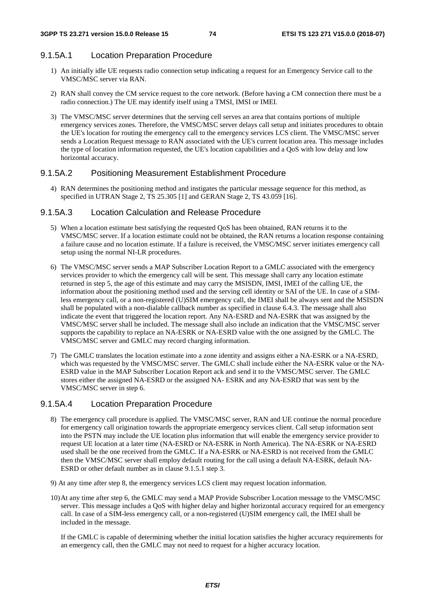### 9.1.5A.1 Location Preparation Procedure

- 1) An initially idle UE requests radio connection setup indicating a request for an Emergency Service call to the VMSC/MSC server via RAN.
- 2) RAN shall convey the CM service request to the core network. (Before having a CM connection there must be a radio connection.) The UE may identify itself using a TMSI, IMSI or IMEI.
- 3) The VMSC/MSC server determines that the serving cell serves an area that contains portions of multiple emergency services zones. Therefore, the VMSC/MSC server delays call setup and initiates procedures to obtain the UE's location for routing the emergency call to the emergency services LCS client. The VMSC/MSC server sends a Location Request message to RAN associated with the UE's current location area. This message includes the type of location information requested, the UE's location capabilities and a QoS with low delay and low horizontal accuracy.

### 9.1.5A.2 Positioning Measurement Establishment Procedure

4) RAN determines the positioning method and instigates the particular message sequence for this method, as specified in UTRAN Stage 2, TS 25.305 [1] and GERAN Stage 2, TS 43.059 [16].

### 9.1.5A.3 Location Calculation and Release Procedure

- 5) When a location estimate best satisfying the requested QoS has been obtained, RAN returns it to the VMSC/MSC server. If a location estimate could not be obtained, the RAN returns a location response containing a failure cause and no location estimate. If a failure is received, the VMSC/MSC server initiates emergency call setup using the normal NI-LR procedures.
- 6) The VMSC/MSC server sends a MAP Subscriber Location Report to a GMLC associated with the emergency services provider to which the emergency call will be sent. This message shall carry any location estimate returned in step 5, the age of this estimate and may carry the MSISDN, IMSI, IMEI of the calling UE, the information about the positioning method used and the serving cell identity or SAI of the UE. In case of a SIMless emergency call, or a non-registered (U)SIM emergency call, the IMEI shall be always sent and the MSISDN shall be populated with a non-dialable callback number as specified in clause 6.4.3. The message shall also indicate the event that triggered the location report. Any NA-ESRD and NA-ESRK that was assigned by the VMSC/MSC server shall be included. The message shall also include an indication that the VMSC/MSC server supports the capability to replace an NA-ESRK or NA-ESRD value with the one assigned by the GMLC. The VMSC/MSC server and GMLC may record charging information.
- 7) The GMLC translates the location estimate into a zone identity and assigns either a NA-ESRK or a NA-ESRD, which was requested by the VMSC/MSC server. The GMLC shall include either the NA-ESRK value or the NA-ESRD value in the MAP Subscriber Location Report ack and send it to the VMSC/MSC server. The GMLC stores either the assigned NA-ESRD or the assigned NA- ESRK and any NA-ESRD that was sent by the VMSC/MSC server in step 6.

### 9.1.5A.4 Location Preparation Procedure

- 8) The emergency call procedure is applied. The VMSC/MSC server, RAN and UE continue the normal procedure for emergency call origination towards the appropriate emergency services client. Call setup information sent into the PSTN may include the UE location plus information that will enable the emergency service provider to request UE location at a later time (NA-ESRD or NA-ESRK in North America). The NA-ESRK or NA-ESRD used shall be the one received from the GMLC. If a NA-ESRK or NA-ESRD is not received from the GMLC then the VMSC/MSC server shall employ default routing for the call using a default NA-ESRK, default NA-ESRD or other default number as in clause 9.1.5.1 step 3.
- 9) At any time after step 8, the emergency services LCS client may request location information.
- 10) At any time after step 6, the GMLC may send a MAP Provide Subscriber Location message to the VMSC/MSC server. This message includes a QoS with higher delay and higher horizontal accuracy required for an emergency call. In case of a SIM-less emergency call, or a non-registered (U)SIM emergency call, the IMEI shall be included in the message.

 If the GMLC is capable of determining whether the initial location satisfies the higher accuracy requirements for an emergency call, then the GMLC may not need to request for a higher accuracy location.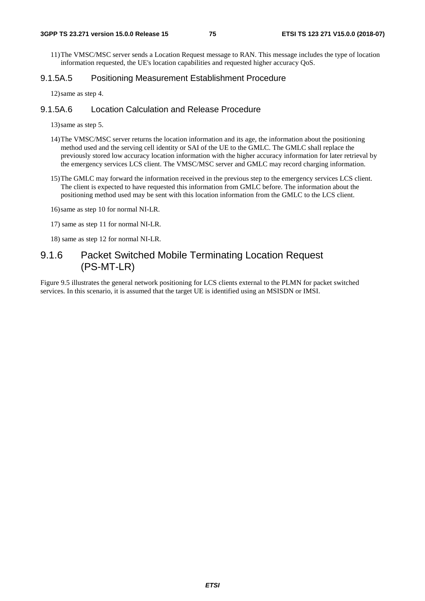11) The VMSC/MSC server sends a Location Request message to RAN. This message includes the type of location information requested, the UE's location capabilities and requested higher accuracy QoS.

### 9.1.5A.5 Positioning Measurement Establishment Procedure

12) same as step 4.

### 9.1.5A.6 Location Calculation and Release Procedure

13) same as step 5.

- 14) The VMSC/MSC server returns the location information and its age, the information about the positioning method used and the serving cell identity or SAI of the UE to the GMLC. The GMLC shall replace the previously stored low accuracy location information with the higher accuracy information for later retrieval by the emergency services LCS client. The VMSC/MSC server and GMLC may record charging information.
- 15) The GMLC may forward the information received in the previous step to the emergency services LCS client. The client is expected to have requested this information from GMLC before. The information about the positioning method used may be sent with this location information from the GMLC to the LCS client.
- 16) same as step 10 for normal NI-LR.
- 17) same as step 11 for normal NI-LR.
- 18) same as step 12 for normal NI-LR.

# 9.1.6 Packet Switched Mobile Terminating Location Request (PS-MT-LR)

Figure 9.5 illustrates the general network positioning for LCS clients external to the PLMN for packet switched services. In this scenario, it is assumed that the target UE is identified using an MSISDN or IMSI.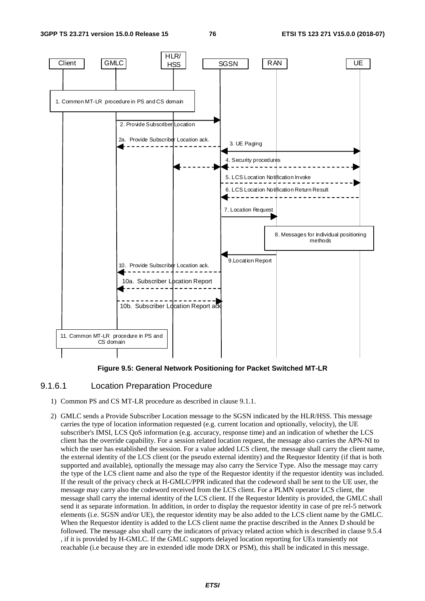**3GPP TS 23.271 version 15.0.0 Release 15 76 ETSI TS 123 271 V15.0.0 (2018-07)**



**Figure 9.5: General Network Positioning for Packet Switched MT-LR** 

### 9.1.6.1 Location Preparation Procedure

- 1) Common PS and CS MT-LR procedure as described in clause 9.1.1.
- 2) GMLC sends a Provide Subscriber Location message to the SGSN indicated by the HLR/HSS. This message carries the type of location information requested (e.g. current location and optionally, velocity), the UE subscriber's IMSI, LCS QoS information (e.g. accuracy, response time) and an indication of whether the LCS client has the override capability. For a session related location request, the message also carries the APN-NI to which the user has established the session. For a value added LCS client, the message shall carry the client name, the external identity of the LCS client (or the pseudo external identity) and the Requestor Identity (if that is both supported and available), optionally the message may also carry the Service Type. Also the message may carry the type of the LCS client name and also the type of the Requestor identity if the requestor identity was included. If the result of the privacy check at H-GMLC/PPR indicated that the codeword shall be sent to the UE user, the message may carry also the codeword received from the LCS client. For a PLMN operator LCS client, the message shall carry the internal identity of the LCS client. If the Requestor Identity is provided, the GMLC shall send it as separate information. In addition, in order to display the requestor identity in case of pre rel-5 network elements (i.e. SGSN and/or UE), the requestor identity may be also added to the LCS client name by the GMLC. When the Requestor identity is added to the LCS client name the practise described in the Annex D should be followed. The message also shall carry the indicators of privacy related action which is described in clause 9.5.4 , if it is provided by H-GMLC. If the GMLC supports delayed location reporting for UEs transiently not reachable (i.e because they are in extended idle mode DRX or PSM), this shall be indicated in this message.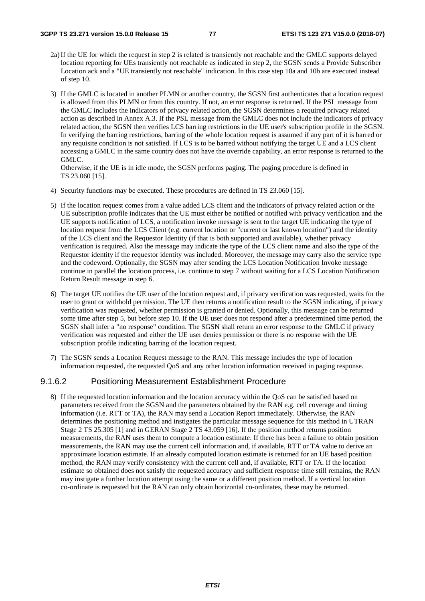- 2a) If the UE for which the request in step 2 is related is transiently not reachable and the GMLC supports delayed location reporting for UEs transiently not reachable as indicated in step 2, the SGSN sends a Provide Subscriber Location ack and a "UE transiently not reachable" indication. In this case step 10a and 10b are executed instead of step 10.
- 3) If the GMLC is located in another PLMN or another country, the SGSN first authenticates that a location request is allowed from this PLMN or from this country. If not, an error response is returned. If the PSL message from the GMLC includes the indicators of privacy related action, the SGSN determines a required privacy related action as described in Annex A.3. If the PSL message from the GMLC does not include the indicators of privacy related action, the SGSN then verifies LCS barring restrictions in the UE user's subscription profile in the SGSN. In verifying the barring restrictions, barring of the whole location request is assumed if any part of it is barred or any requisite condition is not satisfied. If LCS is to be barred without notifying the target UE and a LCS client accessing a GMLC in the same country does not have the override capability, an error response is returned to the GMLC.

Otherwise, if the UE is in idle mode, the SGSN performs paging. The paging procedure is defined in TS 23.060 [15].

- 4) Security functions may be executed. These procedures are defined in TS 23.060 [15].
- 5) If the location request comes from a value added LCS client and the indicators of privacy related action or the UE subscription profile indicates that the UE must either be notified or notified with privacy verification and the UE supports notification of LCS, a notification invoke message is sent to the target UE indicating the type of location request from the LCS Client (e.g. current location or "current or last known location") and the identity of the LCS client and the Requestor Identity (if that is both supported and available), whether privacy verification is required. Also the message may indicate the type of the LCS client name and also the type of the Requestor identity if the requestor identity was included. Moreover, the message may carry also the service type and the codeword. Optionally, the SGSN may after sending the LCS Location Notification Invoke message continue in parallel the location process, i.e. continue to step 7 without waiting for a LCS Location Notification Return Result message in step 6.
- 6) The target UE notifies the UE user of the location request and, if privacy verification was requested, waits for the user to grant or withhold permission. The UE then returns a notification result to the SGSN indicating, if privacy verification was requested, whether permission is granted or denied. Optionally, this message can be returned some time after step 5, but before step 10. If the UE user does not respond after a predetermined time period, the SGSN shall infer a "no response" condition. The SGSN shall return an error response to the GMLC if privacy verification was requested and either the UE user denies permission or there is no response with the UE subscription profile indicating barring of the location request.
- 7) The SGSN sends a Location Request message to the RAN. This message includes the type of location information requested, the requested QoS and any other location information received in paging response.

### 9.1.6.2 Positioning Measurement Establishment Procedure

8) If the requested location information and the location accuracy within the QoS can be satisfied based on parameters received from the SGSN and the parameters obtained by the RAN e.g. cell coverage and timing information (i.e. RTT or TA), the RAN may send a Location Report immediately. Otherwise, the RAN determines the positioning method and instigates the particular message sequence for this method in UTRAN Stage 2 TS 25.305 [1] and in GERAN Stage 2 TS 43.059 [16]. If the position method returns position measurements, the RAN uses them to compute a location estimate. If there has been a failure to obtain position measurements, the RAN may use the current cell information and, if available, RTT or TA value to derive an approximate location estimate. If an already computed location estimate is returned for an UE based position method, the RAN may verify consistency with the current cell and, if available, RTT or TA. If the location estimate so obtained does not satisfy the requested accuracy and sufficient response time still remains, the RAN may instigate a further location attempt using the same or a different position method. If a vertical location co-ordinate is requested but the RAN can only obtain horizontal co-ordinates, these may be returned.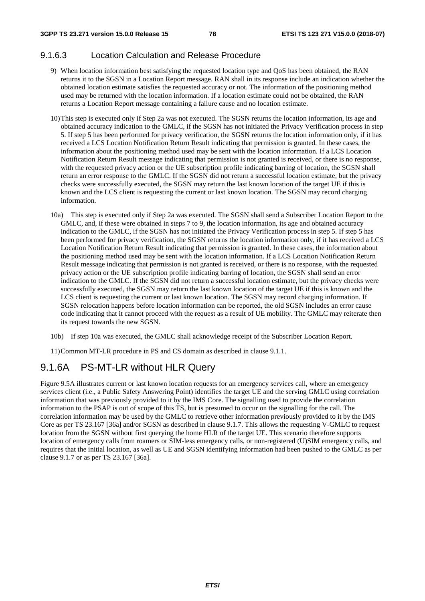### 9.1.6.3 Location Calculation and Release Procedure

- 9) When location information best satisfying the requested location type and QoS has been obtained, the RAN returns it to the SGSN in a Location Report message. RAN shall in its response include an indication whether the obtained location estimate satisfies the requested accuracy or not. The information of the positioning method used may be returned with the location information. If a location estimate could not be obtained, the RAN returns a Location Report message containing a failure cause and no location estimate.
- 10) This step is executed only if Step 2a was not executed. The SGSN returns the location information, its age and obtained accuracy indication to the GMLC, if the SGSN has not initiated the Privacy Verification process in step 5. If step 5 has been performed for privacy verification, the SGSN returns the location information only, if it has received a LCS Location Notification Return Result indicating that permission is granted. In these cases, the information about the positioning method used may be sent with the location information. If a LCS Location Notification Return Result message indicating that permission is not granted is received, or there is no response, with the requested privacy action or the UE subscription profile indicating barring of location, the SGSN shall return an error response to the GMLC. If the SGSN did not return a successful location estimate, but the privacy checks were successfully executed, the SGSN may return the last known location of the target UE if this is known and the LCS client is requesting the current or last known location. The SGSN may record charging information.
- 10a) This step is executed only if Step 2a was executed. The SGSN shall send a Subscriber Location Report to the GMLC, and, if these were obtained in steps 7 to 9, the location information, its age and obtained accuracy indication to the GMLC, if the SGSN has not initiated the Privacy Verification process in step 5. If step 5 has been performed for privacy verification, the SGSN returns the location information only, if it has received a LCS Location Notification Return Result indicating that permission is granted. In these cases, the information about the positioning method used may be sent with the location information. If a LCS Location Notification Return Result message indicating that permission is not granted is received, or there is no response, with the requested privacy action or the UE subscription profile indicating barring of location, the SGSN shall send an error indication to the GMLC. If the SGSN did not return a successful location estimate, but the privacy checks were successfully executed, the SGSN may return the last known location of the target UE if this is known and the LCS client is requesting the current or last known location. The SGSN may record charging information. If SGSN relocation happens before location information can be reported, the old SGSN includes an error cause code indicating that it cannot proceed with the request as a result of UE mobility. The GMLC may reiterate then its request towards the new SGSN.
- 10b) If step 10a was executed, the GMLC shall acknowledge receipt of the Subscriber Location Report.
- 11) Common MT-LR procedure in PS and CS domain as described in clause 9.1.1.

# 9.1.6A PS-MT-LR without HLR Query

Figure 9.5A illustrates current or last known location requests for an emergency services call, where an emergency services client (i.e., a Public Safety Answering Point) identifies the target UE and the serving GMLC using correlation information that was previously provided to it by the IMS Core. The signalling used to provide the correlation information to the PSAP is out of scope of this TS, but is presumed to occur on the signalling for the call. The correlation information may be used by the GMLC to retrieve other information previously provided to it by the IMS Core as per TS 23.167 [36a] and/or SGSN as described in clause 9.1.7. This allows the requesting V-GMLC to request location from the SGSN without first querying the home HLR of the target UE. This scenario therefore supports location of emergency calls from roamers or SIM-less emergency calls, or non-registered (U)SIM emergency calls, and requires that the initial location, as well as UE and SGSN identifying information had been pushed to the GMLC as per clause 9.1.7 or as per TS 23.167 [36a].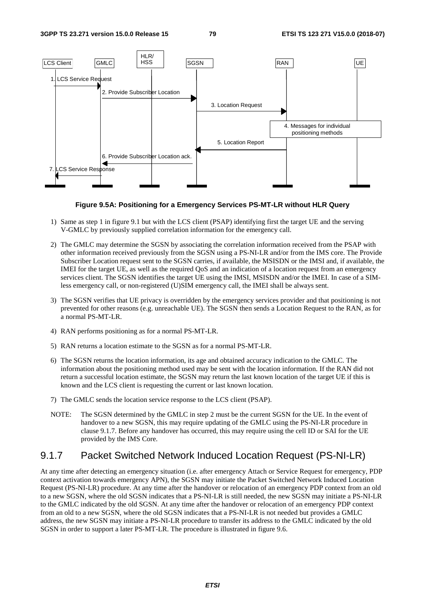

### **Figure 9.5A: Positioning for a Emergency Services PS-MT-LR without HLR Query**

- 1) Same as step 1 in figure 9.1 but with the LCS client (PSAP) identifying first the target UE and the serving V-GMLC by previously supplied correlation information for the emergency call.
- 2) The GMLC may determine the SGSN by associating the correlation information received from the PSAP with other information received previously from the SGSN using a PS-NI-LR and/or from the IMS core. The Provide Subscriber Location request sent to the SGSN carries, if available, the MSISDN or the IMSI and, if available, the IMEI for the target UE, as well as the required QoS and an indication of a location request from an emergency services client. The SGSN identifies the target UE using the IMSI, MSISDN and/or the IMEI. In case of a SIMless emergency call, or non-registered (U)SIM emergency call, the IMEI shall be always sent.
- 3) The SGSN verifies that UE privacy is overridden by the emergency services provider and that positioning is not prevented for other reasons (e.g. unreachable UE). The SGSN then sends a Location Request to the RAN, as for a normal PS-MT-LR.
- 4) RAN performs positioning as for a normal PS-MT-LR.
- 5) RAN returns a location estimate to the SGSN as for a normal PS-MT-LR.
- 6) The SGSN returns the location information, its age and obtained accuracy indication to the GMLC. The information about the positioning method used may be sent with the location information. If the RAN did not return a successful location estimate, the SGSN may return the last known location of the target UE if this is known and the LCS client is requesting the current or last known location.
- 7) The GMLC sends the location service response to the LCS client (PSAP).
- NOTE: The SGSN determined by the GMLC in step 2 must be the current SGSN for the UE. In the event of handover to a new SGSN, this may require updating of the GMLC using the PS-NI-LR procedure in clause 9.1.7. Before any handover has occurred, this may require using the cell ID or SAI for the UE provided by the IMS Core.

# 9.1.7 Packet Switched Network Induced Location Request (PS-NI-LR)

At any time after detecting an emergency situation (i.e. after emergency Attach or Service Request for emergency, PDP context activation towards emergency APN), the SGSN may initiate the Packet Switched Network Induced Location Request (PS-NI-LR) procedure. At any time after the handover or relocation of an emergency PDP context from an old to a new SGSN, where the old SGSN indicates that a PS-NI-LR is still needed, the new SGSN may initiate a PS-NI-LR to the GMLC indicated by the old SGSN. At any time after the handover or relocation of an emergency PDP context from an old to a new SGSN, where the old SGSN indicates that a PS-NI-LR is not needed but provides a GMLC address, the new SGSN may initiate a PS-NI-LR procedure to transfer its address to the GMLC indicated by the old SGSN in order to support a later PS-MT-LR. The procedure is illustrated in figure 9.6.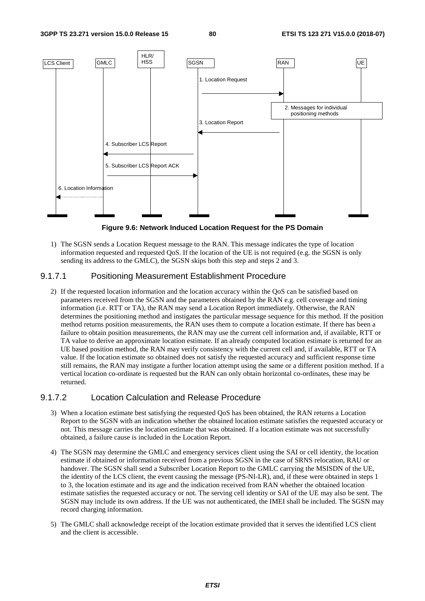

**Figure 9.6: Network Induced Location Request for the PS Domain** 

1) The SGSN sends a Location Request message to the RAN. This message indicates the type of location information requested and requested QoS. If the location of the UE is not required (e.g. the SGSN is only sending its address to the GMLC), the SGSN skips both this step and steps 2 and 3.

### 9.1.7.1 Positioning Measurement Establishment Procedure

2) If the requested location information and the location accuracy within the QoS can be satisfied based on parameters received from the SGSN and the parameters obtained by the RAN e.g. cell coverage and timing information (i.e. RTT or TA), the RAN may send a Location Report immediately. Otherwise, the RAN determines the positioning method and instigates the particular message sequence for this method. If the position method returns position measurements, the RAN uses them to compute a location estimate. If there has been a failure to obtain position measurements, the RAN may use the current cell information and, if available, RTT or TA value to derive an approximate location estimate. If an already computed location estimate is returned for an UE based position method, the RAN may verify consistency with the current cell and, if available, RTT or TA value. If the location estimate so obtained does not satisfy the requested accuracy and sufficient response time still remains, the RAN may instigate a further location attempt using the same or a different position method. If a vertical location co-ordinate is requested but the RAN can only obtain horizontal co-ordinates, these may be returned.

### 9.1.7.2 Location Calculation and Release Procedure

- 3) When a location estimate best satisfying the requested QoS has been obtained, the RAN returns a Location Report to the SGSN with an indication whether the obtained location estimate satisfies the requested accuracy or not. This message carries the location estimate that was obtained. If a location estimate was not successfully obtained, a failure cause is included in the Location Report.
- 4) The SGSN may determine the GMLC and emergency services client using the SAI or cell identity, the location estimate if obtained or information received from a previous SGSN in the case of SRNS relocation, RAU or handover. The SGSN shall send a Subscriber Location Report to the GMLC carrying the MSISDN of the UE, the identity of the LCS client, the event causing the message (PS-NI-LR), and, if these were obtained in steps 1 to 3, the location estimate and its age and the indication received from RAN whether the obtained location estimate satisfies the requested accuracy or not. The serving cell identity or SAI of the UE may also be sent. The SGSN may include its own address. If the UE was not authenticated, the IMEI shall be included. The SGSN may record charging information.
- 5) The GMLC shall acknowledge receipt of the location estimate provided that it serves the identified LCS client and the client is accessible.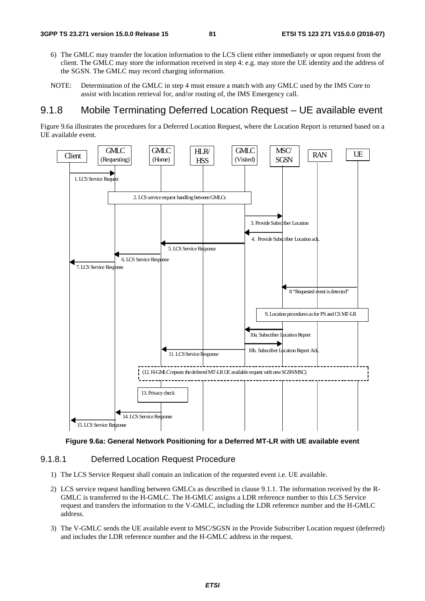- 6) The GMLC may transfer the location information to the LCS client either immediately or upon request from the client. The GMLC may store the information received in step 4: e.g. may store the UE identity and the address of the SGSN. The GMLC may record charging information.
- NOTE: Determination of the GMLC in step 4 must ensure a match with any GMLC used by the IMS Core to assist with location retrieval for, and/or routing of, the IMS Emergency call.

# 9.1.8 Mobile Terminating Deferred Location Request – UE available event

Figure 9.6a illustrates the procedures for a Deferred Location Request, where the Location Report is returned based on a UE available event.



**Figure 9.6a: General Network Positioning for a Deferred MT-LR with UE available event** 

### 9.1.8.1 Deferred Location Request Procedure

- 1) The LCS Service Request shall contain an indication of the requested event i.e. UE available.
- 2) LCS service request handling between GMLCs as described in clause 9.1.1. The information received by the R-GMLC is transferred to the H-GMLC. The H-GMLC assigns a LDR reference number to this LCS Service request and transfers the information to the V-GMLC, including the LDR reference number and the H-GMLC address.
- 3) The V-GMLC sends the UE available event to MSC/SGSN in the Provide Subscriber Location request (deferred) and includes the LDR reference number and the H-GMLC address in the request.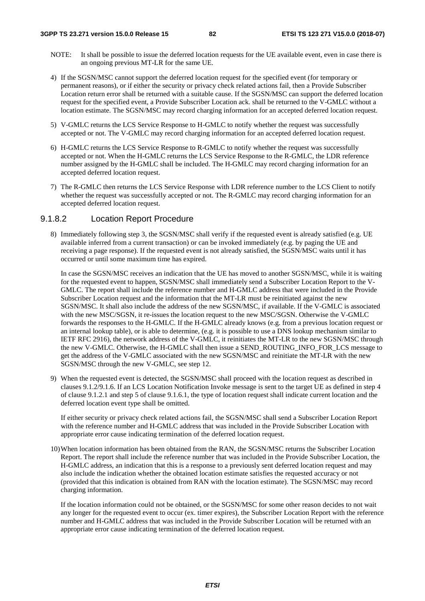- NOTE: It shall be possible to issue the deferred location requests for the UE available event, even in case there is an ongoing previous MT-LR for the same UE.
- 4) If the SGSN/MSC cannot support the deferred location request for the specified event (for temporary or permanent reasons), or if either the security or privacy check related actions fail, then a Provide Subscriber Location return error shall be returned with a suitable cause. If the SGSN/MSC can support the deferred location request for the specified event, a Provide Subscriber Location ack. shall be returned to the V-GMLC without a location estimate. The SGSN/MSC may record charging information for an accepted deferred location request.
- 5) V-GMLC returns the LCS Service Response to H-GMLC to notify whether the request was successfully accepted or not. The V-GMLC may record charging information for an accepted deferred location request.
- 6) H-GMLC returns the LCS Service Response to R-GMLC to notify whether the request was successfully accepted or not. When the H-GMLC returns the LCS Service Response to the R-GMLC, the LDR reference number assigned by the H-GMLC shall be included. The H-GMLC may record charging information for an accepted deferred location request.
- 7) The R-GMLC then returns the LCS Service Response with LDR reference number to the LCS Client to notify whether the request was successfully accepted or not. The R-GMLC may record charging information for an accepted deferred location request.

### 9.1.8.2 Location Report Procedure

8) Immediately following step 3, the SGSN/MSC shall verify if the requested event is already satisfied (e.g. UE available inferred from a current transaction) or can be invoked immediately (e.g. by paging the UE and receiving a page response). If the requested event is not already satisfied, the SGSN/MSC waits until it has occurred or until some maximum time has expired.

 In case the SGSN/MSC receives an indication that the UE has moved to another SGSN/MSC, while it is waiting for the requested event to happen, SGSN/MSC shall immediately send a Subscriber Location Report to the V-GMLC. The report shall include the reference number and H-GMLC address that were included in the Provide Subscriber Location request and the information that the MT-LR must be reinitiated against the new SGSN/MSC. It shall also include the address of the new SGSN/MSC, if available. If the V-GMLC is associated with the new MSC/SGSN, it re-issues the location request to the new MSC/SGSN. Otherwise the V-GMLC forwards the responses to the H-GMLC. If the H-GMLC already knows (e.g. from a previous location request or an internal lookup table), or is able to determine, (e.g. it is possible to use a DNS lookup mechanism similar to IETF RFC 2916), the network address of the V-GMLC, it reinitiates the MT-LR to the new SGSN/MSC through the new V-GMLC. Otherwise, the H-GMLC shall then issue a SEND\_ROUTING\_INFO\_FOR\_LCS message to get the address of the V-GMLC associated with the new SGSN/MSC and reinitiate the MT-LR with the new SGSN/MSC through the new V-GMLC, see step 12.

9) When the requested event is detected, the SGSN/MSC shall proceed with the location request as described in clauses 9.1.2/9.1.6. If an LCS Location Notification Invoke message is sent to the target UE as defined in step 4 of clause 9.1.2.1 and step 5 of clause 9.1.6.1, the type of location request shall indicate current location and the deferred location event type shall be omitted.

 If either security or privacy check related actions fail, the SGSN/MSC shall send a Subscriber Location Report with the reference number and H-GMLC address that was included in the Provide Subscriber Location with appropriate error cause indicating termination of the deferred location request.

10) When location information has been obtained from the RAN, the SGSN/MSC returns the Subscriber Location Report. The report shall include the reference number that was included in the Provide Subscriber Location, the H-GMLC address, an indication that this is a response to a previously sent deferred location request and may also include the indication whether the obtained location estimate satisfies the requested accuracy or not (provided that this indication is obtained from RAN with the location estimate). The SGSN/MSC may record charging information.

 If the location information could not be obtained, or the SGSN/MSC for some other reason decides to not wait any longer for the requested event to occur (ex. timer expires), the Subscriber Location Report with the reference number and H-GMLC address that was included in the Provide Subscriber Location will be returned with an appropriate error cause indicating termination of the deferred location request.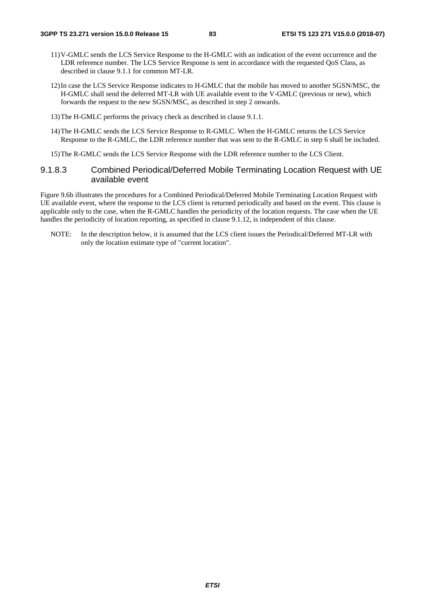- 11) V-GMLC sends the LCS Service Response to the H-GMLC with an indication of the event occurrence and the LDR reference number. The LCS Service Response is sent in accordance with the requested QoS Class, as described in clause 9.1.1 for common MT-LR.
- 12) In case the LCS Service Response indicates to H-GMLC that the mobile has moved to another SGSN/MSC, the H-GMLC shall send the deferred MT-LR with UE available event to the V-GMLC (previous or new), which forwards the request to the new SGSN/MSC, as described in step 2 onwards.
- 13) The H-GMLC performs the privacy check as described in clause 9.1.1.
- 14) The H-GMLC sends the LCS Service Response to R-GMLC. When the H-GMLC returns the LCS Service Response to the R-GMLC, the LDR reference number that was sent to the R-GMLC in step 6 shall be included.
- 15) The R-GMLC sends the LCS Service Response with the LDR reference number to the LCS Client.

### 9.1.8.3 Combined Periodical/Deferred Mobile Terminating Location Request with UE available event

Figure 9.6b illustrates the procedures for a Combined Periodical/Deferred Mobile Terminating Location Request with UE available event, where the response to the LCS client is returned periodically and based on the event. This clause is applicable only to the case, when the R-GMLC handles the periodicity of the location requests. The case when the UE handles the periodicity of location reporting, as specified in clause 9.1.12, is independent of this clause.

NOTE: In the description below, it is assumed that the LCS client issues the Periodical/Deferred MT-LR with only the location estimate type of "current location".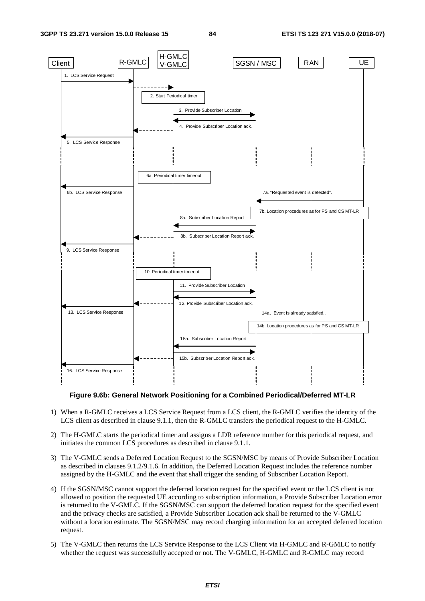

**Figure 9.6b: General Network Positioning for a Combined Periodical/Deferred MT-LR** 

- 1) When a R-GMLC receives a LCS Service Request from a LCS client, the R-GMLC verifies the identity of the LCS client as described in clause 9.1.1, then the R-GMLC transfers the periodical request to the H-GMLC.
- 2) The H-GMLC starts the periodical timer and assigns a LDR reference number for this periodical request, and initiates the common LCS procedures as described in clause 9.1.1.
- 3) The V-GMLC sends a Deferred Location Request to the SGSN/MSC by means of Provide Subscriber Location as described in clauses 9.1.2/9.1.6. In addition, the Deferred Location Request includes the reference number assigned by the H-GMLC and the event that shall trigger the sending of Subscriber Location Report.
- 4) If the SGSN/MSC cannot support the deferred location request for the specified event or the LCS client is not allowed to position the requested UE according to subscription information, a Provide Subscriber Location error is returned to the V-GMLC. If the SGSN/MSC can support the deferred location request for the specified event and the privacy checks are satisfied, a Provide Subscriber Location ack shall be returned to the V-GMLC without a location estimate. The SGSN/MSC may record charging information for an accepted deferred location request.
- 5) The V-GMLC then returns the LCS Service Response to the LCS Client via H-GMLC and R-GMLC to notify whether the request was successfully accepted or not. The V-GMLC, H-GMLC and R-GMLC may record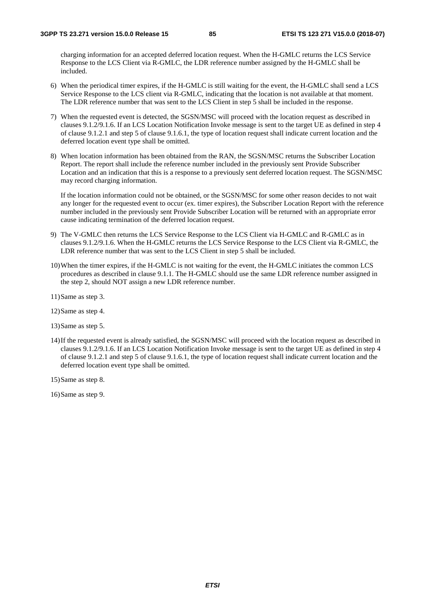charging information for an accepted deferred location request. When the H-GMLC returns the LCS Service Response to the LCS Client via R-GMLC, the LDR reference number assigned by the H-GMLC shall be included.

- 6) When the periodical timer expires, if the H-GMLC is still waiting for the event, the H-GMLC shall send a LCS Service Response to the LCS client via R-GMLC, indicating that the location is not available at that moment. The LDR reference number that was sent to the LCS Client in step 5 shall be included in the response.
- 7) When the requested event is detected, the SGSN/MSC will proceed with the location request as described in clauses 9.1.2/9.1.6. If an LCS Location Notification Invoke message is sent to the target UE as defined in step 4 of clause 9.1.2.1 and step 5 of clause 9.1.6.1, the type of location request shall indicate current location and the deferred location event type shall be omitted.
- 8) When location information has been obtained from the RAN, the SGSN/MSC returns the Subscriber Location Report. The report shall include the reference number included in the previously sent Provide Subscriber Location and an indication that this is a response to a previously sent deferred location request. The SGSN/MSC may record charging information.

 If the location information could not be obtained, or the SGSN/MSC for some other reason decides to not wait any longer for the requested event to occur (ex. timer expires), the Subscriber Location Report with the reference number included in the previously sent Provide Subscriber Location will be returned with an appropriate error cause indicating termination of the deferred location request.

- 9) The V-GMLC then returns the LCS Service Response to the LCS Client via H-GMLC and R-GMLC as in clauses 9.1.2/9.1.6. When the H-GMLC returns the LCS Service Response to the LCS Client via R-GMLC, the LDR reference number that was sent to the LCS Client in step 5 shall be included.
- 10) When the timer expires, if the H-GMLC is not waiting for the event, the H-GMLC initiates the common LCS procedures as described in clause 9.1.1. The H-GMLC should use the same LDR reference number assigned in the step 2, should NOT assign a new LDR reference number.
- 11) Same as step 3.
- 12) Same as step 4.
- 13) Same as step 5.
- 14) If the requested event is already satisfied, the SGSN/MSC will proceed with the location request as described in clauses 9.1.2/9.1.6. If an LCS Location Notification Invoke message is sent to the target UE as defined in step 4 of clause 9.1.2.1 and step 5 of clause 9.1.6.1, the type of location request shall indicate current location and the deferred location event type shall be omitted.
- 15) Same as step 8.

16) Same as step 9.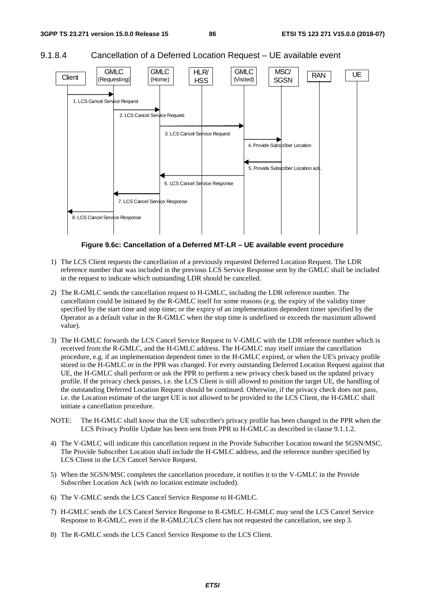



**Figure 9.6c: Cancellation of a Deferred MT-LR – UE available event procedure** 

- 1) The LCS Client requests the cancellation of a previously requested Deferred Location Request. The LDR reference number that was included in the previous LCS Service Response sent by the GMLC shall be included in the request to indicate which outstanding LDR should be cancelled.
- 2) The R-GMLC sends the cancellation request to H-GMLC, including the LDR reference number. The cancellation could be initiated by the R-GMLC itself for some reasons (e.g. the expiry of the validity timer specified by the start time and stop time; or the expiry of an implementation dependent timer specified by the Operator as a default value in the R-GMLC when the stop time is undefined or exceeds the maximum allowed value).
- 3) The H-GMLC forwards the LCS Cancel Service Request to V-GMLC with the LDR reference number which is received from the R-GMLC, and the H-GMLC address. The H-GMLC may itself initiate the cancellation procedure, e.g. if an implementation dependent timer in the H-GMLC expired, or when the UE's privacy profile stored in the H-GMLC or in the PPR was changed. For every outstanding Deferred Location Request against that UE, the H-GMLC shall perform or ask the PPR to perform a new privacy check based on the updated privacy profile. If the privacy check passes, i.e. the LCS Client is still allowed to position the target UE, the handling of the outstanding Deferred Location Request should be continued. Otherwise, if the privacy check does not pass, i.e. the Location estimate of the target UE is not allowed to be provided to the LCS Client, the H-GMLC shall initiate a cancellation procedure.
- NOTE: The H-GMLC shall know that the UE subscriber's privacy profile has been changed in the PPR when the LCS Privacy Profile Update has been sent from PPR to H-GMLC as described in clause 9.1.1.2.
- 4) The V-GMLC will indicate this cancellation request in the Provide Subscriber Location toward the SGSN/MSC. The Provide Subscriber Location shall include the H-GMLC address, and the reference number specified by LCS Client in the LCS Cancel Service Request.
- 5) When the SGSN/MSC completes the cancellation procedure, it notifies it to the V-GMLC in the Provide Subscriber Location Ack (with no location estimate included).
- 6) The V-GMLC sends the LCS Cancel Service Response to H-GMLC.
- 7) H-GMLC sends the LCS Cancel Service Response to R-GMLC. H-GMLC may send the LCS Cancel Service Response to R-GMLC, even if the R-GMLC/LCS client has not requested the cancellation, see step 3.
- 8) The R-GMLC sends the LCS Cancel Service Response to the LCS Client.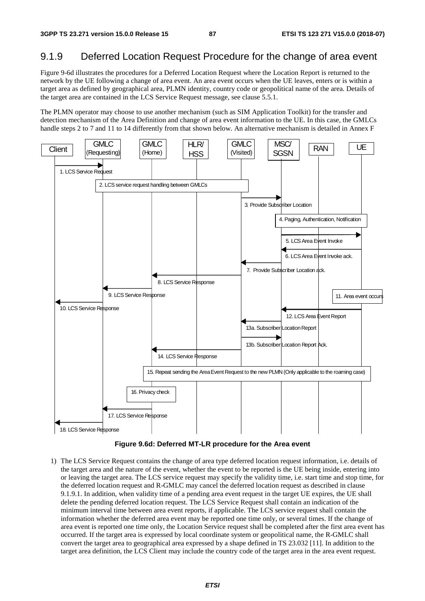# 9.1.9 Deferred Location Request Procedure for the change of area event

Figure 9-6d illustrates the procedures for a Deferred Location Request where the Location Report is returned to the network by the UE following a change of area event. An area event occurs when the UE leaves, enters or is within a target area as defined by geographical area, PLMN identity, country code or geopolitical name of the area. Details of the target area are contained in the LCS Service Request message, see clause 5.5.1.

The PLMN operator may choose to use another mechanism (such as SIM Application Toolkit) for the transfer and detection mechanism of the Area Definition and change of area event information to the UE. In this case, the GMLCs handle steps 2 to 7 and 11 to 14 differently from that shown below. An alternative mechanism is detailed in Annex F



**Figure 9.6d: Deferred MT-LR procedure for the Area event** 

1) The LCS Service Request contains the change of area type deferred location request information, i.e. details of the target area and the nature of the event, whether the event to be reported is the UE being inside, entering into or leaving the target area. The LCS service request may specify the validity time, i.e. start time and stop time, for the deferred location request and R-GMLC may cancel the deferred location request as described in clause 9.1.9.1. In addition, when validity time of a pending area event request in the target UE expires, the UE shall delete the pending deferred location request. The LCS Service Request shall contain an indication of the minimum interval time between area event reports, if applicable. The LCS service request shall contain the information whether the deferred area event may be reported one time only, or several times. If the change of area event is reported one time only, the Location Service request shall be completed after the first area event has occurred. If the target area is expressed by local coordinate system or geopolitical name, the R-GMLC shall convert the target area to geographical area expressed by a shape defined in TS 23.032 [11]. In addition to the target area definition, the LCS Client may include the country code of the target area in the area event request.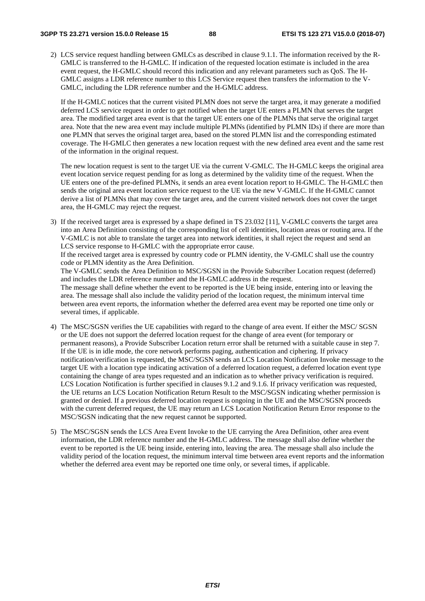#### **3GPP TS 23.271 version 15.0.0 Release 15 88 ETSI TS 123 271 V15.0.0 (2018-07)**

2) LCS service request handling between GMLCs as described in clause 9.1.1. The information received by the R-GMLC is transferred to the H-GMLC. If indication of the requested location estimate is included in the area event request, the H-GMLC should record this indication and any relevant parameters such as QoS. The H-GMLC assigns a LDR reference number to this LCS Service request then transfers the information to the V-GMLC, including the LDR reference number and the H-GMLC address.

 If the H-GMLC notices that the current visited PLMN does not serve the target area, it may generate a modified deferred LCS service request in order to get notified when the target UE enters a PLMN that serves the target area. The modified target area event is that the target UE enters one of the PLMNs that serve the original target area. Note that the new area event may include multiple PLMNs (identified by PLMN IDs) if there are more than one PLMN that serves the original target area, based on the stored PLMN list and the corresponding estimated coverage. The H-GMLC then generates a new location request with the new defined area event and the same rest of the information in the original request.

 The new location request is sent to the target UE via the current V-GMLC. The H-GMLC keeps the original area event location service request pending for as long as determined by the validity time of the request. When the UE enters one of the pre-defined PLMNs, it sends an area event location report to H-GMLC. The H-GMLC then sends the original area event location service request to the UE via the new V-GMLC. If the H-GMLC cannot derive a list of PLMNs that may cover the target area, and the current visited network does not cover the target area, the H-GMLC may reject the request.

3) If the received target area is expressed by a shape defined in TS 23.032 [11], V-GMLC converts the target area into an Area Definition consisting of the corresponding list of cell identities, location areas or routing area. If the V-GMLC is not able to translate the target area into network identities, it shall reject the request and send an LCS service response to H-GMLC with the appropriate error cause.

If the received target area is expressed by country code or PLMN identity, the V-GMLC shall use the country code or PLMN identity as the Area Definition.

The V-GMLC sends the Area Definition to MSC/SGSN in the Provide Subscriber Location request (deferred) and includes the LDR reference number and the H-GMLC address in the request. The message shall define whether the event to be reported is the UE being inside, entering into or leaving the area. The message shall also include the validity period of the location request, the minimum interval time between area event reports, the information whether the deferred area event may be reported one time only or

several times, if applicable.

- 4) The MSC/SGSN verifies the UE capabilities with regard to the change of area event. If either the MSC/ SGSN or the UE does not support the deferred location request for the change of area event (for temporary or permanent reasons), a Provide Subscriber Location return error shall be returned with a suitable cause in step 7. If the UE is in idle mode, the core network performs paging, authentication and ciphering. If privacy notification/verification is requested, the MSC/SGSN sends an LCS Location Notification Invoke message to the target UE with a location type indicating activation of a deferred location request, a deferred location event type containing the change of area types requested and an indication as to whether privacy verification is required. LCS Location Notification is further specified in clauses 9.1.2 and 9.1.6. If privacy verification was requested, the UE returns an LCS Location Notification Return Result to the MSC/SGSN indicating whether permission is granted or denied. If a previous deferred location request is ongoing in the UE and the MSC/SGSN proceeds with the current deferred request, the UE may return an LCS Location Notification Return Error response to the MSC/SGSN indicating that the new request cannot be supported.
- 5) The MSC/SGSN sends the LCS Area Event Invoke to the UE carrying the Area Definition, other area event information, the LDR reference number and the H-GMLC address. The message shall also define whether the event to be reported is the UE being inside, entering into, leaving the area. The message shall also include the validity period of the location request, the minimum interval time between area event reports and the information whether the deferred area event may be reported one time only, or several times, if applicable.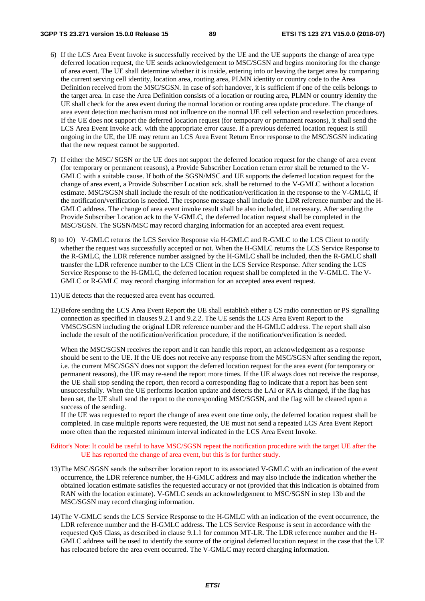- 6) If the LCS Area Event Invoke is successfully received by the UE and the UE supports the change of area type deferred location request, the UE sends acknowledgement to MSC/SGSN and begins monitoring for the change of area event. The UE shall determine whether it is inside, entering into or leaving the target area by comparing the current serving cell identity, location area, routing area, PLMN identity or country code to the Area Definition received from the MSC/SGSN. In case of soft handover, it is sufficient if one of the cells belongs to the target area. In case the Area Definition consists of a location or routing area, PLMN or country identity the UE shall check for the area event during the normal location or routing area update procedure. The change of area event detection mechanism must not influence on the normal UE cell selection and reselection procedures. If the UE does not support the deferred location request (for temporary or permanent reasons), it shall send the LCS Area Event Invoke ack. with the appropriate error cause. If a previous deferred location request is still ongoing in the UE, the UE may return an LCS Area Event Return Error response to the MSC/SGSN indicating that the new request cannot be supported.
- 7) If either the MSC/ SGSN or the UE does not support the deferred location request for the change of area event (for temporary or permanent reasons), a Provide Subscriber Location return error shall be returned to the V-GMLC with a suitable cause. If both of the SGSN/MSC and UE supports the deferred location request for the change of area event, a Provide Subscriber Location ack. shall be returned to the V-GMLC without a location estimate. MSC/SGSN shall include the result of the notification/verification in the response to the V-GMLC, if the notification/verification is needed. The response message shall include the LDR reference number and the H-GMLC address. The change of area event invoke result shall be also included, if necessary. After sending the Provide Subscriber Location ack to the V-GMLC, the deferred location request shall be completed in the MSC/SGSN. The SGSN/MSC may record charging information for an accepted area event request.
- 8) to 10) V-GMLC returns the LCS Service Response via H-GMLC and R-GMLC to the LCS Client to notify whether the request was successfully accepted or not. When the H-GMLC returns the LCS Service Response to the R-GMLC, the LDR reference number assigned by the H-GMLC shall be included, then the R-GMLC shall transfer the LDR reference number to the LCS Client in the LCS Service Response. After sending the LCS Service Response to the H-GMLC, the deferred location request shall be completed in the V-GMLC. The V-GMLC or R-GMLC may record charging information for an accepted area event request.
- 11) UE detects that the requested area event has occurred.
- 12) Before sending the LCS Area Event Report the UE shall establish either a CS radio connection or PS signalling connection as specified in clauses 9.2.1 and 9.2.2. The UE sends the LCS Area Event Report to the VMSC/SGSN including the original LDR reference number and the H-GMLC address. The report shall also include the result of the notification/verification procedure, if the notification/verification is needed.

When the MSC/SGSN receives the report and it can handle this report, an acknowledgement as a response should be sent to the UE. If the UE does not receive any response from the MSC/SGSN after sending the report, i.e. the current MSC/SGSN does not support the deferred location request for the area event (for temporary or permanent reasons), the UE may re-send the report more times. If the UE always does not receive the response, the UE shall stop sending the report, then record a corresponding flag to indicate that a report has been sent unsuccessfully. When the UE performs location update and detects the LAI or RA is changed, if the flag has been set, the UE shall send the report to the corresponding MSC/SGSN, and the flag will be cleared upon a success of the sending.

If the UE was requested to report the change of area event one time only, the deferred location request shall be completed. In case multiple reports were requested, the UE must not send a repeated LCS Area Event Report more often than the requested minimum interval indicated in the LCS Area Event Invoke.

#### Editor's Note: It could be useful to have MSC/SGSN repeat the notification procedure with the target UE after the UE has reported the change of area event, but this is for further study.

- 13) The MSC/SGSN sends the subscriber location report to its associated V-GMLC with an indication of the event occurrence, the LDR reference number, the H-GMLC address and may also include the indication whether the obtained location estimate satisfies the requested accuracy or not (provided that this indication is obtained from RAN with the location estimate). V-GMLC sends an acknowledgement to MSC/SGSN in step 13b and the MSC/SGSN may record charging information.
- 14) The V-GMLC sends the LCS Service Response to the H-GMLC with an indication of the event occurrence, the LDR reference number and the H-GMLC address. The LCS Service Response is sent in accordance with the requested QoS Class, as described in clause 9.1.1 for common MT-LR. The LDR reference number and the H-GMLC address will be used to identify the source of the original deferred location request in the case that the UE has relocated before the area event occurred. The V-GMLC may record charging information.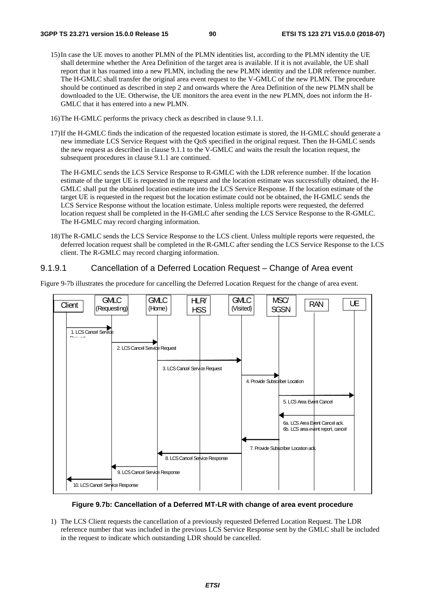- 15) In case the UE moves to another PLMN of the PLMN identities list, according to the PLMN identity the UE shall determine whether the Area Definition of the target area is available. If it is not available, the UE shall report that it has roamed into a new PLMN, including the new PLMN identity and the LDR reference number. The H-GMLC shall transfer the original area event request to the V-GMLC of the new PLMN. The procedure should be continued as described in step 2 and onwards where the Area Definition of the new PLMN shall be downloaded to the UE. Otherwise, the UE monitors the area event in the new PLMN, does not inform the H-GMLC that it has entered into a new PLMN.
- 16) The H-GMLC performs the privacy check as described in clause 9.1.1.
- 17) If the H-GMLC finds the indication of the requested location estimate is stored, the H-GMLC should generate a new immediate LCS Service Request with the QoS specified in the original request. Then the H-GMLC sends the new request as described in clause 9.1.1 to the V-GMLC and waits the result the location request, the subsequent procedures in clause 9.1.1 are continued.

 The H-GMLC sends the LCS Service Response to R-GMLC with the LDR reference number. If the location estimate of the target UE is requested in the request and the location estimate was successfully obtained, the H-GMLC shall put the obtained location estimate into the LCS Service Response. If the location estimate of the target UE is requested in the request but the location estimate could not be obtained, the H-GMLC sends the LCS Service Response without the location estimate. Unless multiple reports were requested, the deferred location request shall be completed in the H-GMLC after sending the LCS Service Response to the R-GMLC. The H-GMLC may record charging information.

18) The R-GMLC sends the LCS Service Response to the LCS client. Unless multiple reports were requested, the deferred location request shall be completed in the R-GMLC after sending the LCS Service Response to the LCS client. The R-GMLC may record charging information.

### 9.1.9.1 Cancellation of a Deferred Location Request – Change of Area event

Figure 9-7b illustrates the procedure for cancelling the Deferred Location Request for the change of area event.



### **Figure 9.7b: Cancellation of a Deferred MT-LR with change of area event procedure**

1) The LCS Client requests the cancellation of a previously requested Deferred Location Request. The LDR reference number that was included in the previous LCS Service Response sent by the GMLC shall be included in the request to indicate which outstanding LDR should be cancelled.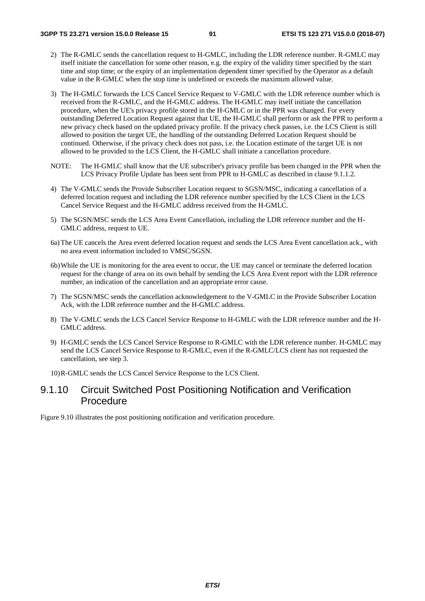- 2) The R-GMLC sends the cancellation request to H-GMLC, including the LDR reference number. R-GMLC may itself initiate the cancellation for some other reason, e.g. the expiry of the validity timer specified by the start time and stop time; or the expiry of an implementation dependent timer specified by the Operator as a default value in the R-GMLC when the stop time is undefined or exceeds the maximum allowed value.
- 3) The H-GMLC forwards the LCS Cancel Service Request to V-GMLC with the LDR reference number which is received from the R-GMLC, and the H-GMLC address. The H-GMLC may itself initiate the cancellation procedure, when the UE's privacy profile stored in the H-GMLC or in the PPR was changed. For every outstanding Deferred Location Request against that UE, the H-GMLC shall perform or ask the PPR to perform a new privacy check based on the updated privacy profile. If the privacy check passes, i.e. the LCS Client is still allowed to position the target UE, the handling of the outstanding Deferred Location Request should be continued. Otherwise, if the privacy check does not pass, i.e. the Location estimate of the target UE is not allowed to be provided to the LCS Client, the H-GMLC shall initiate a cancellation procedure.
- NOTE: The H-GMLC shall know that the UE subscriber's privacy profile has been changed in the PPR when the LCS Privacy Profile Update has been sent from PPR to H-GMLC as described in clause 9.1.1.2.
- 4) The V-GMLC sends the Provide Subscriber Location request to SGSN/MSC, indicating a cancellation of a deferred location request and including the LDR reference number specified by the LCS Client in the LCS Cancel Service Request and the H-GMLC address received from the H-GMLC.
- 5) The SGSN/MSC sends the LCS Area Event Cancellation, including the LDR reference number and the H-GMLC address, request to UE.
- 6a) The UE cancels the Area event deferred location request and sends the LCS Area Event cancellation ack., with no area event information included to VMSC/SGSN.
- 6b) While the UE is monitoring for the area event to occur, the UE may cancel or terminate the deferred location request for the change of area on its own behalf by sending the LCS Area Event report with the LDR reference number, an indication of the cancellation and an appropriate error cause.
- 7) The SGSN/MSC sends the cancellation acknowledgement to the V-GMLC in the Provide Subscriber Location Ack, with the LDR reference number and the H-GMLC address.
- 8) The V-GMLC sends the LCS Cancel Service Response to H-GMLC with the LDR reference number and the H-GMLC address.
- 9) H-GMLC sends the LCS Cancel Service Response to R-GMLC with the LDR reference number. H-GMLC may send the LCS Cancel Service Response to R-GMLC, even if the R-GMLC/LCS client has not requested the cancellation, see step 3.

10) R-GMLC sends the LCS Cancel Service Response to the LCS Client.

# 9.1.10 Circuit Switched Post Positioning Notification and Verification Procedure

Figure 9.10 illustrates the post positioning notification and verification procedure.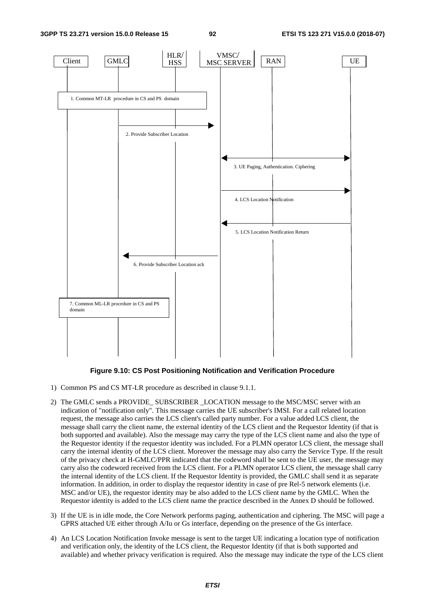**3GPP TS 23.271 version 15.0.0 Release 15 92 ETSI TS 123 271 V15.0.0 (2018-07)**



### **Figure 9.10: CS Post Positioning Notification and Verification Procedure**

- 1) Common PS and CS MT-LR procedure as described in clause 9.1.1.
- 2) The GMLC sends a PROVIDE\_ SUBSCRIBER \_LOCATION message to the MSC/MSC server with an indication of "notification only". This message carries the UE subscriber's IMSI. For a call related location request, the message also carries the LCS client's called party number. For a value added LCS client, the message shall carry the client name, the external identity of the LCS client and the Requestor Identity (if that is both supported and available). Also the message may carry the type of the LCS client name and also the type of the Requestor identity if the requestor identity was included. For a PLMN operator LCS client, the message shall carry the internal identity of the LCS client. Moreover the message may also carry the Service Type. If the result of the privacy check at H-GMLC/PPR indicated that the codeword shall be sent to the UE user, the message may carry also the codeword received from the LCS client. For a PLMN operator LCS client, the message shall carry the internal identity of the LCS client. If the Requestor Identity is provided, the GMLC shall send it as separate information. In addition, in order to display the requestor identity in case of pre Rel-5 network elements (i.e. MSC and/or UE), the requestor identity may be also added to the LCS client name by the GMLC. When the Requestor identity is added to the LCS client name the practice described in the Annex D should be followed.
- 3) If the UE is in idle mode, the Core Network performs paging, authentication and ciphering. The MSC will page a GPRS attached UE either through A/Iu or Gs interface, depending on the presence of the Gs interface.
- 4) An LCS Location Notification Invoke message is sent to the target UE indicating a location type of notification and verification only, the identity of the LCS client, the Requestor Identity (if that is both supported and available) and whether privacy verification is required. Also the message may indicate the type of the LCS client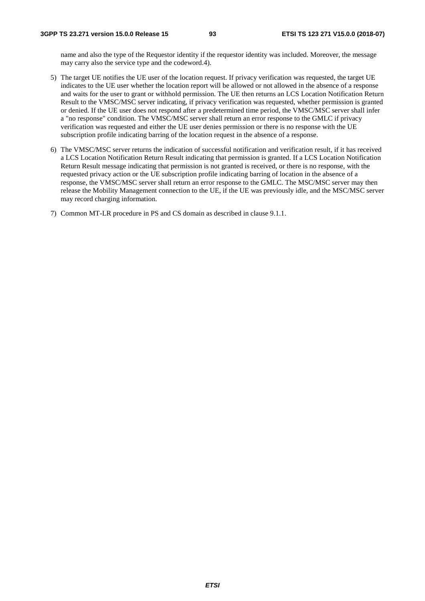name and also the type of the Requestor identity if the requestor identity was included. Moreover, the message may carry also the service type and the codeword.4).

- 5) The target UE notifies the UE user of the location request. If privacy verification was requested, the target UE indicates to the UE user whether the location report will be allowed or not allowed in the absence of a response and waits for the user to grant or withhold permission. The UE then returns an LCS Location Notification Return Result to the VMSC/MSC server indicating, if privacy verification was requested, whether permission is granted or denied. If the UE user does not respond after a predetermined time period, the VMSC/MSC server shall infer a "no response" condition. The VMSC/MSC server shall return an error response to the GMLC if privacy verification was requested and either the UE user denies permission or there is no response with the UE subscription profile indicating barring of the location request in the absence of a response.
- 6) The VMSC/MSC server returns the indication of successful notification and verification result, if it has received a LCS Location Notification Return Result indicating that permission is granted. If a LCS Location Notification Return Result message indicating that permission is not granted is received, or there is no response, with the requested privacy action or the UE subscription profile indicating barring of location in the absence of a response, the VMSC/MSC server shall return an error response to the GMLC. The MSC/MSC server may then release the Mobility Management connection to the UE, if the UE was previously idle, and the MSC/MSC server may record charging information.

7) Common MT-LR procedure in PS and CS domain as described in clause 9.1.1.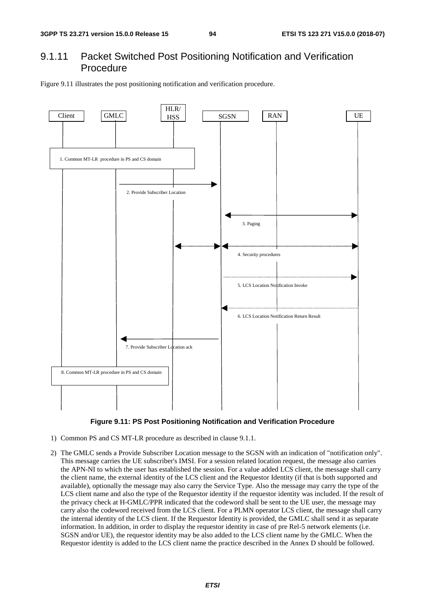# 9.1.11 Packet Switched Post Positioning Notification and Verification Procedure

Figure 9.11 illustrates the post positioning notification and verification procedure.





- 1) Common PS and CS MT-LR procedure as described in clause 9.1.1.
- 2) The GMLC sends a Provide Subscriber Location message to the SGSN with an indication of "notification only". This message carries the UE subscriber's IMSI. For a session related location request, the message also carries the APN-NI to which the user has established the session. For a value added LCS client, the message shall carry the client name, the external identity of the LCS client and the Requestor Identity (if that is both supported and available), optionally the message may also carry the Service Type. Also the message may carry the type of the LCS client name and also the type of the Requestor identity if the requestor identity was included. If the result of the privacy check at H-GMLC/PPR indicated that the codeword shall be sent to the UE user, the message may carry also the codeword received from the LCS client. For a PLMN operator LCS client, the message shall carry the internal identity of the LCS client. If the Requestor Identity is provided, the GMLC shall send it as separate information. In addition, in order to display the requestor identity in case of pre Rel-5 network elements (i.e. SGSN and/or UE), the requestor identity may be also added to the LCS client name by the GMLC. When the Requestor identity is added to the LCS client name the practice described in the Annex D should be followed.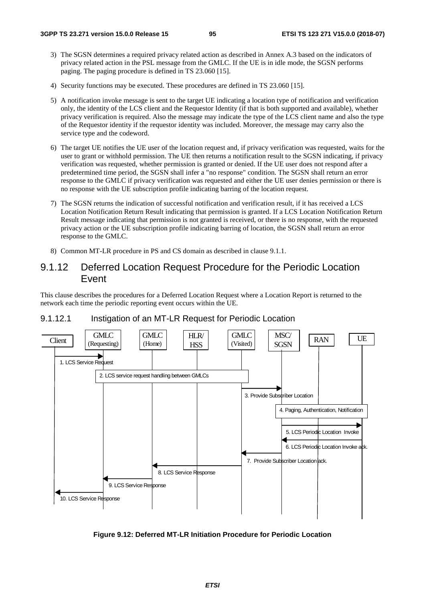- 3) The SGSN determines a required privacy related action as described in Annex A.3 based on the indicators of privacy related action in the PSL message from the GMLC. If the UE is in idle mode, the SGSN performs paging. The paging procedure is defined in TS 23.060 [15].
- 4) Security functions may be executed. These procedures are defined in TS 23.060 [15].
- 5) A notification invoke message is sent to the target UE indicating a location type of notification and verification only, the identity of the LCS client and the Requestor Identity (if that is both supported and available), whether privacy verification is required. Also the message may indicate the type of the LCS client name and also the type of the Requestor identity if the requestor identity was included. Moreover, the message may carry also the service type and the codeword.
- 6) The target UE notifies the UE user of the location request and, if privacy verification was requested, waits for the user to grant or withhold permission. The UE then returns a notification result to the SGSN indicating, if privacy verification was requested, whether permission is granted or denied. If the UE user does not respond after a predetermined time period, the SGSN shall infer a "no response" condition. The SGSN shall return an error response to the GMLC if privacy verification was requested and either the UE user denies permission or there is no response with the UE subscription profile indicating barring of the location request.
- 7) The SGSN returns the indication of successful notification and verification result, if it has received a LCS Location Notification Return Result indicating that permission is granted. If a LCS Location Notification Return Result message indicating that permission is not granted is received, or there is no response, with the requested privacy action or the UE subscription profile indicating barring of location, the SGSN shall return an error response to the GMLC.
- 8) Common MT-LR procedure in PS and CS domain as described in clause 9.1.1.

## 9.1.12 Deferred Location Request Procedure for the Periodic Location Event

This clause describes the procedures for a Deferred Location Request where a Location Report is returned to the network each time the periodic reporting event occurs within the UE.



### 9.1.12.1 Instigation of an MT-LR Request for Periodic Location

**Figure 9.12: Deferred MT-LR Initiation Procedure for Periodic Location**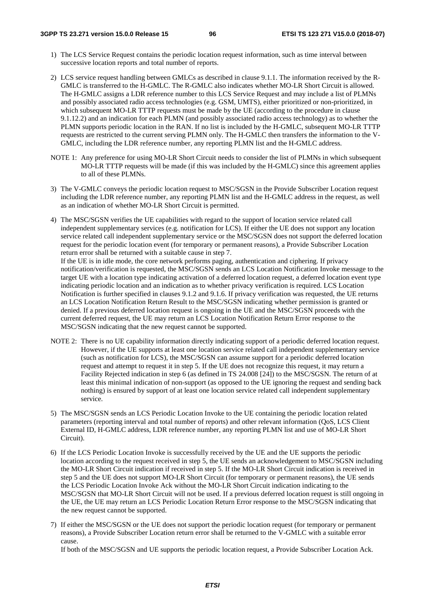- 1) The LCS Service Request contains the periodic location request information, such as time interval between successive location reports and total number of reports.
- 2) LCS service request handling between GMLCs as described in clause 9.1.1. The information received by the R-GMLC is transferred to the H-GMLC. The R-GMLC also indicates whether MO-LR Short Circuit is allowed. The H-GMLC assigns a LDR reference number to this LCS Service Request and may include a list of PLMNs and possibly associated radio access technologies (e.g. GSM, UMTS), either prioritized or non-prioritized, in which subsequent MO-LR TTTP requests must be made by the UE (according to the procedure in clause 9.1.12.2) and an indication for each PLMN (and possibly associated radio access technology) as to whether the PLMN supports periodic location in the RAN. If no list is included by the H-GMLC, subsequent MO-LR TTTP requests are restricted to the current serving PLMN only. The H-GMLC then transfers the information to the V-GMLC, including the LDR reference number, any reporting PLMN list and the H-GMLC address.
- NOTE 1: Any preference for using MO-LR Short Circuit needs to consider the list of PLMNs in which subsequent MO-LR TTTP requests will be made (if this was included by the H-GMLC) since this agreement applies to all of these PLMNs.
- 3) The V-GMLC conveys the periodic location request to MSC/SGSN in the Provide Subscriber Location request including the LDR reference number, any reporting PLMN list and the H-GMLC address in the request, as well as an indication of whether MO-LR Short Circuit is permitted.
- 4) The MSC/SGSN verifies the UE capabilities with regard to the support of location service related call independent supplementary services (e.g. notification for LCS). If either the UE does not support any location service related call independent supplementary service or the MSC/SGSN does not support the deferred location request for the periodic location event (for temporary or permanent reasons), a Provide Subscriber Location return error shall be returned with a suitable cause in step 7. If the UE is in idle mode, the core network performs paging, authentication and ciphering. If privacy notification/verification is requested, the MSC/SGSN sends an LCS Location Notification Invoke message to the target UE with a location type indicating activation of a deferred location request, a deferred location event type indicating periodic location and an indication as to whether privacy verification is required. LCS Location Notification is further specified in clauses 9.1.2 and 9.1.6. If privacy verification was requested, the UE returns an LCS Location Notification Return Result to the MSC/SGSN indicating whether permission is granted or denied. If a previous deferred location request is ongoing in the UE and the MSC/SGSN proceeds with the

current deferred request, the UE may return an LCS Location Notification Return Error response to the MSC/SGSN indicating that the new request cannot be supported.

- NOTE 2: There is no UE capability information directly indicating support of a periodic deferred location request. However, if the UE supports at least one location service related call independent supplementary service (such as notification for LCS), the MSC/SGSN can assume support for a periodic deferred location request and attempt to request it in step 5. If the UE does not recognize this request, it may return a Facility Rejected indication in step 6 (as defined in TS 24.008 [24]) to the MSC/SGSN. The return of at least this minimal indication of non-support (as opposed to the UE ignoring the request and sending back nothing) is ensured by support of at least one location service related call independent supplementary service.
- 5) The MSC/SGSN sends an LCS Periodic Location Invoke to the UE containing the periodic location related parameters (reporting interval and total number of reports) and other relevant information (QoS, LCS Client External ID, H-GMLC address, LDR reference number, any reporting PLMN list and use of MO-LR Short Circuit).
- 6) If the LCS Periodic Location Invoke is successfully received by the UE and the UE supports the periodic location according to the request received in step 5, the UE sends an acknowledgement to MSC/SGSN including the MO-LR Short Circuit indication if received in step 5. If the MO-LR Short Circuit indication is received in step 5 and the UE does not support MO-LR Short Circuit (for temporary or permanent reasons), the UE sends the LCS Periodic Location Invoke Ack without the MO-LR Short Circuit indication indicating to the MSC/SGSN that MO-LR Short Circuit will not be used. If a previous deferred location request is still ongoing in the UE, the UE may return an LCS Periodic Location Return Error response to the MSC/SGSN indicating that the new request cannot be supported.

7) If either the MSC/SGSN or the UE does not support the periodic location request (for temporary or permanent reasons), a Provide Subscriber Location return error shall be returned to the V-GMLC with a suitable error cause.

If both of the MSC/SGSN and UE supports the periodic location request, a Provide Subscriber Location Ack.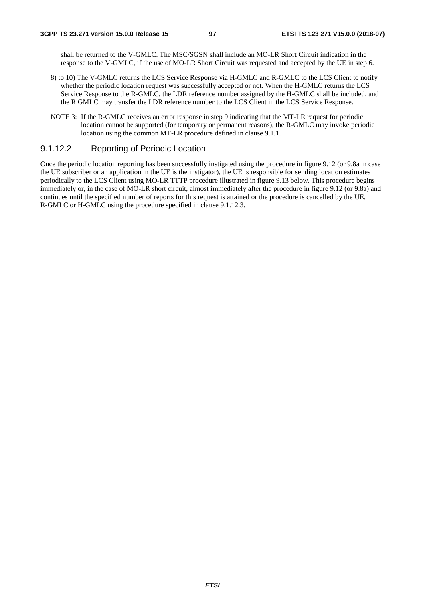shall be returned to the V-GMLC. The MSC/SGSN shall include an MO-LR Short Circuit indication in the response to the V-GMLC, if the use of MO-LR Short Circuit was requested and accepted by the UE in step 6.

- 8) to 10) The V-GMLC returns the LCS Service Response via H-GMLC and R-GMLC to the LCS Client to notify whether the periodic location request was successfully accepted or not. When the H-GMLC returns the LCS Service Response to the R-GMLC, the LDR reference number assigned by the H-GMLC shall be included, and the R GMLC may transfer the LDR reference number to the LCS Client in the LCS Service Response.
- NOTE 3: If the R-GMLC receives an error response in step 9 indicating that the MT-LR request for periodic location cannot be supported (for temporary or permanent reasons), the R-GMLC may invoke periodic location using the common MT-LR procedure defined in clause 9.1.1.

### 9.1.12.2 Reporting of Periodic Location

Once the periodic location reporting has been successfully instigated using the procedure in figure 9.12 (or 9.8a in case the UE subscriber or an application in the UE is the instigator), the UE is responsible for sending location estimates periodically to the LCS Client using MO-LR TTTP procedure illustrated in figure 9.13 below. This procedure begins immediately or, in the case of MO-LR short circuit, almost immediately after the procedure in figure 9.12 (or 9.8a) and continues until the specified number of reports for this request is attained or the procedure is cancelled by the UE, R-GMLC or H-GMLC using the procedure specified in clause 9.1.12.3.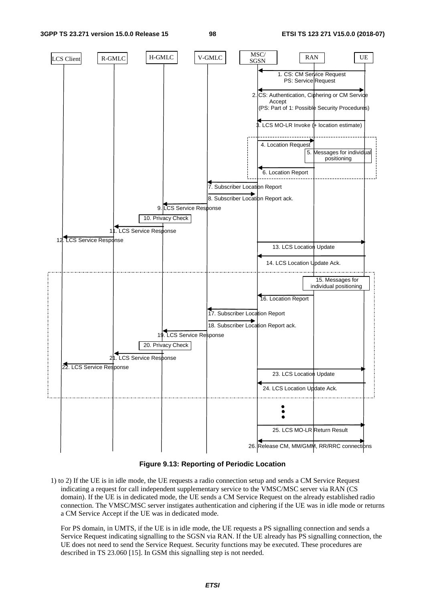#### **3GPP TS 23.271 version 15.0.0 Release 15 98 ETSI TS 123 271 V15.0.0 (2018-07)**



**Figure 9.13: Reporting of Periodic Location** 

1) to 2) If the UE is in idle mode, the UE requests a radio connection setup and sends a CM Service Request indicating a request for call independent supplementary service to the VMSC/MSC server via RAN (CS domain). If the UE is in dedicated mode, the UE sends a CM Service Request on the already established radio connection. The VMSC/MSC server instigates authentication and ciphering if the UE was in idle mode or returns a CM Service Accept if the UE was in dedicated mode.

 For PS domain, in UMTS, if the UE is in idle mode, the UE requests a PS signalling connection and sends a Service Request indicating signalling to the SGSN via RAN. If the UE already has PS signalling connection, the UE does not need to send the Service Request. Security functions may be executed. These procedures are described in TS 23.060 [15]. In GSM this signalling step is not needed.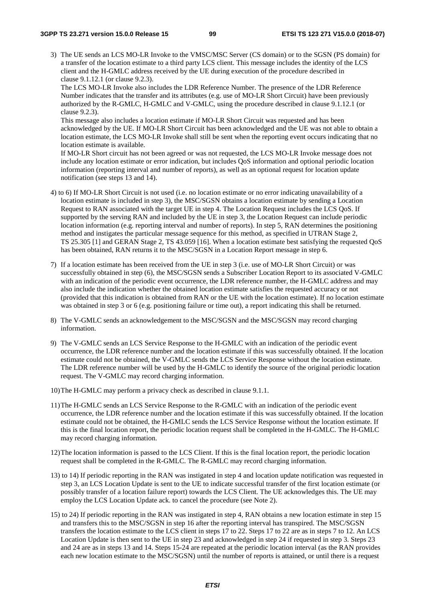3) The UE sends an LCS MO-LR Invoke to the VMSC/MSC Server (CS domain) or to the SGSN (PS domain) for a transfer of the location estimate to a third party LCS client. This message includes the identity of the LCS client and the H-GMLC address received by the UE during execution of the procedure described in clause 9.1.12.1 (or clause 9.2.3).

The LCS MO-LR Invoke also includes the LDR Reference Number. The presence of the LDR Reference Number indicates that the transfer and its attributes (e.g. use of MO-LR Short Circuit) have been previously authorized by the R-GMLC, H-GMLC and V-GMLC, using the procedure described in clause 9.1.12.1 (or clause 9.2.3).

This message also includes a location estimate if MO-LR Short Circuit was requested and has been acknowledged by the UE. If MO-LR Short Circuit has been acknowledged and the UE was not able to obtain a location estimate, the LCS MO-LR Invoke shall still be sent when the reporting event occurs indicating that no location estimate is available.

If MO-LR Short circuit has not been agreed or was not requested, the LCS MO-LR Invoke message does not include any location estimate or error indication, but includes QoS information and optional periodic location information (reporting interval and number of reports), as well as an optional request for location update notification (see steps 13 and 14).

- 4) to 6) If MO-LR Short Circuit is not used (i.e. no location estimate or no error indicating unavailability of a location estimate is included in step 3), the MSC/SGSN obtains a location estimate by sending a Location Request to RAN associated with the target UE in step 4. The Location Request includes the LCS QoS. If supported by the serving RAN and included by the UE in step 3, the Location Request can include periodic location information (e.g. reporting interval and number of reports). In step 5, RAN determines the positioning method and instigates the particular message sequence for this method, as specified in UTRAN Stage 2, TS 25.305 [1] and GERAN Stage 2, TS 43.059 [16]. When a location estimate best satisfying the requested QoS has been obtained, RAN returns it to the MSC/SGSN in a Location Report message in step 6.
- 7) If a location estimate has been received from the UE in step 3 (i.e. use of MO-LR Short Circuit) or was successfully obtained in step (6), the MSC/SGSN sends a Subscriber Location Report to its associated V-GMLC with an indication of the periodic event occurrence, the LDR reference number, the H-GMLC address and may also include the indication whether the obtained location estimate satisfies the requested accuracy or not (provided that this indication is obtained from RAN or the UE with the location estimate). If no location estimate was obtained in step 3 or 6 (e.g. positioning failure or time out), a report indicating this shall be returned.
- 8) The V-GMLC sends an acknowledgement to the MSC/SGSN and the MSC/SGSN may record charging information.
- 9) The V-GMLC sends an LCS Service Response to the H-GMLC with an indication of the periodic event occurrence, the LDR reference number and the location estimate if this was successfully obtained. If the location estimate could not be obtained, the V-GMLC sends the LCS Service Response without the location estimate. The LDR reference number will be used by the H-GMLC to identify the source of the original periodic location request. The V-GMLC may record charging information.
- 10) The H-GMLC may perform a privacy check as described in clause 9.1.1.
- 11) The H-GMLC sends an LCS Service Response to the R-GMLC with an indication of the periodic event occurrence, the LDR reference number and the location estimate if this was successfully obtained. If the location estimate could not be obtained, the H-GMLC sends the LCS Service Response without the location estimate. If this is the final location report, the periodic location request shall be completed in the H-GMLC. The H-GMLC may record charging information.
- 12) The location information is passed to the LCS Client. If this is the final location report, the periodic location request shall be completed in the R-GMLC. The R-GMLC may record charging information.
- 13) to 14) If periodic reporting in the RAN was instigated in step 4 and location update notification was requested in step 3, an LCS Location Update is sent to the UE to indicate successful transfer of the first location estimate (or possibly transfer of a location failure report) towards the LCS Client. The UE acknowledges this. The UE may employ the LCS Location Update ack. to cancel the procedure (see Note 2).
- 15) to 24) If periodic reporting in the RAN was instigated in step 4, RAN obtains a new location estimate in step 15 and transfers this to the MSC/SGSN in step 16 after the reporting interval has transpired. The MSC/SGSN transfers the location estimate to the LCS client in steps 17 to 22. Steps 17 to 22 are as in steps 7 to 12. An LCS Location Update is then sent to the UE in step 23 and acknowledged in step 24 if requested in step 3. Steps 23 and 24 are as in steps 13 and 14. Steps 15-24 are repeated at the periodic location interval (as the RAN provides each new location estimate to the MSC/SGSN) until the number of reports is attained, or until there is a request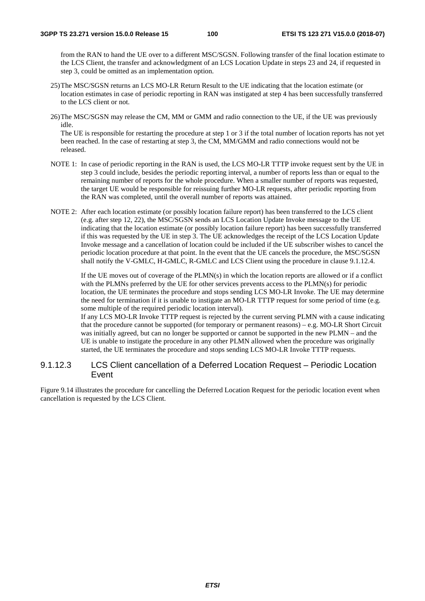from the RAN to hand the UE over to a different MSC/SGSN. Following transfer of the final location estimate to the LCS Client, the transfer and acknowledgment of an LCS Location Update in steps 23 and 24, if requested in step 3, could be omitted as an implementation option.

- 25) The MSC/SGSN returns an LCS MO-LR Return Result to the UE indicating that the location estimate (or location estimates in case of periodic reporting in RAN was instigated at step 4 has been successfully transferred to the LCS client or not.
- 26) The MSC/SGSN may release the CM, MM or GMM and radio connection to the UE, if the UE was previously idle.

The UE is responsible for restarting the procedure at step 1 or 3 if the total number of location reports has not yet been reached. In the case of restarting at step 3, the CM, MM/GMM and radio connections would not be released.

- NOTE 1: In case of periodic reporting in the RAN is used, the LCS MO-LR TTTP invoke request sent by the UE in step 3 could include, besides the periodic reporting interval, a number of reports less than or equal to the remaining number of reports for the whole procedure. When a smaller number of reports was requested, the target UE would be responsible for reissuing further MO-LR requests, after periodic reporting from the RAN was completed, until the overall number of reports was attained.
- NOTE 2: After each location estimate (or possibly location failure report) has been transferred to the LCS client (e.g. after step 12, 22), the MSC/SGSN sends an LCS Location Update Invoke message to the UE indicating that the location estimate (or possibly location failure report) has been successfully transferred if this was requested by the UE in step 3. The UE acknowledges the receipt of the LCS Location Update Invoke message and a cancellation of location could be included if the UE subscriber wishes to cancel the periodic location procedure at that point. In the event that the UE cancels the procedure, the MSC/SGSN shall notify the V-GMLC, H-GMLC, R-GMLC and LCS Client using the procedure in clause 9.1.12.4.

 If the UE moves out of coverage of the PLMN(s) in which the location reports are allowed or if a conflict with the PLMNs preferred by the UE for other services prevents access to the PLMN(s) for periodic location, the UE terminates the procedure and stops sending LCS MO-LR Invoke. The UE may determine the need for termination if it is unable to instigate an MO-LR TTTP request for some period of time (e.g. some multiple of the required periodic location interval).

If any LCS MO-LR Invoke TTTP request is rejected by the current serving PLMN with a cause indicating that the procedure cannot be supported (for temporary or permanent reasons) – e.g. MO-LR Short Circuit was initially agreed, but can no longer be supported or cannot be supported in the new PLMN – and the UE is unable to instigate the procedure in any other PLMN allowed when the procedure was originally started, the UE terminates the procedure and stops sending LCS MO-LR Invoke TTTP requests.

### 9.1.12.3 LCS Client cancellation of a Deferred Location Request – Periodic Location Event

Figure 9.14 illustrates the procedure for cancelling the Deferred Location Request for the periodic location event when cancellation is requested by the LCS Client.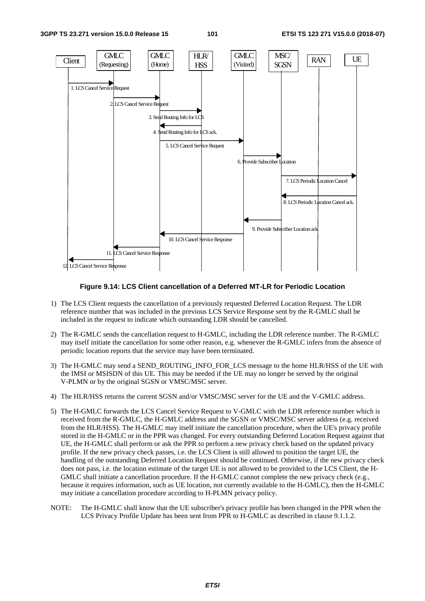

**Figure 9.14: LCS Client cancellation of a Deferred MT-LR for Periodic Location** 

- 1) The LCS Client requests the cancellation of a previously requested Deferred Location Request. The LDR reference number that was included in the previous LCS Service Response sent by the R-GMLC shall be included in the request to indicate which outstanding LDR should be cancelled.
- 2) The R-GMLC sends the cancellation request to H-GMLC, including the LDR reference number. The R-GMLC may itself initiate the cancellation for some other reason, e.g. whenever the R-GMLC infers from the absence of periodic location reports that the service may have been terminated.
- 3) The H-GMLC may send a SEND\_ROUTING\_INFO\_FOR\_LCS message to the home HLR/HSS of the UE with the IMSI or MSISDN of this UE. This may be needed if the UE may no longer be served by the original V-PLMN or by the original SGSN or VMSC/MSC server.
- 4) The HLR/HSS returns the current SGSN and/or VMSC/MSC server for the UE and the V-GMLC address.
- 5) The H-GMLC forwards the LCS Cancel Service Request to V-GMLC with the LDR reference number which is received from the R-GMLC, the H-GMLC address and the SGSN or VMSC/MSC server address (e.g. received from the HLR/HSS). The H-GMLC may itself initiate the cancellation procedure, when the UE's privacy profile stored in the H-GMLC or in the PPR was changed. For every outstanding Deferred Location Request against that UE, the H-GMLC shall perform or ask the PPR to perform a new privacy check based on the updated privacy profile. If the new privacy check passes, i.e. the LCS Client is still allowed to position the target UE, the handling of the outstanding Deferred Location Request should be continued. Otherwise, if the new privacy check does not pass, i.e. the location estimate of the target UE is not allowed to be provided to the LCS Client, the H-GMLC shall initiate a cancellation procedure. If the H-GMLC cannot complete the new privacy check (e.g., because it requires information, such as UE location, not currently available to the H-GMLC), then the H-GMLC may initiate a cancellation procedure according to H-PLMN privacy policy.
- NOTE: The H-GMLC shall know that the UE subscriber's privacy profile has been changed in the PPR when the LCS Privacy Profile Update has been sent from PPR to H-GMLC as described in clause 9.1.1.2.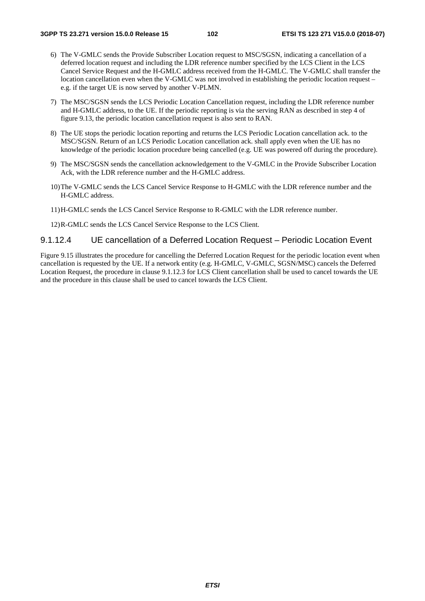- 6) The V-GMLC sends the Provide Subscriber Location request to MSC/SGSN, indicating a cancellation of a deferred location request and including the LDR reference number specified by the LCS Client in the LCS Cancel Service Request and the H-GMLC address received from the H-GMLC. The V-GMLC shall transfer the location cancellation even when the V-GMLC was not involved in establishing the periodic location request – e.g. if the target UE is now served by another V-PLMN.
- 7) The MSC/SGSN sends the LCS Periodic Location Cancellation request, including the LDR reference number and H-GMLC address, to the UE. If the periodic reporting is via the serving RAN as described in step 4 of figure 9.13, the periodic location cancellation request is also sent to RAN.
- 8) The UE stops the periodic location reporting and returns the LCS Periodic Location cancellation ack. to the MSC/SGSN. Return of an LCS Periodic Location cancellation ack. shall apply even when the UE has no knowledge of the periodic location procedure being cancelled (e.g. UE was powered off during the procedure).
- 9) The MSC/SGSN sends the cancellation acknowledgement to the V-GMLC in the Provide Subscriber Location Ack, with the LDR reference number and the H-GMLC address.
- 10) The V-GMLC sends the LCS Cancel Service Response to H-GMLC with the LDR reference number and the H-GMLC address.
- 11) H-GMLC sends the LCS Cancel Service Response to R-GMLC with the LDR reference number.

12) R-GMLC sends the LCS Cancel Service Response to the LCS Client.

### 9.1.12.4 UE cancellation of a Deferred Location Request – Periodic Location Event

Figure 9.15 illustrates the procedure for cancelling the Deferred Location Request for the periodic location event when cancellation is requested by the UE. If a network entity (e.g. H-GMLC, V-GMLC, SGSN/MSC) cancels the Deferred Location Request, the procedure in clause 9.1.12.3 for LCS Client cancellation shall be used to cancel towards the UE and the procedure in this clause shall be used to cancel towards the LCS Client.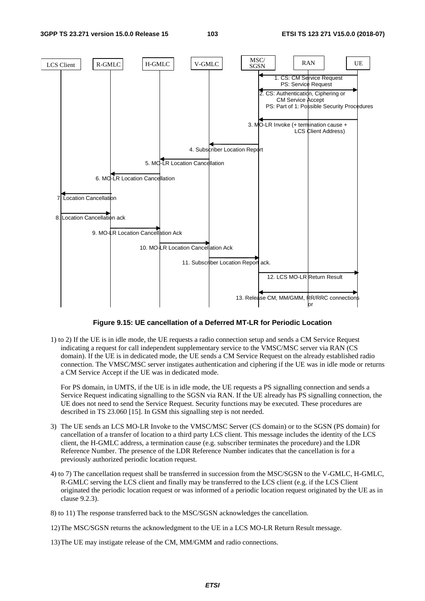#### **3GPP TS 23.271 version 15.0.0 Release 15 103 ETSI TS 123 271 V15.0.0 (2018-07)**



**Figure 9.15: UE cancellation of a Deferred MT-LR for Periodic Location** 

1) to 2) If the UE is in idle mode, the UE requests a radio connection setup and sends a CM Service Request indicating a request for call independent supplementary service to the VMSC/MSC server via RAN (CS domain). If the UE is in dedicated mode, the UE sends a CM Service Request on the already established radio connection. The VMSC/MSC server instigates authentication and ciphering if the UE was in idle mode or returns a CM Service Accept if the UE was in dedicated mode.

 For PS domain, in UMTS, if the UE is in idle mode, the UE requests a PS signalling connection and sends a Service Request indicating signalling to the SGSN via RAN. If the UE already has PS signalling connection, the UE does not need to send the Service Request. Security functions may be executed. These procedures are described in TS 23.060 [15]. In GSM this signalling step is not needed.

- 3) The UE sends an LCS MO-LR Invoke to the VMSC/MSC Server (CS domain) or to the SGSN (PS domain) for cancellation of a transfer of location to a third party LCS client. This message includes the identity of the LCS client, the H-GMLC address, a termination cause (e.g. subscriber terminates the procedure) and the LDR Reference Number. The presence of the LDR Reference Number indicates that the cancellation is for a previously authorized periodic location request.
- 4) to 7) The cancellation request shall be transferred in succession from the MSC/SGSN to the V-GMLC, H-GMLC, R-GMLC serving the LCS client and finally may be transferred to the LCS client (e.g. if the LCS Client originated the periodic location request or was informed of a periodic location request originated by the UE as in clause 9.2.3).
- 8) to 11) The response transferred back to the MSC/SGSN acknowledges the cancellation.
- 12) The MSC/SGSN returns the acknowledgment to the UE in a LCS MO-LR Return Result message.
- 13) The UE may instigate release of the CM, MM/GMM and radio connections.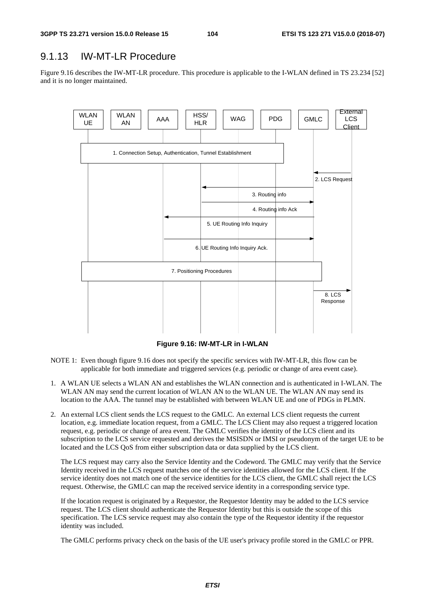# 9.1.13 IW-MT-LR Procedure

Figure 9.16 describes the IW-MT-LR procedure. This procedure is applicable to the I-WLAN defined in TS 23.234 [52] and it is no longer maintained.



**Figure 9.16: IW-MT-LR in I-WLAN** 

- NOTE 1: Even though figure 9.16 does not specify the specific services with IW-MT-LR, this flow can be applicable for both immediate and triggered services (e.g. periodic or change of area event case).
- 1. A WLAN UE selects a WLAN AN and establishes the WLAN connection and is authenticated in I-WLAN. The WLAN AN may send the current location of WLAN AN to the WLAN UE. The WLAN AN may send its location to the AAA. The tunnel may be established with between WLAN UE and one of PDGs in PLMN.
- 2. An external LCS client sends the LCS request to the GMLC. An external LCS client requests the current location, e.g. immediate location request, from a GMLC. The LCS Client may also request a triggered location request, e.g. periodic or change of area event. The GMLC verifies the identity of the LCS client and its subscription to the LCS service requested and derives the MSISDN or IMSI or pseudonym of the target UE to be located and the LCS QoS from either subscription data or data supplied by the LCS client.

 The LCS request may carry also the Service Identity and the Codeword. The GMLC may verify that the Service Identity received in the LCS request matches one of the service identities allowed for the LCS client. If the service identity does not match one of the service identities for the LCS client, the GMLC shall reject the LCS request. Otherwise, the GMLC can map the received service identity in a corresponding service type.

 If the location request is originated by a Requestor, the Requestor Identity may be added to the LCS service request. The LCS client should authenticate the Requestor Identity but this is outside the scope of this specification. The LCS service request may also contain the type of the Requestor identity if the requestor identity was included.

The GMLC performs privacy check on the basis of the UE user's privacy profile stored in the GMLC or PPR.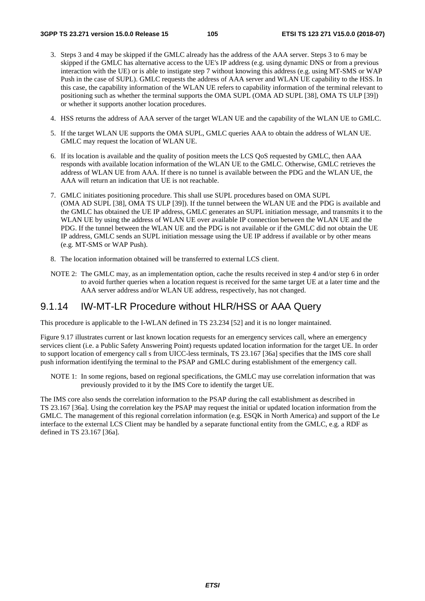- 3. Steps 3 and 4 may be skipped if the GMLC already has the address of the AAA server. Steps 3 to 6 may be skipped if the GMLC has alternative access to the UE's IP address (e.g. using dynamic DNS or from a previous interaction with the UE) or is able to instigate step 7 without knowing this address (e.g. using MT-SMS or WAP Push in the case of SUPL). GMLC requests the address of AAA server and WLAN UE capability to the HSS. In this case, the capability information of the WLAN UE refers to capability information of the terminal relevant to positioning such as whether the terminal supports the OMA SUPL (OMA AD SUPL [38], OMA TS ULP [39]) or whether it supports another location procedures.
- 4. HSS returns the address of AAA server of the target WLAN UE and the capability of the WLAN UE to GMLC.
- 5. If the target WLAN UE supports the OMA SUPL, GMLC queries AAA to obtain the address of WLAN UE. GMLC may request the location of WLAN UE.
- 6. If its location is available and the quality of position meets the LCS QoS requested by GMLC, then AAA responds with available location information of the WLAN UE to the GMLC. Otherwise, GMLC retrieves the address of WLAN UE from AAA. If there is no tunnel is available between the PDG and the WLAN UE, the AAA will return an indication that UE is not reachable.
- 7. GMLC initiates positioning procedure. This shall use SUPL procedures based on OMA SUPL (OMA AD SUPL [38], OMA TS ULP [39]). If the tunnel between the WLAN UE and the PDG is available and the GMLC has obtained the UE IP address, GMLC generates an SUPL initiation message, and transmits it to the WLAN UE by using the address of WLAN UE over available IP connection between the WLAN UE and the PDG. If the tunnel between the WLAN UE and the PDG is not available or if the GMLC did not obtain the UE IP address, GMLC sends an SUPL initiation message using the UE IP address if available or by other means (e.g. MT-SMS or WAP Push).
- 8. The location information obtained will be transferred to external LCS client.
- NOTE 2: The GMLC may, as an implementation option, cache the results received in step 4 and/or step 6 in order to avoid further queries when a location request is received for the same target UE at a later time and the AAA server address and/or WLAN UE address, respectively, has not changed.

# 9.1.14 IW-MT-LR Procedure without HLR/HSS or AAA Query

This procedure is applicable to the I-WLAN defined in TS 23.234 [52] and it is no longer maintained.

Figure 9.17 illustrates current or last known location requests for an emergency services call, where an emergency services client (i.e. a Public Safety Answering Point) requests updated location information for the target UE. In order to support location of emergency call s from UICC-less terminals, TS 23.167 [36a] specifies that the IMS core shall push information identifying the terminal to the PSAP and GMLC during establishment of the emergency call.

NOTE 1: In some regions, based on regional specifications, the GMLC may use correlation information that was previously provided to it by the IMS Core to identify the target UE.

The IMS core also sends the correlation information to the PSAP during the call establishment as described in TS 23.167 [36a]. Using the correlation key the PSAP may request the initial or updated location information from the GMLC. The management of this regional correlation information (e.g. ESQK in North America) and support of the Le interface to the external LCS Client may be handled by a separate functional entity from the GMLC, e.g. a RDF as defined in TS 23.167 [36a].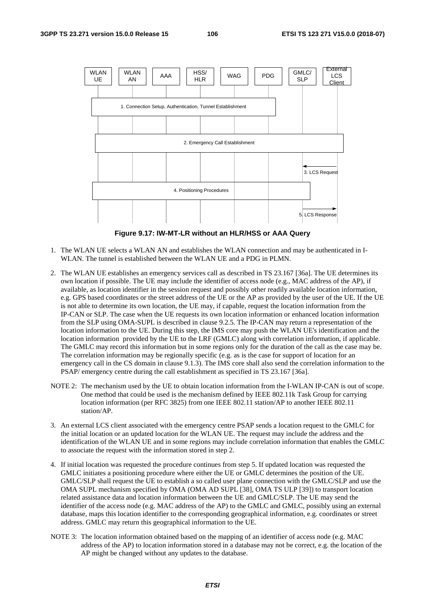

**Figure 9.17: IW-MT-LR without an HLR/HSS or AAA Query** 

- 1. The WLAN UE selects a WLAN AN and establishes the WLAN connection and may be authenticated in I-WLAN. The tunnel is established between the WLAN UE and a PDG in PLMN.
- 2. The WLAN UE establishes an emergency services call as described in TS 23.167 [36a]. The UE determines its own location if possible. The UE may include the identifier of access node (e.g., MAC address of the AP), if available, as location identifier in the session request and possibly other readily available location information, e.g. GPS based coordinates or the street address of the UE or the AP as provided by the user of the UE. If the UE is not able to determine its own location, the UE may, if capable, request the location information from the IP-CAN or SLP. The case when the UE requests its own location information or enhanced location information from the SLP using OMA-SUPL is described in clause 9.2.5. The IP-CAN may return a representation of the location information to the UE. During this step, the IMS core may push the WLAN UE's identification and the location information provided by the UE to the LRF (GMLC) along with correlation information, if applicable. The GMLC may record this information but in some regions only for the duration of the call as the case may be. The correlation information may be regionally specific (e.g. as is the case for support of location for an emergency call in the CS domain in clause 9.1.3). The IMS core shall also send the correlation information to the PSAP/ emergency centre during the call establishment as specified in TS 23.167 [36a].
- NOTE 2: The mechanism used by the UE to obtain location information from the I-WLAN IP-CAN is out of scope. One method that could be used is the mechanism defined by IEEE 802.11k Task Group for carrying location information (per RFC 3825) from one IEEE 802.11 station/AP to another IEEE 802.11 station/AP.
- 3. An external LCS client associated with the emergency centre PSAP sends a location request to the GMLC for the initial location or an updated location for the WLAN UE. The request may include the address and the identification of the WLAN UE and in some regions may include correlation information that enables the GMLC to associate the request with the information stored in step 2.
- 4. If initial location was requested the procedure continues from step 5. If updated location was requested the GMLC initiates a positioning procedure where either the UE or GMLC determines the position of the UE. GMLC/SLP shall request the UE to establish a so called user plane connection with the GMLC/SLP and use the OMA SUPL mechanism specified by OMA (OMA AD SUPL [38], OMA TS ULP [39]) to transport location related assistance data and location information between the UE and GMLC/SLP. The UE may send the identifier of the access node (e.g. MAC address of the AP) to the GMLC and GMLC, possibly using an external database, maps this location identifier to the corresponding geographical information, e.g. coordinates or street address. GMLC may return this geographical information to the UE.
- NOTE 3: The location information obtained based on the mapping of an identifier of access node (e.g. MAC address of the AP) to location information stored in a database may not be correct, e.g. the location of the AP might be changed without any updates to the database.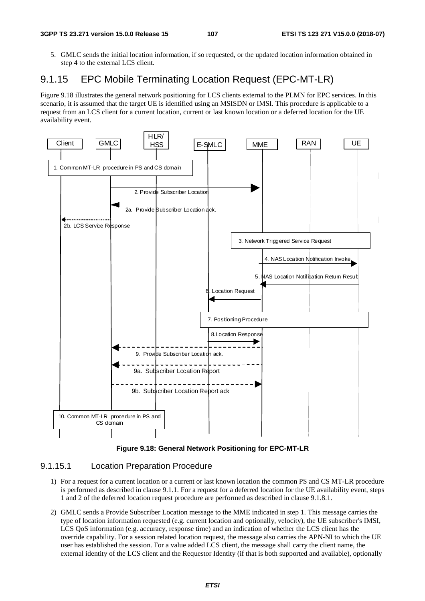5. GMLC sends the initial location information, if so requested, or the updated location information obtained in step 4 to the external LCS client.

# 9.1.15 EPC Mobile Terminating Location Request (EPC-MT-LR)

Figure 9.18 illustrates the general network positioning for LCS clients external to the PLMN for EPC services. In this scenario, it is assumed that the target UE is identified using an MSISDN or IMSI. This procedure is applicable to a request from an LCS client for a current location, current or last known location or a deferred location for the UE availability event.





### 9.1.15.1 Location Preparation Procedure

- 1) For a request for a current location or a current or last known location the common PS and CS MT-LR procedure is performed as described in clause 9.1.1. For a request for a deferred location for the UE availability event, steps 1 and 2 of the deferred location request procedure are performed as described in clause 9.1.8.1.
- 2) GMLC sends a Provide Subscriber Location message to the MME indicated in step 1. This message carries the type of location information requested (e.g. current location and optionally, velocity), the UE subscriber's IMSI, LCS QoS information (e.g. accuracy, response time) and an indication of whether the LCS client has the override capability. For a session related location request, the message also carries the APN-NI to which the UE user has established the session. For a value added LCS client, the message shall carry the client name, the external identity of the LCS client and the Requestor Identity (if that is both supported and available), optionally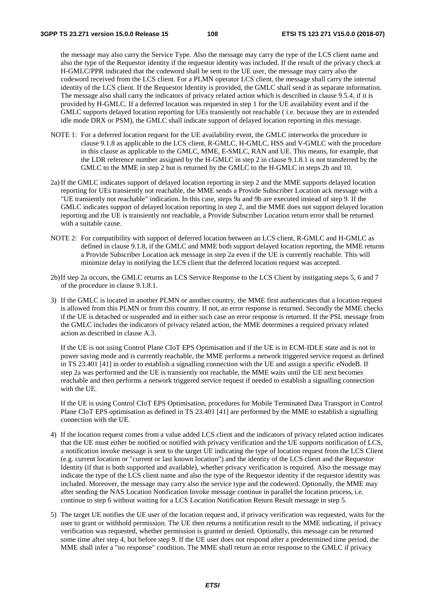the message may also carry the Service Type. Also the message may carry the type of the LCS client name and also the type of the Requestor identity if the requestor identity was included. If the result of the privacy check at H-GMLC/PPR indicated that the codeword shall be sent to the UE user, the message may carry also the codeword received from the LCS client. For a PLMN operator LCS client, the message shall carry the internal identity of the LCS client. If the Requestor Identity is provided, the GMLC shall send it as separate information. The message also shall carry the indicators of privacy related action which is described in clause 9.5.4, if it is provided by H-GMLC. If a deferred location was requested in step 1 for the UE availability event and if the GMLC supports delayed location reporting for UEs transiently not reachable ( i.e. because they are in extended idle mode DRX or PSM), the GMLC shall indicate support of delayed location reporting in this message.

- NOTE 1: For a deferred location request for the UE availability event, the GMLC interworks the procedure in clause 9.1.8 as applicable to the LCS client, R-GMLC, H-GMLC, HSS and V-GMLC with the procedure in this clause as applicable to the GMLC, MME, E-SMLC, RAN and UE. This means, for example, that the LDR reference number assigned by the H-GMLC in step 2 in clause 9.1.8.1 is not transferred by the GMLC to the MME in step 2 but is returned by the GMLC to the H-GMLC in steps 2b and 10.
- 2a) If the GMLC indicates support of delayed location reporting in step 2 and the MME supports delayed location reporting for UEs transiently not reachable, the MME sends a Provide Subscriber Location ack message with a "UE transiently not reachable" indication. In this case, steps 9a and 9b are executed instead of step 9. If the GMLC indicates support of delayed location reporting in step 2, and the MME does not support delayed location reporting and the UE is transiently not reachable, a Provide Subscriber Location return error shall be returned with a suitable cause.
- NOTE 2: For compatibility with support of deferred location between an LCS client, R-GMLC and H-GMLC as defined in clause 9.1.8, if the GMLC and MME both support delayed location reporting, the MME returns a Provide Subscriber Location ack message in step 2a even if the UE is currently reachable. This will minimize delay in notifying the LCS client that the deferred location request was accepted.
- 2b) If step 2a occurs, the GMLC returns an LCS Service Response to the LCS Client by instigating steps 5, 6 and 7 of the procedure in clause 9.1.8.1.
- 3) If the GMLC is located in another PLMN or another country, the MME first authenticates that a location request is allowed from this PLMN or from this country. If not, an error response is returned. Secondly the MME checks if the UE is detached or suspended and in either such case an error response is returned. If the PSL message from the GMLC includes the indicators of privacy related action, the MME determines a required privacy related action as described in clause A.3.

 If the UE is not using Control Plane CIoT EPS Optimisation and if the UE is in ECM-IDLE state and is not in power saving mode and is currently reachable, the MME performs a network triggered service request as defined in TS 23.401 [41] in order to establish a signalling connection with the UE and assign a specific eNodeB. If step 2a was performed and the UE is transiently not reachable, the MME waits until the UE next becomes reachable and then performs a network triggered service request if needed to establish a signalling connection with the UE.

 If the UE is using Control CIoT EPS Optimisation, procedures for Mobile Terminated Data Transport in Control Plane CIoT EPS optimisation as defined in TS 23.401 [41] are performed by the MME to establish a signalling connection with the UE.

- 4) If the location request comes from a value added LCS client and the indicators of privacy related action indicates that the UE must either be notified or notified with privacy verification and the UE supports notification of LCS, a notification invoke message is sent to the target UE indicating the type of location request from the LCS Client (e.g. current location or "current or last known location") and the identity of the LCS client and the Requestor Identity (if that is both supported and available), whether privacy verification is required. Also the message may indicate the type of the LCS client name and also the type of the Requestor identity if the requestor identity was included. Moreover, the message may carry also the service type and the codeword. Optionally, the MME may after sending the NAS Location Notification Invoke message continue in parallel the location process, i.e. continue to step 6 without waiting for a LCS Location Notification Return Result message in step 5.
- 5) The target UE notifies the UE user of the location request and, if privacy verification was requested, waits for the user to grant or withhold permission. The UE then returns a notification result to the MME indicating, if privacy verification was requested, whether permission is granted or denied. Optionally, this message can be returned some time after step 4, but before step 9. If the UE user does not respond after a predetermined time period, the MME shall infer a "no response" condition. The MME shall return an error response to the GMLC if privacy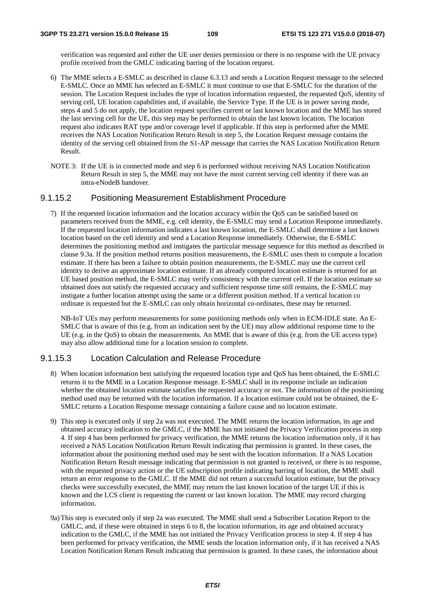verification was requested and either the UE user denies permission or there is no response with the UE privacy profile received from the GMLC indicating barring of the location request.

- 6) The MME selects a E-SMLC as described in clause 6.3.13 and sends a Location Request message to the selected E-SMLC. Once an MME has selected an E-SMLC it must continue to use that E-SMLC for the duration of the session. The Location Request includes the type of location information requested, the requested QoS, identity of serving cell, UE location capabilities and, if available, the Service Type. If the UE is in power saving mode, steps 4 and 5 do not apply, the location request specifies current or last known location and the MME has stored the last serving cell for the UE, this step may be performed to obtain the last known location. The location request also indicates RAT type and/or coverage level if applicable. If this step is performed after the MME receives the NAS Location Notification Return Result in step 5, the Location Request message contains the identity of the serving cell obtained from the S1-AP message that carries the NAS Location Notification Return Result.
- NOTE 3: If the UE is in connected mode and step 6 is performed without receiving NAS Location Notification Return Result in step 5, the MME may not have the most current serving cell identity if there was an intra-eNodeB handover.

### 9.1.15.2 Positioning Measurement Establishment Procedure

7) If the requested location information and the location accuracy within the QoS can be satisfied based on parameters received from the MME, e.g. cell identity, the E-SMLC may send a Location Response immediately. If the requested location information indicates a last known location, the E-SMLC shall determine a last known location based on the cell identity and send a Location Response immediately. Otherwise, the E-SMLC determines the positioning method and instigates the particular message sequence for this method as described in clause 9.3a. If the position method returns position measurements, the E-SMLC uses them to compute a location estimate. If there has been a failure to obtain position measurements, the E-SMLC may use the current cell identity to derive an approximate location estimate. If an already computed location estimate is returned for an UE based position method, the E-SMLC may verify consistency with the current cell. If the location estimate so obtained does not satisfy the requested accuracy and sufficient response time still remains, the E-SMLC may instigate a further location attempt using the same or a different position method. If a vertical location co ordinate is requested but the E-SMLC can only obtain horizontal co-ordinates, these may be returned.

 NB-IoT UEs may perform measurements for some positioning methods only when in ECM-IDLE state. An E-SMLC that is aware of this (e.g. from an indication sent by the UE) may allow additional response time to the UE (e.g. in the QoS) to obtain the measurements. An MME that is aware of this (e.g. from the UE access type) may also allow additional time for a location session to complete.

## 9.1.15.3 Location Calculation and Release Procedure

- 8) When location information best satisfying the requested location type and QoS has been obtained, the E-SMLC returns it to the MME in a Location Response message. E-SMLC shall in its response include an indication whether the obtained location estimate satisfies the requested accuracy or not. The information of the positioning method used may be returned with the location information. If a location estimate could not be obtained, the E-SMLC returns a Location Response message containing a failure cause and no location estimate.
- 9) This step is executed only if step 2a was not executed. The MME returns the location information, its age and obtained accuracy indication to the GMLC, if the MME has not initiated the Privacy Verification process in step 4. If step 4 has been performed for privacy verification, the MME returns the location information only, if it has received a NAS Location Notification Return Result indicating that permission is granted. In these cases, the information about the positioning method used may be sent with the location information. If a NAS Location Notification Return Result message indicating that permission is not granted is received, or there is no response, with the requested privacy action or the UE subscription profile indicating barring of location, the MME shall return an error response to the GMLC. If the MME did not return a successful location estimate, but the privacy checks were successfully executed, the MME may return the last known location of the target UE if this is known and the LCS client is requesting the current or last known location. The MME may record charging information.
- 9a) This step is executed only if step 2a was executed. The MME shall send a Subscriber Location Report to the GMLC, and, if these were obtained in steps 6 to 8, the location information, its age and obtained accuracy indication to the GMLC, if the MME has not initiated the Privacy Verification process in step 4. If step 4 has been performed for privacy verification, the MME sends the location information only, if it has received a NAS Location Notification Return Result indicating that permission is granted. In these cases, the information about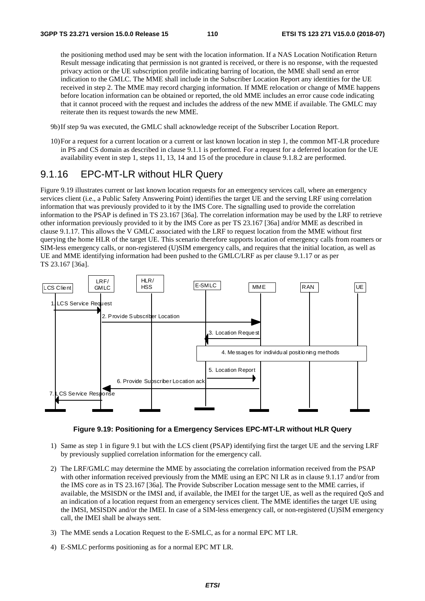the positioning method used may be sent with the location information. If a NAS Location Notification Return Result message indicating that permission is not granted is received, or there is no response, with the requested privacy action or the UE subscription profile indicating barring of location, the MME shall send an error indication to the GMLC. The MME shall include in the Subscriber Location Report any identities for the UE received in step 2. The MME may record charging information. If MME relocation or change of MME happens before location information can be obtained or reported, the old MME includes an error cause code indicating that it cannot proceed with the request and includes the address of the new MME if available. The GMLC may reiterate then its request towards the new MME.

- 9b) If step 9a was executed, the GMLC shall acknowledge receipt of the Subscriber Location Report.
- 10) For a request for a current location or a current or last known location in step 1, the common MT-LR procedure in PS and CS domain as described in clause 9.1.1 is performed. For a request for a deferred location for the UE availability event in step 1, steps 11, 13, 14 and 15 of the procedure in clause 9.1.8.2 are performed.

## 9.1.16 EPC-MT-LR without HLR Query

Figure 9.19 illustrates current or last known location requests for an emergency services call, where an emergency services client (i.e., a Public Safety Answering Point) identifies the target UE and the serving LRF using correlation information that was previously provided to it by the IMS Core. The signalling used to provide the correlation information to the PSAP is defined in TS 23.167 [36a]. The correlation information may be used by the LRF to retrieve other information previously provided to it by the IMS Core as per TS 23.167 [36a] and/or MME as described in clause 9.1.17. This allows the V GMLC associated with the LRF to request location from the MME without first querying the home HLR of the target UE. This scenario therefore supports location of emergency calls from roamers or SIM-less emergency calls, or non-registered (U)SIM emergency calls, and requires that the initial location, as well as UE and MME identifying information had been pushed to the GMLC/LRF as per clause 9.1.17 or as per TS 23.167 [36a].



#### **Figure 9.19: Positioning for a Emergency Services EPC-MT-LR without HLR Query**

- 1) Same as step 1 in figure 9.1 but with the LCS client (PSAP) identifying first the target UE and the serving LRF by previously supplied correlation information for the emergency call.
- 2) The LRF/GMLC may determine the MME by associating the correlation information received from the PSAP with other information received previously from the MME using an EPC NI LR as in clause 9.1.17 and/or from the IMS core as in TS 23.167 [36a]. The Provide Subscriber Location message sent to the MME carries, if available, the MSISDN or the IMSI and, if available, the IMEI for the target UE, as well as the required QoS and an indication of a location request from an emergency services client. The MME identifies the target UE using the IMSI, MSISDN and/or the IMEI. In case of a SIM-less emergency call, or non-registered (U)SIM emergency call, the IMEI shall be always sent.
- 3) The MME sends a Location Request to the E-SMLC, as for a normal EPC MT LR.
- 4) E-SMLC performs positioning as for a normal EPC MT LR.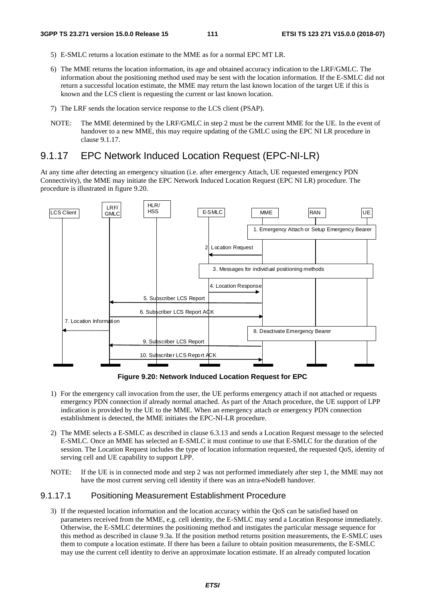- 5) E-SMLC returns a location estimate to the MME as for a normal EPC MT LR.
- 6) The MME returns the location information, its age and obtained accuracy indication to the LRF/GMLC. The information about the positioning method used may be sent with the location information. If the E-SMLC did not return a successful location estimate, the MME may return the last known location of the target UE if this is known and the LCS client is requesting the current or last known location.
- 7) The LRF sends the location service response to the LCS client (PSAP).
- NOTE: The MME determined by the LRF/GMLC in step 2 must be the current MME for the UE. In the event of handover to a new MME, this may require updating of the GMLC using the EPC NI LR procedure in clause 9.1.17.

# 9.1.17 EPC Network Induced Location Request (EPC-NI-LR)

At any time after detecting an emergency situation (i.e. after emergency Attach, UE requested emergency PDN Connectivity), the MME may initiate the EPC Network Induced Location Request (EPC NI LR) procedure. The procedure is illustrated in figure 9.20.



**Figure 9.20: Network Induced Location Request for EPC** 

- 1) For the emergency call invocation from the user, the UE performs emergency attach if not attached or requests emergency PDN connection if already normal attached. As part of the Attach procedure, the UE support of LPP indication is provided by the UE to the MME. When an emergency attach or emergency PDN connection establishment is detected, the MME initiates the EPC-NI-LR procedure.
- 2) The MME selects a E-SMLC as described in clause 6.3.13 and sends a Location Request message to the selected E-SMLC. Once an MME has selected an E-SMLC it must continue to use that E-SMLC for the duration of the session. The Location Request includes the type of location information requested, the requested QoS, identity of serving cell and UE capability to support LPP.
- NOTE: If the UE is in connected mode and step 2 was not performed immediately after step 1, the MME may not have the most current serving cell identity if there was an intra-eNodeB handover.

## 9.1.17.1 Positioning Measurement Establishment Procedure

3) If the requested location information and the location accuracy within the QoS can be satisfied based on parameters received from the MME, e.g. cell identity, the E-SMLC may send a Location Response immediately. Otherwise, the E-SMLC determines the positioning method and instigates the particular message sequence for this method as described in clause 9.3a. If the position method returns position measurements, the E-SMLC uses them to compute a location estimate. If there has been a failure to obtain position measurements, the E-SMLC may use the current cell identity to derive an approximate location estimate. If an already computed location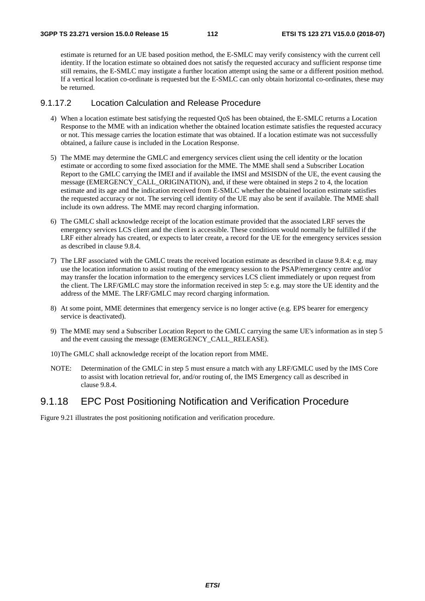estimate is returned for an UE based position method, the E-SMLC may verify consistency with the current cell identity. If the location estimate so obtained does not satisfy the requested accuracy and sufficient response time still remains, the E-SMLC may instigate a further location attempt using the same or a different position method. If a vertical location co-ordinate is requested but the E-SMLC can only obtain horizontal co-ordinates, these may be returned.

## 9.1.17.2 Location Calculation and Release Procedure

- 4) When a location estimate best satisfying the requested QoS has been obtained, the E-SMLC returns a Location Response to the MME with an indication whether the obtained location estimate satisfies the requested accuracy or not. This message carries the location estimate that was obtained. If a location estimate was not successfully obtained, a failure cause is included in the Location Response.
- 5) The MME may determine the GMLC and emergency services client using the cell identity or the location estimate or according to some fixed association for the MME. The MME shall send a Subscriber Location Report to the GMLC carrying the IMEI and if available the IMSI and MSISDN of the UE, the event causing the message (EMERGENCY CALL ORIGINATION), and, if these were obtained in steps 2 to 4, the location estimate and its age and the indication received from E-SMLC whether the obtained location estimate satisfies the requested accuracy or not. The serving cell identity of the UE may also be sent if available. The MME shall include its own address. The MME may record charging information.
- 6) The GMLC shall acknowledge receipt of the location estimate provided that the associated LRF serves the emergency services LCS client and the client is accessible. These conditions would normally be fulfilled if the LRF either already has created, or expects to later create, a record for the UE for the emergency services session as described in clause 9.8.4.
- 7) The LRF associated with the GMLC treats the received location estimate as described in clause 9.8.4: e.g. may use the location information to assist routing of the emergency session to the PSAP/emergency centre and/or may transfer the location information to the emergency services LCS client immediately or upon request from the client. The LRF/GMLC may store the information received in step 5: e.g. may store the UE identity and the address of the MME. The LRF/GMLC may record charging information.
- 8) At some point, MME determines that emergency service is no longer active (e.g. EPS bearer for emergency service is deactivated).
- 9) The MME may send a Subscriber Location Report to the GMLC carrying the same UE's information as in step 5 and the event causing the message (EMERGENCY\_CALL\_RELEASE).
- 10) The GMLC shall acknowledge receipt of the location report from MME.
- NOTE: Determination of the GMLC in step 5 must ensure a match with any LRF/GMLC used by the IMS Core to assist with location retrieval for, and/or routing of, the IMS Emergency call as described in clause 9.8.4.

## 9.1.18 EPC Post Positioning Notification and Verification Procedure

Figure 9.21 illustrates the post positioning notification and verification procedure.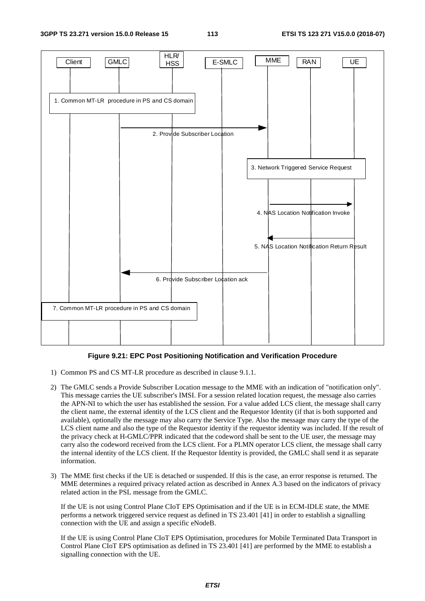#### **3GPP TS 23.271 version 15.0.0 Release 15 113 ETSI TS 123 271 V15.0.0 (2018-07)**



#### **Figure 9.21: EPC Post Positioning Notification and Verification Procedure**

- 1) Common PS and CS MT-LR procedure as described in clause 9.1.1.
- 2) The GMLC sends a Provide Subscriber Location message to the MME with an indication of "notification only". This message carries the UE subscriber's IMSI. For a session related location request, the message also carries the APN-NI to which the user has established the session. For a value added LCS client, the message shall carry the client name, the external identity of the LCS client and the Requestor Identity (if that is both supported and available), optionally the message may also carry the Service Type. Also the message may carry the type of the LCS client name and also the type of the Requestor identity if the requestor identity was included. If the result of the privacy check at H-GMLC/PPR indicated that the codeword shall be sent to the UE user, the message may carry also the codeword received from the LCS client. For a PLMN operator LCS client, the message shall carry the internal identity of the LCS client. If the Requestor Identity is provided, the GMLC shall send it as separate information.
- 3) The MME first checks if the UE is detached or suspended. If this is the case, an error response is returned. The MME determines a required privacy related action as described in Annex A.3 based on the indicators of privacy related action in the PSL message from the GMLC.

 If the UE is not using Control Plane CIoT EPS Optimisation and if the UE is in ECM-IDLE state, the MME performs a network triggered service request as defined in TS 23.401 [41] in order to establish a signalling connection with the UE and assign a specific eNodeB.

 If the UE is using Control Plane CIoT EPS Optimisation, procedures for Mobile Terminated Data Transport in Control Plane CIoT EPS optimisation as defined in TS 23.401 [41] are performed by the MME to establish a signalling connection with the UE.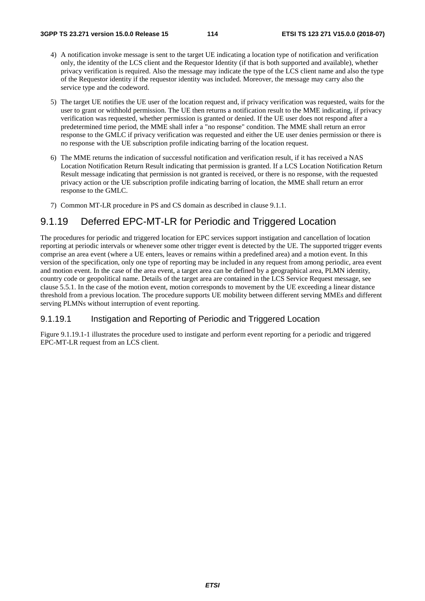- 4) A notification invoke message is sent to the target UE indicating a location type of notification and verification only, the identity of the LCS client and the Requestor Identity (if that is both supported and available), whether privacy verification is required. Also the message may indicate the type of the LCS client name and also the type of the Requestor identity if the requestor identity was included. Moreover, the message may carry also the service type and the codeword.
- 5) The target UE notifies the UE user of the location request and, if privacy verification was requested, waits for the user to grant or withhold permission. The UE then returns a notification result to the MME indicating, if privacy verification was requested, whether permission is granted or denied. If the UE user does not respond after a predetermined time period, the MME shall infer a "no response" condition. The MME shall return an error response to the GMLC if privacy verification was requested and either the UE user denies permission or there is no response with the UE subscription profile indicating barring of the location request.
- 6) The MME returns the indication of successful notification and verification result, if it has received a NAS Location Notification Return Result indicating that permission is granted. If a LCS Location Notification Return Result message indicating that permission is not granted is received, or there is no response, with the requested privacy action or the UE subscription profile indicating barring of location, the MME shall return an error response to the GMLC.
- 7) Common MT-LR procedure in PS and CS domain as described in clause 9.1.1.

# 9.1.19 Deferred EPC-MT-LR for Periodic and Triggered Location

The procedures for periodic and triggered location for EPC services support instigation and cancellation of location reporting at periodic intervals or whenever some other trigger event is detected by the UE. The supported trigger events comprise an area event (where a UE enters, leaves or remains within a predefined area) and a motion event. In this version of the specification, only one type of reporting may be included in any request from among periodic, area event and motion event. In the case of the area event, a target area can be defined by a geographical area, PLMN identity, country code or geopolitical name. Details of the target area are contained in the LCS Service Request message, see clause 5.5.1. In the case of the motion event, motion corresponds to movement by the UE exceeding a linear distance threshold from a previous location. The procedure supports UE mobility between different serving MMEs and different serving PLMNs without interruption of event reporting.

## 9.1.19.1 Instigation and Reporting of Periodic and Triggered Location

Figure 9.1.19.1-1 illustrates the procedure used to instigate and perform event reporting for a periodic and triggered EPC-MT-LR request from an LCS client.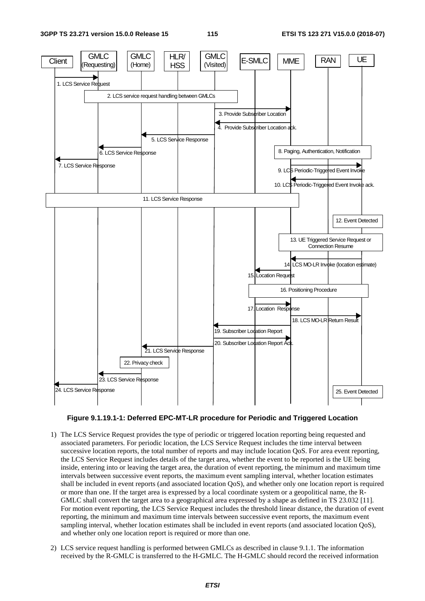



- 1) The LCS Service Request provides the type of periodic or triggered location reporting being requested and associated parameters. For periodic location, the LCS Service Request includes the time interval between successive location reports, the total number of reports and may include location QoS. For area event reporting, the LCS Service Request includes details of the target area, whether the event to be reported is the UE being inside, entering into or leaving the target area, the duration of event reporting, the minimum and maximum time intervals between successive event reports, the maximum event sampling interval, whether location estimates shall be included in event reports (and associated location QoS), and whether only one location report is required or more than one. If the target area is expressed by a local coordinate system or a geopolitical name, the R-GMLC shall convert the target area to a geographical area expressed by a shape as defined in TS 23.032 [11]. For motion event reporting, the LCS Service Request includes the threshold linear distance, the duration of event reporting, the minimum and maximum time intervals between successive event reports, the maximum event sampling interval, whether location estimates shall be included in event reports (and associated location QoS), and whether only one location report is required or more than one.
- 2) LCS service request handling is performed between GMLCs as described in clause 9.1.1. The information received by the R-GMLC is transferred to the H-GMLC. The H-GMLC should record the received information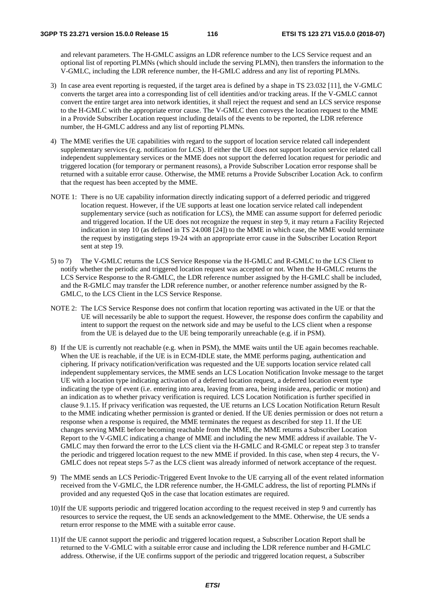and relevant parameters. The H-GMLC assigns an LDR reference number to the LCS Service request and an optional list of reporting PLMNs (which should include the serving PLMN), then transfers the information to the V-GMLC, including the LDR reference number, the H-GMLC address and any list of reporting PLMNs.

- 3) In case area event reporting is requested, if the target area is defined by a shape in TS 23.032 [11], the V-GMLC converts the target area into a corresponding list of cell identities and/or tracking areas. If the V-GMLC cannot convert the entire target area into network identities, it shall reject the request and send an LCS service response to the H-GMLC with the appropriate error cause. The V-GMLC then conveys the location request to the MME in a Provide Subscriber Location request including details of the events to be reported, the LDR reference number, the H-GMLC address and any list of reporting PLMNs.
- 4) The MME verifies the UE capabilities with regard to the support of location service related call independent supplementary services (e.g. notification for LCS). If either the UE does not support location service related call independent supplementary services or the MME does not support the deferred location request for periodic and triggered location (for temporary or permanent reasons), a Provide Subscriber Location error response shall be returned with a suitable error cause. Otherwise, the MME returns a Provide Subscriber Location Ack. to confirm that the request has been accepted by the MME.
- NOTE 1: There is no UE capability information directly indicating support of a deferred periodic and triggered location request. However, if the UE supports at least one location service related call independent supplementary service (such as notification for LCS), the MME can assume support for deferred periodic and triggered location. If the UE does not recognize the request in step 9, it may return a Facility Rejected indication in step 10 (as defined in TS 24.008 [24]) to the MME in which case, the MME would terminate the request by instigating steps 19-24 with an appropriate error cause in the Subscriber Location Report sent at step 19.
- 5) to 7) The V-GMLC returns the LCS Service Response via the H-GMLC and R-GMLC to the LCS Client to notify whether the periodic and triggered location request was accepted or not. When the H-GMLC returns the LCS Service Response to the R-GMLC, the LDR reference number assigned by the H-GMLC shall be included, and the R-GMLC may transfer the LDR reference number, or another reference number assigned by the R-GMLC, to the LCS Client in the LCS Service Response.
- NOTE 2: The LCS Service Response does not confirm that location reporting was activated in the UE or that the UE will necessarily be able to support the request. However, the response does confirm the capability and intent to support the request on the network side and may be useful to the LCS client when a response from the UE is delayed due to the UE being temporarily unreachable (e.g. if in PSM).
- 8) If the UE is currently not reachable (e.g. when in PSM), the MME waits until the UE again becomes reachable. When the UE is reachable, if the UE is in ECM-IDLE state, the MME performs paging, authentication and ciphering. If privacy notification/verification was requested and the UE supports location service related call independent supplementary services, the MME sends an LCS Location Notification Invoke message to the target UE with a location type indicating activation of a deferred location request, a deferred location event type indicating the type of event (i.e. entering into area, leaving from area, being inside area, periodic or motion) and an indication as to whether privacy verification is required. LCS Location Notification is further specified in clause 9.1.15. If privacy verification was requested, the UE returns an LCS Location Notification Return Result to the MME indicating whether permission is granted or denied. If the UE denies permission or does not return a response when a response is required, the MME terminates the request as described for step 11. If the UE changes serving MME before becoming reachable from the MME, the MME returns a Subscriber Location Report to the V-GMLC indicating a change of MME and including the new MME address if available. The V-GMLC may then forward the error to the LCS client via the H-GMLC and R-GMLC or repeat step 3 to transfer the periodic and triggered location request to the new MME if provided. In this case, when step 4 recurs, the V-GMLC does not repeat steps 5-7 as the LCS client was already informed of network acceptance of the request.
- 9) The MME sends an LCS Periodic-Triggered Event Invoke to the UE carrying all of the event related information received from the V-GMLC, the LDR reference number, the H-GMLC address, the list of reporting PLMNs if provided and any requested QoS in the case that location estimates are required.
- 10) If the UE supports periodic and triggered location according to the request received in step 9 and currently has resources to service the request, the UE sends an acknowledgement to the MME. Otherwise, the UE sends a return error response to the MME with a suitable error cause.
- 11) If the UE cannot support the periodic and triggered location request, a Subscriber Location Report shall be returned to the V-GMLC with a suitable error cause and including the LDR reference number and H-GMLC address. Otherwise, if the UE confirms support of the periodic and triggered location request, a Subscriber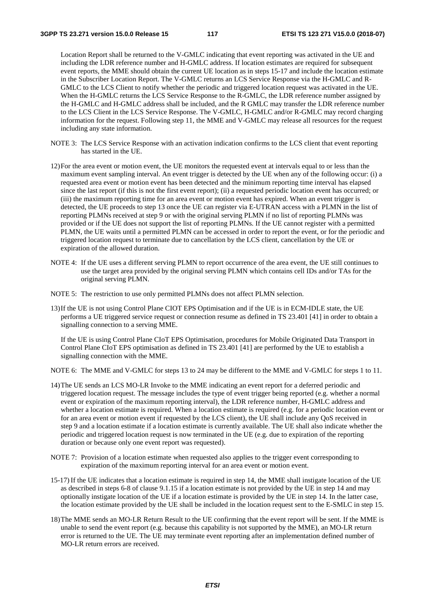Location Report shall be returned to the V-GMLC indicating that event reporting was activated in the UE and including the LDR reference number and H-GMLC address. If location estimates are required for subsequent event reports, the MME should obtain the current UE location as in steps 15-17 and include the location estimate in the Subscriber Location Report. The V-GMLC returns an LCS Service Response via the H-GMLC and R-GMLC to the LCS Client to notify whether the periodic and triggered location request was activated in the UE. When the H-GMLC returns the LCS Service Response to the R-GMLC, the LDR reference number assigned by the H-GMLC and H-GMLC address shall be included, and the R GMLC may transfer the LDR reference number to the LCS Client in the LCS Service Response. The V-GMLC, H-GMLC and/or R-GMLC may record charging information for the request. Following step 11, the MME and V-GMLC may release all resources for the request including any state information.

- NOTE 3: The LCS Service Response with an activation indication confirms to the LCS client that event reporting has started in the UE.
- 12) For the area event or motion event, the UE monitors the requested event at intervals equal to or less than the maximum event sampling interval. An event trigger is detected by the UE when any of the following occur: (i) a requested area event or motion event has been detected and the minimum reporting time interval has elapsed since the last report (if this is not the first event report); (ii) a requested periodic location event has occurred; or (iii) the maximum reporting time for an area event or motion event has expired. When an event trigger is detected, the UE proceeds to step 13 once the UE can register via E-UTRAN access with a PLMN in the list of reporting PLMNs received at step 9 or with the original serving PLMN if no list of reporting PLMNs was provided or if the UE does not support the list of reporting PLMNs. If the UE cannot register with a permitted PLMN, the UE waits until a permitted PLMN can be accessed in order to report the event, or for the periodic and triggered location request to terminate due to cancellation by the LCS client, cancellation by the UE or expiration of the allowed duration.
- NOTE 4: If the UE uses a different serving PLMN to report occurrence of the area event, the UE still continues to use the target area provided by the original serving PLMN which contains cell IDs and/or TAs for the original serving PLMN.
- NOTE 5: The restriction to use only permitted PLMNs does not affect PLMN selection.
- 13) If the UE is not using Control Plane CIOT EPS Optimisation and if the UE is in ECM-IDLE state, the UE performs a UE triggered service request or connection resume as defined in TS 23.401 [41] in order to obtain a signalling connection to a serving MME.

 If the UE is using Control Plane CIoT EPS Optimisation, procedures for Mobile Originated Data Transport in Control Plane CIoT EPS optimisation as defined in TS 23.401 [41] are performed by the UE to establish a signalling connection with the MME.

NOTE 6: The MME and V-GMLC for steps 13 to 24 may be different to the MME and V-GMLC for steps 1 to 11.

- 14) The UE sends an LCS MO-LR Invoke to the MME indicating an event report for a deferred periodic and triggered location request. The message includes the type of event trigger being reported (e.g. whether a normal event or expiration of the maximum reporting interval), the LDR reference number, H-GMLC address and whether a location estimate is required. When a location estimate is required (e.g. for a periodic location event or for an area event or motion event if requested by the LCS client), the UE shall include any QoS received in step 9 and a location estimate if a location estimate is currently available. The UE shall also indicate whether the periodic and triggered location request is now terminated in the UE (e.g. due to expiration of the reporting duration or because only one event report was requested).
- NOTE 7: Provision of a location estimate when requested also applies to the trigger event corresponding to expiration of the maximum reporting interval for an area event or motion event.
- 15-17) If the UE indicates that a location estimate is required in step 14, the MME shall instigate location of the UE as described in steps 6-8 of clause 9.1.15 if a location estimate is not provided by the UE in step 14 and may optionally instigate location of the UE if a location estimate is provided by the UE in step 14. In the latter case, the location estimate provided by the UE shall be included in the location request sent to the E-SMLC in step 15.
- 18) The MME sends an MO-LR Return Result to the UE confirming that the event report will be sent. If the MME is unable to send the event report (e.g. because this capability is not supported by the MME), an MO-LR return error is returned to the UE. The UE may terminate event reporting after an implementation defined number of MO-LR return errors are received.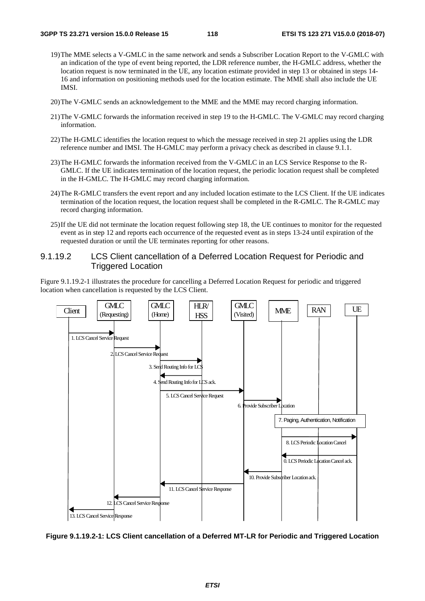- 19) The MME selects a V-GMLC in the same network and sends a Subscriber Location Report to the V-GMLC with an indication of the type of event being reported, the LDR reference number, the H-GMLC address, whether the location request is now terminated in the UE, any location estimate provided in step 13 or obtained in steps 14- 16 and information on positioning methods used for the location estimate. The MME shall also include the UE IMSI.
- 20) The V-GMLC sends an acknowledgement to the MME and the MME may record charging information.
- 21) The V-GMLC forwards the information received in step 19 to the H-GMLC. The V-GMLC may record charging information.
- 22) The H-GMLC identifies the location request to which the message received in step 21 applies using the LDR reference number and IMSI. The H-GMLC may perform a privacy check as described in clause 9.1.1.
- 23) The H-GMLC forwards the information received from the V-GMLC in an LCS Service Response to the R-GMLC. If the UE indicates termination of the location request, the periodic location request shall be completed in the H-GMLC. The H-GMLC may record charging information.
- 24) The R-GMLC transfers the event report and any included location estimate to the LCS Client. If the UE indicates termination of the location request, the location request shall be completed in the R-GMLC. The R-GMLC may record charging information.
- 25) If the UE did not terminate the location request following step 18, the UE continues to monitor for the requested event as in step 12 and reports each occurrence of the requested event as in steps 13-24 until expiration of the requested duration or until the UE terminates reporting for other reasons.

## 9.1.19.2 LCS Client cancellation of a Deferred Location Request for Periodic and Triggered Location

Figure 9.1.19.2-1 illustrates the procedure for cancelling a Deferred Location Request for periodic and triggered location when cancellation is requested by the LCS Client.



**Figure 9.1.19.2-1: LCS Client cancellation of a Deferred MT-LR for Periodic and Triggered Location**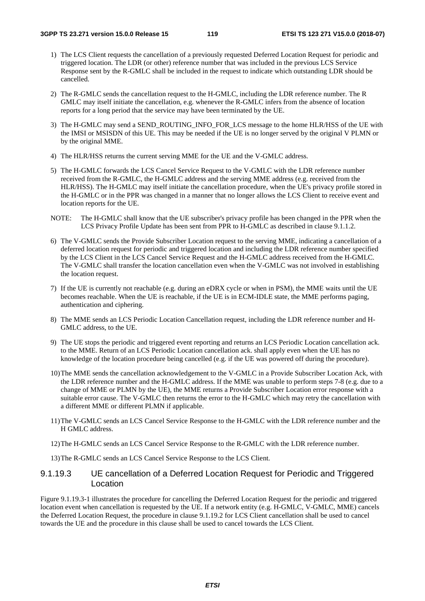- 1) The LCS Client requests the cancellation of a previously requested Deferred Location Request for periodic and triggered location. The LDR (or other) reference number that was included in the previous LCS Service Response sent by the R-GMLC shall be included in the request to indicate which outstanding LDR should be cancelled.
- 2) The R-GMLC sends the cancellation request to the H-GMLC, including the LDR reference number. The R GMLC may itself initiate the cancellation, e.g. whenever the R-GMLC infers from the absence of location reports for a long period that the service may have been terminated by the UE.
- 3) The H-GMLC may send a SEND\_ROUTING\_INFO\_FOR\_LCS message to the home HLR/HSS of the UE with the IMSI or MSISDN of this UE. This may be needed if the UE is no longer served by the original V PLMN or by the original MME.
- 4) The HLR/HSS returns the current serving MME for the UE and the V-GMLC address.
- 5) The H-GMLC forwards the LCS Cancel Service Request to the V-GMLC with the LDR reference number received from the R-GMLC, the H-GMLC address and the serving MME address (e.g. received from the HLR/HSS). The H-GMLC may itself initiate the cancellation procedure, when the UE's privacy profile stored in the H-GMLC or in the PPR was changed in a manner that no longer allows the LCS Client to receive event and location reports for the UE.
- NOTE: The H-GMLC shall know that the UE subscriber's privacy profile has been changed in the PPR when the LCS Privacy Profile Update has been sent from PPR to H-GMLC as described in clause 9.1.1.2.
- 6) The V-GMLC sends the Provide Subscriber Location request to the serving MME, indicating a cancellation of a deferred location request for periodic and triggered location and including the LDR reference number specified by the LCS Client in the LCS Cancel Service Request and the H-GMLC address received from the H-GMLC. The V-GMLC shall transfer the location cancellation even when the V-GMLC was not involved in establishing the location request.
- 7) If the UE is currently not reachable (e.g. during an eDRX cycle or when in PSM), the MME waits until the UE becomes reachable. When the UE is reachable, if the UE is in ECM-IDLE state, the MME performs paging, authentication and ciphering.
- 8) The MME sends an LCS Periodic Location Cancellation request, including the LDR reference number and H-GMLC address, to the UE.
- 9) The UE stops the periodic and triggered event reporting and returns an LCS Periodic Location cancellation ack. to the MME. Return of an LCS Periodic Location cancellation ack. shall apply even when the UE has no knowledge of the location procedure being cancelled (e.g. if the UE was powered off during the procedure).
- 10) The MME sends the cancellation acknowledgement to the V-GMLC in a Provide Subscriber Location Ack, with the LDR reference number and the H-GMLC address. If the MME was unable to perform steps 7-8 (e.g. due to a change of MME or PLMN by the UE), the MME returns a Provide Subscriber Location error response with a suitable error cause. The V-GMLC then returns the error to the H-GMLC which may retry the cancellation with a different MME or different PLMN if applicable.
- 11) The V-GMLC sends an LCS Cancel Service Response to the H-GMLC with the LDR reference number and the H GMLC address.
- 12) The H-GMLC sends an LCS Cancel Service Response to the R-GMLC with the LDR reference number.

13) The R-GMLC sends an LCS Cancel Service Response to the LCS Client.

## 9.1.19.3 UE cancellation of a Deferred Location Request for Periodic and Triggered Location

Figure 9.1.19.3-1 illustrates the procedure for cancelling the Deferred Location Request for the periodic and triggered location event when cancellation is requested by the UE. If a network entity (e.g. H-GMLC, V-GMLC, MME) cancels the Deferred Location Request, the procedure in clause 9.1.19.2 for LCS Client cancellation shall be used to cancel towards the UE and the procedure in this clause shall be used to cancel towards the LCS Client.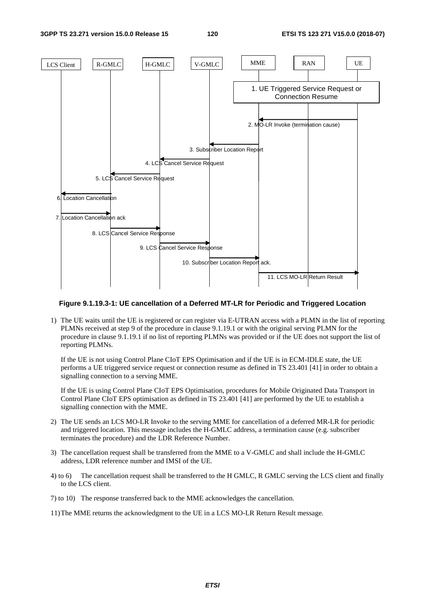#### **3GPP TS 23.271 version 15.0.0 Release 15 120 ETSI TS 123 271 V15.0.0 (2018-07)**



#### **Figure 9.1.19.3-1: UE cancellation of a Deferred MT-LR for Periodic and Triggered Location**

1) The UE waits until the UE is registered or can register via E-UTRAN access with a PLMN in the list of reporting PLMNs received at step 9 of the procedure in clause 9.1.19.1 or with the original serving PLMN for the procedure in clause 9.1.19.1 if no list of reporting PLMNs was provided or if the UE does not support the list of reporting PLMNs.

 If the UE is not using Control Plane CIoT EPS Optimisation and if the UE is in ECM-IDLE state, the UE performs a UE triggered service request or connection resume as defined in TS 23.401 [41] in order to obtain a signalling connection to a serving MME.

 If the UE is using Control Plane CIoT EPS Optimisation, procedures for Mobile Originated Data Transport in Control Plane CIoT EPS optimisation as defined in TS 23.401 [41] are performed by the UE to establish a signalling connection with the MME.

- 2) The UE sends an LCS MO-LR Invoke to the serving MME for cancellation of a deferred MR-LR for periodic and triggered location. This message includes the H-GMLC address, a termination cause (e.g. subscriber terminates the procedure) and the LDR Reference Number.
- 3) The cancellation request shall be transferred from the MME to a V-GMLC and shall include the H-GMLC address, LDR reference number and IMSI of the UE.
- 4) to 6) The cancellation request shall be transferred to the H GMLC, R GMLC serving the LCS client and finally to the LCS client.
- 7) to 10) The response transferred back to the MME acknowledges the cancellation.
- 11) The MME returns the acknowledgment to the UE in a LCS MO-LR Return Result message.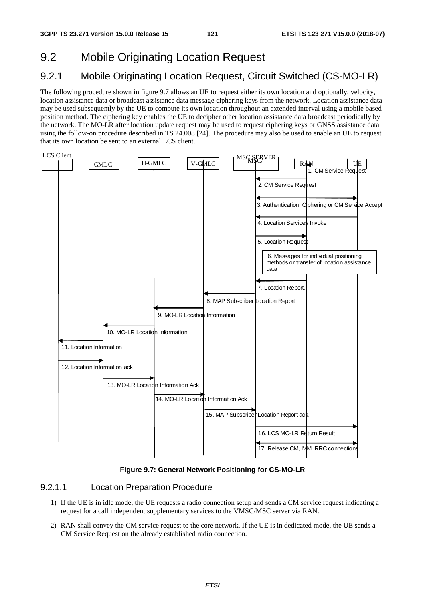# 9.2 Mobile Originating Location Request

# 9.2.1 Mobile Originating Location Request, Circuit Switched (CS-MO-LR)

The following procedure shown in figure 9.7 allows an UE to request either its own location and optionally, velocity, location assistance data or broadcast assistance data message ciphering keys from the network. Location assistance data may be used subsequently by the UE to compute its own location throughout an extended interval using a mobile based position method. The ciphering key enables the UE to decipher other location assistance data broadcast periodically by the network. The MO-LR after location update request may be used to request ciphering keys or GNSS assistance data using the follow-on procedure described in TS 24.008 [24]. The procedure may also be used to enable an UE to request that its own location be sent to an external LCS client.



#### **Figure 9.7: General Network Positioning for CS-MO-LR**

## 9.2.1.1 Location Preparation Procedure

- 1) If the UE is in idle mode, the UE requests a radio connection setup and sends a CM service request indicating a request for a call independent supplementary services to the VMSC/MSC server via RAN.
- 2) RAN shall convey the CM service request to the core network. If the UE is in dedicated mode, the UE sends a CM Service Request on the already established radio connection.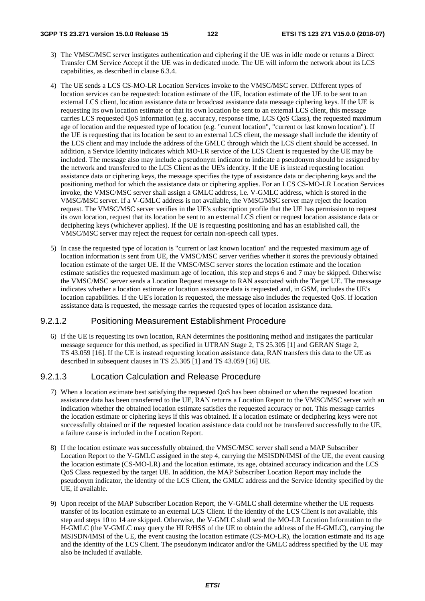#### **3GPP TS 23.271 version 15.0.0 Release 15 122 ETSI TS 123 271 V15.0.0 (2018-07)**

- 3) The VMSC/MSC server instigates authentication and ciphering if the UE was in idle mode or returns a Direct Transfer CM Service Accept if the UE was in dedicated mode. The UE will inform the network about its LCS capabilities, as described in clause 6.3.4.
- 4) The UE sends a LCS CS-MO-LR Location Services invoke to the VMSC/MSC server. Different types of location services can be requested: location estimate of the UE, location estimate of the UE to be sent to an external LCS client, location assistance data or broadcast assistance data message ciphering keys. If the UE is requesting its own location estimate or that its own location be sent to an external LCS client, this message carries LCS requested QoS information (e.g. accuracy, response time, LCS QoS Class), the requested maximum age of location and the requested type of location (e.g. "current location", "current or last known location"). If the UE is requesting that its location be sent to an external LCS client, the message shall include the identity of the LCS client and may include the address of the GMLC through which the LCS client should be accessed. In addition, a Service Identity indicates which MO-LR service of the LCS Client is requested by the UE may be included. The message also may include a pseudonym indicator to indicate a pseudonym should be assigned by the network and transferred to the LCS Client as the UE's identity. If the UE is instead requesting location assistance data or ciphering keys, the message specifies the type of assistance data or deciphering keys and the positioning method for which the assistance data or ciphering applies. For an LCS CS-MO-LR Location Services invoke, the VMSC/MSC server shall assign a GMLC address, i.e. V-GMLC address, which is stored in the VMSC/MSC server. If a V-GMLC address is not available, the VMSC/MSC server may reject the location request. The VMSC/MSC server verifies in the UE's subscription profile that the UE has permission to request its own location, request that its location be sent to an external LCS client or request location assistance data or deciphering keys (whichever applies). If the UE is requesting positioning and has an established call, the VMSC/MSC server may reject the request for certain non-speech call types.
- 5) In case the requested type of location is "current or last known location" and the requested maximum age of location information is sent from UE, the VMSC/MSC server verifies whether it stores the previously obtained location estimate of the target UE. If the VMSC/MSC server stores the location estimate and the location estimate satisfies the requested maximum age of location, this step and steps 6 and 7 may be skipped. Otherwise the VMSC/MSC server sends a Location Request message to RAN associated with the Target UE. The message indicates whether a location estimate or location assistance data is requested and, in GSM, includes the UE's location capabilities. If the UE's location is requested, the message also includes the requested QoS. If location assistance data is requested, the message carries the requested types of location assistance data.

## 9.2.1.2 Positioning Measurement Establishment Procedure

6) If the UE is requesting its own location, RAN determines the positioning method and instigates the particular message sequence for this method, as specified in UTRAN Stage 2, TS 25.305 [1] and GERAN Stage 2, TS 43.059 [16]. If the UE is instead requesting location assistance data, RAN transfers this data to the UE as described in subsequent clauses in TS 25.305 [1] and TS 43.059 [16] UE.

## 9.2.1.3 Location Calculation and Release Procedure

- 7) When a location estimate best satisfying the requested QoS has been obtained or when the requested location assistance data has been transferred to the UE, RAN returns a Location Report to the VMSC/MSC server with an indication whether the obtained location estimate satisfies the requested accuracy or not. This message carries the location estimate or ciphering keys if this was obtained. If a location estimate or deciphering keys were not successfully obtained or if the requested location assistance data could not be transferred successfully to the UE, a failure cause is included in the Location Report.
- 8) If the location estimate was successfully obtained, the VMSC/MSC server shall send a MAP Subscriber Location Report to the V-GMLC assigned in the step 4, carrying the MSISDN/IMSI of the UE, the event causing the location estimate (CS-MO-LR) and the location estimate, its age, obtained accuracy indication and the LCS QoS Class requested by the target UE. In addition, the MAP Subscriber Location Report may include the pseudonym indicator, the identity of the LCS Client, the GMLC address and the Service Identity specified by the UE, if available.
- 9) Upon receipt of the MAP Subscriber Location Report, the V-GMLC shall determine whether the UE requests transfer of its location estimate to an external LCS Client. If the identity of the LCS Client is not available, this step and steps 10 to 14 are skipped. Otherwise, the V-GMLC shall send the MO-LR Location Information to the H-GMLC (the V-GMLC may query the HLR/HSS of the UE to obtain the address of the H-GMLC), carrying the MSISDN/IMSI of the UE, the event causing the location estimate (CS-MO-LR), the location estimate and its age and the identity of the LCS Client. The pseudonym indicator and/or the GMLC address specified by the UE may also be included if available.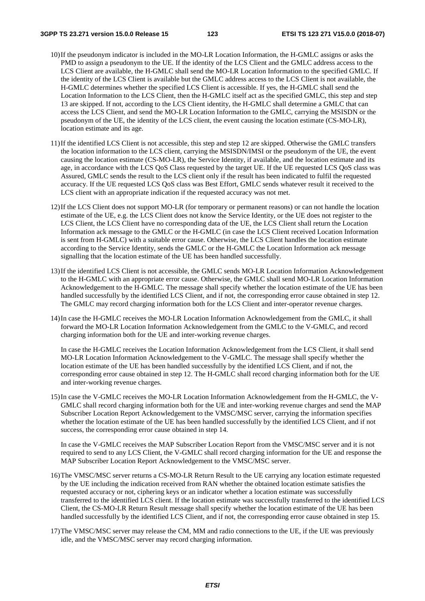- 10) If the pseudonym indicator is included in the MO-LR Location Information, the H-GMLC assigns or asks the PMD to assign a pseudonym to the UE. If the identity of the LCS Client and the GMLC address access to the LCS Client are available, the H-GMLC shall send the MO-LR Location Information to the specified GMLC. If the identity of the LCS Client is available but the GMLC address access to the LCS Client is not available, the H-GMLC determines whether the specified LCS Client is accessible. If yes, the H-GMLC shall send the Location Information to the LCS Client, then the H-GMLC itself act as the specified GMLC, this step and step 13 are skipped. If not, according to the LCS Client identity, the H-GMLC shall determine a GMLC that can access the LCS Client, and send the MO-LR Location Information to the GMLC, carrying the MSISDN or the pseudonym of the UE, the identity of the LCS client, the event causing the location estimate (CS-MO-LR), location estimate and its age.
- 11) If the identified LCS Client is not accessible, this step and step 12 are skipped. Otherwise the GMLC transfers the location information to the LCS client, carrying the MSISDN/IMSI or the pseudonym of the UE, the event causing the location estimate (CS-MO-LR), the Service Identity, if available, and the location estimate and its age, in accordance with the LCS QoS Class requested by the target UE. If the UE requested LCS QoS class was Assured, GMLC sends the result to the LCS client only if the result has been indicated to fulfil the requested accuracy. If the UE requested LCS QoS class was Best Effort, GMLC sends whatever result it received to the LCS client with an appropriate indication if the requested accuracy was not met.
- 12) If the LCS Client does not support MO-LR (for temporary or permanent reasons) or can not handle the location estimate of the UE, e.g. the LCS Client does not know the Service Identity, or the UE does not register to the LCS Client, the LCS Client have no corresponding data of the UE, the LCS Client shall return the Location Information ack message to the GMLC or the H-GMLC (in case the LCS Client received Location Information is sent from H-GMLC) with a suitable error cause. Otherwise, the LCS Client handles the location estimate according to the Service Identity, sends the GMLC or the H-GMLC the Location Information ack message signalling that the location estimate of the UE has been handled successfully.
- 13) If the identified LCS Client is not accessible, the GMLC sends MO-LR Location Information Acknowledgement to the H-GMLC with an appropriate error cause. Otherwise, the GMLC shall send MO-LR Location Information Acknowledgement to the H-GMLC. The message shall specify whether the location estimate of the UE has been handled successfully by the identified LCS Client, and if not, the corresponding error cause obtained in step 12. The GMLC may record charging information both for the LCS Client and inter-operator revenue charges.
- 14) In case the H-GMLC receives the MO-LR Location Information Acknowledgement from the GMLC, it shall forward the MO-LR Location Information Acknowledgement from the GMLC to the V-GMLC, and record charging information both for the UE and inter-working revenue charges.

 In case the H-GMLC receives the Location Information Acknowledgement from the LCS Client, it shall send MO-LR Location Information Acknowledgement to the V-GMLC. The message shall specify whether the location estimate of the UE has been handled successfully by the identified LCS Client, and if not, the corresponding error cause obtained in step 12. The H-GMLC shall record charging information both for the UE and inter-working revenue charges.

15) In case the V-GMLC receives the MO-LR Location Information Acknowledgement from the H-GMLC, the V-GMLC shall record charging information both for the UE and inter-working revenue charges and send the MAP Subscriber Location Report Acknowledgement to the VMSC/MSC server, carrying the information specifies whether the location estimate of the UE has been handled successfully by the identified LCS Client, and if not success, the corresponding error cause obtained in step 14.

 In case the V-GMLC receives the MAP Subscriber Location Report from the VMSC/MSC server and it is not required to send to any LCS Client, the V-GMLC shall record charging information for the UE and response the MAP Subscriber Location Report Acknowledgement to the VMSC/MSC server.

- 16) The VMSC/MSC server returns a CS-MO-LR Return Result to the UE carrying any location estimate requested by the UE including the indication received from RAN whether the obtained location estimate satisfies the requested accuracy or not, ciphering keys or an indicator whether a location estimate was successfully transferred to the identified LCS client. If the location estimate was successfully transferred to the identified LCS Client, the CS-MO-LR Return Result message shall specify whether the location estimate of the UE has been handled successfully by the identified LCS Client, and if not, the corresponding error cause obtained in step 15.
- 17) The VMSC/MSC server may release the CM, MM and radio connections to the UE, if the UE was previously idle, and the VMSC/MSC server may record charging information.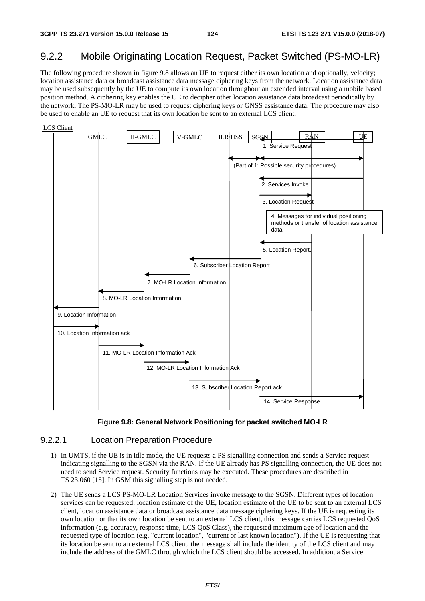# 9.2.2 Mobile Originating Location Request, Packet Switched (PS-MO-LR)

The following procedure shown in figure 9.8 allows an UE to request either its own location and optionally, velocity; location assistance data or broadcast assistance data message ciphering keys from the network. Location assistance data may be used subsequently by the UE to compute its own location throughout an extended interval using a mobile based position method. A ciphering key enables the UE to decipher other location assistance data broadcast periodically by the network. The PS-MO-LR may be used to request ciphering keys or GNSS assistance data. The procedure may also be used to enable an UE to request that its own location be sent to an external LCS client.





## 9.2.2.1 Location Preparation Procedure

- 1) In UMTS, if the UE is in idle mode, the UE requests a PS signalling connection and sends a Service request indicating signalling to the SGSN via the RAN. If the UE already has PS signalling connection, the UE does not need to send Service request. Security functions may be executed. These procedures are described in TS 23.060 [15]. In GSM this signalling step is not needed.
- 2) The UE sends a LCS PS-MO-LR Location Services invoke message to the SGSN. Different types of location services can be requested: location estimate of the UE, location estimate of the UE to be sent to an external LCS client, location assistance data or broadcast assistance data message ciphering keys. If the UE is requesting its own location or that its own location be sent to an external LCS client, this message carries LCS requested QoS information (e.g. accuracy, response time, LCS QoS Class), the requested maximum age of location and the requested type of location (e.g. "current location", "current or last known location"). If the UE is requesting that its location be sent to an external LCS client, the message shall include the identity of the LCS client and may include the address of the GMLC through which the LCS client should be accessed. In addition, a Service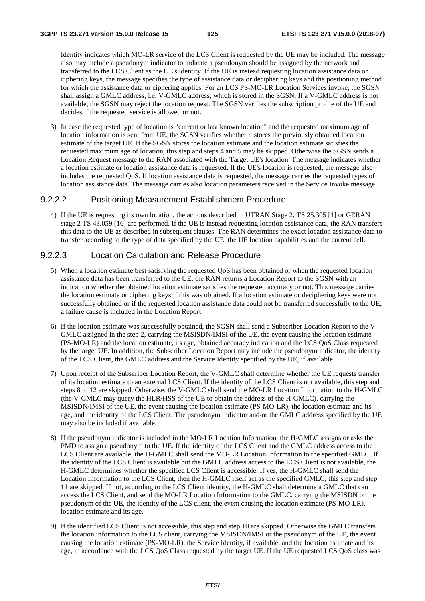Identity indicates which MO-LR service of the LCS Client is requested by the UE may be included. The message also may include a pseudonym indicator to indicate a pseudonym should be assigned by the network and transferred to the LCS Client as the UE's identity. If the UE is instead requesting location assistance data or ciphering keys, the message specifies the type of assistance data or deciphering keys and the positioning method for which the assistance data or ciphering applies. For an LCS PS-MO-LR Location Services invoke, the SGSN shall assign a GMLC address, i.e. V-GMLC address, which is stored in the SGSN. If a V-GMLC address is not available, the SGSN may reject the location request. The SGSN verifies the subscription profile of the UE and decides if the requested service is allowed or not.

3) In case the requested type of location is "current or last known location" and the requested maximum age of location information is sent from UE, the SGSN verifies whether it stores the previously obtained location estimate of the target UE. If the SGSN stores the location estimate and the location estimate satisfies the requested maximum age of location, this step and steps 4 and 5 may be skipped. Otherwise the SGSN sends a Location Request message to the RAN associated with the Target UE's location. The message indicates whether a location estimate or location assistance data is requested. If the UE's location is requested, the message also includes the requested QoS. If location assistance data is requested, the message carries the requested types of location assistance data. The message carries also location parameters received in the Service Invoke message.

### 9.2.2.2 Positioning Measurement Establishment Procedure

4) If the UE is requesting its own location, the actions described in UTRAN Stage 2, TS 25.305 [1] or GERAN stage 2 TS 43.059 [16] are performed. If the UE is instead requesting location assistance data, the RAN transfers this data to the UE as described in subsequent clauses. The RAN determines the exact location assistance data to transfer according to the type of data specified by the UE, the UE location capabilities and the current cell.

## 9.2.2.3 Location Calculation and Release Procedure

- 5) When a location estimate best satisfying the requested QoS has been obtained or when the requested location assistance data has been transferred to the UE, the RAN returns a Location Report to the SGSN with an indication whether the obtained location estimate satisfies the requested accuracy or not. This message carries the location estimate or ciphering keys if this was obtained. If a location estimate or deciphering keys were not successfully obtained or if the requested location assistance data could not be transferred successfully to the UE, a failure cause is included in the Location Report.
- 6) If the location estimate was successfully obtained, the SGSN shall send a Subscriber Location Report to the V-GMLC assigned in the step 2, carrying the MSISDN/IMSI of the UE, the event causing the location estimate (PS-MO-LR) and the location estimate, its age, obtained accuracy indication and the LCS QoS Class requested by the target UE. In addition, the Subscriber Location Report may include the pseudonym indicator, the identity of the LCS Client, the GMLC address and the Service Identity specified by the UE, if available.
- 7) Upon receipt of the Subscriber Location Report, the V-GMLC shall determine whether the UE requests transfer of its location estimate to an external LCS Client. If the identity of the LCS Client is not available, this step and steps 8 to 12 are skipped. Otherwise, the V-GMLC shall send the MO-LR Location Information to the H-GMLC (the V-GMLC may query the HLR/HSS of the UE to obtain the address of the H-GMLC), carrying the MSISDN/IMSI of the UE, the event causing the location estimate (PS-MO-LR), the location estimate and its age, and the identity of the LCS Client. The pseudonym indicator and/or the GMLC address specified by the UE may also be included if available.
- 8) If the pseudonym indicator is included in the MO-LR Location Information, the H-GMLC assigns or asks the PMD to assign a pseudonym to the UE. If the identity of the LCS Client and the GMLC address access to the LCS Client are available, the H-GMLC shall send the MO-LR Location Information to the specified GMLC. If the identity of the LCS Client is available but the GMLC address access to the LCS Client is not available, the H-GMLC determines whether the specified LCS Client is accessible. If yes, the H-GMLC shall send the Location Information to the LCS Client, then the H-GMLC itself act as the specified GMLC, this step and step 11 are skipped. If not, according to the LCS Client identity, the H-GMLC shall determine a GMLC that can access the LCS Client, and send the MO-LR Location Information to the GMLC, carrying the MSISDN or the pseudonym of the UE, the identity of the LCS client, the event causing the location estimate (PS-MO-LR), location estimate and its age.
- 9) If the identified LCS Client is not accessible, this step and step 10 are skipped. Otherwise the GMLC transfers the location information to the LCS client, carrying the MSISDN/IMSI or the pseudonym of the UE, the event causing the location estimate (PS-MO-LR), the Service Identity, if available, and the location estimate and its age, in accordance with the LCS QoS Class requested by the target UE. If the UE requested LCS QoS class was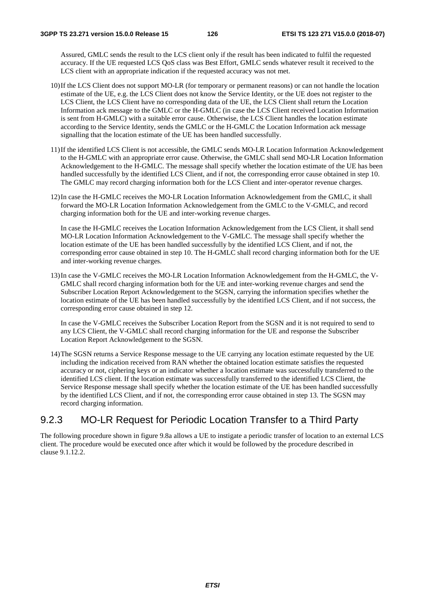Assured, GMLC sends the result to the LCS client only if the result has been indicated to fulfil the requested accuracy. If the UE requested LCS QoS class was Best Effort, GMLC sends whatever result it received to the LCS client with an appropriate indication if the requested accuracy was not met.

- 10) If the LCS Client does not support MO-LR (for temporary or permanent reasons) or can not handle the location estimate of the UE, e.g. the LCS Client does not know the Service Identity, or the UE does not register to the LCS Client, the LCS Client have no corresponding data of the UE, the LCS Client shall return the Location Information ack message to the GMLC or the H-GMLC (in case the LCS Client received Location Information is sent from H-GMLC) with a suitable error cause. Otherwise, the LCS Client handles the location estimate according to the Service Identity, sends the GMLC or the H-GMLC the Location Information ack message signalling that the location estimate of the UE has been handled successfully.
- 11) If the identified LCS Client is not accessible, the GMLC sends MO-LR Location Information Acknowledgement to the H-GMLC with an appropriate error cause. Otherwise, the GMLC shall send MO-LR Location Information Acknowledgement to the H-GMLC. The message shall specify whether the location estimate of the UE has been handled successfully by the identified LCS Client, and if not, the corresponding error cause obtained in step 10. The GMLC may record charging information both for the LCS Client and inter-operator revenue charges.
- 12) In case the H-GMLC receives the MO-LR Location Information Acknowledgement from the GMLC, it shall forward the MO-LR Location Information Acknowledgement from the GMLC to the V-GMLC, and record charging information both for the UE and inter-working revenue charges.

 In case the H-GMLC receives the Location Information Acknowledgement from the LCS Client, it shall send MO-LR Location Information Acknowledgement to the V-GMLC. The message shall specify whether the location estimate of the UE has been handled successfully by the identified LCS Client, and if not, the corresponding error cause obtained in step 10. The H-GMLC shall record charging information both for the UE and inter-working revenue charges.

13) In case the V-GMLC receives the MO-LR Location Information Acknowledgement from the H-GMLC, the V-GMLC shall record charging information both for the UE and inter-working revenue charges and send the Subscriber Location Report Acknowledgement to the SGSN, carrying the information specifies whether the location estimate of the UE has been handled successfully by the identified LCS Client, and if not success, the corresponding error cause obtained in step 12.

 In case the V-GMLC receives the Subscriber Location Report from the SGSN and it is not required to send to any LCS Client, the V-GMLC shall record charging information for the UE and response the Subscriber Location Report Acknowledgement to the SGSN.

14) The SGSN returns a Service Response message to the UE carrying any location estimate requested by the UE including the indication received from RAN whether the obtained location estimate satisfies the requested accuracy or not, ciphering keys or an indicator whether a location estimate was successfully transferred to the identified LCS client. If the location estimate was successfully transferred to the identified LCS Client, the Service Response message shall specify whether the location estimate of the UE has been handled successfully by the identified LCS Client, and if not, the corresponding error cause obtained in step 13. The SGSN may record charging information.

# 9.2.3 MO-LR Request for Periodic Location Transfer to a Third Party

The following procedure shown in figure 9.8a allows a UE to instigate a periodic transfer of location to an external LCS client. The procedure would be executed once after which it would be followed by the procedure described in clause 9.1.12.2.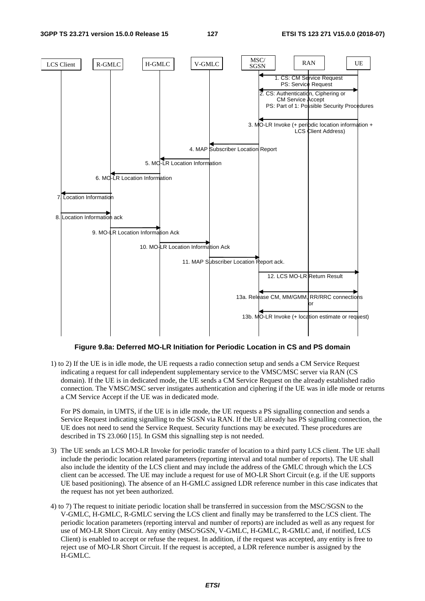

#### **Figure 9.8a: Deferred MO-LR Initiation for Periodic Location in CS and PS domain**

1) to 2) If the UE is in idle mode, the UE requests a radio connection setup and sends a CM Service Request indicating a request for call independent supplementary service to the VMSC/MSC server via RAN (CS domain). If the UE is in dedicated mode, the UE sends a CM Service Request on the already established radio connection. The VMSC/MSC server instigates authentication and ciphering if the UE was in idle mode or returns a CM Service Accept if the UE was in dedicated mode.

 For PS domain, in UMTS, if the UE is in idle mode, the UE requests a PS signalling connection and sends a Service Request indicating signalling to the SGSN via RAN. If the UE already has PS signalling connection, the UE does not need to send the Service Request. Security functions may be executed. These procedures are described in TS 23.060 [15]. In GSM this signalling step is not needed.

- 3) The UE sends an LCS MO-LR Invoke for periodic transfer of location to a third party LCS client. The UE shall include the periodic location related parameters (reporting interval and total number of reports). The UE shall also include the identity of the LCS client and may include the address of the GMLC through which the LCS client can be accessed. The UE may include a request for use of MO-LR Short Circuit (e.g. if the UE supports UE based positioning). The absence of an H-GMLC assigned LDR reference number in this case indicates that the request has not yet been authorized.
- 4) to 7) The request to initiate periodic location shall be transferred in succession from the MSC/SGSN to the V-GMLC, H-GMLC, R-GMLC serving the LCS client and finally may be transferred to the LCS client. The periodic location parameters (reporting interval and number of reports) are included as well as any request for use of MO-LR Short Circuit. Any entity (MSC/SGSN, V-GMLC, H-GMLC, R-GMLC and, if notified, LCS Client) is enabled to accept or refuse the request. In addition, if the request was accepted, any entity is free to reject use of MO-LR Short Circuit. If the request is accepted, a LDR reference number is assigned by the H-GMLC.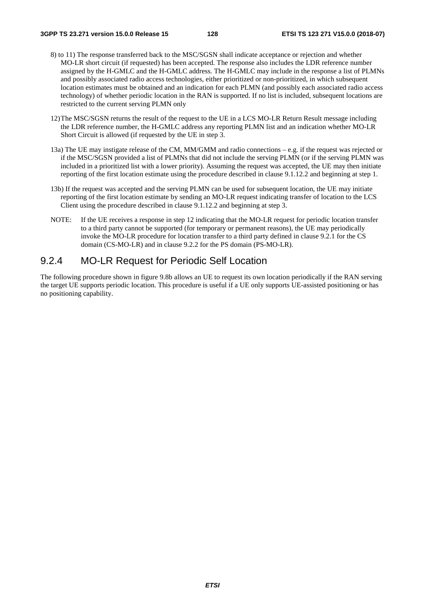- 8) to 11) The response transferred back to the MSC/SGSN shall indicate acceptance or rejection and whether MO-LR short circuit (if requested) has been accepted. The response also includes the LDR reference number assigned by the H-GMLC and the H-GMLC address. The H-GMLC may include in the response a list of PLMNs and possibly associated radio access technologies, either prioritized or non-prioritized, in which subsequent location estimates must be obtained and an indication for each PLMN (and possibly each associated radio access technology) of whether periodic location in the RAN is supported. If no list is included, subsequent locations are restricted to the current serving PLMN only
- 12) The MSC/SGSN returns the result of the request to the UE in a LCS MO-LR Return Result message including the LDR reference number, the H-GMLC address any reporting PLMN list and an indication whether MO-LR Short Circuit is allowed (if requested by the UE in step 3.
- 13a) The UE may instigate release of the CM, MM/GMM and radio connections e.g. if the request was rejected or if the MSC/SGSN provided a list of PLMNs that did not include the serving PLMN (or if the serving PLMN was included in a prioritized list with a lower priority). Assuming the request was accepted, the UE may then initiate reporting of the first location estimate using the procedure described in clause 9.1.12.2 and beginning at step 1.
- 13b) If the request was accepted and the serving PLMN can be used for subsequent location, the UE may initiate reporting of the first location estimate by sending an MO-LR request indicating transfer of location to the LCS Client using the procedure described in clause 9.1.12.2 and beginning at step 3.
- NOTE: If the UE receives a response in step 12 indicating that the MO-LR request for periodic location transfer to a third party cannot be supported (for temporary or permanent reasons), the UE may periodically invoke the MO-LR procedure for location transfer to a third party defined in clause 9.2.1 for the CS domain (CS-MO-LR) and in clause 9.2.2 for the PS domain (PS-MO-LR).

# 9.2.4 MO-LR Request for Periodic Self Location

The following procedure shown in figure 9.8b allows an UE to request its own location periodically if the RAN serving the target UE supports periodic location. This procedure is useful if a UE only supports UE-assisted positioning or has no positioning capability.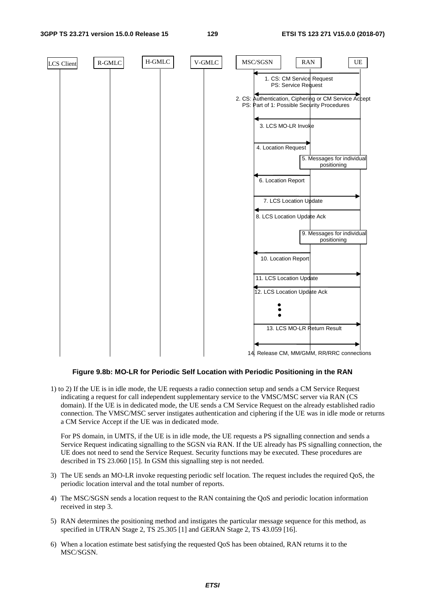#### **3GPP TS 23.271 version 15.0.0 Release 15 129 ETSI TS 123 271 V15.0.0 (2018-07)**



#### **Figure 9.8b: MO-LR for Periodic Self Location with Periodic Positioning in the RAN**

1) to 2) If the UE is in idle mode, the UE requests a radio connection setup and sends a CM Service Request indicating a request for call independent supplementary service to the VMSC/MSC server via RAN (CS domain). If the UE is in dedicated mode, the UE sends a CM Service Request on the already established radio connection. The VMSC/MSC server instigates authentication and ciphering if the UE was in idle mode or returns a CM Service Accept if the UE was in dedicated mode.

 For PS domain, in UMTS, if the UE is in idle mode, the UE requests a PS signalling connection and sends a Service Request indicating signalling to the SGSN via RAN. If the UE already has PS signalling connection, the UE does not need to send the Service Request. Security functions may be executed. These procedures are described in TS 23.060 [15]. In GSM this signalling step is not needed.

- 3) The UE sends an MO-LR invoke requesting periodic self location. The request includes the required QoS, the periodic location interval and the total number of reports.
- 4) The MSC/SGSN sends a location request to the RAN containing the QoS and periodic location information received in step 3.
- 5) RAN determines the positioning method and instigates the particular message sequence for this method, as specified in UTRAN Stage 2, TS 25.305 [1] and GERAN Stage 2, TS 43.059 [16].
- 6) When a location estimate best satisfying the requested QoS has been obtained, RAN returns it to the MSC/SGSN.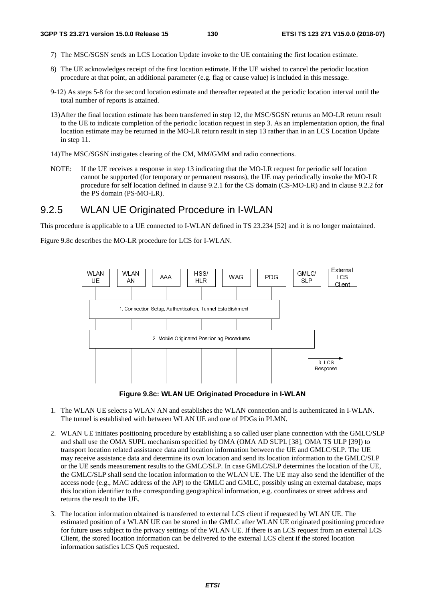- 7) The MSC/SGSN sends an LCS Location Update invoke to the UE containing the first location estimate.
- 8) The UE acknowledges receipt of the first location estimate. If the UE wished to cancel the periodic location procedure at that point, an additional parameter (e.g. flag or cause value) is included in this message.
- 9-12) As steps 5-8 for the second location estimate and thereafter repeated at the periodic location interval until the total number of reports is attained.
- 13) After the final location estimate has been transferred in step 12, the MSC/SGSN returns an MO-LR return result to the UE to indicate completion of the periodic location request in step 3. As an implementation option, the final location estimate may be returned in the MO-LR return result in step 13 rather than in an LCS Location Update in step 11.
- 14) The MSC/SGSN instigates clearing of the CM, MM/GMM and radio connections.
- NOTE: If the UE receives a response in step 13 indicating that the MO-LR request for periodic self location cannot be supported (for temporary or permanent reasons), the UE may periodically invoke the MO-LR procedure for self location defined in clause 9.2.1 for the CS domain (CS-MO-LR) and in clause 9.2.2 for the PS domain (PS-MO-LR).

# 9.2.5 WLAN UE Originated Procedure in I-WLAN

This procedure is applicable to a UE connected to I-WLAN defined in TS 23.234 [52] and it is no longer maintained.

Figure 9.8c describes the MO-LR procedure for LCS for I-WLAN.



**Figure 9.8c: WLAN UE Originated Procedure in I-WLAN** 

- 1. The WLAN UE selects a WLAN AN and establishes the WLAN connection and is authenticated in I-WLAN. The tunnel is established with between WLAN UE and one of PDGs in PLMN.
- 2. WLAN UE initiates positioning procedure by establishing a so called user plane connection with the GMLC/SLP and shall use the OMA SUPL mechanism specified by OMA (OMA AD SUPL [38], OMA TS ULP [39]) to transport location related assistance data and location information between the UE and GMLC/SLP. The UE may receive assistance data and determine its own location and send its location information to the GMLC/SLP or the UE sends measurement results to the GMLC/SLP. In case GMLC/SLP determines the location of the UE, the GMLC/SLP shall send the location information to the WLAN UE. The UE may also send the identifier of the access node (e.g., MAC address of the AP) to the GMLC and GMLC, possibly using an external database, maps this location identifier to the corresponding geographical information, e.g. coordinates or street address and returns the result to the UE.
- 3. The location information obtained is transferred to external LCS client if requested by WLAN UE. The estimated position of a WLAN UE can be stored in the GMLC after WLAN UE originated positioning procedure for future uses subject to the privacy settings of the WLAN UE. If there is an LCS request from an external LCS Client, the stored location information can be delivered to the external LCS client if the stored location information satisfies LCS QoS requested.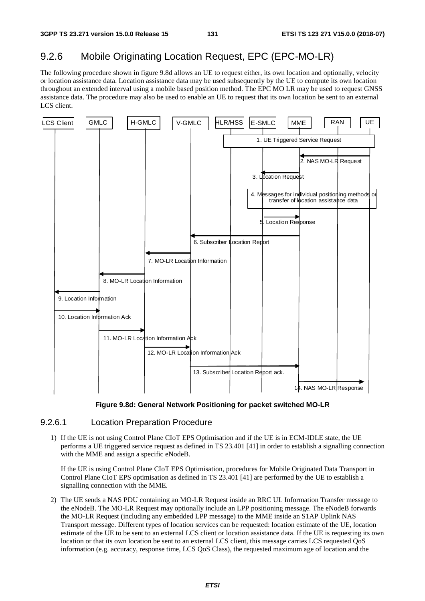# 9.2.6 Mobile Originating Location Request, EPC (EPC-MO-LR)

The following procedure shown in figure 9.8d allows an UE to request either, its own location and optionally, velocity or location assistance data. Location assistance data may be used subsequently by the UE to compute its own location throughout an extended interval using a mobile based position method. The EPC MO LR may be used to request GNSS assistance data. The procedure may also be used to enable an UE to request that its own location be sent to an external LCS client.



**Figure 9.8d: General Network Positioning for packet switched MO-LR** 

## 9.2.6.1 Location Preparation Procedure

1) If the UE is not using Control Plane CIoT EPS Optimisation and if the UE is in ECM-IDLE state, the UE performs a UE triggered service request as defined in TS 23.401 [41] in order to establish a signalling connection with the MME and assign a specific eNodeB.

 If the UE is using Control Plane CIoT EPS Optimisation, procedures for Mobile Originated Data Transport in Control Plane CIoT EPS optimisation as defined in TS 23.401 [41] are performed by the UE to establish a signalling connection with the MME.

2) The UE sends a NAS PDU containing an MO-LR Request inside an RRC UL Information Transfer message to the eNodeB. The MO-LR Request may optionally include an LPP positioning message. The eNodeB forwards the MO-LR Request (including any embedded LPP message) to the MME inside an S1AP Uplink NAS Transport message. Different types of location services can be requested: location estimate of the UE, location estimate of the UE to be sent to an external LCS client or location assistance data. If the UE is requesting its own location or that its own location be sent to an external LCS client, this message carries LCS requested QoS information (e.g. accuracy, response time, LCS QoS Class), the requested maximum age of location and the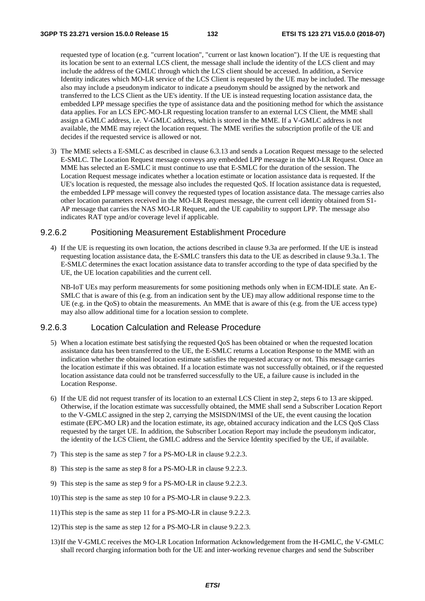requested type of location (e.g. "current location", "current or last known location"). If the UE is requesting that its location be sent to an external LCS client, the message shall include the identity of the LCS client and may include the address of the GMLC through which the LCS client should be accessed. In addition, a Service Identity indicates which MO-LR service of the LCS Client is requested by the UE may be included. The message also may include a pseudonym indicator to indicate a pseudonym should be assigned by the network and transferred to the LCS Client as the UE's identity. If the UE is instead requesting location assistance data, the embedded LPP message specifies the type of assistance data and the positioning method for which the assistance data applies. For an LCS EPC-MO-LR requesting location transfer to an external LCS Client, the MME shall assign a GMLC address, i.e. V-GMLC address, which is stored in the MME. If a V-GMLC address is not available, the MME may reject the location request. The MME verifies the subscription profile of the UE and decides if the requested service is allowed or not.

3) The MME selects a E-SMLC as described in clause 6.3.13 and sends a Location Request message to the selected E-SMLC. The Location Request message conveys any embedded LPP message in the MO-LR Request. Once an MME has selected an E-SMLC it must continue to use that E-SMLC for the duration of the session. The Location Request message indicates whether a location estimate or location assistance data is requested. If the UE's location is requested, the message also includes the requested QoS. If location assistance data is requested, the embedded LPP message will convey the requested types of location assistance data. The message carries also other location parameters received in the MO-LR Request message, the current cell identity obtained from S1- AP message that carries the NAS MO-LR Request, and the UE capability to support LPP. The message also indicates RAT type and/or coverage level if applicable.

### 9.2.6.2 Positioning Measurement Establishment Procedure

4) If the UE is requesting its own location, the actions described in clause 9.3a are performed. If the UE is instead requesting location assistance data, the E-SMLC transfers this data to the UE as described in clause 9.3a.1. The E-SMLC determines the exact location assistance data to transfer according to the type of data specified by the UE, the UE location capabilities and the current cell.

 NB-IoT UEs may perform measurements for some positioning methods only when in ECM-IDLE state. An E-SMLC that is aware of this (e.g. from an indication sent by the UE) may allow additional response time to the UE (e.g. in the QoS) to obtain the measurements. An MME that is aware of this (e.g. from the UE access type) may also allow additional time for a location session to complete.

## 9.2.6.3 Location Calculation and Release Procedure

- 5) When a location estimate best satisfying the requested QoS has been obtained or when the requested location assistance data has been transferred to the UE, the E-SMLC returns a Location Response to the MME with an indication whether the obtained location estimate satisfies the requested accuracy or not. This message carries the location estimate if this was obtained. If a location estimate was not successfully obtained, or if the requested location assistance data could not be transferred successfully to the UE, a failure cause is included in the Location Response.
- 6) If the UE did not request transfer of its location to an external LCS Client in step 2, steps 6 to 13 are skipped. Otherwise, if the location estimate was successfully obtained, the MME shall send a Subscriber Location Report to the V-GMLC assigned in the step 2, carrying the MSISDN/IMSI of the UE, the event causing the location estimate (EPC-MO LR) and the location estimate, its age, obtained accuracy indication and the LCS QoS Class requested by the target UE. In addition, the Subscriber Location Report may include the pseudonym indicator, the identity of the LCS Client, the GMLC address and the Service Identity specified by the UE, if available.
- 7) This step is the same as step 7 for a PS-MO-LR in clause 9.2.2.3.
- 8) This step is the same as step 8 for a PS-MO-LR in clause 9.2.2.3.
- 9) This step is the same as step 9 for a PS-MO-LR in clause 9.2.2.3.
- 10) This step is the same as step 10 for a PS-MO-LR in clause 9.2.2.3.
- 11) This step is the same as step 11 for a PS-MO-LR in clause 9.2.2.3.
- 12) This step is the same as step 12 for a PS-MO-LR in clause 9.2.2.3.
- 13) If the V-GMLC receives the MO-LR Location Information Acknowledgement from the H-GMLC, the V-GMLC shall record charging information both for the UE and inter-working revenue charges and send the Subscriber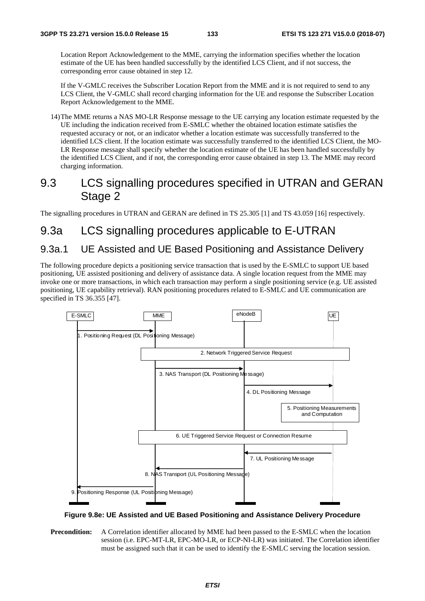Location Report Acknowledgement to the MME, carrying the information specifies whether the location estimate of the UE has been handled successfully by the identified LCS Client, and if not success, the corresponding error cause obtained in step 12.

 If the V-GMLC receives the Subscriber Location Report from the MME and it is not required to send to any LCS Client, the V-GMLC shall record charging information for the UE and response the Subscriber Location Report Acknowledgement to the MME.

14) The MME returns a NAS MO-LR Response message to the UE carrying any location estimate requested by the UE including the indication received from E-SMLC whether the obtained location estimate satisfies the requested accuracy or not, or an indicator whether a location estimate was successfully transferred to the identified LCS client. If the location estimate was successfully transferred to the identified LCS Client, the MO-LR Response message shall specify whether the location estimate of the UE has been handled successfully by the identified LCS Client, and if not, the corresponding error cause obtained in step 13. The MME may record charging information.

# 9.3 LCS signalling procedures specified in UTRAN and GERAN Stage 2

The signalling procedures in UTRAN and GERAN are defined in TS 25.305 [1] and TS 43.059 [16] respectively.

# 9.3a LCS signalling procedures applicable to E-UTRAN

# 9.3a.1 UE Assisted and UE Based Positioning and Assistance Delivery

The following procedure depicts a positioning service transaction that is used by the E-SMLC to support UE based positioning, UE assisted positioning and delivery of assistance data. A single location request from the MME may invoke one or more transactions, in which each transaction may perform a single positioning service (e.g. UE assisted positioning, UE capability retrieval). RAN positioning procedures related to E-SMLC and UE communication are specified in TS 36.355 [47].



**Figure 9.8e: UE Assisted and UE Based Positioning and Assistance Delivery Procedure** 

**Precondition:** A Correlation identifier allocated by MME had been passed to the E-SMLC when the location session (i.e. EPC-MT-LR, EPC-MO-LR, or ECP-NI-LR) was initiated. The Correlation identifier must be assigned such that it can be used to identify the E-SMLC serving the location session.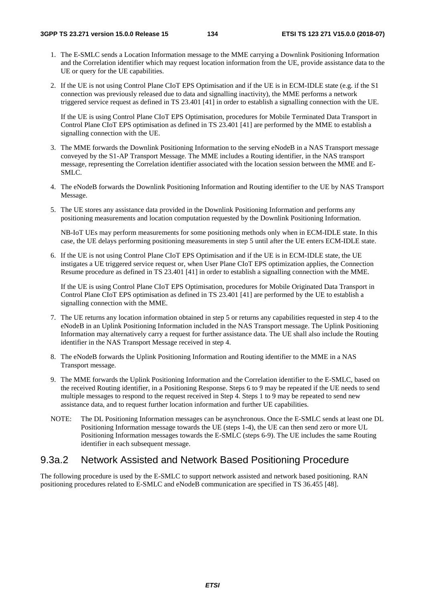- 1. The E-SMLC sends a Location Information message to the MME carrying a Downlink Positioning Information and the Correlation identifier which may request location information from the UE, provide assistance data to the UE or query for the UE capabilities.
- 2. If the UE is not using Control Plane CIoT EPS Optimisation and if the UE is in ECM-IDLE state (e.g. if the S1 connection was previously released due to data and signalling inactivity), the MME performs a network triggered service request as defined in TS 23.401 [41] in order to establish a signalling connection with the UE.

 If the UE is using Control Plane CIoT EPS Optimisation, procedures for Mobile Terminated Data Transport in Control Plane CIoT EPS optimisation as defined in TS 23.401 [41] are performed by the MME to establish a signalling connection with the UE.

- 3. The MME forwards the Downlink Positioning Information to the serving eNodeB in a NAS Transport message conveyed by the S1-AP Transport Message. The MME includes a Routing identifier, in the NAS transport message, representing the Correlation identifier associated with the location session between the MME and E-SMLC.
- 4. The eNodeB forwards the Downlink Positioning Information and Routing identifier to the UE by NAS Transport Message.
- 5. The UE stores any assistance data provided in the Downlink Positioning Information and performs any positioning measurements and location computation requested by the Downlink Positioning Information.

 NB-IoT UEs may perform measurements for some positioning methods only when in ECM-IDLE state. In this case, the UE delays performing positioning measurements in step 5 until after the UE enters ECM-IDLE state.

6. If the UE is not using Control Plane CIoT EPS Optimisation and if the UE is in ECM-IDLE state, the UE instigates a UE triggered service request or, when User Plane CIoT EPS optimization applies, the Connection Resume procedure as defined in TS 23.401 [41] in order to establish a signalling connection with the MME.

 If the UE is using Control Plane CIoT EPS Optimisation, procedures for Mobile Originated Data Transport in Control Plane CIoT EPS optimisation as defined in TS 23.401 [41] are performed by the UE to establish a signalling connection with the MME.

- 7. The UE returns any location information obtained in step 5 or returns any capabilities requested in step 4 to the eNodeB in an Uplink Positioning Information included in the NAS Transport message. The Uplink Positioning Information may alternatively carry a request for further assistance data. The UE shall also include the Routing identifier in the NAS Transport Message received in step 4.
- 8. The eNodeB forwards the Uplink Positioning Information and Routing identifier to the MME in a NAS Transport message.
- 9. The MME forwards the Uplink Positioning Information and the Correlation identifier to the E-SMLC, based on the received Routing identifier, in a Positioning Response. Steps 6 to 9 may be repeated if the UE needs to send multiple messages to respond to the request received in Step 4. Steps 1 to 9 may be repeated to send new assistance data, and to request further location information and further UE capabilities.
- NOTE: The DL Positioning Information messages can be asynchronous. Once the E-SMLC sends at least one DL Positioning Information message towards the UE (steps 1-4), the UE can then send zero or more UL Positioning Information messages towards the E-SMLC (steps 6-9). The UE includes the same Routing identifier in each subsequent message.

## 9.3a.2 Network Assisted and Network Based Positioning Procedure

The following procedure is used by the E-SMLC to support network assisted and network based positioning. RAN positioning procedures related to E-SMLC and eNodeB communication are specified in TS 36.455 [48].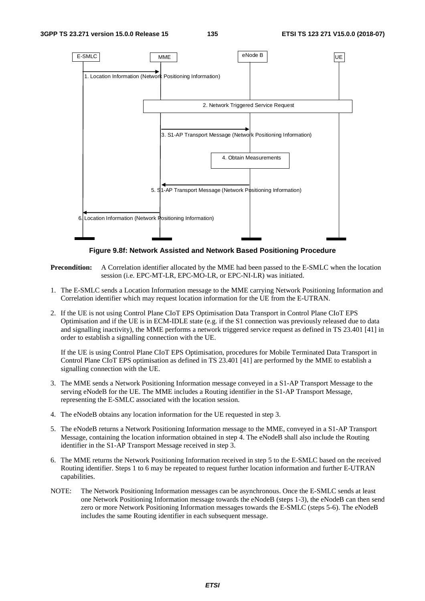

**Figure 9.8f: Network Assisted and Network Based Positioning Procedure** 

**Precondition:** A Correlation identifier allocated by the MME had been passed to the E-SMLC when the location session (i.e. EPC-MT-LR, EPC-MO-LR, or EPC-NI-LR) was initiated.

- 1. The E-SMLC sends a Location Information message to the MME carrying Network Positioning Information and Correlation identifier which may request location information for the UE from the E-UTRAN.
- 2. If the UE is not using Control Plane CIoT EPS Optimisation Data Transport in Control Plane CIoT EPS Optimisation and if the UE is in ECM-IDLE state (e.g. if the S1 connection was previously released due to data and signalling inactivity), the MME performs a network triggered service request as defined in TS 23.401 [41] in order to establish a signalling connection with the UE.

 If the UE is using Control Plane CIoT EPS Optimisation, procedures for Mobile Terminated Data Transport in Control Plane CIoT EPS optimisation as defined in TS 23.401 [41] are performed by the MME to establish a signalling connection with the UE.

- 3. The MME sends a Network Positioning Information message conveyed in a S1-AP Transport Message to the serving eNodeB for the UE. The MME includes a Routing identifier in the S1-AP Transport Message, representing the E-SMLC associated with the location session.
- 4. The eNodeB obtains any location information for the UE requested in step 3.
- 5. The eNodeB returns a Network Positioning Information message to the MME, conveyed in a S1-AP Transport Message, containing the location information obtained in step 4. The eNodeB shall also include the Routing identifier in the S1-AP Transport Message received in step 3.
- 6. The MME returns the Network Positioning Information received in step 5 to the E-SMLC based on the received Routing identifier. Steps 1 to 6 may be repeated to request further location information and further E-UTRAN capabilities.
- NOTE: The Network Positioning Information messages can be asynchronous. Once the E-SMLC sends at least one Network Positioning Information message towards the eNodeB (steps 1-3), the eNodeB can then send zero or more Network Positioning Information messages towards the E-SMLC (steps 5-6). The eNodeB includes the same Routing identifier in each subsequent message.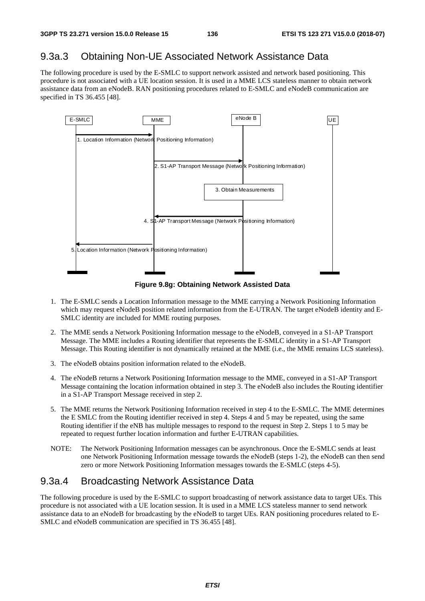# 9.3a.3 Obtaining Non-UE Associated Network Assistance Data

The following procedure is used by the E-SMLC to support network assisted and network based positioning. This procedure is not associated with a UE location session. It is used in a MME LCS stateless manner to obtain network assistance data from an eNodeB. RAN positioning procedures related to E-SMLC and eNodeB communication are specified in TS 36.455 [48].



**Figure 9.8g: Obtaining Network Assisted Data** 

- 1. The E-SMLC sends a Location Information message to the MME carrying a Network Positioning Information which may request eNodeB position related information from the E-UTRAN. The target eNodeB identity and E-SMLC identity are included for MME routing purposes.
- 2. The MME sends a Network Positioning Information message to the eNodeB, conveyed in a S1-AP Transport Message. The MME includes a Routing identifier that represents the E-SMLC identity in a S1-AP Transport Message. This Routing identifier is not dynamically retained at the MME (i.e., the MME remains LCS stateless).
- 3. The eNodeB obtains position information related to the eNodeB.
- 4. The eNodeB returns a Network Positioning Information message to the MME, conveyed in a S1-AP Transport Message containing the location information obtained in step 3. The eNodeB also includes the Routing identifier in a S1-AP Transport Message received in step 2.
- 5. The MME returns the Network Positioning Information received in step 4 to the E-SMLC. The MME determines the E SMLC from the Routing identifier received in step 4. Steps 4 and 5 may be repeated, using the same Routing identifier if the eNB has multiple messages to respond to the request in Step 2. Steps 1 to 5 may be repeated to request further location information and further E-UTRAN capabilities.
- NOTE: The Network Positioning Information messages can be asynchronous. Once the E-SMLC sends at least one Network Positioning Information message towards the eNodeB (steps 1-2), the eNodeB can then send zero or more Network Positioning Information messages towards the E-SMLC (steps 4-5).

## 9.3a.4 Broadcasting Network Assistance Data

The following procedure is used by the E-SMLC to support broadcasting of network assistance data to target UEs. This procedure is not associated with a UE location session. It is used in a MME LCS stateless manner to send network assistance data to an eNodeB for broadcasting by the eNodeB to target UEs. RAN positioning procedures related to E-SMLC and eNodeB communication are specified in TS 36.455 [48].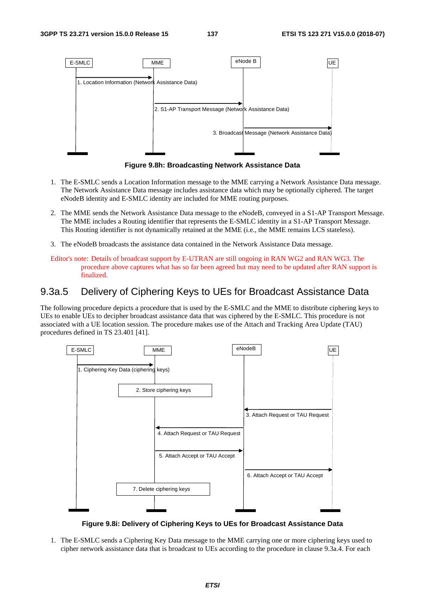

**Figure 9.8h: Broadcasting Network Assistance Data** 

- 1. The E-SMLC sends a Location Information message to the MME carrying a Network Assistance Data message. The Network Assistance Data message includes assistance data which may be optionally ciphered. The target eNodeB identity and E-SMLC identity are included for MME routing purposes.
- 2. The MME sends the Network Assistance Data message to the eNodeB, conveyed in a S1-AP Transport Message. The MME includes a Routing identifier that represents the E-SMLC identity in a S1-AP Transport Message. This Routing identifier is not dynamically retained at the MME (i.e., the MME remains LCS stateless).
- 3. The eNodeB broadcasts the assistance data contained in the Network Assistance Data message.
- Editor's note: Details of broadcast support by E-UTRAN are still ongoing in RAN WG2 and RAN WG3. The procedure above captures what has so far been agreed but may need to be updated after RAN support is finalized.

# 9.3a.5 Delivery of Ciphering Keys to UEs for Broadcast Assistance Data

The following procedure depicts a procedure that is used by the E-SMLC and the MME to distribute ciphering keys to UEs to enable UEs to decipher broadcast assistance data that was ciphered by the E-SMLC. This procedure is not associated with a UE location session. The procedure makes use of the Attach and Tracking Area Update (TAU) procedures defined in TS 23.401 [41].



**Figure 9.8i: Delivery of Ciphering Keys to UEs for Broadcast Assistance Data** 

1. The E-SMLC sends a Ciphering Key Data message to the MME carrying one or more ciphering keys used to cipher network assistance data that is broadcast to UEs according to the procedure in clause 9.3a.4. For each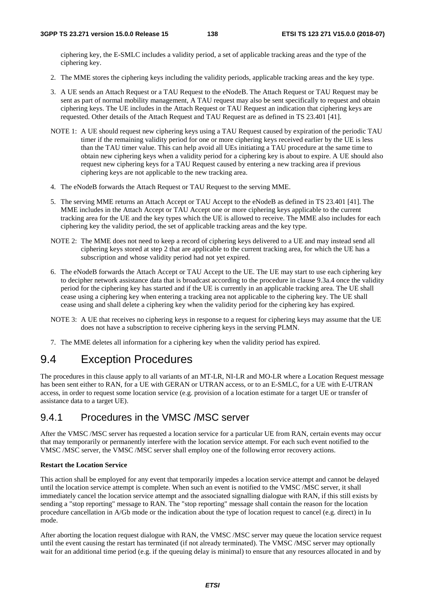ciphering key, the E-SMLC includes a validity period, a set of applicable tracking areas and the type of the ciphering key.

- 2. The MME stores the ciphering keys including the validity periods, applicable tracking areas and the key type.
- 3. A UE sends an Attach Request or a TAU Request to the eNodeB. The Attach Request or TAU Request may be sent as part of normal mobility management, A TAU request may also be sent specifically to request and obtain ciphering keys. The UE includes in the Attach Request or TAU Request an indication that ciphering keys are requested. Other details of the Attach Request and TAU Request are as defined in TS 23.401 [41].
- NOTE 1: A UE should request new ciphering keys using a TAU Request caused by expiration of the periodic TAU timer if the remaining validity period for one or more ciphering keys received earlier by the UE is less than the TAU timer value. This can help avoid all UEs initiating a TAU procedure at the same time to obtain new ciphering keys when a validity period for a ciphering key is about to expire. A UE should also request new ciphering keys for a TAU Request caused by entering a new tracking area if previous ciphering keys are not applicable to the new tracking area.
- 4. The eNodeB forwards the Attach Request or TAU Request to the serving MME.
- 5. The serving MME returns an Attach Accept or TAU Accept to the eNodeB as defined in TS 23.401 [41]. The MME includes in the Attach Accept or TAU Accept one or more ciphering keys applicable to the current tracking area for the UE and the key types which the UE is allowed to receive. The MME also includes for each ciphering key the validity period, the set of applicable tracking areas and the key type.
- NOTE 2: The MME does not need to keep a record of ciphering keys delivered to a UE and may instead send all ciphering keys stored at step 2 that are applicable to the current tracking area, for which the UE has a subscription and whose validity period had not yet expired.
- 6. The eNodeB forwards the Attach Accept or TAU Accept to the UE. The UE may start to use each ciphering key to decipher network assistance data that is broadcast according to the procedure in clause 9.3a.4 once the validity period for the ciphering key has started and if the UE is currently in an applicable tracking area. The UE shall cease using a ciphering key when entering a tracking area not applicable to the ciphering key. The UE shall cease using and shall delete a ciphering key when the validity period for the ciphering key has expired.
- NOTE 3: A UE that receives no ciphering keys in response to a request for ciphering keys may assume that the UE does not have a subscription to receive ciphering keys in the serving PLMN.
- 7. The MME deletes all information for a ciphering key when the validity period has expired.

# 9.4 Exception Procedures

The procedures in this clause apply to all variants of an MT-LR, NI-LR and MO-LR where a Location Request message has been sent either to RAN, for a UE with GERAN or UTRAN access, or to an E-SMLC, for a UE with E-UTRAN access, in order to request some location service (e.g. provision of a location estimate for a target UE or transfer of assistance data to a target UE).

## 9.4.1 Procedures in the VMSC /MSC server

After the VMSC /MSC server has requested a location service for a particular UE from RAN, certain events may occur that may temporarily or permanently interfere with the location service attempt. For each such event notified to the VMSC /MSC server, the VMSC /MSC server shall employ one of the following error recovery actions.

#### **Restart the Location Service**

This action shall be employed for any event that temporarily impedes a location service attempt and cannot be delayed until the location service attempt is complete. When such an event is notified to the VMSC /MSC server, it shall immediately cancel the location service attempt and the associated signalling dialogue with RAN, if this still exists by sending a "stop reporting" message to RAN. The "stop reporting" message shall contain the reason for the location procedure cancellation in A/Gb mode or the indication about the type of location request to cancel (e.g. direct) in Iu mode.

After aborting the location request dialogue with RAN, the VMSC /MSC server may queue the location service request until the event causing the restart has terminated (if not already terminated). The VMSC /MSC server may optionally wait for an additional time period (e.g. if the queuing delay is minimal) to ensure that any resources allocated in and by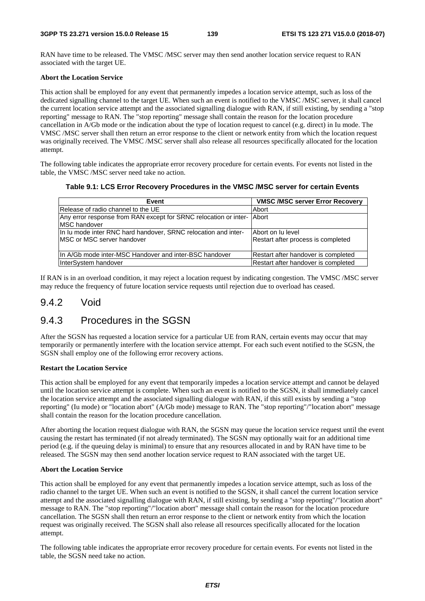RAN have time to be released. The VMSC /MSC server may then send another location service request to RAN associated with the target UE.

#### **Abort the Location Service**

This action shall be employed for any event that permanently impedes a location service attempt, such as loss of the dedicated signalling channel to the target UE. When such an event is notified to the VMSC /MSC server, it shall cancel the current location service attempt and the associated signalling dialogue with RAN, if still existing, by sending a "stop reporting" message to RAN. The "stop reporting" message shall contain the reason for the location procedure cancellation in A/Gb mode or the indication about the type of location request to cancel (e.g. direct) in Iu mode. The VMSC /MSC server shall then return an error response to the client or network entity from which the location request was originally received. The VMSC /MSC server shall also release all resources specifically allocated for the location attempt.

The following table indicates the appropriate error recovery procedure for certain events. For events not listed in the table, the VMSC /MSC server need take no action.

#### **Table 9.1: LCS Error Recovery Procedures in the VMSC /MSC server for certain Events**

| Event                                                                  | <b>VMSC /MSC server Error Recovery</b> |
|------------------------------------------------------------------------|----------------------------------------|
| Release of radio channel to the UE                                     | Abort                                  |
| Any error response from RAN except for SRNC relocation or inter- Abort |                                        |
| <b>IMSC handover</b>                                                   |                                        |
| In Iu mode inter RNC hard handover, SRNC relocation and inter-         | Abort on lu level                      |
| IMSC or MSC server handover                                            | Restart after process is completed     |
|                                                                        |                                        |
| In A/Gb mode inter-MSC Handover and inter-BSC handover                 | Restart after handover is completed    |
| InterSystem handover                                                   | Restart after handover is completed    |

If RAN is in an overload condition, it may reject a location request by indicating congestion. The VMSC /MSC server may reduce the frequency of future location service requests until rejection due to overload has ceased.

## 9.4.2 Void

# 9.4.3 Procedures in the SGSN

After the SGSN has requested a location service for a particular UE from RAN, certain events may occur that may temporarily or permanently interfere with the location service attempt. For each such event notified to the SGSN, the SGSN shall employ one of the following error recovery actions.

#### **Restart the Location Service**

This action shall be employed for any event that temporarily impedes a location service attempt and cannot be delayed until the location service attempt is complete. When such an event is notified to the SGSN, it shall immediately cancel the location service attempt and the associated signalling dialogue with RAN, if this still exists by sending a "stop reporting" (Iu mode) or "location abort" (A/Gb mode) message to RAN. The "stop reporting"/"location abort" message shall contain the reason for the location procedure cancellation.

After aborting the location request dialogue with RAN, the SGSN may queue the location service request until the event causing the restart has terminated (if not already terminated). The SGSN may optionally wait for an additional time period (e.g. if the queuing delay is minimal) to ensure that any resources allocated in and by RAN have time to be released. The SGSN may then send another location service request to RAN associated with the target UE.

#### **Abort the Location Service**

This action shall be employed for any event that permanently impedes a location service attempt, such as loss of the radio channel to the target UE. When such an event is notified to the SGSN, it shall cancel the current location service attempt and the associated signalling dialogue with RAN, if still existing, by sending a "stop reporting"/"location abort" message to RAN. The "stop reporting"/"location abort" message shall contain the reason for the location procedure cancellation. The SGSN shall then return an error response to the client or network entity from which the location request was originally received. The SGSN shall also release all resources specifically allocated for the location attempt.

The following table indicates the appropriate error recovery procedure for certain events. For events not listed in the table, the SGSN need take no action.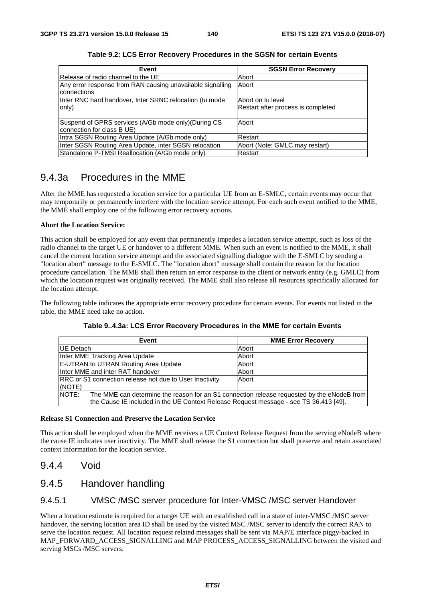| Event                                                      | <b>SGSN Error Recovery</b>         |  |
|------------------------------------------------------------|------------------------------------|--|
| Release of radio channel to the UE                         | Abort                              |  |
| Any error response from RAN causing unavailable signalling | Abort                              |  |
| connections                                                |                                    |  |
| Inter RNC hard handover, Inter SRNC relocation (Iu mode    | Abort on lu level                  |  |
| only)                                                      | Restart after process is completed |  |
|                                                            |                                    |  |
| Suspend of GPRS services (A/Gb mode only) (During CS       | Abort                              |  |
| connection for class B UE)                                 |                                    |  |
| Intra SGSN Routing Area Update (A/Gb mode only)            | Restart                            |  |
| Inter SGSN Routing Area Update, inter SGSN relocation      | Abort (Note: GMLC may restart)     |  |
| Standalone P-TMSI Reallocation (A/Gb mode only)            | Restart                            |  |

**Table 9.2: LCS Error Recovery Procedures in the SGSN for certain Events** 

# 9.4.3a Procedures in the MME

After the MME has requested a location service for a particular UE from an E-SMLC, certain events may occur that may temporarily or permanently interfere with the location service attempt. For each such event notified to the MME, the MME shall employ one of the following error recovery actions.

#### **Abort the Location Service:**

This action shall be employed for any event that permanently impedes a location service attempt, such as loss of the radio channel to the target UE or handover to a different MME. When such an event is notified to the MME, it shall cancel the current location service attempt and the associated signalling dialogue with the E-SMLC by sending a "location abort" message to the E-SMLC. The "location abort" message shall contain the reason for the location procedure cancellation. The MME shall then return an error response to the client or network entity (e.g. GMLC) from which the location request was originally received. The MME shall also release all resources specifically allocated for the location attempt.

The following table indicates the appropriate error recovery procedure for certain events. For events not listed in the table, the MME need take no action.

| Event                                                                                               | <b>MME Error Recovery</b> |  |  |
|-----------------------------------------------------------------------------------------------------|---------------------------|--|--|
| <b>IUE</b> Detach                                                                                   | Abort                     |  |  |
| Inter MME Tracking Area Update                                                                      | Abort                     |  |  |
| E-UTRAN to UTRAN Routing Area Update                                                                | Abort                     |  |  |
| Inter MME and inter RAT handover                                                                    | Abort                     |  |  |
| <b>RRC</b> or S1 connection release not due to User Inactivity                                      | Abort                     |  |  |
| (NOTE)                                                                                              |                           |  |  |
| NOTE:<br>The MME can determine the reason for an S1 connection release requested by the eNodeB from |                           |  |  |
| the Cause IE included in the UE Context Release Request message - see TS 36.413 [49].               |                           |  |  |

**Table 9..4.3a: LCS Error Recovery Procedures in the MME for certain Events** 

#### **Release S1 Connection and Preserve the Location Service**

This action shall be employed when the MME receives a UE Context Release Request from the serving eNodeB where the cause IE indicates user inactivity. The MME shall release the S1 connection but shall preserve and retain associated context information for the location service.

# 9.4.4 Void

## 9.4.5 Handover handling

## 9.4.5.1 VMSC /MSC server procedure for Inter-VMSC /MSC server Handover

When a location estimate is required for a target UE with an established call in a state of inter-VMSC /MSC server handover, the serving location area ID shall be used by the visited MSC /MSC server to identify the correct RAN to serve the location request. All location request related messages shall be sent via MAP/E interface piggy-backed in MAP\_FORWARD\_ACCESS\_SIGNALLING and MAP PROCESS\_ACCESS\_SIGNALLING between the visited and serving MSCs /MSC servers.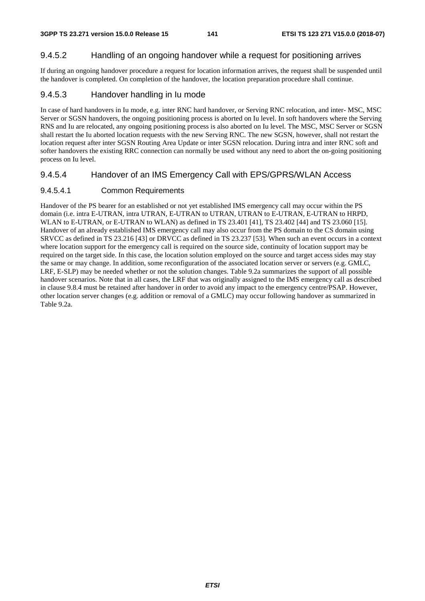## 9.4.5.2 Handling of an ongoing handover while a request for positioning arrives

If during an ongoing handover procedure a request for location information arrives, the request shall be suspended until the handover is completed. On completion of the handover, the location preparation procedure shall continue.

## 9.4.5.3 Handover handling in Iu mode

In case of hard handovers in Iu mode, e.g. inter RNC hard handover, or Serving RNC relocation, and inter- MSC, MSC Server or SGSN handovers, the ongoing positioning process is aborted on Iu level. In soft handovers where the Serving RNS and Iu are relocated, any ongoing positioning process is also aborted on Iu level. The MSC, MSC Server or SGSN shall restart the Iu aborted location requests with the new Serving RNC. The new SGSN, however, shall not restart the location request after inter SGSN Routing Area Update or inter SGSN relocation. During intra and inter RNC soft and softer handovers the existing RRC connection can normally be used without any need to abort the on-going positioning process on Iu level.

## 9.4.5.4 Handover of an IMS Emergency Call with EPS/GPRS/WLAN Access

## 9.4.5.4.1 Common Requirements

Handover of the PS bearer for an established or not yet established IMS emergency call may occur within the PS domain (i.e. intra E-UTRAN, intra UTRAN, E-UTRAN to UTRAN, UTRAN to E-UTRAN, E-UTRAN to HRPD, WLAN to E-UTRAN, or E-UTRAN to WLAN) as defined in TS 23.401 [41], TS 23.402 [44] and TS 23.060 [15]. Handover of an already established IMS emergency call may also occur from the PS domain to the CS domain using SRVCC as defined in TS 23.216 [43] or DRVCC as defined in TS 23.237 [53]. When such an event occurs in a context where location support for the emergency call is required on the source side, continuity of location support may be required on the target side. In this case, the location solution employed on the source and target access sides may stay the same or may change. In addition, some reconfiguration of the associated location server or servers (e.g. GMLC, LRF, E-SLP) may be needed whether or not the solution changes. Table 9.2a summarizes the support of all possible handover scenarios. Note that in all cases, the LRF that was originally assigned to the IMS emergency call as described in clause 9.8.4 must be retained after handover in order to avoid any impact to the emergency centre/PSAP. However, other location server changes (e.g. addition or removal of a GMLC) may occur following handover as summarized in Table 9.2a.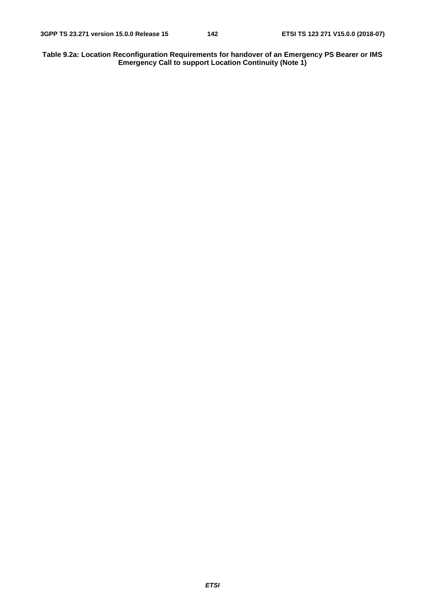**Table 9.2a: Location Reconfiguration Requirements for handover of an Emergency PS Bearer or IMS Emergency Call to support Location Continuity (Note 1)**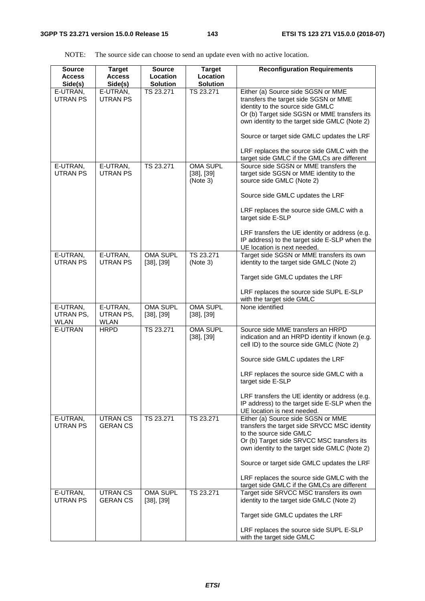NOTE: The source side can choose to send an update even with no active location.

| <b>Source</b><br><b>Access</b><br>Side(s) | <b>Target</b><br><b>Access</b><br>Side(s) | <b>Source</b><br>Location<br><b>Solution</b> | <b>Target</b><br>Location<br><b>Solution</b>   | <b>Reconfiguration Requirements</b>                                                                                                                                                                                                                                                                          |
|-------------------------------------------|-------------------------------------------|----------------------------------------------|------------------------------------------------|--------------------------------------------------------------------------------------------------------------------------------------------------------------------------------------------------------------------------------------------------------------------------------------------------------------|
| E-UTRAN,<br>UTRAN PS                      | E-UTRAN,<br><b>UTRAN PS</b>               | TS 23.271                                    | TS 23.271                                      | Either (a) Source side SGSN or MME<br>transfers the target side SGSN or MME<br>identity to the source side GMLC<br>Or (b) Target side SGSN or MME transfers its<br>own identity to the target side GMLC (Note 2)<br>Source or target side GMLC updates the LRF<br>LRF replaces the source side GMLC with the |
| E-UTRAN,<br><b>UTRAN PS</b>               | E-UTRAN,<br><b>UTRAN PS</b>               | TS 23.271                                    | <b>OMA SUPL</b><br>$[38]$ , $[39]$<br>(Note 3) | target side GMLC if the GMLCs are different<br>Source side SGSN or MME transfers the<br>target side SGSN or MME identity to the<br>source side GMLC (Note 2)                                                                                                                                                 |
|                                           |                                           |                                              |                                                | Source side GMLC updates the LRF                                                                                                                                                                                                                                                                             |
|                                           |                                           |                                              |                                                | LRF replaces the source side GMLC with a<br>target side E-SLP                                                                                                                                                                                                                                                |
|                                           |                                           |                                              |                                                | LRF transfers the UE identity or address (e.g.<br>IP address) to the target side E-SLP when the<br>UE location is next needed.                                                                                                                                                                               |
| E-UTRAN,<br><b>UTRAN PS</b>               | E-UTRAN,<br><b>UTRAN PS</b>               | OMA SUPL<br>$[38]$ , $[39]$                  | TS 23.271<br>(Note 3)                          | Target side SGSN or MME transfers its own<br>identity to the target side GMLC (Note 2)                                                                                                                                                                                                                       |
|                                           |                                           |                                              |                                                | Target side GMLC updates the LRF                                                                                                                                                                                                                                                                             |
|                                           |                                           |                                              |                                                | LRF replaces the source side SUPL E-SLP<br>with the target side GMLC                                                                                                                                                                                                                                         |
| E-UTRAN,<br>UTRAN PS,<br><b>WLAN</b>      | E-UTRAN,<br>UTRAN PS,<br><b>WLAN</b>      | OMA SUPL<br>$[38]$ , $[39]$                  | <b>OMA SUPL</b><br>$[38]$ , $[39]$             | None identified                                                                                                                                                                                                                                                                                              |
| E-UTRAN                                   | <b>HRPD</b>                               | TS 23.271                                    | OMA SUPL<br>$[38]$ , $[39]$                    | Source side MME transfers an HRPD<br>indication and an HRPD identity if known (e.g.<br>cell ID) to the source side GMLC (Note 2)                                                                                                                                                                             |
|                                           |                                           |                                              |                                                | Source side GMLC updates the LRF                                                                                                                                                                                                                                                                             |
|                                           |                                           |                                              |                                                | LRF replaces the source side GMLC with a<br>target side E-SLP                                                                                                                                                                                                                                                |
|                                           |                                           |                                              |                                                | LRF transfers the UE identity or address (e.g.<br>IP address) to the target side E-SLP when the<br>UE location is next needed.                                                                                                                                                                               |
| E-UTRAN,<br><b>UTRAN PS</b>               | <b>UTRANCS</b><br><b>GERANCS</b>          | TS 23.271                                    | TS 23.271                                      | Either (a) Source side SGSN or MME<br>transfers the target side SRVCC MSC identity<br>to the source side GMLC<br>Or (b) Target side SRVCC MSC transfers its<br>own identity to the target side GMLC (Note 2)                                                                                                 |
|                                           |                                           |                                              |                                                | Source or target side GMLC updates the LRF                                                                                                                                                                                                                                                                   |
|                                           |                                           |                                              |                                                | LRF replaces the source side GMLC with the<br>target side GMLC if the GMLCs are different                                                                                                                                                                                                                    |
| E-UTRAN,<br><b>UTRAN PS</b>               | <b>UTRANCS</b><br><b>GERANCS</b>          | OMA SUPL<br>$[38]$ , $[39]$                  | TS 23.271                                      | Target side SRVCC MSC transfers its own<br>identity to the target side GMLC (Note 2)                                                                                                                                                                                                                         |
|                                           |                                           |                                              |                                                | Target side GMLC updates the LRF                                                                                                                                                                                                                                                                             |
|                                           |                                           |                                              |                                                | LRF replaces the source side SUPL E-SLP<br>with the target side GMLC                                                                                                                                                                                                                                         |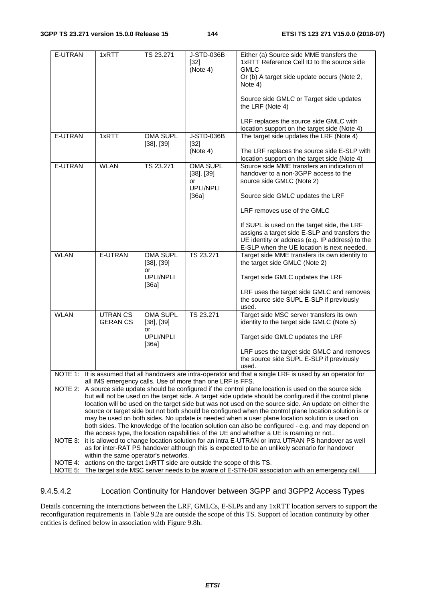| E-UTRAN                                                                                                                                                                                                                                                                                                                                                                                                                                                                                                                                                                                                                                                                                                                                                                                                                                                                                                                                                                                                                   | 1xRTT                            | TS 23.271                          | J-STD-036B<br>$[32]$<br>(Note 4)                        | Either (a) Source side MME transfers the<br>1xRTT Reference Cell ID to the source side<br><b>GMLC</b><br>Or (b) A target side update occurs (Note 2,<br>Note 4)<br>Source side GMLC or Target side updates |  |  |
|---------------------------------------------------------------------------------------------------------------------------------------------------------------------------------------------------------------------------------------------------------------------------------------------------------------------------------------------------------------------------------------------------------------------------------------------------------------------------------------------------------------------------------------------------------------------------------------------------------------------------------------------------------------------------------------------------------------------------------------------------------------------------------------------------------------------------------------------------------------------------------------------------------------------------------------------------------------------------------------------------------------------------|----------------------------------|------------------------------------|---------------------------------------------------------|------------------------------------------------------------------------------------------------------------------------------------------------------------------------------------------------------------|--|--|
|                                                                                                                                                                                                                                                                                                                                                                                                                                                                                                                                                                                                                                                                                                                                                                                                                                                                                                                                                                                                                           |                                  |                                    |                                                         | the LRF (Note 4)<br>LRF replaces the source side GMLC with                                                                                                                                                 |  |  |
| E-UTRAN                                                                                                                                                                                                                                                                                                                                                                                                                                                                                                                                                                                                                                                                                                                                                                                                                                                                                                                                                                                                                   | 1xRTT                            | <b>OMA SUPL</b><br>$[38]$ , $[39]$ | J-STD-036B<br>$[32]$<br>(Note 4)                        | location support on the target side (Note 4)<br>The target side updates the LRF (Note 4)<br>The LRF replaces the source side E-SLP with                                                                    |  |  |
|                                                                                                                                                                                                                                                                                                                                                                                                                                                                                                                                                                                                                                                                                                                                                                                                                                                                                                                                                                                                                           |                                  |                                    |                                                         | location support on the target side (Note 4)                                                                                                                                                               |  |  |
| E-UTRAN                                                                                                                                                                                                                                                                                                                                                                                                                                                                                                                                                                                                                                                                                                                                                                                                                                                                                                                                                                                                                   | <b>WLAN</b>                      | TS 23.271                          | OMA SUPL<br>$[38]$ , $[39]$<br>or<br>UPLI/NPLI<br>[36a] | Source side MME transfers an indication of<br>handover to a non-3GPP access to the<br>source side GMLC (Note 2)<br>Source side GMLC updates the LRF                                                        |  |  |
|                                                                                                                                                                                                                                                                                                                                                                                                                                                                                                                                                                                                                                                                                                                                                                                                                                                                                                                                                                                                                           |                                  |                                    |                                                         | LRF removes use of the GMLC                                                                                                                                                                                |  |  |
|                                                                                                                                                                                                                                                                                                                                                                                                                                                                                                                                                                                                                                                                                                                                                                                                                                                                                                                                                                                                                           |                                  |                                    |                                                         | If SUPL is used on the target side, the LRF<br>assigns a target side E-SLP and transfers the<br>UE identity or address (e.g. IP address) to the<br>E-SLP when the UE location is next needed.              |  |  |
| <b>WLAN</b>                                                                                                                                                                                                                                                                                                                                                                                                                                                                                                                                                                                                                                                                                                                                                                                                                                                                                                                                                                                                               | <b>E-UTRAN</b>                   | OMA SUPL<br>$[38]$ , $[39]$        | TS 23.271                                               | Target side MME transfers its own identity to<br>the target side GMLC (Note 2)                                                                                                                             |  |  |
|                                                                                                                                                                                                                                                                                                                                                                                                                                                                                                                                                                                                                                                                                                                                                                                                                                                                                                                                                                                                                           |                                  | or<br><b>UPLI/NPLI</b><br>[36a]    |                                                         | Target side GMLC updates the LRF                                                                                                                                                                           |  |  |
|                                                                                                                                                                                                                                                                                                                                                                                                                                                                                                                                                                                                                                                                                                                                                                                                                                                                                                                                                                                                                           |                                  |                                    |                                                         | LRF uses the target side GMLC and removes<br>the source side SUPL E-SLP if previously<br>used.                                                                                                             |  |  |
| <b>WLAN</b>                                                                                                                                                                                                                                                                                                                                                                                                                                                                                                                                                                                                                                                                                                                                                                                                                                                                                                                                                                                                               | <b>UTRANCS</b><br><b>GERANCS</b> | <b>OMA SUPL</b><br>$[38]$ , $[39]$ | TS 23.271                                               | Target side MSC server transfers its own<br>identity to the target side GMLC (Note 5)                                                                                                                      |  |  |
|                                                                                                                                                                                                                                                                                                                                                                                                                                                                                                                                                                                                                                                                                                                                                                                                                                                                                                                                                                                                                           |                                  | or<br>UPLI/NPLI<br>[36a]           |                                                         | Target side GMLC updates the LRF                                                                                                                                                                           |  |  |
|                                                                                                                                                                                                                                                                                                                                                                                                                                                                                                                                                                                                                                                                                                                                                                                                                                                                                                                                                                                                                           |                                  |                                    |                                                         | LRF uses the target side GMLC and removes<br>the source side SUPL E-SLP if previously<br>used.                                                                                                             |  |  |
|                                                                                                                                                                                                                                                                                                                                                                                                                                                                                                                                                                                                                                                                                                                                                                                                                                                                                                                                                                                                                           |                                  |                                    |                                                         | NOTE 1: It is assumed that all handovers are intra-operator and that a single LRF is used by an operator for                                                                                               |  |  |
| all IMS emergency calls. Use of more than one LRF is FFS.<br>NOTE 2: A source side update should be configured if the control plane location is used on the source side<br>but will not be used on the target side. A target side update should be configured if the control plane<br>location will be used on the target side but was not used on the source side. An update on either the<br>source or target side but not both should be configured when the control plane location solution is or<br>may be used on both sides. No update is needed when a user plane location solution is used on<br>both sides. The knowledge of the location solution can also be configured - e.g. and may depend on<br>the access type, the location capabilities of the UE and whether a UE is roaming or not<br>it is allowed to change location solution for an intra E-UTRAN or intra UTRAN PS handover as well<br>NOTE 3:<br>as for inter-RAT PS handover although this is expected to be an unlikely scenario for handover |                                  |                                    |                                                         |                                                                                                                                                                                                            |  |  |
| within the same operator's networks.<br>NOTE 4: actions on the target 1xRTT side are outside the scope of this TS.<br>The target side MSC server needs to be aware of E-STN-DR association with an emergency call.<br>NOTE 5:                                                                                                                                                                                                                                                                                                                                                                                                                                                                                                                                                                                                                                                                                                                                                                                             |                                  |                                    |                                                         |                                                                                                                                                                                                            |  |  |

9.4.5.4.2 Location Continuity for Handover between 3GPP and 3GPP2 Access Types

Details concerning the interactions between the LRF, GMLCs, E-SLPs and any 1xRTT location servers to support the reconfiguration requirements in Table 9.2a are outside the scope of this TS. Support of location continuity by other entities is defined below in association with Figure 9.8h.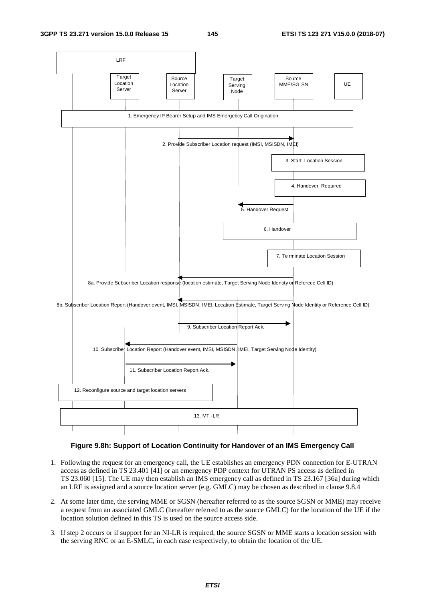**3GPP TS 23.271 version 15.0.0 Release 15 145 ETSI TS 123 271 V15.0.0 (2018-07)**



#### **Figure 9.8h: Support of Location Continuity for Handover of an IMS Emergency Call**

- 1. Following the request for an emergency call, the UE establishes an emergency PDN connection for E-UTRAN access as defined in TS 23.401 [41] or an emergency PDP context for UTRAN PS access as defined in TS 23.060 [15]. The UE may then establish an IMS emergency call as defined in TS 23.167 [36a] during which an LRF is assigned and a source location server (e.g. GMLC) may be chosen as described in clause 9.8.4
- 2. At some later time, the serving MME or SGSN (hereafter referred to as the source SGSN or MME) may receive a request from an associated GMLC (hereafter referred to as the source GMLC) for the location of the UE if the location solution defined in this TS is used on the source access side.
- 3. If step 2 occurs or if support for an NI-LR is required, the source SGSN or MME starts a location session with the serving RNC or an E-SMLC, in each case respectively, to obtain the location of the UE.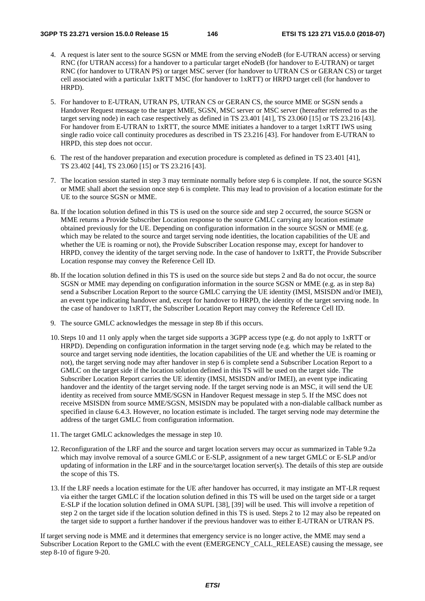- 4. A request is later sent to the source SGSN or MME from the serving eNodeB (for E-UTRAN access) or serving RNC (for UTRAN access) for a handover to a particular target eNodeB (for handover to E-UTRAN) or target RNC (for handover to UTRAN PS) or target MSC server (for handover to UTRAN CS or GERAN CS) or target cell associated with a particular 1xRTT MSC (for handover to 1xRTT) or HRPD target cell (for handover to HRPD).
- 5. For handover to E-UTRAN, UTRAN PS, UTRAN CS or GERAN CS, the source MME or SGSN sends a Handover Request message to the target MME, SGSN, MSC server or MSC server (hereafter referred to as the target serving node) in each case respectively as defined in TS 23.401 [41], TS 23.060 [15] or TS 23.216 [43]. For handover from E-UTRAN to 1xRTT, the source MME initiates a handover to a target 1xRTT IWS using single radio voice call continuity procedures as described in TS 23.216 [43]. For handover from E-UTRAN to HRPD, this step does not occur.
- 6. The rest of the handover preparation and execution procedure is completed as defined in TS 23.401 [41], TS 23.402 [44], TS 23.060 [15] or TS 23.216 [43].
- 7. The location session started in step 3 may terminate normally before step 6 is complete. If not, the source SGSN or MME shall abort the session once step 6 is complete. This may lead to provision of a location estimate for the UE to the source SGSN or MME.
- 8a. If the location solution defined in this TS is used on the source side and step 2 occurred, the source SGSN or MME returns a Provide Subscriber Location response to the source GMLC carrying any location estimate obtained previously for the UE. Depending on configuration information in the source SGSN or MME (e.g. which may be related to the source and target serving node identities, the location capabilities of the UE and whether the UE is roaming or not), the Provide Subscriber Location response may, except for handover to HRPD, convey the identity of the target serving node. In the case of handover to 1xRTT, the Provide Subscriber Location response may convey the Reference Cell ID.
- 8b. If the location solution defined in this TS is used on the source side but steps 2 and 8a do not occur, the source SGSN or MME may depending on configuration information in the source SGSN or MME (e.g. as in step 8a) send a Subscriber Location Report to the source GMLC carrying the UE identity (IMSI, MSISDN and/or IMEI), an event type indicating handover and, except for handover to HRPD, the identity of the target serving node. In the case of handover to 1xRTT, the Subscriber Location Report may convey the Reference Cell ID.
- 9. The source GMLC acknowledges the message in step 8b if this occurs.
- 10. Steps 10 and 11 only apply when the target side supports a 3GPP access type (e.g. do not apply to 1xRTT or HRPD). Depending on configuration information in the target serving node (e.g. which may be related to the source and target serving node identities, the location capabilities of the UE and whether the UE is roaming or not), the target serving node may after handover in step 6 is complete send a Subscriber Location Report to a GMLC on the target side if the location solution defined in this TS will be used on the target side. The Subscriber Location Report carries the UE identity (IMSI, MSISDN and/or IMEI), an event type indicating handover and the identity of the target serving node. If the target serving node is an MSC, it will send the UE identity as received from source MME/SGSN in Handover Request message in step 5. If the MSC does not receive MSISDN from source MME/SGSN, MSISDN may be populated with a non-dialable callback number as specified in clause 6.4.3. However, no location estimate is included. The target serving node may determine the address of the target GMLC from configuration information.
- 11. The target GMLC acknowledges the message in step 10.
- 12. Reconfiguration of the LRF and the source and target location servers may occur as summarized in Table 9.2a which may involve removal of a source GMLC or E-SLP, assignment of a new target GMLC or E-SLP and/or updating of information in the LRF and in the source/target location server(s). The details of this step are outside the scope of this TS.
- 13. If the LRF needs a location estimate for the UE after handover has occurred, it may instigate an MT-LR request via either the target GMLC if the location solution defined in this TS will be used on the target side or a target E-SLP if the location solution defined in OMA SUPL [38], [39] will be used. This will involve a repetition of step 2 on the target side if the location solution defined in this TS is used. Steps 2 to 12 may also be repeated on the target side to support a further handover if the previous handover was to either E-UTRAN or UTRAN PS.

If target serving node is MME and it determines that emergency service is no longer active, the MME may send a Subscriber Location Report to the GMLC with the event (EMERGENCY\_CALL\_RELEASE) causing the message, see step 8-10 of figure 9-20.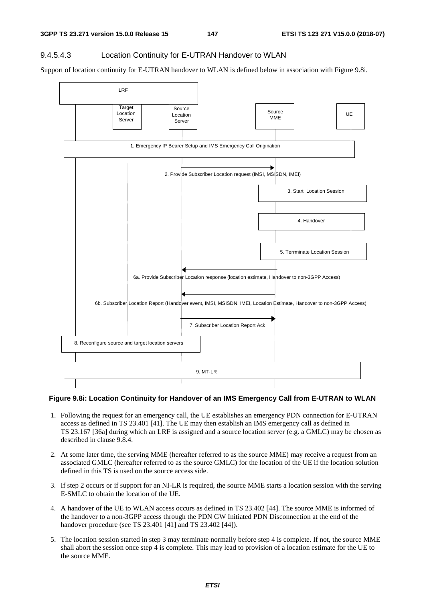#### 9.4.5.4.3 Location Continuity for E-UTRAN Handover to WLAN

Support of location continuity for E-UTRAN handover to WLAN is defined below in association with Figure 9.8i.



#### **Figure 9.8i: Location Continuity for Handover of an IMS Emergency Call from E-UTRAN to WLAN**

- 1. Following the request for an emergency call, the UE establishes an emergency PDN connection for E-UTRAN access as defined in TS 23.401 [41]. The UE may then establish an IMS emergency call as defined in TS 23.167 [36a] during which an LRF is assigned and a source location server (e.g. a GMLC) may be chosen as described in clause 9.8.4.
- 2. At some later time, the serving MME (hereafter referred to as the source MME) may receive a request from an associated GMLC (hereafter referred to as the source GMLC) for the location of the UE if the location solution defined in this TS is used on the source access side.
- 3. If step 2 occurs or if support for an NI-LR is required, the source MME starts a location session with the serving E-SMLC to obtain the location of the UE.
- 4. A handover of the UE to WLAN access occurs as defined in TS 23.402 [44]. The source MME is informed of the handover to a non-3GPP access through the PDN GW Initiated PDN Disconnection at the end of the handover procedure (see TS 23.401 [41] and TS 23.402 [44]).
- 5. The location session started in step 3 may terminate normally before step 4 is complete. If not, the source MME shall abort the session once step 4 is complete. This may lead to provision of a location estimate for the UE to the source MME.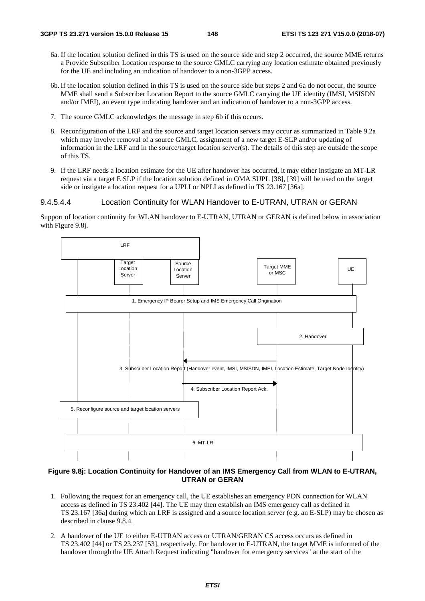- 6a. If the location solution defined in this TS is used on the source side and step 2 occurred, the source MME returns a Provide Subscriber Location response to the source GMLC carrying any location estimate obtained previously for the UE and including an indication of handover to a non-3GPP access.
- 6b. If the location solution defined in this TS is used on the source side but steps 2 and 6a do not occur, the source MME shall send a Subscriber Location Report to the source GMLC carrying the UE identity (IMSI, MSISDN and/or IMEI), an event type indicating handover and an indication of handover to a non-3GPP access.
- 7. The source GMLC acknowledges the message in step 6b if this occurs.
- 8. Reconfiguration of the LRF and the source and target location servers may occur as summarized in Table 9.2a which may involve removal of a source GMLC, assignment of a new target E-SLP and/or updating of information in the LRF and in the source/target location server(s). The details of this step are outside the scope of this TS.
- 9. If the LRF needs a location estimate for the UE after handover has occurred, it may either instigate an MT-LR request via a target E SLP if the location solution defined in OMA SUPL [38], [39] will be used on the target side or instigate a location request for a UPLI or NPLI as defined in TS 23.167 [36a].

#### 9.4.5.4.4 Location Continuity for WLAN Handover to E-UTRAN, UTRAN or GERAN

Support of location continuity for WLAN handover to E-UTRAN, UTRAN or GERAN is defined below in association with Figure 9.8j.



#### **Figure 9.8j: Location Continuity for Handover of an IMS Emergency Call from WLAN to E-UTRAN, UTRAN or GERAN**

- 1. Following the request for an emergency call, the UE establishes an emergency PDN connection for WLAN access as defined in TS 23.402 [44]. The UE may then establish an IMS emergency call as defined in TS 23.167 [36a] during which an LRF is assigned and a source location server (e.g. an E-SLP) may be chosen as described in clause 9.8.4.
- 2. A handover of the UE to either E-UTRAN access or UTRAN/GERAN CS access occurs as defined in TS 23.402 [44] or TS 23.237 [53], respectively. For handover to E-UTRAN, the target MME is informed of the handover through the UE Attach Request indicating "handover for emergency services" at the start of the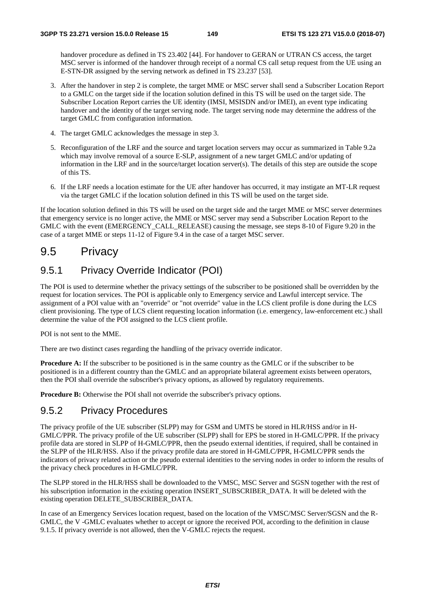handover procedure as defined in TS 23.402 [44]. For handover to GERAN or UTRAN CS access, the target MSC server is informed of the handover through receipt of a normal CS call setup request from the UE using an E-STN-DR assigned by the serving network as defined in TS 23.237 [53].

- 3. After the handover in step 2 is complete, the target MME or MSC server shall send a Subscriber Location Report to a GMLC on the target side if the location solution defined in this TS will be used on the target side. The Subscriber Location Report carries the UE identity (IMSI, MSISDN and/or IMEI), an event type indicating handover and the identity of the target serving node. The target serving node may determine the address of the target GMLC from configuration information.
- 4. The target GMLC acknowledges the message in step 3.
- 5. Reconfiguration of the LRF and the source and target location servers may occur as summarized in Table 9.2a which may involve removal of a source E-SLP, assignment of a new target GMLC and/or updating of information in the LRF and in the source/target location server(s). The details of this step are outside the scope of this TS.
- 6. If the LRF needs a location estimate for the UE after handover has occurred, it may instigate an MT-LR request via the target GMLC if the location solution defined in this TS will be used on the target side.

If the location solution defined in this TS will be used on the target side and the target MME or MSC server determines that emergency service is no longer active, the MME or MSC server may send a Subscriber Location Report to the GMLC with the event (EMERGENCY\_CALL\_RELEASE) causing the message, see steps 8-10 of Figure 9.20 in the case of a target MME or steps 11-12 of Figure 9.4 in the case of a target MSC server.

### 9.5 Privacy

### 9.5.1 Privacy Override Indicator (POI)

The POI is used to determine whether the privacy settings of the subscriber to be positioned shall be overridden by the request for location services. The POI is applicable only to Emergency service and Lawful intercept service. The assignment of a POI value with an "override" or "not override" value in the LCS client profile is done during the LCS client provisioning. The type of LCS client requesting location information (i.e. emergency, law-enforcement etc.) shall determine the value of the POI assigned to the LCS client profile.

POI is not sent to the MME.

There are two distinct cases regarding the handling of the privacy override indicator.

**Procedure A:** If the subscriber to be positioned is in the same country as the GMLC or if the subscriber to be positioned is in a different country than the GMLC and an appropriate bilateral agreement exists between operators, then the POI shall override the subscriber's privacy options, as allowed by regulatory requirements.

**Procedure B:** Otherwise the POI shall not override the subscriber's privacy options.

### 9.5.2 Privacy Procedures

The privacy profile of the UE subscriber (SLPP) may for GSM and UMTS be stored in HLR/HSS and/or in H-GMLC/PPR. The privacy profile of the UE subscriber (SLPP) shall for EPS be stored in H-GMLC/PPR. If the privacy profile data are stored in SLPP of H-GMLC/PPR, then the pseudo external identities, if required, shall be contained in the SLPP of the HLR/HSS. Also if the privacy profile data are stored in H-GMLC/PPR, H-GMLC/PPR sends the indicators of privacy related action or the pseudo external identities to the serving nodes in order to inform the results of the privacy check procedures in H-GMLC/PPR.

The SLPP stored in the HLR/HSS shall be downloaded to the VMSC, MSC Server and SGSN together with the rest of his subscription information in the existing operation INSERT\_SUBSCRIBER\_DATA. It will be deleted with the existing operation DELETE\_SUBSCRIBER\_DATA.

In case of an Emergency Services location request, based on the location of the VMSC/MSC Server/SGSN and the R-GMLC, the V -GMLC evaluates whether to accept or ignore the received POI, according to the definition in clause 9.1.5. If privacy override is not allowed, then the V-GMLC rejects the request.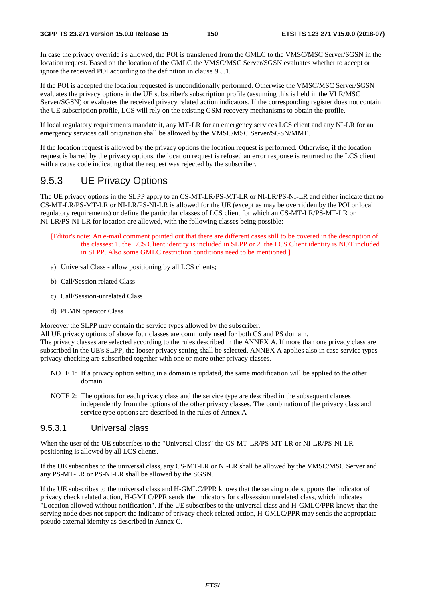In case the privacy override i s allowed, the POI is transferred from the GMLC to the VMSC/MSC Server/SGSN in the location request. Based on the location of the GMLC the VMSC/MSC Server/SGSN evaluates whether to accept or ignore the received POI according to the definition in clause 9.5.1.

If the POI is accepted the location requested is unconditionally performed. Otherwise the VMSC/MSC Server/SGSN evaluates the privacy options in the UE subscriber's subscription profile (assuming this is held in the VLR/MSC Server/SGSN) or evaluates the received privacy related action indicators. If the corresponding register does not contain the UE subscription profile, LCS will rely on the existing GSM recovery mechanisms to obtain the profile.

If local regulatory requirements mandate it, any MT-LR for an emergency services LCS client and any NI-LR for an emergency services call origination shall be allowed by the VMSC/MSC Server/SGSN/MME.

If the location request is allowed by the privacy options the location request is performed. Otherwise, if the location request is barred by the privacy options, the location request is refused an error response is returned to the LCS client with a cause code indicating that the request was rejected by the subscriber.

### 9.5.3 UE Privacy Options

The UE privacy options in the SLPP apply to an CS-MT-LR/PS-MT-LR or NI-LR/PS-NI-LR and either indicate that no CS-MT-LR/PS-MT-LR or NI-LR/PS-NI-LR is allowed for the UE (except as may be overridden by the POI or local regulatory requirements) or define the particular classes of LCS client for which an CS-MT-LR/PS-MT-LR or NI-LR/PS-NI-LR for location are allowed, with the following classes being possible:

- [Editor's note: An e-mail comment pointed out that there are different cases still to be covered in the description of the classes: 1. the LCS Client identity is included in SLPP or 2. the LCS Client identity is NOT included in SLPP. Also some GMLC restriction conditions need to be mentioned.]
- a) Universal Class allow positioning by all LCS clients;
- b) Call/Session related Class
- c) Call/Session-unrelated Class
- d) PLMN operator Class

Moreover the SLPP may contain the service types allowed by the subscriber.

All UE privacy options of above four classes are commonly used for both CS and PS domain.

The privacy classes are selected according to the rules described in the ANNEX A. If more than one privacy class are subscribed in the UE's SLPP, the looser privacy setting shall be selected. ANNEX A applies also in case service types privacy checking are subscribed together with one or more other privacy classes.

- NOTE 1: If a privacy option setting in a domain is updated, the same modification will be applied to the other domain.
- NOTE 2: The options for each privacy class and the service type are described in the subsequent clauses independently from the options of the other privacy classes. The combination of the privacy class and service type options are described in the rules of Annex A

#### 9.5.3.1 Universal class

When the user of the UE subscribes to the "Universal Class" the CS-MT-LR/PS-MT-LR or NI-LR/PS-NI-LR positioning is allowed by all LCS clients.

If the UE subscribes to the universal class, any CS-MT-LR or NI-LR shall be allowed by the VMSC/MSC Server and any PS-MT-LR or PS-NI-LR shall be allowed by the SGSN.

If the UE subscribes to the universal class and H-GMLC/PPR knows that the serving node supports the indicator of privacy check related action, H-GMLC/PPR sends the indicators for call/session unrelated class, which indicates "Location allowed without notification". If the UE subscribes to the universal class and H-GMLC/PPR knows that the serving node does not support the indicator of privacy check related action, H-GMLC/PPR may sends the appropriate pseudo external identity as described in Annex C.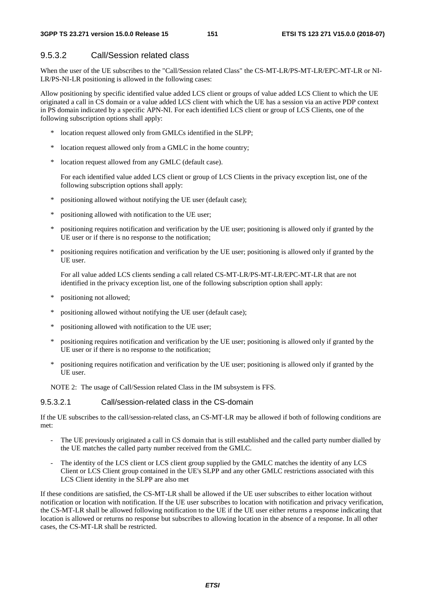#### 9.5.3.2 Call/Session related class

When the user of the UE subscribes to the "Call/Session related Class" the CS-MT-LR/PS-MT-LR/EPC-MT-LR or NI-LR/PS-NI-LR positioning is allowed in the following cases:

Allow positioning by specific identified value added LCS client or groups of value added LCS Client to which the UE originated a call in CS domain or a value added LCS client with which the UE has a session via an active PDP context in PS domain indicated by a specific APN-NI. For each identified LCS client or group of LCS Clients, one of the following subscription options shall apply:

- \* location request allowed only from GMLCs identified in the SLPP;
- location request allowed only from a GMLC in the home country;
- \* location request allowed from any GMLC (default case).

 For each identified value added LCS client or group of LCS Clients in the privacy exception list, one of the following subscription options shall apply:

- \* positioning allowed without notifying the UE user (default case);
- \* positioning allowed with notification to the UE user;
- \* positioning requires notification and verification by the UE user; positioning is allowed only if granted by the UE user or if there is no response to the notification;
- positioning requires notification and verification by the UE user; positioning is allowed only if granted by the UE user.

 For all value added LCS clients sending a call related CS-MT-LR/PS-MT-LR/EPC-MT-LR that are not identified in the privacy exception list, one of the following subscription option shall apply:

- \* positioning not allowed;
- \* positioning allowed without notifying the UE user (default case);
- \* positioning allowed with notification to the UE user;
- \* positioning requires notification and verification by the UE user; positioning is allowed only if granted by the UE user or if there is no response to the notification;
- \* positioning requires notification and verification by the UE user; positioning is allowed only if granted by the UE user.

NOTE 2: The usage of Call/Session related Class in the IM subsystem is FFS.

#### 9.5.3.2.1 Call/session-related class in the CS-domain

If the UE subscribes to the call/session-related class, an CS-MT-LR may be allowed if both of following conditions are met:

- The UE previously originated a call in CS domain that is still established and the called party number dialled by the UE matches the called party number received from the GMLC.
- The identity of the LCS client or LCS client group supplied by the GMLC matches the identity of any LCS Client or LCS Client group contained in the UE's SLPP and any other GMLC restrictions associated with this LCS Client identity in the SLPP are also met

If these conditions are satisfied, the CS-MT-LR shall be allowed if the UE user subscribes to either location without notification or location with notification. If the UE user subscribes to location with notification and privacy verification, the CS-MT-LR shall be allowed following notification to the UE if the UE user either returns a response indicating that location is allowed or returns no response but subscribes to allowing location in the absence of a response. In all other cases, the CS-MT-LR shall be restricted.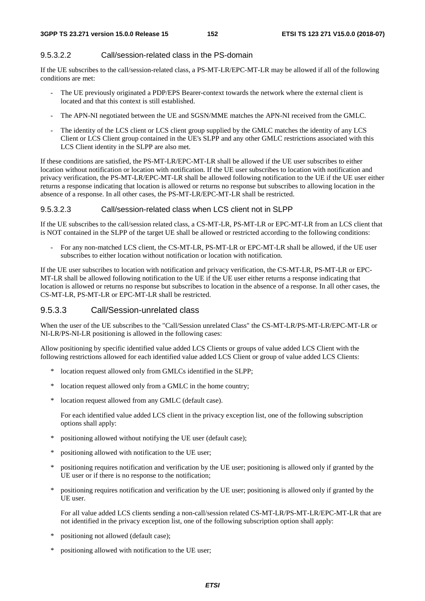#### 9.5.3.2.2 Call/session-related class in the PS-domain

If the UE subscribes to the call/session-related class, a PS-MT-LR/EPC-MT-LR may be allowed if all of the following conditions are met:

- The UE previously originated a PDP/EPS Bearer-context towards the network where the external client is located and that this context is still established.
- The APN-NI negotiated between the UE and SGSN/MME matches the APN-NI received from the GMLC.
- The identity of the LCS client or LCS client group supplied by the GMLC matches the identity of any LCS Client or LCS Client group contained in the UE's SLPP and any other GMLC restrictions associated with this LCS Client identity in the SLPP are also met.

If these conditions are satisfied, the PS-MT-LR/EPC-MT-LR shall be allowed if the UE user subscribes to either location without notification or location with notification. If the UE user subscribes to location with notification and privacy verification, the PS-MT-LR/EPC-MT-LR shall be allowed following notification to the UE if the UE user either returns a response indicating that location is allowed or returns no response but subscribes to allowing location in the absence of a response. In all other cases, the PS-MT-LR/EPC-MT-LR shall be restricted.

#### 9.5.3.2.3 Call/session-related class when LCS client not in SLPP

If the UE subscribes to the call/session related class, a CS-MT-LR, PS-MT-LR or EPC-MT-LR from an LCS client that is NOT contained in the SLPP of the target UE shall be allowed or restricted according to the following conditions:

- For any non-matched LCS client, the CS-MT-LR, PS-MT-LR or EPC-MT-LR shall be allowed, if the UE user subscribes to either location without notification or location with notification.

If the UE user subscribes to location with notification and privacy verification, the CS-MT-LR, PS-MT-LR or EPC-MT-LR shall be allowed following notification to the UE if the UE user either returns a response indicating that location is allowed or returns no response but subscribes to location in the absence of a response. In all other cases, the CS-MT-LR, PS-MT-LR or EPC-MT-LR shall be restricted.

#### 9.5.3.3 Call/Session-unrelated class

When the user of the UE subscribes to the "Call/Session unrelated Class" the CS-MT-LR/PS-MT-LR/EPC-MT-LR or NI-LR/PS-NI-LR positioning is allowed in the following cases:

Allow positioning by specific identified value added LCS Clients or groups of value added LCS Client with the following restrictions allowed for each identified value added LCS Client or group of value added LCS Clients:

- \* location request allowed only from GMLCs identified in the SLPP;
- \* location request allowed only from a GMLC in the home country;
- \* location request allowed from any GMLC (default case).

 For each identified value added LCS client in the privacy exception list, one of the following subscription options shall apply:

- \* positioning allowed without notifying the UE user (default case);
- positioning allowed with notification to the UE user;
- positioning requires notification and verification by the UE user; positioning is allowed only if granted by the UE user or if there is no response to the notification;
- positioning requires notification and verification by the UE user; positioning is allowed only if granted by the UE user.

 For all value added LCS clients sending a non-call/session related CS-MT-LR/PS-MT-LR/EPC-MT-LR that are not identified in the privacy exception list, one of the following subscription option shall apply:

- positioning not allowed (default case);
- positioning allowed with notification to the UE user;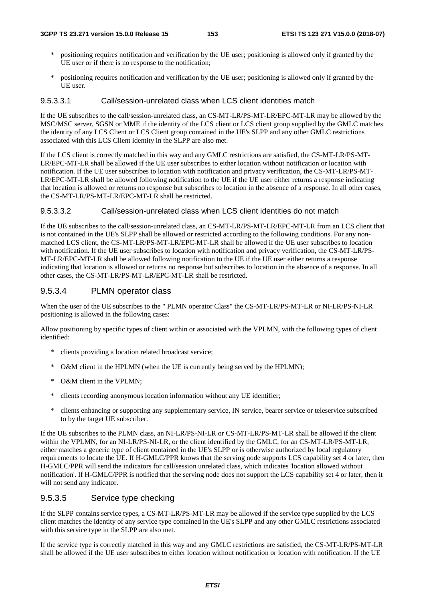- \* positioning requires notification and verification by the UE user; positioning is allowed only if granted by the UE user or if there is no response to the notification;
- \* positioning requires notification and verification by the UE user; positioning is allowed only if granted by the UE user.

#### 9.5.3.3.1 Call/session-unrelated class when LCS client identities match

If the UE subscribes to the call/session-unrelated class, an CS-MT-LR/PS-MT-LR/EPC-MT-LR may be allowed by the MSC/MSC server, SGSN or MME if the identity of the LCS client or LCS client group supplied by the GMLC matches the identity of any LCS Client or LCS Client group contained in the UE's SLPP and any other GMLC restrictions associated with this LCS Client identity in the SLPP are also met.

If the LCS client is correctly matched in this way and any GMLC restrictions are satisfied, the CS-MT-LR/PS-MT-LR/EPC-MT-LR shall be allowed if the UE user subscribes to either location without notification or location with notification. If the UE user subscribes to location with notification and privacy verification, the CS-MT-LR/PS-MT-LR/EPC-MT-LR shall be allowed following notification to the UE if the UE user either returns a response indicating that location is allowed or returns no response but subscribes to location in the absence of a response. In all other cases, the CS-MT-LR/PS-MT-LR/EPC-MT-LR shall be restricted.

#### 9.5.3.3.2 Call/session-unrelated class when LCS client identities do not match

If the UE subscribes to the call/session-unrelated class, an CS-MT-LR/PS-MT-LR/EPC-MT-LR from an LCS client that is not contained in the UE's SLPP shall be allowed or restricted according to the following conditions. For any nonmatched LCS client, the CS-MT-LR/PS-MT-LR/EPC-MT-LR shall be allowed if the UE user subscribes to location with notification. If the UE user subscribes to location with notification and privacy verification, the CS-MT-LR/PS-MT-LR/EPC-MT-LR shall be allowed following notification to the UE if the UE user either returns a response indicating that location is allowed or returns no response but subscribes to location in the absence of a response. In all other cases, the CS-MT-LR/PS-MT-LR/EPC-MT-LR shall be restricted.

#### 9.5.3.4 PLMN operator class

When the user of the UE subscribes to the " PLMN operator Class" the CS-MT-LR/PS-MT-LR or NI-LR/PS-NI-LR positioning is allowed in the following cases:

Allow positioning by specific types of client within or associated with the VPLMN, with the following types of client identified:

- \* clients providing a location related broadcast service;
- \* O&M client in the HPLMN (when the UE is currently being served by the HPLMN);
- \* O&M client in the VPLMN;
- \* clients recording anonymous location information without any UE identifier;
- \* clients enhancing or supporting any supplementary service, IN service, bearer service or teleservice subscribed to by the target UE subscriber.

If the UE subscribes to the PLMN class, an NI-LR/PS-NI-LR or CS-MT-LR/PS-MT-LR shall be allowed if the client within the VPLMN, for an NI-LR/PS-NI-LR, or the client identified by the GMLC, for an CS-MT-LR/PS-MT-LR, either matches a generic type of client contained in the UE's SLPP or is otherwise authorized by local regulatory requirements to locate the UE. If H-GMLC/PPR knows that the serving node supports LCS capability set 4 or later, then H-GMLC/PPR will send the indicators for call/session unrelated class, which indicates 'location allowed without notification'. If H-GMLC/PPR is notified that the serving node does not support the LCS capability set 4 or later, then it will not send any indicator.

#### 9.5.3.5 Service type checking

If the SLPP contains service types, a CS-MT-LR/PS-MT-LR may be allowed if the service type supplied by the LCS client matches the identity of any service type contained in the UE's SLPP and any other GMLC restrictions associated with this service type in the SLPP are also met.

If the service type is correctly matched in this way and any GMLC restrictions are satisfied, the CS-MT-LR/PS-MT-LR shall be allowed if the UE user subscribes to either location without notification or location with notification. If the UE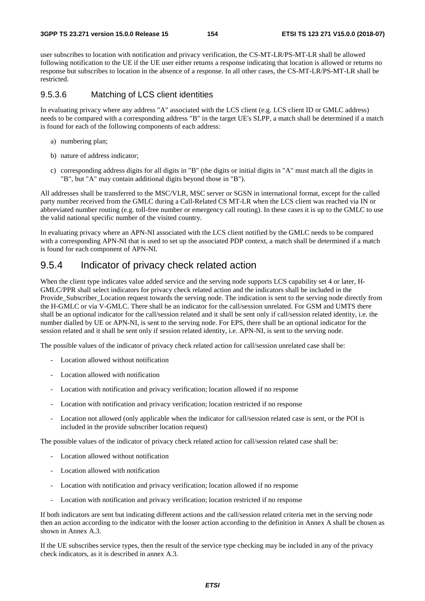user subscribes to location with notification and privacy verification, the CS-MT-LR/PS-MT-LR shall be allowed following notification to the UE if the UE user either returns a response indicating that location is allowed or returns no response but subscribes to location in the absence of a response. In all other cases, the CS-MT-LR/PS-MT-LR shall be restricted.

#### 9.5.3.6 Matching of LCS client identities

In evaluating privacy where any address "A" associated with the LCS client (e.g. LCS client ID or GMLC address) needs to be compared with a corresponding address "B" in the target UE's SLPP, a match shall be determined if a match is found for each of the following components of each address:

- a) numbering plan;
- b) nature of address indicator;
- c) corresponding address digits for all digits in "B" (the digits or initial digits in "A" must match all the digits in "B", but "A" may contain additional digits beyond those in "B").

All addresses shall be transferred to the MSC/VLR, MSC server or SGSN in international format, except for the called party number received from the GMLC during a Call-Related CS MT-LR when the LCS client was reached via IN or abbreviated number routing (e.g. toll-free number or emergency call routing). In these cases it is up to the GMLC to use the valid national specific number of the visited country.

In evaluating privacy where an APN-NI associated with the LCS client notified by the GMLC needs to be compared with a corresponding APN-NI that is used to set up the associated PDP context, a match shall be determined if a match is found for each component of APN-NI.

### 9.5.4 Indicator of privacy check related action

When the client type indicates value added service and the serving node supports LCS capability set 4 or later, H-GMLC/PPR shall select indicators for privacy check related action and the indicators shall be included in the Provide\_Subscriber\_Location request towards the serving node. The indication is sent to the serving node directly from the H-GMLC or via V-GMLC. There shall be an indicator for the call/session unrelated. For GSM and UMTS there shall be an optional indicator for the call/session related and it shall be sent only if call/session related identity, i.e. the number dialled by UE or APN-NI, is sent to the serving node. For EPS, there shall be an optional indicator for the session related and it shall be sent only if session related identity, i.e. APN-NI, is sent to the serving node.

The possible values of the indicator of privacy check related action for call/session unrelated case shall be:

- Location allowed without notification
- Location allowed with notification
- Location with notification and privacy verification; location allowed if no response
- Location with notification and privacy verification; location restricted if no response
- Location not allowed (only applicable when the indicator for call/session related case is sent, or the POI is included in the provide subscriber location request)

The possible values of the indicator of privacy check related action for call/session related case shall be:

- Location allowed without notification
- Location allowed with notification
- Location with notification and privacy verification; location allowed if no response
- Location with notification and privacy verification; location restricted if no response

If both indicators are sent but indicating different actions and the call/session related criteria met in the serving node then an action according to the indicator with the looser action according to the definition in Annex A shall be chosen as shown in Annex A.3.

If the UE subscribes service types, then the result of the service type checking may be included in any of the privacy check indicators, as it is described in annex A.3.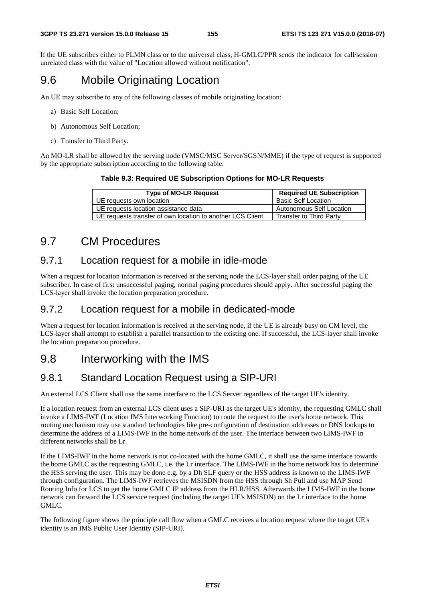If the UE subscribes either to PLMN class or to the universal class, H-GMLC/PPR sends the indicator for call/session unrelated class with the value of "Location allowed without notification".

### 9.6 Mobile Originating Location

An UE may subscribe to any of the following classes of mobile originating location:

- a) Basic Self Location;
- b) Autonomous Self Location;
- c) Transfer to Third Party.

An MO-LR shall be allowed by the serving node (VMSC/MSC Server/SGSN/MME) if the type of request is supported by the appropriate subscription according to the following table.

#### **Table 9.3: Required UE Subscription Options for MO-LR Requests**

| <b>Type of MO-LR Request</b>                               | <b>Required UE Subscription</b> |
|------------------------------------------------------------|---------------------------------|
| UE requests own location                                   | <b>Basic Self Location</b>      |
| UE requests location assistance data                       | <b>Autonomous Self Location</b> |
| UE requests transfer of own location to another LCS Client | Transfer to Third Party         |

### 9.7 CM Procedures

### 9.7.1 Location request for a mobile in idle-mode

When a request for location information is received at the serving node the LCS-layer shall order paging of the UE subscriber. In case of first unsuccessful paging, normal paging procedures should apply. After successful paging the LCS-layer shall invoke the location preparation procedure.

### 9.7.2 Location request for a mobile in dedicated-mode

When a request for location information is received at the serving node, if the UE is already busy on CM level, the LCS-layer shall attempt to establish a parallel transaction to the existing one. If successful, the LCS-layer shall invoke the location preparation procedure.

### 9.8 Interworking with the IMS

### 9.8.1 Standard Location Request using a SIP-URI

An external LCS Client shall use the same interface to the LCS Server regardless of the target UE's identity.

If a location request from an external LCS client uses a SIP-URI as the target UE's identity, the requesting GMLC shall invoke a LIMS-IWF (Location IMS Interworking Function) to route the request to the user's home network. This routing mechanism may use standard technologies like pre-configuration of destination addresses or DNS lookups to determine the address of a LIMS-IWF in the home network of the user. The interface between two LIMS-IWF in different networks shall be Lr.

If the LIMS-IWF in the home network is not co-located with the home GMLC, it shall use the same interface towards the home GMLC as the requesting GMLC, i.e. the Lr interface. The LIMS-IWF in the home network has to determine the HSS serving the user. This may be done e.g. by a Dh SLF query or the HSS address is known to the LIMS-IWF through configuration. The LIMS-IWF retrieves the MSISDN from the HSS through Sh Pull and use MAP Send Routing Info for LCS to get the home GMLC IP address from the HLR/HSS. Afterwards the LIMS-IWF in the home network can forward the LCS service request (including the target UE's MSISDN) on the Lr interface to the home GMLC.

The following figure shows the principle call flow when a GMLC receives a location request where the target UE's identity is an IMS Public User Identity (SIP-URI).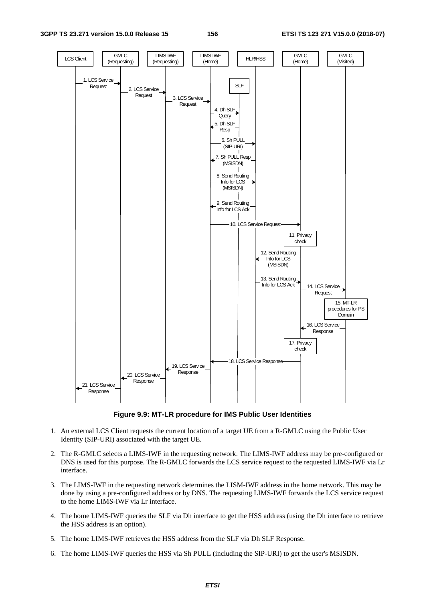#### **3GPP TS 23.271 version 15.0.0 Release 15 156 ETSI TS 123 271 V15.0.0 (2018-07)**



**Figure 9.9: MT-LR procedure for IMS Public User Identities** 

- 1. An external LCS Client requests the current location of a target UE from a R-GMLC using the Public User Identity (SIP-URI) associated with the target UE.
- 2. The R-GMLC selects a LIMS-IWF in the requesting network. The LIMS-IWF address may be pre-configured or DNS is used for this purpose. The R-GMLC forwards the LCS service request to the requested LIMS-IWF via Lr interface.
- 3. The LIMS-IWF in the requesting network determines the LISM-IWF address in the home network. This may be done by using a pre-configured address or by DNS. The requesting LIMS-IWF forwards the LCS service request to the home LIMS-IWF via Lr interface.
- 4. The home LIMS-IWF queries the SLF via Dh interface to get the HSS address (using the Dh interface to retrieve the HSS address is an option).
- 5. The home LIMS-IWF retrieves the HSS address from the SLF via Dh SLF Response.
- 6. The home LIMS-IWF queries the HSS via Sh PULL (including the SIP-URI) to get the user's MSISDN.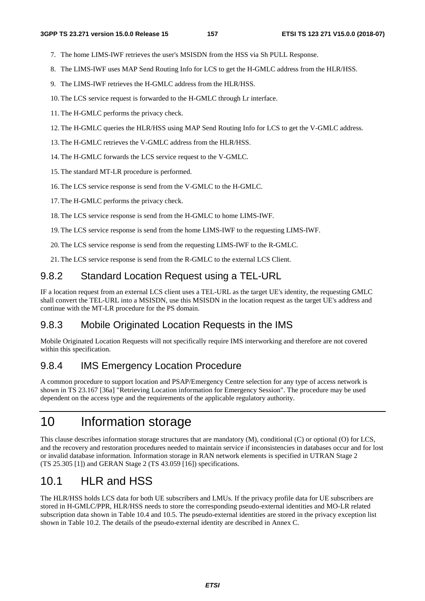- 7. The home LIMS-IWF retrieves the user's MSISDN from the HSS via Sh PULL Response.
- 8. The LIMS-IWF uses MAP Send Routing Info for LCS to get the H-GMLC address from the HLR/HSS.
- 9. The LIMS-IWF retrieves the H-GMLC address from the HLR/HSS.
- 10. The LCS service request is forwarded to the H-GMLC through Lr interface.
- 11. The H-GMLC performs the privacy check.
- 12. The H-GMLC queries the HLR/HSS using MAP Send Routing Info for LCS to get the V-GMLC address.
- 13. The H-GMLC retrieves the V-GMLC address from the HLR/HSS.
- 14. The H-GMLC forwards the LCS service request to the V-GMLC.
- 15. The standard MT-LR procedure is performed.
- 16. The LCS service response is send from the V-GMLC to the H-GMLC.
- 17. The H-GMLC performs the privacy check.
- 18. The LCS service response is send from the H-GMLC to home LIMS-IWF.
- 19. The LCS service response is send from the home LIMS-IWF to the requesting LIMS-IWF.
- 20. The LCS service response is send from the requesting LIMS-IWF to the R-GMLC.
- 21. The LCS service response is send from the R-GMLC to the external LCS Client.

### 9.8.2 Standard Location Request using a TEL-URL

IF a location request from an external LCS client uses a TEL-URL as the target UE's identity, the requesting GMLC shall convert the TEL-URL into a MSISDN, use this MSISDN in the location request as the target UE's address and continue with the MT-LR procedure for the PS domain.

### 9.8.3 Mobile Originated Location Requests in the IMS

Mobile Originated Location Requests will not specifically require IMS interworking and therefore are not covered within this specification.

### 9.8.4 IMS Emergency Location Procedure

A common procedure to support location and PSAP/Emergency Centre selection for any type of access network is shown in TS 23.167 [36a] "Retrieving Location information for Emergency Session". The procedure may be used dependent on the access type and the requirements of the applicable regulatory authority.

# 10 Information storage

This clause describes information storage structures that are mandatory (M), conditional (C) or optional (O) for LCS, and the recovery and restoration procedures needed to maintain service if inconsistencies in databases occur and for lost or invalid database information. Information storage in RAN network elements is specified in UTRAN Stage 2 (TS 25.305 [1]) and GERAN Stage 2 (TS 43.059 [16]) specifications.

## 10.1 HLR and HSS

The HLR/HSS holds LCS data for both UE subscribers and LMUs. If the privacy profile data for UE subscribers are stored in H-GMLC/PPR, HLR/HSS needs to store the corresponding pseudo-external identities and MO-LR related subscription data shown in Table 10.4 and 10.5. The pseudo-external identities are stored in the privacy exception list shown in Table 10.2. The details of the pseudo-external identity are described in Annex C.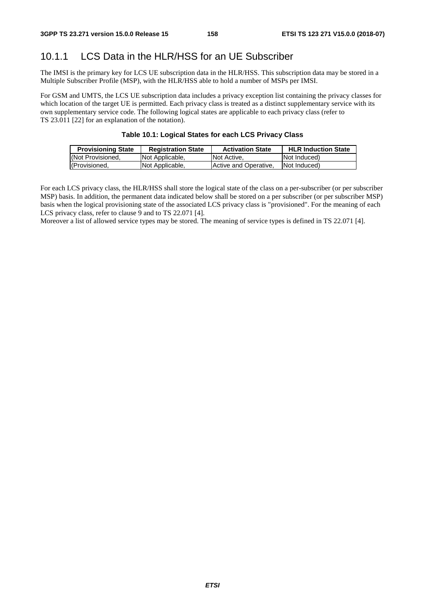### 10.1.1 LCS Data in the HLR/HSS for an UE Subscriber

The IMSI is the primary key for LCS UE subscription data in the HLR/HSS. This subscription data may be stored in a Multiple Subscriber Profile (MSP), with the HLR/HSS able to hold a number of MSPs per IMSI.

For GSM and UMTS, the LCS UE subscription data includes a privacy exception list containing the privacy classes for which location of the target UE is permitted. Each privacy class is treated as a distinct supplementary service with its own supplementary service code. The following logical states are applicable to each privacy class (refer to TS 23.011 [22] for an explanation of the notation).

#### **Table 10.1: Logical States for each LCS Privacy Class**

| <b>Provisioning State</b> | <b>Registration State</b> | <b>Activation State</b> | <b>HLR Induction State</b> |
|---------------------------|---------------------------|-------------------------|----------------------------|
| (Not Provisioned,         | Not Applicable,           | Not Active.             | <b>Not Induced</b> )       |
| (Provisioned,             | Not Applicable,           | Active and Operative.   | Not Induced)               |

For each LCS privacy class, the HLR/HSS shall store the logical state of the class on a per-subscriber (or per subscriber MSP) basis. In addition, the permanent data indicated below shall be stored on a per subscriber (or per subscriber MSP) basis when the logical provisioning state of the associated LCS privacy class is "provisioned". For the meaning of each LCS privacy class, refer to clause 9 and to TS 22.071 [4].

Moreover a list of allowed service types may be stored. The meaning of service types is defined in TS 22.071 [4].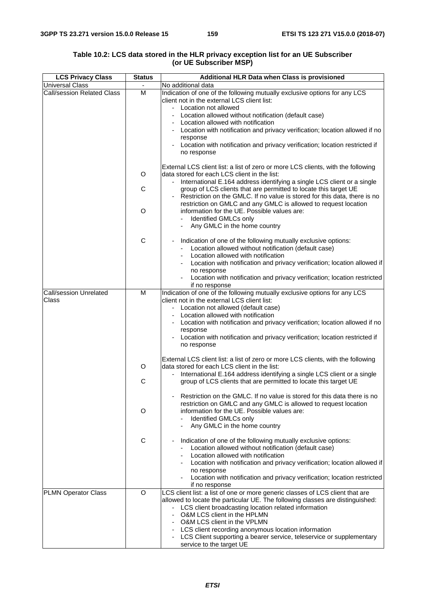| <b>Universal Class</b><br>No additional data<br><b>Call/session Related Class</b><br>M<br>Indication of one of the following mutually exclusive options for any LCS<br>client not in the external LCS client list:<br>- Location not allowed<br>- Location allowed without notification (default case)<br>Location allowed with notification<br>- Location with notification and privacy verification; location allowed if no<br>response<br>Location with notification and privacy verification; location restricted if<br>no response<br>External LCS client list: a list of zero or more LCS clients, with the following<br>data stored for each LCS client in the list:<br>O<br>- International E.164 address identifying a single LCS client or a single<br>C<br>group of LCS clients that are permitted to locate this target UE<br>Restriction on the GMLC. If no value is stored for this data, there is no<br>$\overline{a}$<br>restriction on GMLC and any GMLC is allowed to request location<br>O<br>information for the UE. Possible values are:<br>Identified GMLCs only<br>Any GMLC in the home country<br>C<br>Indication of one of the following mutually exclusive options:<br>$\overline{a}$<br>Location allowed without notification (default case)<br>Location allowed with notification<br>Location with notification and privacy verification; location allowed if |                                                                                  |
|-------------------------------------------------------------------------------------------------------------------------------------------------------------------------------------------------------------------------------------------------------------------------------------------------------------------------------------------------------------------------------------------------------------------------------------------------------------------------------------------------------------------------------------------------------------------------------------------------------------------------------------------------------------------------------------------------------------------------------------------------------------------------------------------------------------------------------------------------------------------------------------------------------------------------------------------------------------------------------------------------------------------------------------------------------------------------------------------------------------------------------------------------------------------------------------------------------------------------------------------------------------------------------------------------------------------------------------------------------------------------------------------|----------------------------------------------------------------------------------|
|                                                                                                                                                                                                                                                                                                                                                                                                                                                                                                                                                                                                                                                                                                                                                                                                                                                                                                                                                                                                                                                                                                                                                                                                                                                                                                                                                                                           |                                                                                  |
|                                                                                                                                                                                                                                                                                                                                                                                                                                                                                                                                                                                                                                                                                                                                                                                                                                                                                                                                                                                                                                                                                                                                                                                                                                                                                                                                                                                           |                                                                                  |
|                                                                                                                                                                                                                                                                                                                                                                                                                                                                                                                                                                                                                                                                                                                                                                                                                                                                                                                                                                                                                                                                                                                                                                                                                                                                                                                                                                                           |                                                                                  |
|                                                                                                                                                                                                                                                                                                                                                                                                                                                                                                                                                                                                                                                                                                                                                                                                                                                                                                                                                                                                                                                                                                                                                                                                                                                                                                                                                                                           |                                                                                  |
|                                                                                                                                                                                                                                                                                                                                                                                                                                                                                                                                                                                                                                                                                                                                                                                                                                                                                                                                                                                                                                                                                                                                                                                                                                                                                                                                                                                           |                                                                                  |
|                                                                                                                                                                                                                                                                                                                                                                                                                                                                                                                                                                                                                                                                                                                                                                                                                                                                                                                                                                                                                                                                                                                                                                                                                                                                                                                                                                                           |                                                                                  |
|                                                                                                                                                                                                                                                                                                                                                                                                                                                                                                                                                                                                                                                                                                                                                                                                                                                                                                                                                                                                                                                                                                                                                                                                                                                                                                                                                                                           |                                                                                  |
|                                                                                                                                                                                                                                                                                                                                                                                                                                                                                                                                                                                                                                                                                                                                                                                                                                                                                                                                                                                                                                                                                                                                                                                                                                                                                                                                                                                           |                                                                                  |
|                                                                                                                                                                                                                                                                                                                                                                                                                                                                                                                                                                                                                                                                                                                                                                                                                                                                                                                                                                                                                                                                                                                                                                                                                                                                                                                                                                                           |                                                                                  |
|                                                                                                                                                                                                                                                                                                                                                                                                                                                                                                                                                                                                                                                                                                                                                                                                                                                                                                                                                                                                                                                                                                                                                                                                                                                                                                                                                                                           |                                                                                  |
|                                                                                                                                                                                                                                                                                                                                                                                                                                                                                                                                                                                                                                                                                                                                                                                                                                                                                                                                                                                                                                                                                                                                                                                                                                                                                                                                                                                           |                                                                                  |
|                                                                                                                                                                                                                                                                                                                                                                                                                                                                                                                                                                                                                                                                                                                                                                                                                                                                                                                                                                                                                                                                                                                                                                                                                                                                                                                                                                                           |                                                                                  |
|                                                                                                                                                                                                                                                                                                                                                                                                                                                                                                                                                                                                                                                                                                                                                                                                                                                                                                                                                                                                                                                                                                                                                                                                                                                                                                                                                                                           |                                                                                  |
|                                                                                                                                                                                                                                                                                                                                                                                                                                                                                                                                                                                                                                                                                                                                                                                                                                                                                                                                                                                                                                                                                                                                                                                                                                                                                                                                                                                           |                                                                                  |
|                                                                                                                                                                                                                                                                                                                                                                                                                                                                                                                                                                                                                                                                                                                                                                                                                                                                                                                                                                                                                                                                                                                                                                                                                                                                                                                                                                                           |                                                                                  |
|                                                                                                                                                                                                                                                                                                                                                                                                                                                                                                                                                                                                                                                                                                                                                                                                                                                                                                                                                                                                                                                                                                                                                                                                                                                                                                                                                                                           |                                                                                  |
|                                                                                                                                                                                                                                                                                                                                                                                                                                                                                                                                                                                                                                                                                                                                                                                                                                                                                                                                                                                                                                                                                                                                                                                                                                                                                                                                                                                           |                                                                                  |
|                                                                                                                                                                                                                                                                                                                                                                                                                                                                                                                                                                                                                                                                                                                                                                                                                                                                                                                                                                                                                                                                                                                                                                                                                                                                                                                                                                                           |                                                                                  |
|                                                                                                                                                                                                                                                                                                                                                                                                                                                                                                                                                                                                                                                                                                                                                                                                                                                                                                                                                                                                                                                                                                                                                                                                                                                                                                                                                                                           |                                                                                  |
|                                                                                                                                                                                                                                                                                                                                                                                                                                                                                                                                                                                                                                                                                                                                                                                                                                                                                                                                                                                                                                                                                                                                                                                                                                                                                                                                                                                           |                                                                                  |
|                                                                                                                                                                                                                                                                                                                                                                                                                                                                                                                                                                                                                                                                                                                                                                                                                                                                                                                                                                                                                                                                                                                                                                                                                                                                                                                                                                                           |                                                                                  |
|                                                                                                                                                                                                                                                                                                                                                                                                                                                                                                                                                                                                                                                                                                                                                                                                                                                                                                                                                                                                                                                                                                                                                                                                                                                                                                                                                                                           |                                                                                  |
| no response                                                                                                                                                                                                                                                                                                                                                                                                                                                                                                                                                                                                                                                                                                                                                                                                                                                                                                                                                                                                                                                                                                                                                                                                                                                                                                                                                                               |                                                                                  |
| Location with notification and privacy verification; location restricted                                                                                                                                                                                                                                                                                                                                                                                                                                                                                                                                                                                                                                                                                                                                                                                                                                                                                                                                                                                                                                                                                                                                                                                                                                                                                                                  |                                                                                  |
| if no response                                                                                                                                                                                                                                                                                                                                                                                                                                                                                                                                                                                                                                                                                                                                                                                                                                                                                                                                                                                                                                                                                                                                                                                                                                                                                                                                                                            |                                                                                  |
| Indication of one of the following mutually exclusive options for any LCS<br>Call/session Unrelated<br>M                                                                                                                                                                                                                                                                                                                                                                                                                                                                                                                                                                                                                                                                                                                                                                                                                                                                                                                                                                                                                                                                                                                                                                                                                                                                                  |                                                                                  |
| Class<br>client not in the external LCS client list:                                                                                                                                                                                                                                                                                                                                                                                                                                                                                                                                                                                                                                                                                                                                                                                                                                                                                                                                                                                                                                                                                                                                                                                                                                                                                                                                      |                                                                                  |
| - Location not allowed (default case)<br>Location allowed with notification                                                                                                                                                                                                                                                                                                                                                                                                                                                                                                                                                                                                                                                                                                                                                                                                                                                                                                                                                                                                                                                                                                                                                                                                                                                                                                               |                                                                                  |
| - Location with notification and privacy verification; location allowed if no                                                                                                                                                                                                                                                                                                                                                                                                                                                                                                                                                                                                                                                                                                                                                                                                                                                                                                                                                                                                                                                                                                                                                                                                                                                                                                             |                                                                                  |
| response                                                                                                                                                                                                                                                                                                                                                                                                                                                                                                                                                                                                                                                                                                                                                                                                                                                                                                                                                                                                                                                                                                                                                                                                                                                                                                                                                                                  |                                                                                  |
| Location with notification and privacy verification; location restricted if                                                                                                                                                                                                                                                                                                                                                                                                                                                                                                                                                                                                                                                                                                                                                                                                                                                                                                                                                                                                                                                                                                                                                                                                                                                                                                               |                                                                                  |
| no response                                                                                                                                                                                                                                                                                                                                                                                                                                                                                                                                                                                                                                                                                                                                                                                                                                                                                                                                                                                                                                                                                                                                                                                                                                                                                                                                                                               |                                                                                  |
|                                                                                                                                                                                                                                                                                                                                                                                                                                                                                                                                                                                                                                                                                                                                                                                                                                                                                                                                                                                                                                                                                                                                                                                                                                                                                                                                                                                           |                                                                                  |
| data stored for each LCS client in the list:<br>O                                                                                                                                                                                                                                                                                                                                                                                                                                                                                                                                                                                                                                                                                                                                                                                                                                                                                                                                                                                                                                                                                                                                                                                                                                                                                                                                         |                                                                                  |
| - International E.164 address identifying a single LCS client or a single                                                                                                                                                                                                                                                                                                                                                                                                                                                                                                                                                                                                                                                                                                                                                                                                                                                                                                                                                                                                                                                                                                                                                                                                                                                                                                                 | External LCS client list: a list of zero or more LCS clients, with the following |
| group of LCS clients that are permitted to locate this target UE<br>С                                                                                                                                                                                                                                                                                                                                                                                                                                                                                                                                                                                                                                                                                                                                                                                                                                                                                                                                                                                                                                                                                                                                                                                                                                                                                                                     |                                                                                  |
|                                                                                                                                                                                                                                                                                                                                                                                                                                                                                                                                                                                                                                                                                                                                                                                                                                                                                                                                                                                                                                                                                                                                                                                                                                                                                                                                                                                           |                                                                                  |
| Restriction on the GMLC. If no value is stored for this data there is no                                                                                                                                                                                                                                                                                                                                                                                                                                                                                                                                                                                                                                                                                                                                                                                                                                                                                                                                                                                                                                                                                                                                                                                                                                                                                                                  |                                                                                  |
|                                                                                                                                                                                                                                                                                                                                                                                                                                                                                                                                                                                                                                                                                                                                                                                                                                                                                                                                                                                                                                                                                                                                                                                                                                                                                                                                                                                           |                                                                                  |
| O                                                                                                                                                                                                                                                                                                                                                                                                                                                                                                                                                                                                                                                                                                                                                                                                                                                                                                                                                                                                                                                                                                                                                                                                                                                                                                                                                                                         | restriction on GMLC and any GMLC is allowed to request location                  |
|                                                                                                                                                                                                                                                                                                                                                                                                                                                                                                                                                                                                                                                                                                                                                                                                                                                                                                                                                                                                                                                                                                                                                                                                                                                                                                                                                                                           | information for the UE. Possible values are:                                     |
|                                                                                                                                                                                                                                                                                                                                                                                                                                                                                                                                                                                                                                                                                                                                                                                                                                                                                                                                                                                                                                                                                                                                                                                                                                                                                                                                                                                           | Identified GMLCs only                                                            |
| C<br>Indication of one of the following mutually exclusive options:                                                                                                                                                                                                                                                                                                                                                                                                                                                                                                                                                                                                                                                                                                                                                                                                                                                                                                                                                                                                                                                                                                                                                                                                                                                                                                                       | Any GMLC in the home country                                                     |
| Location allowed without notification (default case)                                                                                                                                                                                                                                                                                                                                                                                                                                                                                                                                                                                                                                                                                                                                                                                                                                                                                                                                                                                                                                                                                                                                                                                                                                                                                                                                      |                                                                                  |
|                                                                                                                                                                                                                                                                                                                                                                                                                                                                                                                                                                                                                                                                                                                                                                                                                                                                                                                                                                                                                                                                                                                                                                                                                                                                                                                                                                                           |                                                                                  |
|                                                                                                                                                                                                                                                                                                                                                                                                                                                                                                                                                                                                                                                                                                                                                                                                                                                                                                                                                                                                                                                                                                                                                                                                                                                                                                                                                                                           | Location allowed with notification                                               |
| no response                                                                                                                                                                                                                                                                                                                                                                                                                                                                                                                                                                                                                                                                                                                                                                                                                                                                                                                                                                                                                                                                                                                                                                                                                                                                                                                                                                               | Location with notification and privacy verification; location allowed if         |
| if no response                                                                                                                                                                                                                                                                                                                                                                                                                                                                                                                                                                                                                                                                                                                                                                                                                                                                                                                                                                                                                                                                                                                                                                                                                                                                                                                                                                            |                                                                                  |
| O<br>LCS client list: a list of one or more generic classes of LCS client that are<br><b>PLMN Operator Class</b>                                                                                                                                                                                                                                                                                                                                                                                                                                                                                                                                                                                                                                                                                                                                                                                                                                                                                                                                                                                                                                                                                                                                                                                                                                                                          | Location with notification and privacy verification; location restricted         |
| allowed to locate the particular UE. The following classes are distinguished:                                                                                                                                                                                                                                                                                                                                                                                                                                                                                                                                                                                                                                                                                                                                                                                                                                                                                                                                                                                                                                                                                                                                                                                                                                                                                                             |                                                                                  |
| LCS client broadcasting location related information                                                                                                                                                                                                                                                                                                                                                                                                                                                                                                                                                                                                                                                                                                                                                                                                                                                                                                                                                                                                                                                                                                                                                                                                                                                                                                                                      |                                                                                  |
| O&M LCS client in the HPLMN                                                                                                                                                                                                                                                                                                                                                                                                                                                                                                                                                                                                                                                                                                                                                                                                                                                                                                                                                                                                                                                                                                                                                                                                                                                                                                                                                               |                                                                                  |
| O&M LCS client in the VPLMN                                                                                                                                                                                                                                                                                                                                                                                                                                                                                                                                                                                                                                                                                                                                                                                                                                                                                                                                                                                                                                                                                                                                                                                                                                                                                                                                                               |                                                                                  |
|                                                                                                                                                                                                                                                                                                                                                                                                                                                                                                                                                                                                                                                                                                                                                                                                                                                                                                                                                                                                                                                                                                                                                                                                                                                                                                                                                                                           |                                                                                  |
| LCS Client supporting a bearer service, teleservice or supplementary<br>$\qquad \qquad \blacksquare$                                                                                                                                                                                                                                                                                                                                                                                                                                                                                                                                                                                                                                                                                                                                                                                                                                                                                                                                                                                                                                                                                                                                                                                                                                                                                      | LCS client recording anonymous location information                              |

#### **Table 10.2: LCS data stored in the HLR privacy exception list for an UE Subscriber (or UE Subscriber MSP)**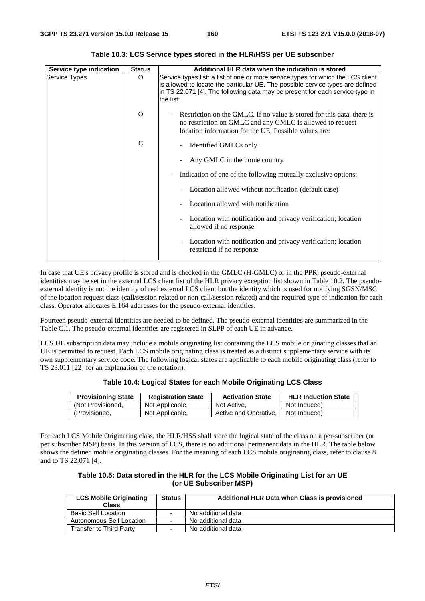| Service type indication | <b>Status</b> | Additional HLR data when the indication is stored                                                                                                                                                                                                               |
|-------------------------|---------------|-----------------------------------------------------------------------------------------------------------------------------------------------------------------------------------------------------------------------------------------------------------------|
| Service Types           | O             | Service types list: a list of one or more service types for which the LCS client<br>is allowed to locate the particular UE. The possible service types are defined<br>in TS 22.071 [4]. The following data may be present for each service type in<br>the list: |
|                         | $\circ$       | Restriction on the GMLC. If no value is stored for this data, there is<br>no restriction on GMLC and any GMLC is allowed to request<br>location information for the UE. Possible values are:                                                                    |
|                         | C             | Identified GMLCs only                                                                                                                                                                                                                                           |
|                         |               | Any GMLC in the home country                                                                                                                                                                                                                                    |
|                         |               | Indication of one of the following mutually exclusive options:                                                                                                                                                                                                  |
|                         |               | Location allowed without notification (default case)                                                                                                                                                                                                            |
|                         |               | Location allowed with notification                                                                                                                                                                                                                              |
|                         |               | Location with notification and privacy verification; location<br>allowed if no response                                                                                                                                                                         |
|                         |               | Location with notification and privacy verification; location<br>restricted if no response                                                                                                                                                                      |

**Table 10.3: LCS Service types stored in the HLR/HSS per UE subscriber** 

In case that UE's privacy profile is stored and is checked in the GMLC (H-GMLC) or in the PPR, pseudo-external identities may be set in the external LCS client list of the HLR privacy exception list shown in Table 10.2. The pseudoexternal identity is not the identity of real external LCS client but the identity which is used for notifying SGSN/MSC of the location request class (call/session related or non-call/session related) and the required type of indication for each class. Operator allocates E.164 addresses for the pseudo-external identities.

Fourteen pseudo-external identities are needed to be defined. The pseudo-external identities are summarized in the Table C.1. The pseudo-external identities are registered in SLPP of each UE in advance.

LCS UE subscription data may include a mobile originating list containing the LCS mobile originating classes that an UE is permitted to request. Each LCS mobile originating class is treated as a distinct supplementary service with its own supplementary service code. The following logical states are applicable to each mobile originating class (refer to TS 23.011 [22] for an explanation of the notation).

|  | Table 10.4: Logical States for each Mobile Originating LCS Class |  |
|--|------------------------------------------------------------------|--|
|  |                                                                  |  |

| <b>Provisioning State</b> | <b>Registration State</b> | <b>Activation State</b> | <b>HLR Induction State</b> |
|---------------------------|---------------------------|-------------------------|----------------------------|
| (Not Provisioned.)        | Not Applicable,           | Not Active,             | Not Induced)               |
| (Provisioned,             | Not Applicable,           | Active and Operative.   | Not Induced)               |

For each LCS Mobile Originating class, the HLR/HSS shall store the logical state of the class on a per-subscriber (or per subscriber MSP) basis. In this version of LCS, there is no additional permanent data in the HLR. The table below shows the defined mobile originating classes. For the meaning of each LCS mobile originating class, refer to clause 8 and to TS 22.071 [4].

| Table 10.5: Data stored in the HLR for the LCS Mobile Originating List for an UE |
|----------------------------------------------------------------------------------|
| (or UE Subscriber MSP)                                                           |

| <b>LCS Mobile Originating</b><br><b>Class</b> | <b>Status</b>            | Additional HLR Data when Class is provisioned |
|-----------------------------------------------|--------------------------|-----------------------------------------------|
| <b>Basic Self Location</b>                    | $\overline{\phantom{0}}$ | No additional data                            |
| Autonomous Self Location                      |                          | No additional data                            |
| Transfer to Third Party                       | -                        | No additional data                            |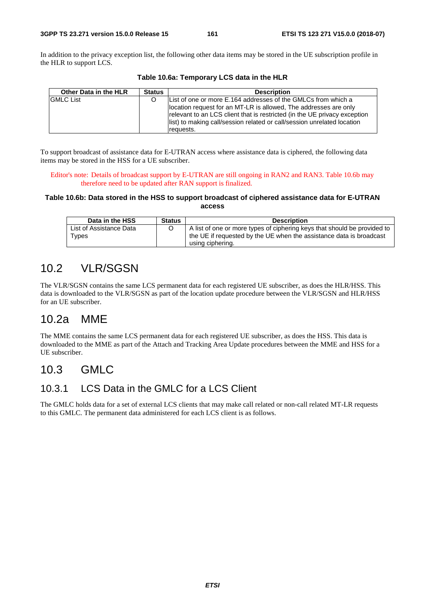In addition to the privacy exception list, the following other data items may be stored in the UE subscription profile in the HLR to support LCS.

| Other Data in the HLR | <b>Status</b> | <b>Description</b>                                                                                                                                                                                                                                                                                     |
|-----------------------|---------------|--------------------------------------------------------------------------------------------------------------------------------------------------------------------------------------------------------------------------------------------------------------------------------------------------------|
| <b>GMLC List</b>      |               | List of one or more E.164 addresses of the GMLCs from which a<br>location request for an MT-LR is allowed, The addresses are only<br>relevant to an LCS client that is restricted (in the UE privacy exception<br>list) to making call/session related or call/session unrelated location<br>requests. |

**Table 10.6a: Temporary LCS data in the HLR** 

To support broadcast of assistance data for E-UTRAN access where assistance data is ciphered, the following data items may be stored in the HSS for a UE subscriber.

Editor's note: Details of broadcast support by E-UTRAN are still ongoing in RAN2 and RAN3. Table 10.6b may therefore need to be updated after RAN support is finalized.

#### **Table 10.6b: Data stored in the HSS to support broadcast of ciphered assistance data for E-UTRAN access**

| Data in the HSS         | <b>Status</b> | <b>Description</b>                                                       |
|-------------------------|---------------|--------------------------------------------------------------------------|
| List of Assistance Data |               | A list of one or more types of ciphering keys that should be provided to |
| $\tau$ ypes             |               | the UE if requested by the UE when the assistance data is broadcast      |
|                         |               | using ciphering.                                                         |

# 10.2 VLR/SGSN

The VLR/SGSN contains the same LCS permanent data for each registered UE subscriber, as does the HLR/HSS. This data is downloaded to the VLR/SGSN as part of the location update procedure between the VLR/SGSN and HLR/HSS for an UE subscriber.

## 10.2a MME

The MME contains the same LCS permanent data for each registered UE subscriber, as does the HSS. This data is downloaded to the MME as part of the Attach and Tracking Area Update procedures between the MME and HSS for a UE subscriber.

## 10.3 GMLC

### 10.3.1 LCS Data in the GMLC for a LCS Client

The GMLC holds data for a set of external LCS clients that may make call related or non-call related MT-LR requests to this GMLC. The permanent data administered for each LCS client is as follows.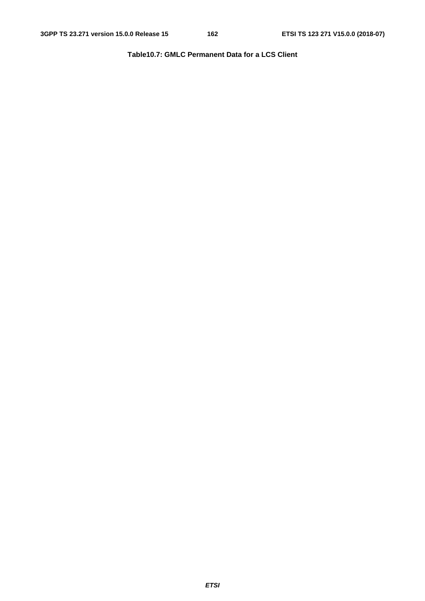**Table10.7: GMLC Permanent Data for a LCS Client**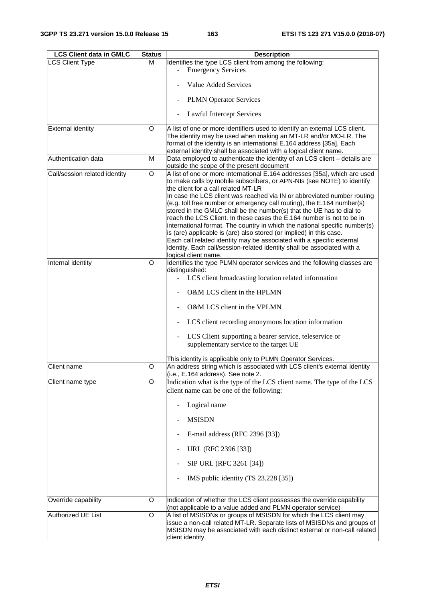| <b>LCS Client data in GMLC</b> | <b>Status</b>  | <b>Description</b>                                                         |
|--------------------------------|----------------|----------------------------------------------------------------------------|
| <b>LCS Client Type</b>         | M              | Identifies the type LCS client from among the following:                   |
|                                |                | <b>Emergency Services</b>                                                  |
|                                |                |                                                                            |
|                                |                | Value Added Services                                                       |
|                                |                |                                                                            |
|                                |                | <b>PLMN</b> Operator Services                                              |
|                                |                | Lawful Intercept Services                                                  |
| <b>External identity</b>       | O              | A list of one or more identifiers used to identify an external LCS client. |
|                                |                | The identity may be used when making an MT-LR and/or MO-LR. The            |
|                                |                | format of the identity is an international E.164 address [35a]. Each       |
|                                |                | external identity shall be associated with a logical client name.          |
| Authentication data            | M              | Data employed to authenticate the identity of an LCS client - details are  |
|                                |                | outside the scope of the present document                                  |
| Call/session related identity  | O              | A list of one or more international E.164 addresses [35a], which are used  |
|                                |                | to make calls by mobile subscribers, or APN-NIs (see NOTE) to identify     |
|                                |                | the client for a call related MT-LR                                        |
|                                |                | In case the LCS client was reached via IN or abbreviated number routing    |
|                                |                | (e.g. toll free number or emergency call routing), the E.164 number(s)     |
|                                |                | stored in the GMLC shall be the number(s) that the UE has to dial to       |
|                                |                | reach the LCS Client. In these cases the E.164 number is not to be in      |
|                                |                | international format. The country in which the national specific number(s) |
|                                |                | is (are) applicable is (are) also stored (or implied) in this case.        |
|                                |                | Each call related identity may be associated with a specific external      |
|                                |                | identity. Each call/session-related identity shall be associated with a    |
|                                |                | logical client name.                                                       |
| Internal identity              | $\Omega$       | Identifies the type PLMN operator services and the following classes are   |
|                                |                | distinguished:                                                             |
|                                |                | LCS client broadcasting location related information<br>$\sim$             |
|                                |                |                                                                            |
|                                |                | O&M LCS client in the HPLMN                                                |
|                                |                | O&M LCS client in the VPLMN                                                |
|                                |                | LCS client recording anonymous location information                        |
|                                |                |                                                                            |
|                                |                | LCS Client supporting a bearer service, teleservice or                     |
|                                |                | supplementary service to the target UE                                     |
|                                |                | This identity is applicable only to PLMN Operator Services.                |
| <b>Client name</b>             | O              | An address string which is associated with LCS client's external identity  |
|                                |                | (i.e., E.164 address). See note 2.                                         |
| Client name type               | O              | Indication what is the type of the LCS client name. The type of the LCS    |
|                                |                |                                                                            |
|                                |                | client name can be one of the following:                                   |
|                                |                | Logical name                                                               |
|                                |                | <b>MSISDN</b>                                                              |
|                                |                |                                                                            |
|                                |                | E-mail address (RFC 2396 [33])                                             |
|                                |                | URL (RFC 2396 [33])                                                        |
|                                |                | SIP URL (RFC 3261 [34])                                                    |
|                                |                | IMS public identity (TS 23.228 [35])                                       |
|                                |                |                                                                            |
| Override capability            | O              | Indication of whether the LCS client possesses the override capability     |
|                                |                | (not applicable to a value added and PLMN operator service)                |
| Authorized UE List             | $\overline{O}$ | A list of MSISDNs or groups of MSISDN for which the LCS client may         |
|                                |                | issue a non-call related MT-LR. Separate lists of MSISDNs and groups of    |
|                                |                | MSISDN may be associated with each distinct external or non-call related   |
|                                |                | client identity.                                                           |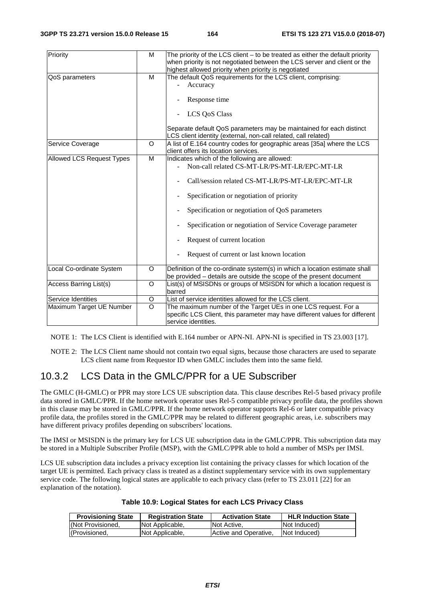| Priority                  | M       | The priority of the LCS client $-$ to be treated as either the default priority<br>when priority is not negotiated between the LCS server and client or the<br>highest allowed priority when priority is negotiated |
|---------------------------|---------|---------------------------------------------------------------------------------------------------------------------------------------------------------------------------------------------------------------------|
| QoS parameters            | M       | The default QoS requirements for the LCS client, comprising:                                                                                                                                                        |
|                           |         | Accuracy                                                                                                                                                                                                            |
|                           |         |                                                                                                                                                                                                                     |
|                           |         | Response time                                                                                                                                                                                                       |
|                           |         | <b>LCS QoS Class</b>                                                                                                                                                                                                |
|                           |         | Separate default QoS parameters may be maintained for each distinct<br>LCS client identity (external, non-call related, call related)                                                                               |
| Service Coverage          | O       | A list of E.164 country codes for geographic areas [35a] where the LCS                                                                                                                                              |
|                           |         | client offers its location services.                                                                                                                                                                                |
| Allowed LCS Request Types | M       | Indicates which of the following are allowed:                                                                                                                                                                       |
|                           |         | Non-call related CS-MT-LR/PS-MT-LR/EPC-MT-LR                                                                                                                                                                        |
|                           |         |                                                                                                                                                                                                                     |
|                           |         | Call/session related CS-MT-LR/PS-MT-LR/EPC-MT-LR                                                                                                                                                                    |
|                           |         | Specification or negotiation of priority                                                                                                                                                                            |
|                           |         | Specification or negotiation of QoS parameters                                                                                                                                                                      |
|                           |         | Specification or negotiation of Service Coverage parameter                                                                                                                                                          |
|                           |         | Request of current location                                                                                                                                                                                         |
|                           |         | Request of current or last known location                                                                                                                                                                           |
| Local Co-ordinate System  | O       | Definition of the co-ordinate system(s) in which a location estimate shall                                                                                                                                          |
|                           |         | be provided - details are outside the scope of the present document                                                                                                                                                 |
| Access Barring List(s)    | O       | List(s) of MSISDNs or groups of MSISDN for which a location request is                                                                                                                                              |
|                           |         | barred                                                                                                                                                                                                              |
| Service Identities        | O       | List of service identities allowed for the LCS client.                                                                                                                                                              |
| Maximum Target UE Number  | $\circ$ | The maximum number of the Target UEs in one LCS request. For a                                                                                                                                                      |
|                           |         | specific LCS Client, this parameter may have different values for different                                                                                                                                         |
|                           |         | service identities.                                                                                                                                                                                                 |
|                           |         |                                                                                                                                                                                                                     |

NOTE 1: The LCS Client is identified with E.164 number or APN-NI. APN-NI is specified in TS 23.003 [17].

NOTE 2: The LCS Client name should not contain two equal signs, because those characters are used to separate LCS client name from Requestor ID when GMLC includes them into the same field.

### 10.3.2 LCS Data in the GMLC/PPR for a UE Subscriber

The GMLC (H-GMLC) or PPR may store LCS UE subscription data. This clause describes Rel-5 based privacy profile data stored in GMLC/PPR. If the home network operator uses Rel-5 compatible privacy profile data, the profiles shown in this clause may be stored in GMLC/PPR. If the home network operator supports Rel-6 or later compatible privacy profile data, the profiles stored in the GMLC/PPR may be related to different geographic areas, i.e. subscribers may have different privacy profiles depending on subscribers' locations.

The IMSI or MSISDN is the primary key for LCS UE subscription data in the GMLC/PPR. This subscription data may be stored in a Multiple Subscriber Profile (MSP), with the GMLC/PPR able to hold a number of MSPs per IMSI.

LCS UE subscription data includes a privacy exception list containing the privacy classes for which location of the target UE is permitted. Each privacy class is treated as a distinct supplementary service with its own supplementary service code. The following logical states are applicable to each privacy class (refer to TS 23.011 [22] for an explanation of the notation).

| Table 10.9: Logical States for each LCS Privacy Class |  |  |
|-------------------------------------------------------|--|--|
|-------------------------------------------------------|--|--|

| <b>Provisioning State</b> | <b>Registration State</b> | <b>Activation State</b> | <b>HLR Induction State</b> |
|---------------------------|---------------------------|-------------------------|----------------------------|
| (Not Provisioned.         | Not Applicable,           | Not Active.             | Not Induced)               |
| (Provisioned,             | Not Applicable,           | Active and Operative,   | Not Induced)               |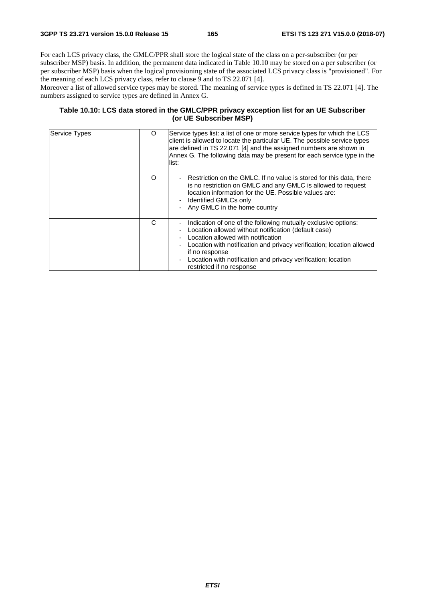For each LCS privacy class, the GMLC/PPR shall store the logical state of the class on a per-subscriber (or per subscriber MSP) basis. In addition, the permanent data indicated in Table 10.10 may be stored on a per subscriber (or per subscriber MSP) basis when the logical provisioning state of the associated LCS privacy class is "provisioned". For the meaning of each LCS privacy class, refer to clause 9 and to TS 22.071 [4].

Moreover a list of allowed service types may be stored. The meaning of service types is defined in TS 22.071 [4]. The numbers assigned to service types are defined in Annex G.

#### **Table 10.10: LCS data stored in the GMLC/PPR privacy exception list for an UE Subscriber (or UE Subscriber MSP)**

| Service Types | O        | Service types list: a list of one or more service types for which the LCS<br>client is allowed to locate the particular UE. The possible service types<br>are defined in TS 22.071 [4] and the assigned numbers are shown in<br>Annex G. The following data may be present for each service type in the<br>list:                                        |
|---------------|----------|---------------------------------------------------------------------------------------------------------------------------------------------------------------------------------------------------------------------------------------------------------------------------------------------------------------------------------------------------------|
|               | $\Omega$ | - Restriction on the GMLC. If no value is stored for this data, there<br>is no restriction on GMLC and any GMLC is allowed to request<br>location information for the UE. Possible values are:<br>- Identified GMLCs only<br>Any GMLC in the home country                                                                                               |
|               | C        | Indication of one of the following mutually exclusive options:<br>Location allowed without notification (default case)<br>Location allowed with notification<br>Location with notification and privacy verification; location allowed<br>if no response<br>- Location with notification and privacy verification; location<br>restricted if no response |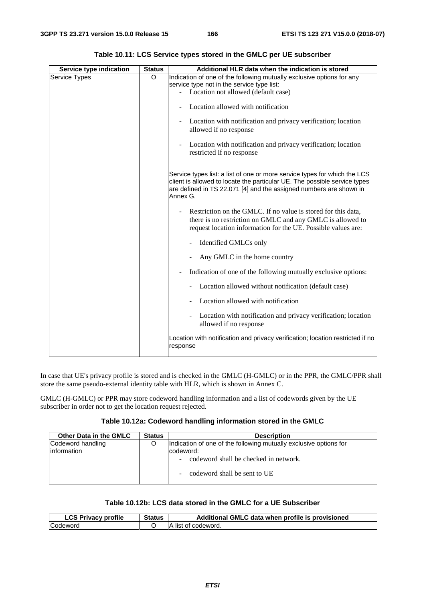| Service type indication | <b>Status</b> | Additional HLR data when the indication is stored                                                                                                                                                                                        |
|-------------------------|---------------|------------------------------------------------------------------------------------------------------------------------------------------------------------------------------------------------------------------------------------------|
| Service Types           | O             | Indication of one of the following mutually exclusive options for any<br>service type not in the service type list:                                                                                                                      |
|                         |               | - Location not allowed (default case)                                                                                                                                                                                                    |
|                         |               | Location allowed with notification                                                                                                                                                                                                       |
|                         |               | Location with notification and privacy verification; location<br>allowed if no response                                                                                                                                                  |
|                         |               | Location with notification and privacy verification; location<br>restricted if no response                                                                                                                                               |
|                         |               | Service types list: a list of one or more service types for which the LCS<br>client is allowed to locate the particular UE. The possible service types<br>are defined in TS 22.071 [4] and the assigned numbers are shown in<br>Annex G. |
|                         |               | Restriction on the GMLC. If no value is stored for this data,<br>there is no restriction on GMLC and any GMLC is allowed to<br>request location information for the UE. Possible values are:                                             |
|                         |               | Identified GMLCs only                                                                                                                                                                                                                    |
|                         |               | Any GMLC in the home country                                                                                                                                                                                                             |
|                         |               | Indication of one of the following mutually exclusive options:                                                                                                                                                                           |
|                         |               | Location allowed without notification (default case)                                                                                                                                                                                     |
|                         |               | Location allowed with notification                                                                                                                                                                                                       |
|                         |               | Location with notification and privacy verification; location<br>$\overline{\phantom{0}}$<br>allowed if no response                                                                                                                      |
|                         |               | Location with notification and privacy verification; location restricted if no<br>response                                                                                                                                               |

**Table 10.11: LCS Service types stored in the GMLC per UE subscriber** 

In case that UE's privacy profile is stored and is checked in the GMLC (H-GMLC) or in the PPR, the GMLC/PPR shall store the same pseudo-external identity table with HLR, which is shown in Annex C.

GMLC (H-GMLC) or PPR may store codeword handling information and a list of codewords given by the UE subscriber in order not to get the location request rejected.

#### **Table 10.12a: Codeword handling information stored in the GMLC**

| Other Data in the GMLC            | <b>Status</b> | <b>Description</b>                                                                                                                                      |
|-----------------------------------|---------------|---------------------------------------------------------------------------------------------------------------------------------------------------------|
| Codeword handling<br>linformation | Ő             | Indication of one of the following mutually exclusive options for<br>codeword:<br>codeword shall be checked in network.<br>codeword shall be sent to UE |

#### **Table 10.12b: LCS data stored in the GMLC for a UE Subscriber**

| <b>LCS Privacy profile</b> | <b>Status</b> | Additional GMLC data when profile is provisioned |
|----------------------------|---------------|--------------------------------------------------|
| Codeword                   |               | ∖ list of codeword.                              |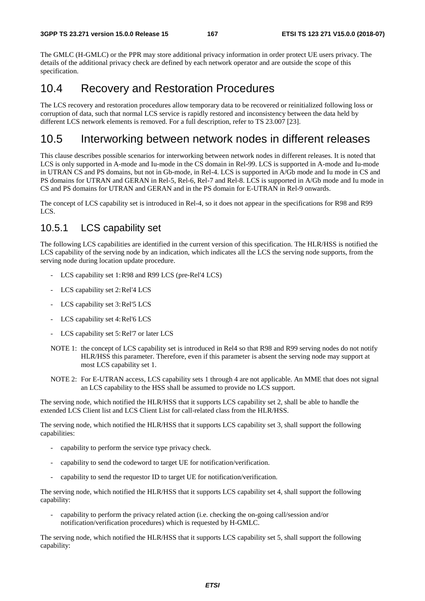The GMLC (H-GMLC) or the PPR may store additional privacy information in order protect UE users privacy. The details of the additional privacy check are defined by each network operator and are outside the scope of this specification.

### 10.4 Recovery and Restoration Procedures

The LCS recovery and restoration procedures allow temporary data to be recovered or reinitialized following loss or corruption of data, such that normal LCS service is rapidly restored and inconsistency between the data held by different LCS network elements is removed. For a full description, refer to TS 23.007 [23].

### 10.5 Interworking between network nodes in different releases

This clause describes possible scenarios for interworking between network nodes in different releases. It is noted that LCS is only supported in A-mode and Iu-mode in the CS domain in Rel-99. LCS is supported in A-mode and Iu-mode in UTRAN CS and PS domains, but not in Gb-mode, in Rel-4. LCS is supported in A/Gb mode and Iu mode in CS and PS domains for UTRAN and GERAN in Rel-5, Rel-6, Rel-7 and Rel-8. LCS is supported in A/Gb mode and Iu mode in CS and PS domains for UTRAN and GERAN and in the PS domain for E-UTRAN in Rel-9 onwards.

The concept of LCS capability set is introduced in Rel-4, so it does not appear in the specifications for R98 and R99 LCS.

### 10.5.1 LCS capability set

The following LCS capabilities are identified in the current version of this specification. The HLR/HSS is notified the LCS capability of the serving node by an indication, which indicates all the LCS the serving node supports, from the serving node during location update procedure.

- LCS capability set 1: R98 and R99 LCS (pre-Rel'4 LCS)
- LCS capability set 2: Rel'4 LCS
- LCS capability set 3: Rel'5 LCS
- LCS capability set 4: Rel'6 LCS
- LCS capability set 5: Rel'7 or later LCS
- NOTE 1: the concept of LCS capability set is introduced in Rel4 so that R98 and R99 serving nodes do not notify HLR/HSS this parameter. Therefore, even if this parameter is absent the serving node may support at most LCS capability set 1.
- NOTE 2: For E-UTRAN access, LCS capability sets 1 through 4 are not applicable. An MME that does not signal an LCS capability to the HSS shall be assumed to provide no LCS support.

The serving node, which notified the HLR/HSS that it supports LCS capability set 2, shall be able to handle the extended LCS Client list and LCS Client List for call-related class from the HLR/HSS.

The serving node, which notified the HLR/HSS that it supports LCS capability set 3, shall support the following capabilities:

- capability to perform the service type privacy check.
- capability to send the codeword to target UE for notification/verification.
- capability to send the requestor ID to target UE for notification/verification.

The serving node, which notified the HLR/HSS that it supports LCS capability set 4, shall support the following capability:

- capability to perform the privacy related action (i.e. checking the on-going call/session and/or notification/verification procedures) which is requested by H-GMLC.

The serving node, which notified the HLR/HSS that it supports LCS capability set 5, shall support the following capability: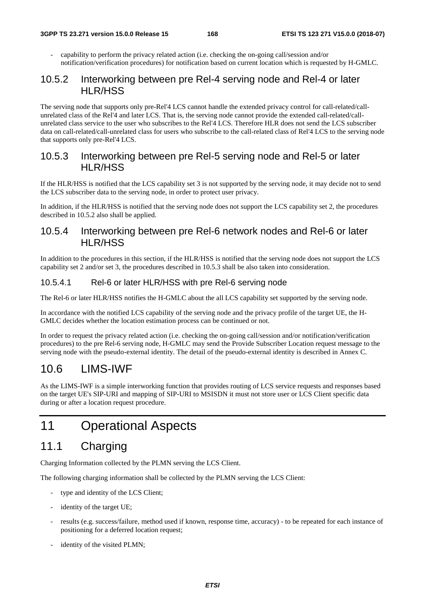- capability to perform the privacy related action (i.e. checking the on-going call/session and/or notification/verification procedures) for notification based on current location which is requested by H-GMLC.

### 10.5.2 Interworking between pre Rel-4 serving node and Rel-4 or later HLR/HSS

The serving node that supports only pre-Rel'4 LCS cannot handle the extended privacy control for call-related/callunrelated class of the Rel'4 and later LCS. That is, the serving node cannot provide the extended call-related/callunrelated class service to the user who subscribes to the Rel'4 LCS. Therefore HLR does not send the LCS subscriber data on call-related/call-unrelated class for users who subscribe to the call-related class of Rel'4 LCS to the serving node that supports only pre-Rel'4 LCS.

### 10.5.3 Interworking between pre Rel-5 serving node and Rel-5 or later HLR/HSS

If the HLR/HSS is notified that the LCS capability set 3 is not supported by the serving node, it may decide not to send the LCS subscriber data to the serving node, in order to protect user privacy.

In addition, if the HLR/HSS is notified that the serving node does not support the LCS capability set 2, the procedures described in 10.5.2 also shall be applied.

### 10.5.4 Interworking between pre Rel-6 network nodes and Rel-6 or later HLR/HSS

In addition to the procedures in this section, if the HLR/HSS is notified that the serving node does not support the LCS capability set 2 and/or set 3, the procedures described in 10.5.3 shall be also taken into consideration.

### 10.5.4.1 Rel-6 or later HLR/HSS with pre Rel-6 serving node

The Rel-6 or later HLR/HSS notifies the H-GMLC about the all LCS capability set supported by the serving node.

In accordance with the notified LCS capability of the serving node and the privacy profile of the target UE, the H-GMLC decides whether the location estimation process can be continued or not.

In order to request the privacy related action (i.e. checking the on-going call/session and/or notification/verification procedures) to the pre Rel-6 serving node, H-GMLC may send the Provide Subscriber Location request message to the serving node with the pseudo-external identity. The detail of the pseudo-external identity is described in Annex C.

# 10.6 LIMS-IWF

As the LIMS-IWF is a simple interworking function that provides routing of LCS service requests and responses based on the target UE's SIP-URI and mapping of SIP-URI to MSISDN it must not store user or LCS Client specific data during or after a location request procedure.

# 11 Operational Aspects

# 11.1 Charging

Charging Information collected by the PLMN serving the LCS Client.

The following charging information shall be collected by the PLMN serving the LCS Client:

- type and identity of the LCS Client;
- identity of the target UE;
- results (e.g. success/failure, method used if known, response time, accuracy) to be repeated for each instance of positioning for a deferred location request;
- identity of the visited PLMN;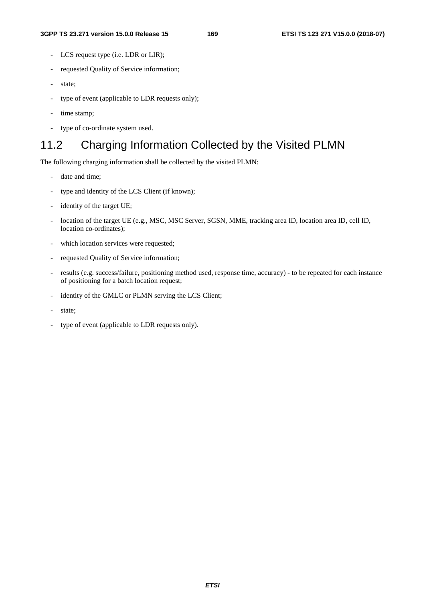- LCS request type (i.e. LDR or LIR);
- requested Quality of Service information;
- state;
- type of event (applicable to LDR requests only);
- time stamp;
- type of co-ordinate system used.

### 11.2 Charging Information Collected by the Visited PLMN

The following charging information shall be collected by the visited PLMN:

- date and time;
- type and identity of the LCS Client (if known);
- identity of the target UE;
- location of the target UE (e.g., MSC, MSC Server, SGSN, MME, tracking area ID, location area ID, cell ID, location co-ordinates);
- which location services were requested;
- requested Quality of Service information;
- results (e.g. success/failure, positioning method used, response time, accuracy) to be repeated for each instance of positioning for a batch location request;
- identity of the GMLC or PLMN serving the LCS Client;
- state;
- type of event (applicable to LDR requests only).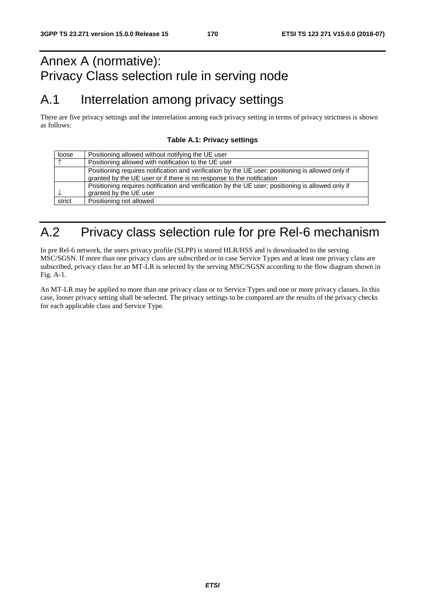# Annex A (normative): Privacy Class selection rule in serving node

# A.1 Interrelation among privacy settings

There are five privacy settings and the interrelation among each privacy setting in terms of privacy strictness is shown as follows:

#### **Table A.1: Privacy settings**

| loose      | Positioning allowed without notifying the UE user                                                 |
|------------|---------------------------------------------------------------------------------------------------|
| $\uparrow$ | Positioning allowed with notification to the UE user                                              |
|            | Positioning requires notification and verification by the UE user; positioning is allowed only if |
|            | granted by the UE user or if there is no response to the notification                             |
|            | Positioning requires notification and verification by the UE user; positioning is allowed only if |
|            | granted by the UE user                                                                            |
| strict     | Positioning not allowed                                                                           |

# A.2 Privacy class selection rule for pre Rel-6 mechanism

In pre Rel-6 network, the users privacy profile (SLPP) is stored HLR/HSS and is downloaded to the serving MSC/SGSN. If more than one privacy class are subscribed or in case Service Types and at least one privacy class are subscribed, privacy class for an MT-LR is selected by the serving MSC/SGSN according to the flow diagram shown in Fig. A-1.

An MT-LR may be applied to more than one privacy class or to Service Types and one or more privacy classes. In this case, looser privacy setting shall be selected. The privacy settings to be compared are the results of the privacy checks for each applicable class and Service Type.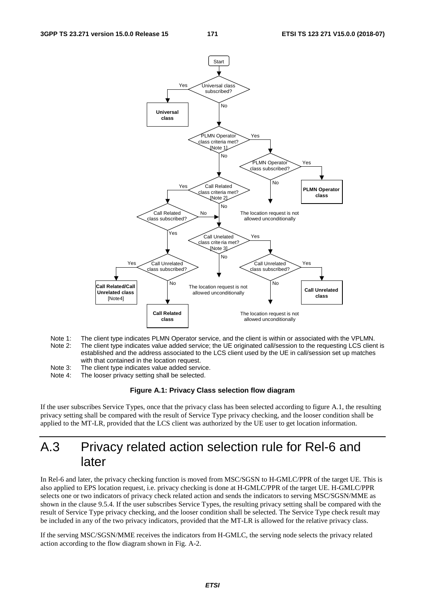

- Note 1: The client type indicates PLMN Operator service, and the client is within or associated with the VPLMN.<br>Note 2: The client type indicates value added service: the UE originated call/session to the requesting LCS cl The client type indicates value added service; the UE originated call/session to the requesting LCS client is established and the address associated to the LCS client used by the UE in call/session set up matches with that contained in the location request.
- Note 3: The client type indicates value added service.
- Note 4: The looser privacy setting shall be selected.

#### **Figure A.1: Privacy Class selection flow diagram**

If the user subscribes Service Types, once that the privacy class has been selected according to figure A.1, the resulting privacy setting shall be compared with the result of Service Type privacy checking, and the looser condition shall be applied to the MT-LR, provided that the LCS client was authorized by the UE user to get location information.

# A.3 Privacy related action selection rule for Rel-6 and later

In Rel-6 and later, the privacy checking function is moved from MSC/SGSN to H-GMLC/PPR of the target UE. This is also applied to EPS location request, i.e. privacy checking is done at H-GMLC/PPR of the target UE. H-GMLC/PPR selects one or two indicators of privacy check related action and sends the indicators to serving MSC/SGSN/MME as shown in the clause 9.5.4. If the user subscribes Service Types, the resulting privacy setting shall be compared with the result of Service Type privacy checking, and the looser condition shall be selected. The Service Type check result may be included in any of the two privacy indicators, provided that the MT-LR is allowed for the relative privacy class.

If the serving MSC/SGSN/MME receives the indicators from H-GMLC, the serving node selects the privacy related action according to the flow diagram shown in Fig. A-2.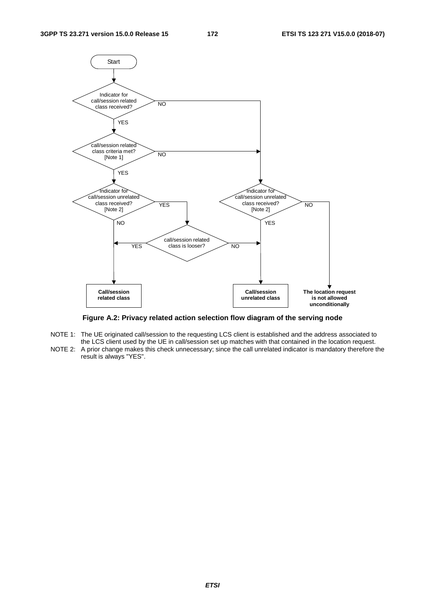

**Figure A.2: Privacy related action selection flow diagram of the serving node** 

- NOTE 1: The UE originated call/session to the requesting LCS client is established and the address associated to the LCS client used by the UE in call/session set up matches with that contained in the location request.
- NOTE 2: A prior change makes this check unnecessary; since the call unrelated indicator is mandatory therefore the result is always "YES".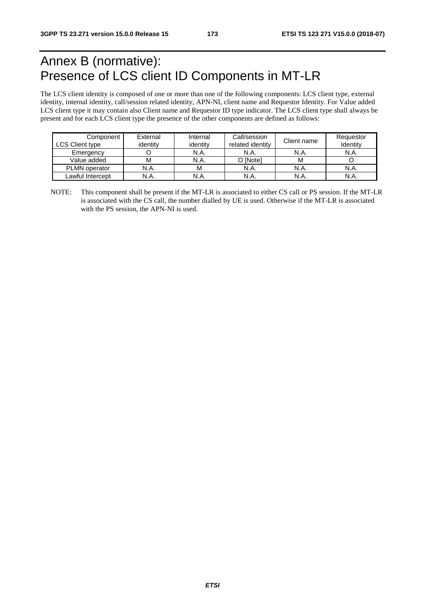# Annex B (normative): Presence of LCS client ID Components in MT-LR

The LCS client identity is composed of one or more than one of the following components: LCS client type, external identity, internal identity, call/session related identity, APN-NI, client name and Requestor Identity. For Value added LCS client type it may contain also Client name and Requestor ID type indicator. The LCS client type shall always be present and for each LCS client type the presence of the other components are defined as follows:

| Component<br>LCS Client type | External<br>identity | Internal<br>identity | Call/session<br>related identity | Client name | Requestor<br>Identity |
|------------------------------|----------------------|----------------------|----------------------------------|-------------|-----------------------|
| Emergency                    |                      | N.A.                 | N.A.                             | N.A.        | N.A.                  |
| Value added                  | M                    | N.A.                 | O [Note]                         | м           |                       |
| <b>PLMN</b> operator         | N.A.                 | M                    | N.A.                             | N.A.        | N.A.                  |
| Lawful Intercept             | N.A.                 | N.A.                 | N.A.                             | N.A.        | N.A.                  |

NOTE: This component shall be present if the MT-LR is associated to either CS call or PS session. If the MT-LR is associated with the CS call, the number dialled by UE is used. Otherwise if the MT-LR is associated with the PS session, the APN-NI is used.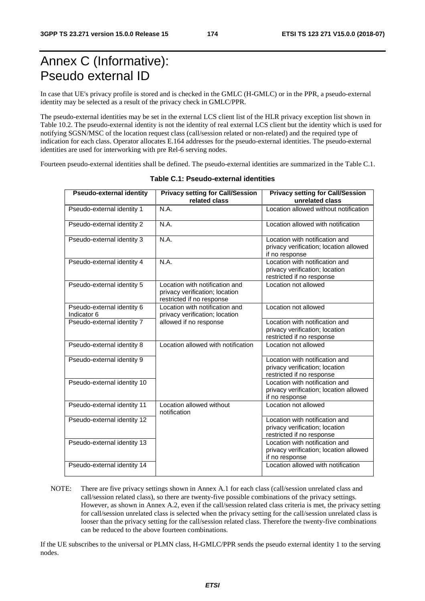# Annex C (Informative): Pseudo external ID

In case that UE's privacy profile is stored and is checked in the GMLC (H-GMLC) or in the PPR, a pseudo-external identity may be selected as a result of the privacy check in GMLC/PPR.

The pseudo-external identities may be set in the external LCS client list of the HLR privacy exception list shown in Table 10.2. The pseudo-external identity is not the identity of real external LCS client but the identity which is used for notifying SGSN/MSC of the location request class (call/session related or non-related) and the required type of indication for each class. Operator allocates E.164 addresses for the pseudo-external identities. The pseudo-external identities are used for interworking with pre Rel-6 serving nodes.

Fourteen pseudo-external identities shall be defined. The pseudo-external identities are summarized in the Table C.1.

| <b>Pseudo-external identity</b>           | <b>Privacy setting for Call/Session</b><br>related class                                      | <b>Privacy setting for Call/Session</b><br>unrelated class                                    |
|-------------------------------------------|-----------------------------------------------------------------------------------------------|-----------------------------------------------------------------------------------------------|
| Pseudo-external identity 1                | N.A.                                                                                          | Location allowed without notification                                                         |
| Pseudo-external identity 2                | N.A.                                                                                          | Location allowed with notification                                                            |
| Pseudo-external identity 3                | N.A.                                                                                          | Location with notification and<br>privacy verification; location allowed<br>if no response    |
| Pseudo-external identity 4                | N.A.                                                                                          | Location with notification and<br>privacy verification; location<br>restricted if no response |
| Pseudo-external identity 5                | Location with notification and<br>privacy verification; location<br>restricted if no response | Location not allowed                                                                          |
| Pseudo-external identity 6<br>Indicator 6 | Location with notification and<br>privacy verification; location                              | Location not allowed                                                                          |
| Pseudo-external identity 7                | allowed if no response                                                                        | Location with notification and<br>privacy verification; location<br>restricted if no response |
| Pseudo-external identity 8                | Location allowed with notification                                                            | Location not allowed                                                                          |
| Pseudo-external identity 9                |                                                                                               | Location with notification and<br>privacy verification; location<br>restricted if no response |
| Pseudo-external identity 10               |                                                                                               | Location with notification and<br>privacy verification; location allowed<br>if no response    |
| Pseudo-external identity 11               | Location allowed without<br>notification                                                      | Location not allowed                                                                          |
| Pseudo-external identity 12               |                                                                                               | Location with notification and<br>privacy verification; location<br>restricted if no response |
| Pseudo-external identity 13               |                                                                                               | Location with notification and<br>privacy verification; location allowed<br>if no response    |
| Pseudo-external identity 14               |                                                                                               | Location allowed with notification                                                            |

#### **Table C.1: Pseudo-external identities**

NOTE: There are five privacy settings shown in Annex A.1 for each class (call/session unrelated class and call/session related class), so there are twenty-five possible combinations of the privacy settings. However, as shown in Annex A.2, even if the call/session related class criteria is met, the privacy setting for call/session unrelated class is selected when the privacy setting for the call/session unrelated class is looser than the privacy setting for the call/session related class. Therefore the twenty-five combinations can be reduced to the above fourteen combinations.

If the UE subscribes to the universal or PLMN class, H-GMLC/PPR sends the pseudo external identity 1 to the serving nodes.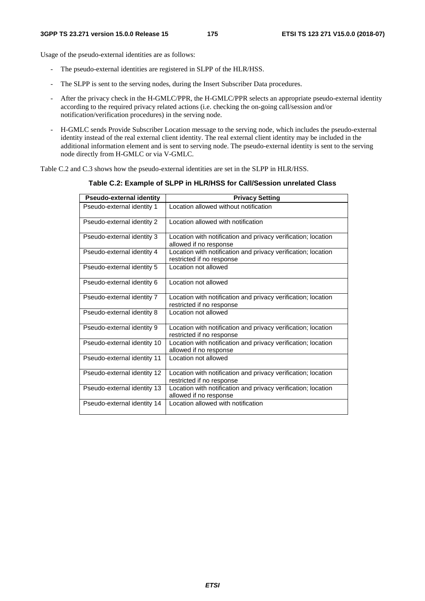Usage of the pseudo-external identities are as follows:

- The pseudo-external identities are registered in SLPP of the HLR/HSS.
- The SLPP is sent to the serving nodes, during the Insert Subscriber Data procedures.
- After the privacy check in the H-GMLC/PPR, the H-GMLC/PPR selects an appropriate pseudo-external identity according to the required privacy related actions (i.e. checking the on-going call/session and/or notification/verification procedures) in the serving node.
- H-GMLC sends Provide Subscriber Location message to the serving node, which includes the pseudo-external identity instead of the real external client identity. The real external client identity may be included in the additional information element and is sent to serving node. The pseudo-external identity is sent to the serving node directly from H-GMLC or via V-GMLC.

Table C.2 and C.3 shows how the pseudo-external identities are set in the SLPP in HLR/HSS.

**Table C.2: Example of SLPP in HLR/HSS for Call/Session unrelated Class** 

| <b>Pseudo-external identity</b> | <b>Privacy Setting</b>                                                                     |
|---------------------------------|--------------------------------------------------------------------------------------------|
| Pseudo-external identity 1      | Location allowed without notification                                                      |
| Pseudo-external identity 2      | Location allowed with notification                                                         |
| Pseudo-external identity 3      | Location with notification and privacy verification; location<br>allowed if no response    |
| Pseudo-external identity 4      | Location with notification and privacy verification; location<br>restricted if no response |
| Pseudo-external identity 5      | Location not allowed                                                                       |
| Pseudo-external identity 6      | Location not allowed                                                                       |
| Pseudo-external identity 7      | Location with notification and privacy verification; location<br>restricted if no response |
| Pseudo-external identity 8      | Location not allowed                                                                       |
| Pseudo-external identity 9      | Location with notification and privacy verification; location<br>restricted if no response |
| Pseudo-external identity 10     | Location with notification and privacy verification; location<br>allowed if no response    |
| Pseudo-external identity 11     | Location not allowed                                                                       |
| Pseudo-external identity 12     | Location with notification and privacy verification; location<br>restricted if no response |
| Pseudo-external identity 13     | Location with notification and privacy verification; location<br>allowed if no response    |
| Pseudo-external identity 14     | Location allowed with notification                                                         |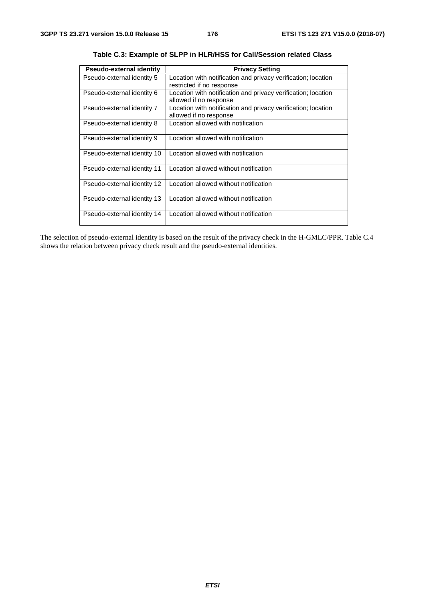| <b>Pseudo-external identity</b> | <b>Privacy Setting</b>                                                                     |
|---------------------------------|--------------------------------------------------------------------------------------------|
| Pseudo-external identity 5      | Location with notification and privacy verification; location<br>restricted if no response |
| Pseudo-external identity 6      | Location with notification and privacy verification; location<br>allowed if no response    |
| Pseudo-external identity 7      | Location with notification and privacy verification; location<br>allowed if no response    |
| Pseudo-external identity 8      | Location allowed with notification                                                         |
| Pseudo-external identity 9      | Location allowed with notification                                                         |
| Pseudo-external identity 10     | Location allowed with notification                                                         |
| Pseudo-external identity 11     | Location allowed without notification                                                      |
| Pseudo-external identity 12     | Location allowed without notification                                                      |
| Pseudo-external identity 13     | Location allowed without notification                                                      |
| Pseudo-external identity 14     | Location allowed without notification                                                      |

**Table C.3: Example of SLPP in HLR/HSS for Call/Session related Class** 

The selection of pseudo-external identity is based on the result of the privacy check in the H-GMLC/PPR. Table C.4 shows the relation between privacy check result and the pseudo-external identities.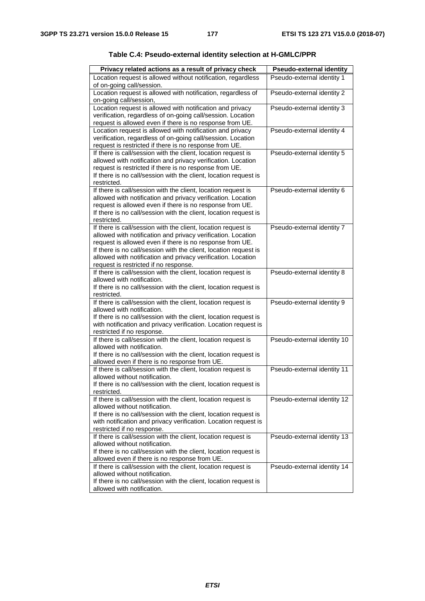| Privacy related actions as a result of privacy check                                                                   | <b>Pseudo-external identity</b> |
|------------------------------------------------------------------------------------------------------------------------|---------------------------------|
| Location request is allowed without notification, regardless                                                           | Pseudo-external identity 1      |
| of on-going call/session.                                                                                              |                                 |
| Location request is allowed with notification, regardless of                                                           | Pseudo-external identity 2      |
| on-going call/session,<br>Location request is allowed with notification and privacy                                    | Pseudo-external identity 3      |
| verification, regardless of on-going call/session. Location                                                            |                                 |
| request is allowed even if there is no response from UE.                                                               |                                 |
| Location request is allowed with notification and privacy                                                              | Pseudo-external identity 4      |
| verification, regardless of on-going call/session. Location                                                            |                                 |
| request is restricted if there is no response from UE.                                                                 |                                 |
| If there is call/session with the client, location request is                                                          | Pseudo-external identity 5      |
| allowed with notification and privacy verification. Location<br>request is restricted if there is no response from UE. |                                 |
| If there is no call/session with the client, location request is                                                       |                                 |
| restricted.                                                                                                            |                                 |
| If there is call/session with the client, location request is                                                          | Pseudo-external identity 6      |
| allowed with notification and privacy verification. Location                                                           |                                 |
| request is allowed even if there is no response from UE.                                                               |                                 |
| If there is no call/session with the client, location request is<br>restricted.                                        |                                 |
| If there is call/session with the client, location request is                                                          | Pseudo-external identity 7      |
| allowed with notification and privacy verification. Location                                                           |                                 |
| request is allowed even if there is no response from UE.                                                               |                                 |
| If there is no call/session with the client, location request is                                                       |                                 |
| allowed with notification and privacy verification. Location                                                           |                                 |
| request is restricted if no response.                                                                                  |                                 |
| If there is call/session with the client, location request is<br>allowed with notification.                            | Pseudo-external identity 8      |
| If there is no call/session with the client, location request is                                                       |                                 |
| restricted.                                                                                                            |                                 |
| If there is call/session with the client, location request is                                                          | Pseudo-external identity 9      |
| allowed with notification.                                                                                             |                                 |
| If there is no call/session with the client, location request is                                                       |                                 |
| with notification and privacy verification. Location request is<br>restricted if no response.                          |                                 |
| If there is call/session with the client, location request is                                                          | Pseudo-external identity 10     |
| allowed with notification.                                                                                             |                                 |
| If there is no call/session with the client, location request is                                                       |                                 |
| allowed even if there is no response from UE.                                                                          |                                 |
| If there is call/session with the client, location request is                                                          | Pseudo-external identity 11     |
| allowed without notification.                                                                                          |                                 |
| If there is no call/session with the client, location request is                                                       |                                 |
| restricted.<br>If there is call/session with the client, location request is                                           | Pseudo-external identity 12     |
| allowed without notification.                                                                                          |                                 |
| If there is no call/session with the client, location request is                                                       |                                 |
| with notification and privacy verification. Location request is                                                        |                                 |
| restricted if no response.                                                                                             |                                 |
| If there is call/session with the client, location request is                                                          | Pseudo-external identity 13     |
| allowed without notification.                                                                                          |                                 |
| If there is no call/session with the client, location request is<br>allowed even if there is no response from UE.      |                                 |
| If there is call/session with the client, location request is                                                          | Pseudo-external identity 14     |
| allowed without notification.                                                                                          |                                 |
| If there is no call/session with the client, location request is                                                       |                                 |
| allowed with notification.                                                                                             |                                 |

|  |  |  | Table C.4: Pseudo-external identity selection at H-GMLC/PPR |
|--|--|--|-------------------------------------------------------------|
|--|--|--|-------------------------------------------------------------|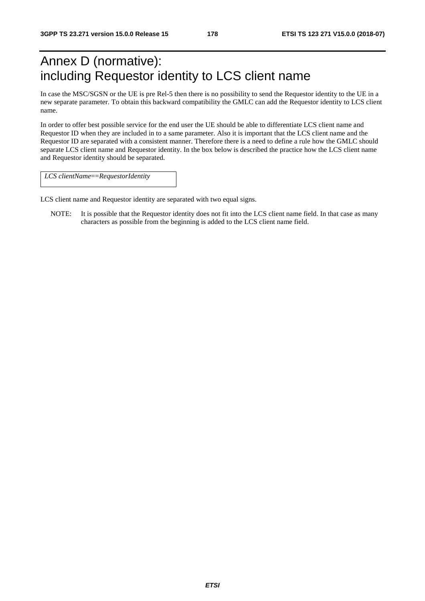# Annex D (normative): including Requestor identity to LCS client name

In case the MSC/SGSN or the UE is pre Rel-5 then there is no possibility to send the Requestor identity to the UE in a new separate parameter. To obtain this backward compatibility the GMLC can add the Requestor identity to LCS client name.

In order to offer best possible service for the end user the UE should be able to differentiate LCS client name and Requestor ID when they are included in to a same parameter. Also it is important that the LCS client name and the Requestor ID are separated with a consistent manner. Therefore there is a need to define a rule how the GMLC should separate LCS client name and Requestor identity. In the box below is described the practice how the LCS client name and Requestor identity should be separated.

*LCS clientName*==*RequestorIdentity* 

LCS client name and Requestor identity are separated with two equal signs.

NOTE: It is possible that the Requestor identity does not fit into the LCS client name field. In that case as many characters as possible from the beginning is added to the LCS client name field.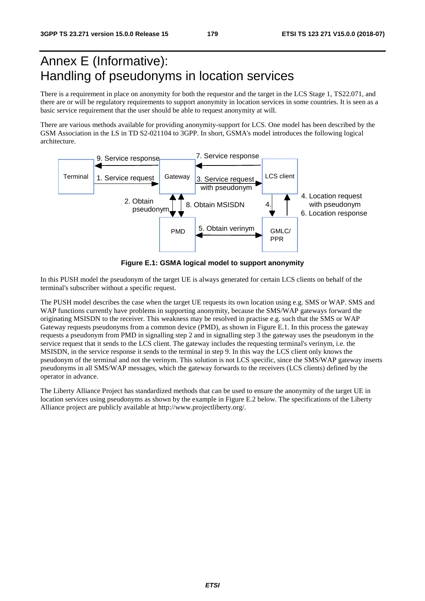# Annex E (Informative): Handling of pseudonyms in location services

There is a requirement in place on anonymity for both the requestor and the target in the LCS Stage 1, TS22.071, and there are or will be regulatory requirements to support anonymity in location services in some countries. It is seen as a basic service requirement that the user should be able to request anonymity at will.

There are various methods available for providing anonymity-support for LCS. One model has been described by the GSM Association in the LS in TD S2-021104 to 3GPP. In short, GSMA's model introduces the following logical architecture.



**Figure E.1: GSMA logical model to support anonymity** 

In this PUSH model the pseudonym of the target UE is always generated for certain LCS clients on behalf of the terminal's subscriber without a specific request.

The PUSH model describes the case when the target UE requests its own location using e.g. SMS or WAP. SMS and WAP functions currently have problems in supporting anonymity, because the SMS/WAP gateways forward the originating MSISDN to the receiver. This weakness may be resolved in practise e.g. such that the SMS or WAP Gateway requests pseudonyms from a common device (PMD), as shown in Figure E.1. In this process the gateway requests a pseudonym from PMD in signalling step 2 and in signalling step 3 the gateway uses the pseudonym in the service request that it sends to the LCS client. The gateway includes the requesting terminal's verinym, i.e. the MSISDN, in the service response it sends to the terminal in step 9. In this way the LCS client only knows the pseudonym of the terminal and not the verinym. This solution is not LCS specific, since the SMS/WAP gateway inserts pseudonyms in all SMS/WAP messages, which the gateway forwards to the receivers (LCS clients) defined by the operator in advance.

The Liberty Alliance Project has standardized methods that can be used to ensure the anonymity of the target UE in location services using pseudonyms as shown by the example in Figure E.2 below. The specifications of the Liberty Alliance project are publicly available at http://www.projectliberty.org/.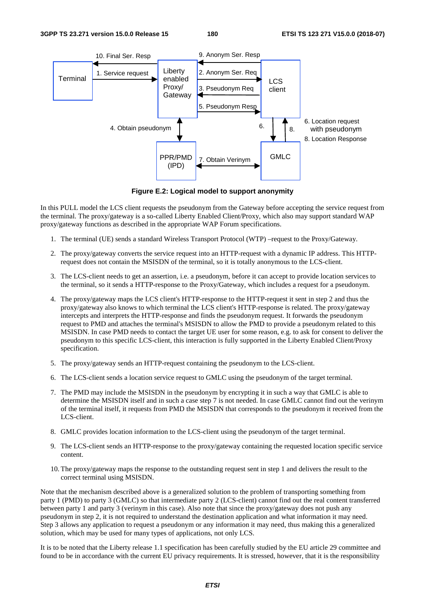

**Figure E.2: Logical model to support anonymity** 

In this PULL model the LCS client requests the pseudonym from the Gateway before accepting the service request from the terminal. The proxy/gateway is a so-called Liberty Enabled Client/Proxy, which also may support standard WAP proxy/gateway functions as described in the appropriate WAP Forum specifications.

- 1. The terminal (UE) sends a standard Wireless Transport Protocol (WTP) –request to the Proxy/Gateway.
- 2. The proxy/gateway converts the service request into an HTTP-request with a dynamic IP address. This HTTPrequest does not contain the MSISDN of the terminal, so it is totally anonymous to the LCS-client.
- 3. The LCS-client needs to get an assertion, i.e. a pseudonym, before it can accept to provide location services to the terminal, so it sends a HTTP-response to the Proxy/Gateway, which includes a request for a pseudonym.
- 4. The proxy/gateway maps the LCS client's HTTP-response to the HTTP-request it sent in step 2 and thus the proxy/gateway also knows to which terminal the LCS client's HTTP-response is related. The proxy/gateway intercepts and interprets the HTTP-response and finds the pseudonym request. It forwards the pseudonym request to PMD and attaches the terminal's MSISDN to allow the PMD to provide a pseudonym related to this MSISDN. In case PMD needs to contact the target UE user for some reason, e.g. to ask for consent to deliver the pseudonym to this specific LCS-client, this interaction is fully supported in the Liberty Enabled Client/Proxy specification.
- 5. The proxy/gateway sends an HTTP-request containing the pseudonym to the LCS-client.
- 6. The LCS-client sends a location service request to GMLC using the pseudonym of the target terminal.
- 7. The PMD may include the MSISDN in the pseudonym by encrypting it in such a way that GMLC is able to determine the MSISDN itself and in such a case step 7 is not needed. In case GMLC cannot find out the verinym of the terminal itself, it requests from PMD the MSISDN that corresponds to the pseudonym it received from the LCS-client.
- 8. GMLC provides location information to the LCS-client using the pseudonym of the target terminal.
- 9. The LCS-client sends an HTTP-response to the proxy/gateway containing the requested location specific service content.
- 10. The proxy/gateway maps the response to the outstanding request sent in step 1 and delivers the result to the correct terminal using MSISDN.

Note that the mechanism described above is a generalized solution to the problem of transporting something from party 1 (PMD) to party 3 (GMLC) so that intermediate party 2 (LCS-client) cannot find out the real content transferred between party 1 and party 3 (verinym in this case). Also note that since the proxy/gateway does not push any pseudonym in step 2, it is not required to understand the destination application and what information it may need. Step 3 allows any application to request a pseudonym or any information it may need, thus making this a generalized solution, which may be used for many types of applications, not only LCS.

It is to be noted that the Liberty release 1.1 specification has been carefully studied by the EU article 29 committee and found to be in accordance with the current EU privacy requirements. It is stressed, however, that it is the responsibility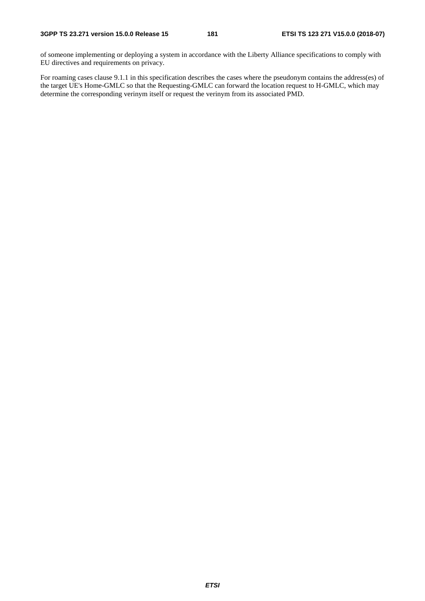of someone implementing or deploying a system in accordance with the Liberty Alliance specifications to comply with EU directives and requirements on privacy.

For roaming cases clause 9.1.1 in this specification describes the cases where the pseudonym contains the address(es) of the target UE's Home-GMLC so that the Requesting-GMLC can forward the location request to H-GMLC, which may determine the corresponding verinym itself or request the verinym from its associated PMD.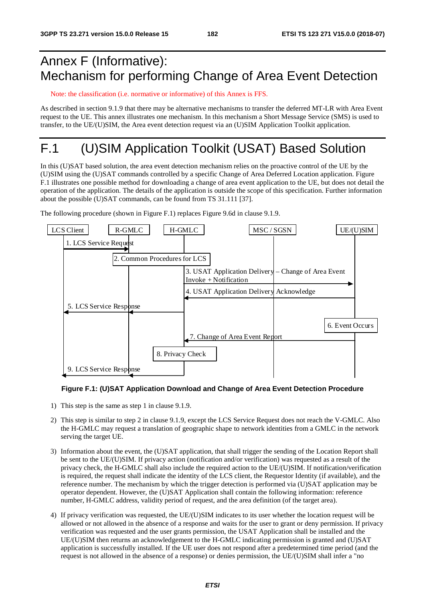## Annex F (Informative): Mechanism for performing Change of Area Event Detection

Note: the classification (i.e. normative or informative) of this Annex is FFS.

As described in section 9.1.9 that there may be alternative mechanisms to transfer the deferred MT-LR with Area Event request to the UE. This annex illustrates one mechanism. In this mechanism a Short Message Service (SMS) is used to transfer, to the UE/(U)SIM, the Area event detection request via an (U)SIM Application Toolkit application.

# F.1 (U)SIM Application Toolkit (USAT) Based Solution

In this (U)SAT based solution, the area event detection mechanism relies on the proactive control of the UE by the (U)SIM using the (U)SAT commands controlled by a specific Change of Area Deferred Location application. Figure F.1 illustrates one possible method for downloading a change of area event application to the UE, but does not detail the operation of the application. The details of the application is outside the scope of this specification. Further information about the possible (U)SAT commands, can be found from TS 31.111 [37].

The following procedure (shown in Figure F.1) replaces Figure 9.6d in clause 9.1.9.



### **Figure F.1: (U)SAT Application Download and Change of Area Event Detection Procedure**

- 1) This step is the same as step 1 in clause 9.1.9.
- 2) This step is similar to step 2 in clause 9.1.9, except the LCS Service Request does not reach the V-GMLC. Also the H-GMLC may request a translation of geographic shape to network identities from a GMLC in the network serving the target UE.
- 3) Information about the event, the (U)SAT application, that shall trigger the sending of the Location Report shall be sent to the UE/(U)SIM. If privacy action (notification and/or verification) was requested as a result of the privacy check, the H-GMLC shall also include the required action to the UE/(U)SIM. If notification/verification is required, the request shall indicate the identity of the LCS client, the Requestor Identity (if available), and the reference number. The mechanism by which the trigger detection is performed via (U)SAT application may be operator dependent. However, the (U)SAT Application shall contain the following information: reference number, H-GMLC address, validity period of request, and the area definition (of the target area).
- 4) If privacy verification was requested, the UE/(U)SIM indicates to its user whether the location request will be allowed or not allowed in the absence of a response and waits for the user to grant or deny permission. If privacy verification was requested and the user grants permission, the USAT Application shall be installed and the UE/(U)SIM then returns an acknowledgement to the H-GMLC indicating permission is granted and (U)SAT application is successfully installed. If the UE user does not respond after a predetermined time period (and the request is not allowed in the absence of a response) or denies permission, the UE/(U)SIM shall infer a "no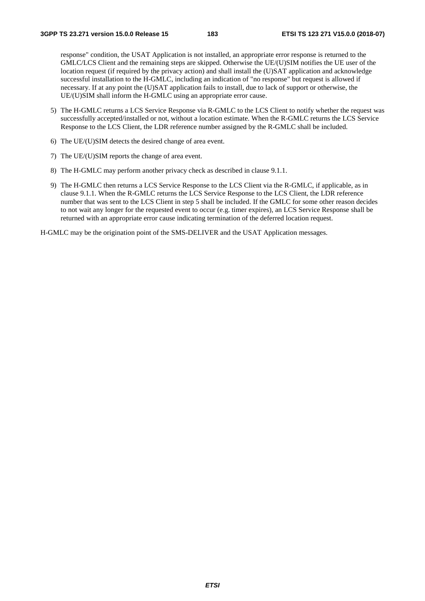response" condition, the USAT Application is not installed, an appropriate error response is returned to the GMLC/LCS Client and the remaining steps are skipped. Otherwise the UE/(U)SIM notifies the UE user of the location request (if required by the privacy action) and shall install the (U)SAT application and acknowledge successful installation to the H-GMLC, including an indication of "no response" but request is allowed if necessary. If at any point the (U)SAT application fails to install, due to lack of support or otherwise, the UE/(U)SIM shall inform the H-GMLC using an appropriate error cause.

- 5) The H-GMLC returns a LCS Service Response via R-GMLC to the LCS Client to notify whether the request was successfully accepted/installed or not, without a location estimate. When the R-GMLC returns the LCS Service Response to the LCS Client, the LDR reference number assigned by the R-GMLC shall be included.
- 6) The UE/(U)SIM detects the desired change of area event.
- 7) The UE/(U)SIM reports the change of area event.
- 8) The H-GMLC may perform another privacy check as described in clause 9.1.1.
- 9) The H-GMLC then returns a LCS Service Response to the LCS Client via the R-GMLC, if applicable, as in clause 9.1.1. When the R-GMLC returns the LCS Service Response to the LCS Client, the LDR reference number that was sent to the LCS Client in step 5 shall be included. If the GMLC for some other reason decides to not wait any longer for the requested event to occur (e.g. timer expires), an LCS Service Response shall be returned with an appropriate error cause indicating termination of the deferred location request.

H-GMLC may be the origination point of the SMS-DELIVER and the USAT Application messages.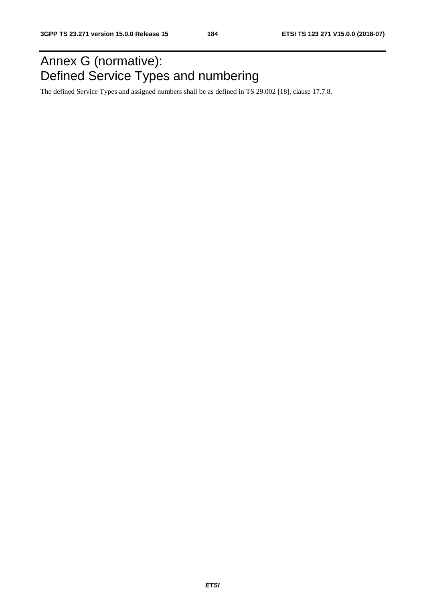## Annex G (normative): Defined Service Types and numbering

The defined Service Types and assigned numbers shall be as defined in TS 29.002 [18], clause 17.7.8.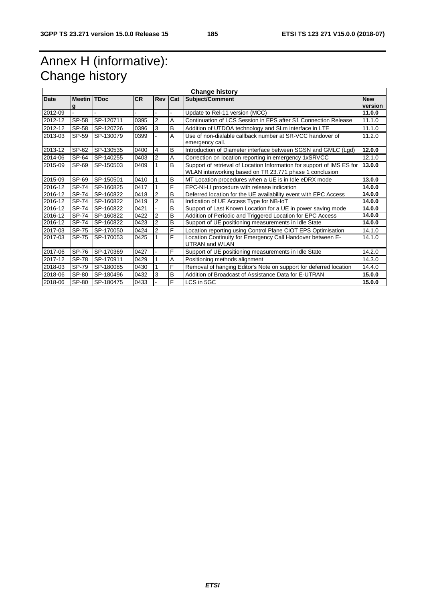## Annex H (informative): Change history

| <b>Change history</b> |                         |           |           |                |                |                                                                                                                                   |                       |
|-----------------------|-------------------------|-----------|-----------|----------------|----------------|-----------------------------------------------------------------------------------------------------------------------------------|-----------------------|
| Date                  | <b>Meetin TDoc</b><br>g |           | <b>CR</b> | <b>Rev</b>     | Cat            | Subject/Comment                                                                                                                   | <b>New</b><br>version |
| 2012-09               |                         |           |           |                |                | Update to Rel-11 version (MCC)                                                                                                    | 11.0.0                |
| 2012-12               | SP-58                   | SP-120711 | 0395      | 2              | A              | Continuation of LCS Session in EPS after S1 Connection Release                                                                    | 11.1.0                |
| 2012-12               | SP-58                   | SP-120726 | 0396      | 3              | B              | Addition of UTDOA technology and SLm interface in LTE                                                                             | 11.1.0                |
| 2013-03               | SP-59                   | SP-130079 | 0399      |                | A              | Use of non-dialable callback number at SR-VCC handover of<br>emergency call.                                                      | 11.2.0                |
| 2013-12               | SP-62                   | SP-130535 | 0400      | 4              | B              | Introduction of Diameter interface between SGSN and GMLC (Lgd)                                                                    | 12.0.0                |
| 2014-06               | SP-64                   | SP-140255 | 0403      | $\overline{2}$ | $\overline{A}$ | Correction on location reporting in emergency 1xSRVCC                                                                             | 12.1.0                |
| 2015-09               | SP-69                   | SP-150503 | 0409      |                | B              | Support of retrieval of Location Information for support of IMS ES for<br>WLAN interworking based on TR 23.771 phase 1 conclusion | 13.0.0                |
| 2015-09               | SP-69                   | SP-150501 | 0410      | 1              | B              | MT Location procedures when a UE is in Idle eDRX mode                                                                             | 13.0.0                |
| 2016-12               | SP-74                   | SP-160825 | 0417      | 1              | F              | EPC-NI-LI procedure with release indication                                                                                       | 14.0.0                |
| 2016-12               | SP-74                   | SP-160822 | 0418      | $\overline{2}$ | B              | Deferred location for the UE availability event with EPC Access                                                                   | 14.0.0                |
| 2016-12               | SP-74                   | SP-160822 | 0419      | $\overline{2}$ | $\overline{B}$ | Indication of UE Access Type for NB-IoT                                                                                           | 14.0.0                |
| 2016-12               | SP-74                   | SP-160822 | 0421      |                | B              | Support of Last Known Location for a UE in power saving mode                                                                      | 14.0.0                |
| 2016-12               | SP-74                   | SP-160822 | 0422      | 2              | B              | Addition of Periodic and Triggered Location for EPC Access                                                                        | 14.0.0                |
| 2016-12               | SP-74                   | SP-160822 | 0423      | $\overline{2}$ | B              | Support of UE positioning measurements in Idle State                                                                              | 14.0.0                |
| 2017-03               | SP-75                   | SP-170050 | 0424      | $\overline{2}$ | F              | Location reporting using Control Plane CIOT EPS Optimisation                                                                      | 14.1.0                |
| 2017-03               | SP-75                   | SP-170053 | 0425      |                | F              | Location Continuity for Emergency Call Handover between E-<br><b>UTRAN and WLAN</b>                                               | 14.1.0                |
| 2017-06               | SP-76                   | SP-170369 | 0427      |                | F              | Support of UE positioning measurements in Idle State                                                                              | 14.2.0                |
| 2017-12               | <b>SP-78</b>            | SP-170911 | 0429      |                | $\overline{A}$ | Positioning methods alignment                                                                                                     | 14.3.0                |
| 2018-03               | SP-79                   | SP-180085 | 0430      |                | F              | Removal of hanging Editor's Note on support for deferred location                                                                 | 14.4.0                |
| 2018-06               | SP-80                   | SP-180496 | 0432      | 3              | B              | Addition of Broadcast of Assistance Data for E-UTRAN                                                                              | 15.0.0                |
| 2018-06               | SP-80                   | SP-180475 | 0433      |                | F              | LCS in 5GC                                                                                                                        | 15.0.0                |